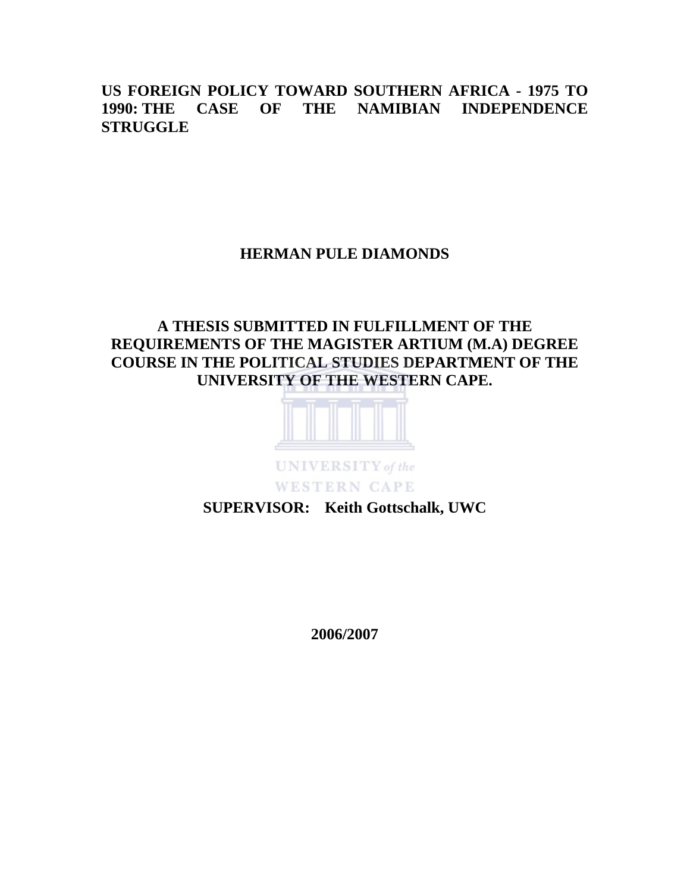**US FOREIGN POLICY TOWARD SOUTHERN AFRICA - 1975 TO 1990: THE CASE OF THE NAMIBIAN INDEPENDENCE STRUGGLE** 

## **HERMAN PULE DIAMONDS**

# **A THESIS SUBMITTED IN FULFILLMENT OF THE REQUIREMENTS OF THE MAGISTER ARTIUM (M.A) DEGREE COURSE IN THE POLITICAL STUDIES DEPARTMENT OF THE UNIVERSITY OF THE WESTERN CAPE.**



**SUPERVISOR: Keith Gottschalk, UWC** 

**2006/2007**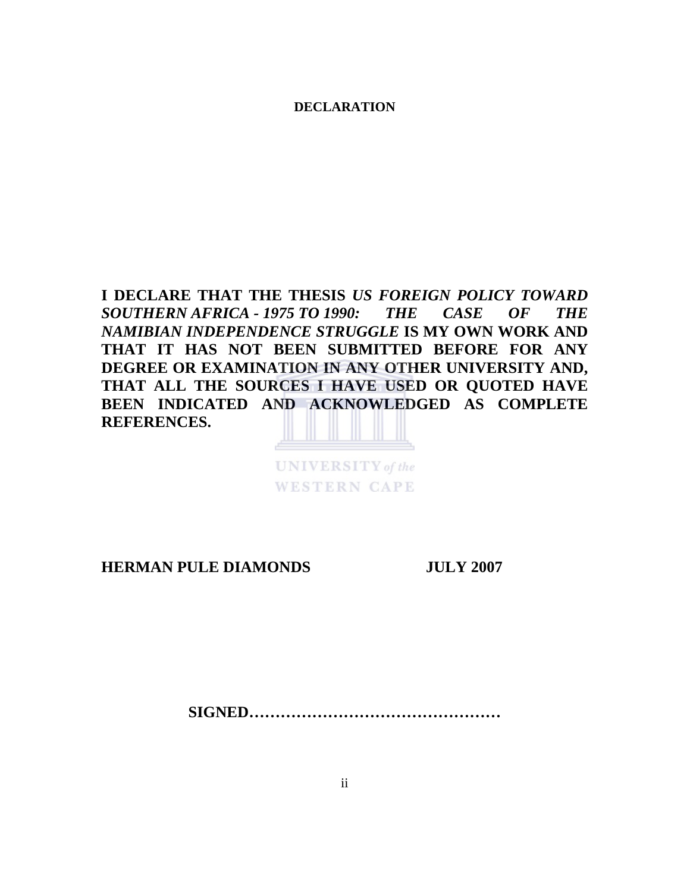**DECLARATION** 

**I DECLARE THAT THE THESIS** *US FOREIGN POLICY TOWARD SOUTHERN AFRICA - 1975 TO 1990: THE CASE OF THE NAMIBIAN INDEPENDENCE STRUGGLE* **IS MY OWN WORK AND THAT IT HAS NOT BEEN SUBMITTED BEFORE FOR ANY DEGREE OR EXAMINATION IN ANY OTHER UNIVERSITY AND, THAT ALL THE SOURCES I HAVE USED OR QUOTED HAVE BEEN INDICATED AND ACKNOWLEDGED AS COMPLETE REFERENCES.** 



**UNIVERSITY** of the **WESTERN CAPE** 

**HERMAN PULE DIAMONDS JULY 2007** 

**SIGNED…………………………………………**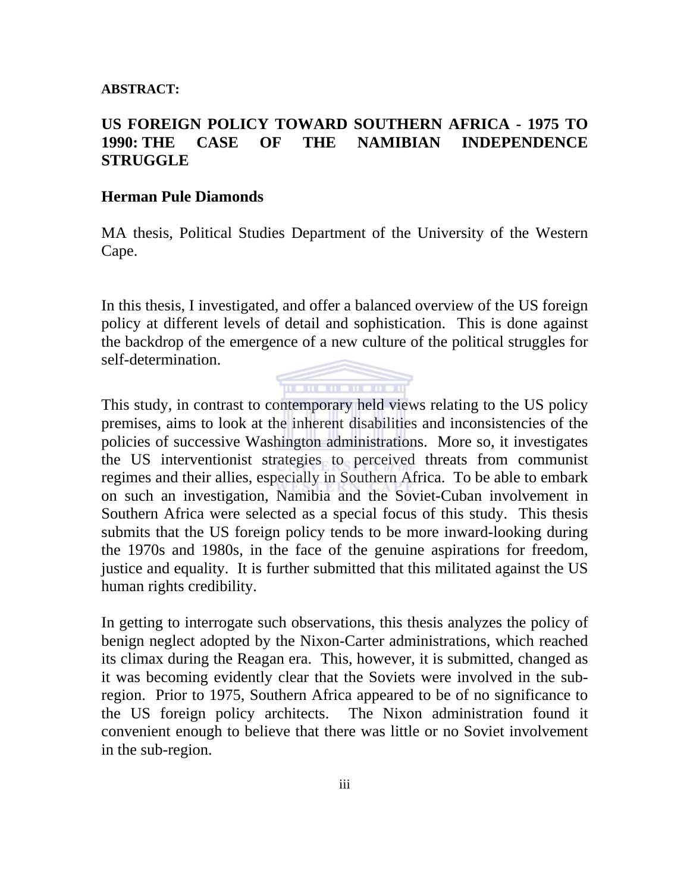#### **ABSTRACT:**

## **US FOREIGN POLICY TOWARD SOUTHERN AFRICA - 1975 TO 1990: THE CASE OF THE NAMIBIAN INDEPENDENCE STRUGGLE**

#### **Herman Pule Diamonds**

MA thesis, Political Studies Department of the University of the Western Cape.

In this thesis, I investigated, and offer a balanced overview of the US foreign policy at different levels of detail and sophistication. This is done against the backdrop of the emergence of a new culture of the political struggles for self-determination.



This study, in contrast to contemporary held views relating to the US policy premises, aims to look at the inherent disabilities and inconsistencies of the policies of successive Washington administrations. More so, it investigates the US interventionist strategies to perceived threats from communist regimes and their allies, especially in Southern Africa. To be able to embark on such an investigation, Namibia and the Soviet-Cuban involvement in Southern Africa were selected as a special focus of this study. This thesis submits that the US foreign policy tends to be more inward-looking during the 1970s and 1980s, in the face of the genuine aspirations for freedom, justice and equality. It is further submitted that this militated against the US human rights credibility.

In getting to interrogate such observations, this thesis analyzes the policy of benign neglect adopted by the Nixon-Carter administrations, which reached its climax during the Reagan era. This, however, it is submitted, changed as it was becoming evidently clear that the Soviets were involved in the subregion. Prior to 1975, Southern Africa appeared to be of no significance to the US foreign policy architects. The Nixon administration found it convenient enough to believe that there was little or no Soviet involvement in the sub-region.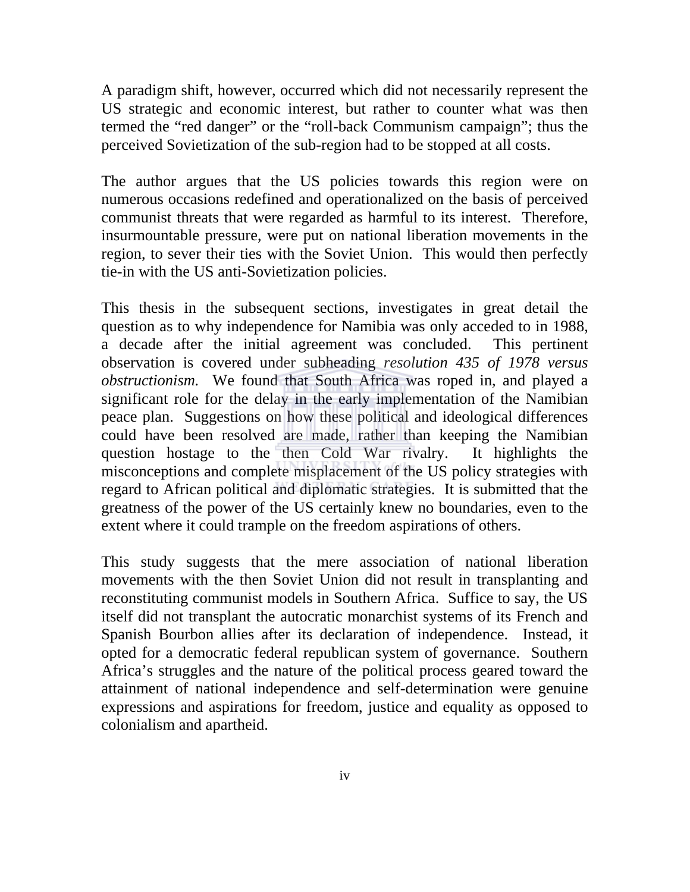A paradigm shift, however, occurred which did not necessarily represent the US strategic and economic interest, but rather to counter what was then termed the "red danger" or the "roll-back Communism campaign"; thus the perceived Sovietization of the sub-region had to be stopped at all costs.

The author argues that the US policies towards this region were on numerous occasions redefined and operationalized on the basis of perceived communist threats that were regarded as harmful to its interest. Therefore, insurmountable pressure, were put on national liberation movements in the region, to sever their ties with the Soviet Union. This would then perfectly tie-in with the US anti-Sovietization policies.

This thesis in the subsequent sections, investigates in great detail the question as to why independence for Namibia was only acceded to in 1988, a decade after the initial agreement was concluded. This pertinent observation is covered under subheading *resolution 435 of 1978 versus obstructionism.* We found that South Africa was roped in, and played a significant role for the delay in the early implementation of the Namibian peace plan. Suggestions on how these political and ideological differences could have been resolved are made, rather than keeping the Namibian question hostage to the then Cold War rivalry. It highlights the misconceptions and complete misplacement of the US policy strategies with regard to African political and diplomatic strategies. It is submitted that the greatness of the power of the US certainly knew no boundaries, even to the extent where it could trample on the freedom aspirations of others.

This study suggests that the mere association of national liberation movements with the then Soviet Union did not result in transplanting and reconstituting communist models in Southern Africa. Suffice to say, the US itself did not transplant the autocratic monarchist systems of its French and Spanish Bourbon allies after its declaration of independence. Instead, it opted for a democratic federal republican system of governance. Southern Africa's struggles and the nature of the political process geared toward the attainment of national independence and self-determination were genuine expressions and aspirations for freedom, justice and equality as opposed to colonialism and apartheid.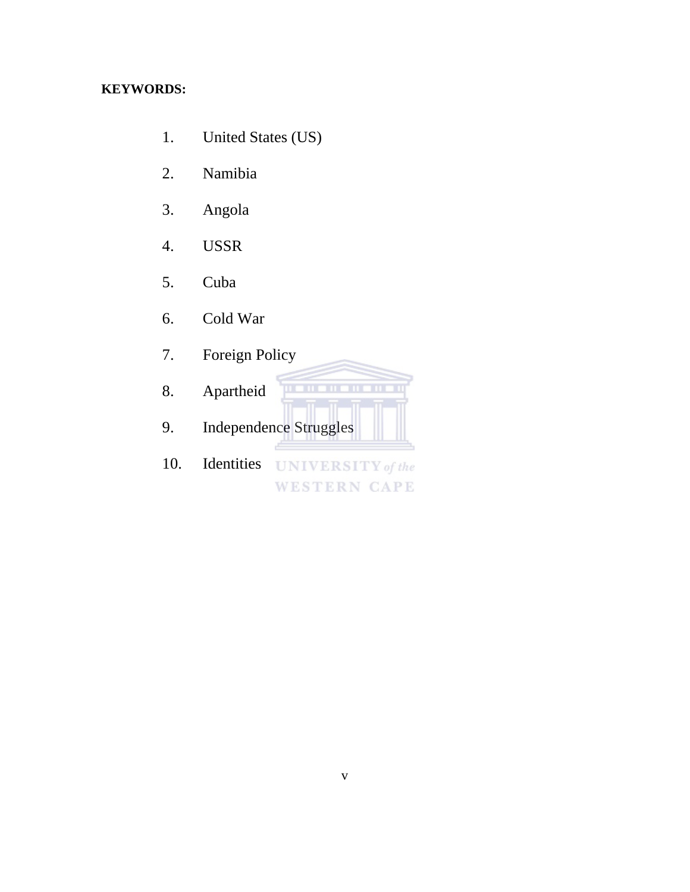# **KEYWORDS:**

- 1. United States (US)
- 2. Namibia
- 3. Angola
- 4. USSR
- 5. Cuba
- 6. Cold War
- 7. Foreign Policy
- 8. Apartheid
- 9. Independence Struggles
- 10. Identities UNIVERSITY of the **WESTERN CAPE**

**THE REPORT**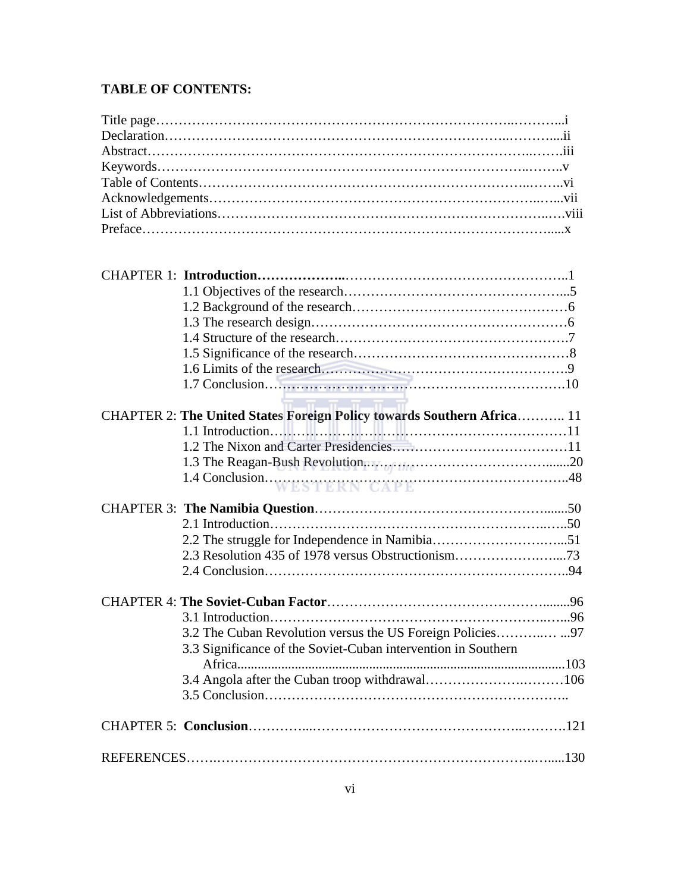## **TABLE OF CONTENTS:**

| CHAPTER 2: The United States Foreign Policy towards Southern Africa 11 |
|------------------------------------------------------------------------|
|                                                                        |
|                                                                        |
|                                                                        |
|                                                                        |
|                                                                        |
|                                                                        |
|                                                                        |
| 2.3 Resolution 435 of 1978 versus Obstructionism73                     |
|                                                                        |
|                                                                        |
| .96<br>3.1 Introduction                                                |
|                                                                        |
| 3.3 Significance of the Soviet-Cuban intervention in Southern          |
|                                                                        |
|                                                                        |
|                                                                        |
|                                                                        |
|                                                                        |
|                                                                        |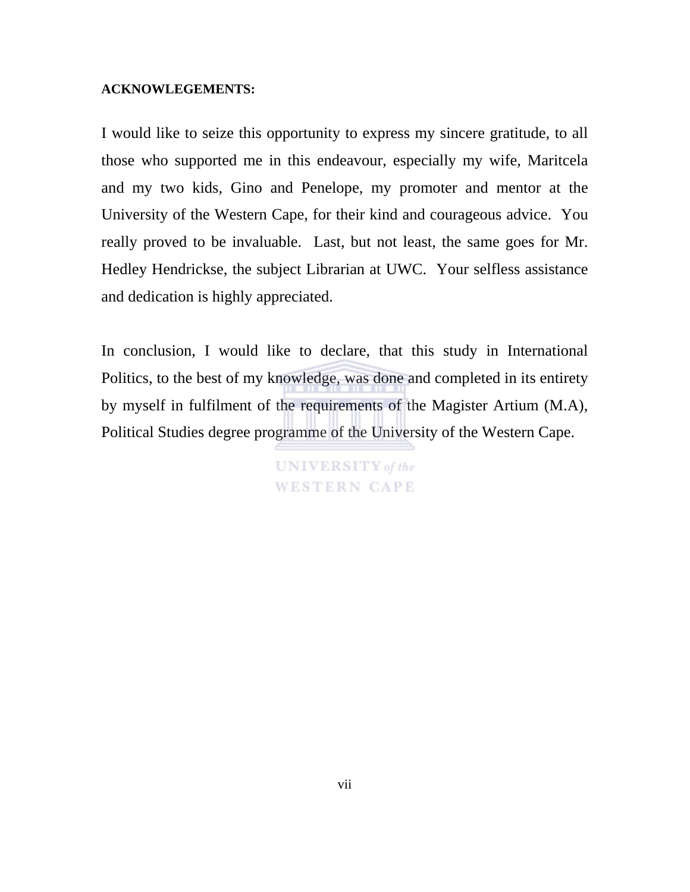#### **ACKNOWLEGEMENTS:**

I would like to seize this opportunity to express my sincere gratitude, to all those who supported me in this endeavour, especially my wife, Maritcela and my two kids, Gino and Penelope, my promoter and mentor at the University of the Western Cape, for their kind and courageous advice. You really proved to be invaluable. Last, but not least, the same goes for Mr. Hedley Hendrickse, the subject Librarian at UWC. Your selfless assistance and dedication is highly appreciated.

In conclusion, I would like to declare, that this study in International Politics, to the best of my knowledge, was done and completed in its entirety by myself in fulfilment of the requirements of the Magister Artium (M.A), Political Studies degree programme of the University of the Western Cape.

> **UNIVERSITY** of the **WESTERN CAPE**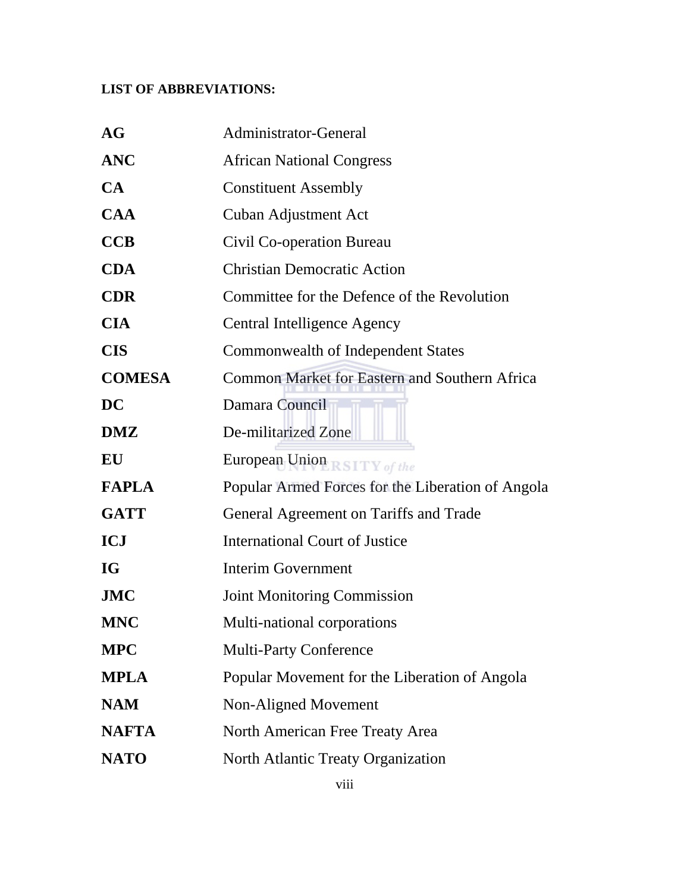## **LIST OF ABBREVIATIONS:**

| <b>AG</b>     | Administrator-General                                |
|---------------|------------------------------------------------------|
| <b>ANC</b>    | <b>African National Congress</b>                     |
| CA            | <b>Constituent Assembly</b>                          |
| <b>CAA</b>    | <b>Cuban Adjustment Act</b>                          |
| <b>CCB</b>    | Civil Co-operation Bureau                            |
| <b>CDA</b>    | <b>Christian Democratic Action</b>                   |
| <b>CDR</b>    | Committee for the Defence of the Revolution          |
| <b>CIA</b>    | Central Intelligence Agency                          |
| <b>CIS</b>    | <b>Commonwealth of Independent States</b>            |
| <b>COMESA</b> | <b>Common Market for Eastern and Southern Africa</b> |
| <b>DC</b>     | Damara Council                                       |
| <b>DMZ</b>    | De-militarized Zone                                  |
| EU            | European Union RSITY of the                          |
| <b>FAPLA</b>  | Popular Armed Forces for the Liberation of Angola    |
| <b>GATT</b>   | General Agreement on Tariffs and Trade               |
| <b>ICJ</b>    | <b>International Court of Justice</b>                |
| IG            | <b>Interim Government</b>                            |
| <b>JMC</b>    | <b>Joint Monitoring Commission</b>                   |
| <b>MNC</b>    | Multi-national corporations                          |
| <b>MPC</b>    | <b>Multi-Party Conference</b>                        |
| <b>MPLA</b>   | Popular Movement for the Liberation of Angola        |
| <b>NAM</b>    | Non-Aligned Movement                                 |
| <b>NAFTA</b>  | North American Free Treaty Area                      |
| <b>NATO</b>   | North Atlantic Treaty Organization                   |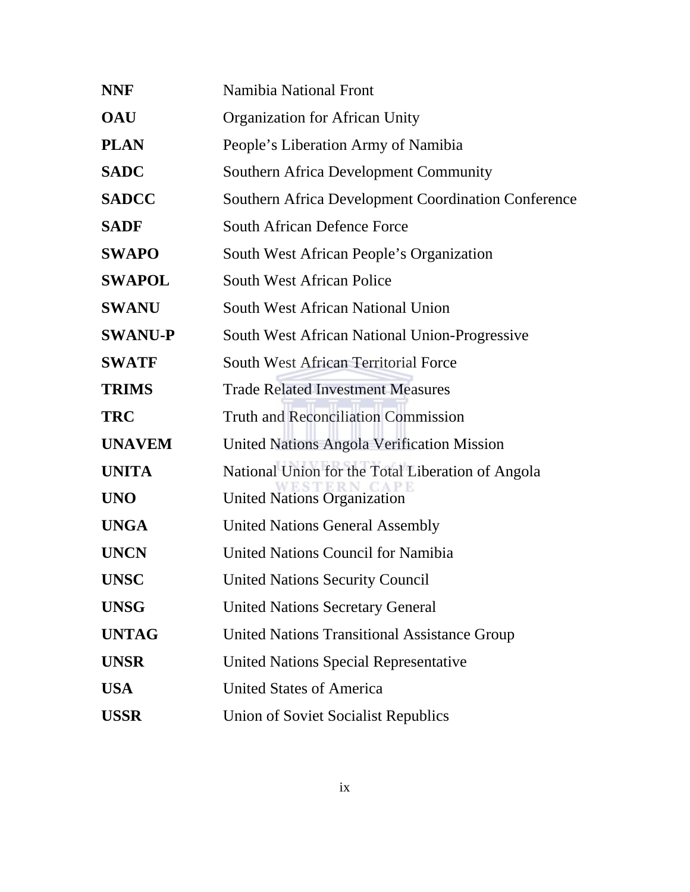| <b>NNF</b>     | Namibia National Front                              |
|----------------|-----------------------------------------------------|
| <b>OAU</b>     | <b>Organization for African Unity</b>               |
| <b>PLAN</b>    | People's Liberation Army of Namibia                 |
| <b>SADC</b>    | <b>Southern Africa Development Community</b>        |
| <b>SADCC</b>   | Southern Africa Development Coordination Conference |
| <b>SADF</b>    | <b>South African Defence Force</b>                  |
| <b>SWAPO</b>   | South West African People's Organization            |
| <b>SWAPOL</b>  | <b>South West African Police</b>                    |
| <b>SWANU</b>   | South West African National Union                   |
| <b>SWANU-P</b> | South West African National Union-Progressive       |
| <b>SWATF</b>   | <b>South West African Territorial Force</b>         |
| <b>TRIMS</b>   | <b>Trade Related Investment Measures</b>            |
| <b>TRC</b>     | <b>Truth and Reconciliation Commission</b>          |
| <b>UNAVEM</b>  | <b>United Nations Angola Verification Mission</b>   |
| <b>UNITA</b>   | National Union for the Total Liberation of Angola   |
| <b>UNO</b>     | <b>United Nations Organization</b>                  |
| <b>UNGA</b>    | <b>United Nations General Assembly</b>              |
| <b>UNCN</b>    | <b>United Nations Council for Namibia</b>           |
| <b>UNSC</b>    | <b>United Nations Security Council</b>              |
| <b>UNSG</b>    | <b>United Nations Secretary General</b>             |
| <b>UNTAG</b>   | <b>United Nations Transitional Assistance Group</b> |
| <b>UNSR</b>    | <b>United Nations Special Representative</b>        |
| <b>USA</b>     | <b>United States of America</b>                     |
| <b>USSR</b>    | <b>Union of Soviet Socialist Republics</b>          |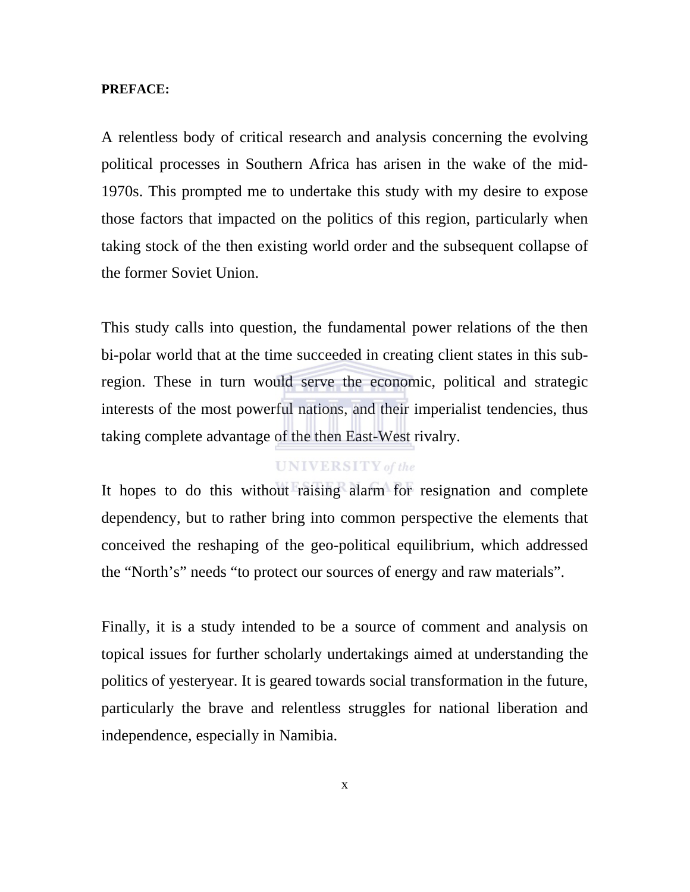#### **PREFACE:**

A relentless body of critical research and analysis concerning the evolving political processes in Southern Africa has arisen in the wake of the mid-1970s. This prompted me to undertake this study with my desire to expose those factors that impacted on the politics of this region, particularly when taking stock of the then existing world order and the subsequent collapse of the former Soviet Union.

This study calls into question, the fundamental power relations of the then bi-polar world that at the time succeeded in creating client states in this subregion. These in turn would serve the economic, political and strategic interests of the most powerful nations, and their imperialist tendencies, thus taking complete advantage of the then East-West rivalry.

### **UNIVERSITY** of the

It hopes to do this without raising alarm for resignation and complete dependency, but to rather bring into common perspective the elements that conceived the reshaping of the geo-political equilibrium, which addressed the "North's" needs "to protect our sources of energy and raw materials".

Finally, it is a study intended to be a source of comment and analysis on topical issues for further scholarly undertakings aimed at understanding the politics of yesteryear. It is geared towards social transformation in the future, particularly the brave and relentless struggles for national liberation and independence, especially in Namibia.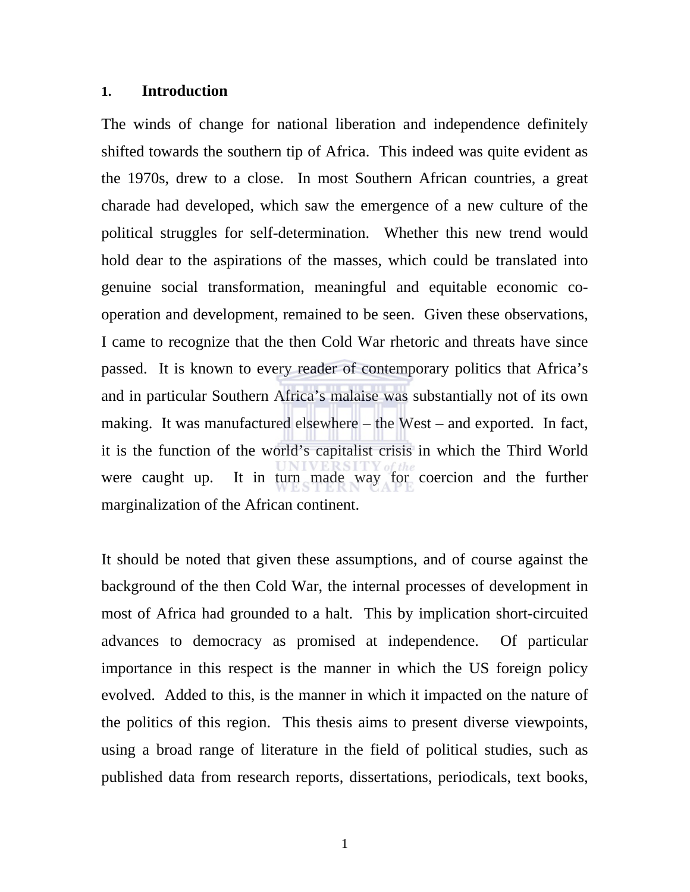### **1. Introduction**

The winds of change for national liberation and independence definitely shifted towards the southern tip of Africa. This indeed was quite evident as the 1970s, drew to a close. In most Southern African countries, a great charade had developed, which saw the emergence of a new culture of the political struggles for self-determination. Whether this new trend would hold dear to the aspirations of the masses, which could be translated into genuine social transformation, meaningful and equitable economic cooperation and development, remained to be seen. Given these observations, I came to recognize that the then Cold War rhetoric and threats have since passed. It is known to every reader of contemporary politics that Africa's and in particular Southern Africa's malaise was substantially not of its own making. It was manufactured elsewhere – the West – and exported. In fact, it is the function of the world's capitalist crisis in which the Third World were caught up. It in turn made way for coercion and the further marginalization of the African continent.

It should be noted that given these assumptions, and of course against the background of the then Cold War, the internal processes of development in most of Africa had grounded to a halt. This by implication short-circuited advances to democracy as promised at independence. Of particular importance in this respect is the manner in which the US foreign policy evolved. Added to this, is the manner in which it impacted on the nature of the politics of this region. This thesis aims to present diverse viewpoints, using a broad range of literature in the field of political studies, such as published data from research reports, dissertations, periodicals, text books,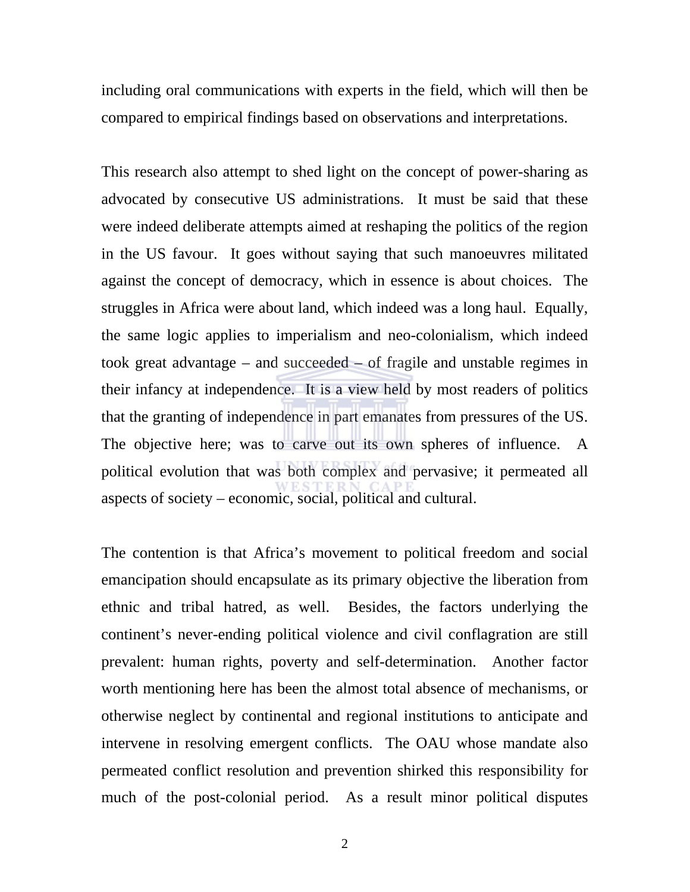including oral communications with experts in the field, which will then be compared to empirical findings based on observations and interpretations.

This research also attempt to shed light on the concept of power-sharing as advocated by consecutive US administrations. It must be said that these were indeed deliberate attempts aimed at reshaping the politics of the region in the US favour. It goes without saying that such manoeuvres militated against the concept of democracy, which in essence is about choices. The struggles in Africa were about land, which indeed was a long haul. Equally, the same logic applies to imperialism and neo-colonialism, which indeed took great advantage – and succeeded – of fragile and unstable regimes in their infancy at independence. It is a view held by most readers of politics that the granting of independence in part emanates from pressures of the US. The objective here; was to carve out its own spheres of influence. A political evolution that was both complex and pervasive; it permeated all aspects of society – economic, social, political and cultural.

The contention is that Africa's movement to political freedom and social emancipation should encapsulate as its primary objective the liberation from ethnic and tribal hatred, as well. Besides, the factors underlying the continent's never-ending political violence and civil conflagration are still prevalent: human rights, poverty and self-determination. Another factor worth mentioning here has been the almost total absence of mechanisms, or otherwise neglect by continental and regional institutions to anticipate and intervene in resolving emergent conflicts. The OAU whose mandate also permeated conflict resolution and prevention shirked this responsibility for much of the post-colonial period. As a result minor political disputes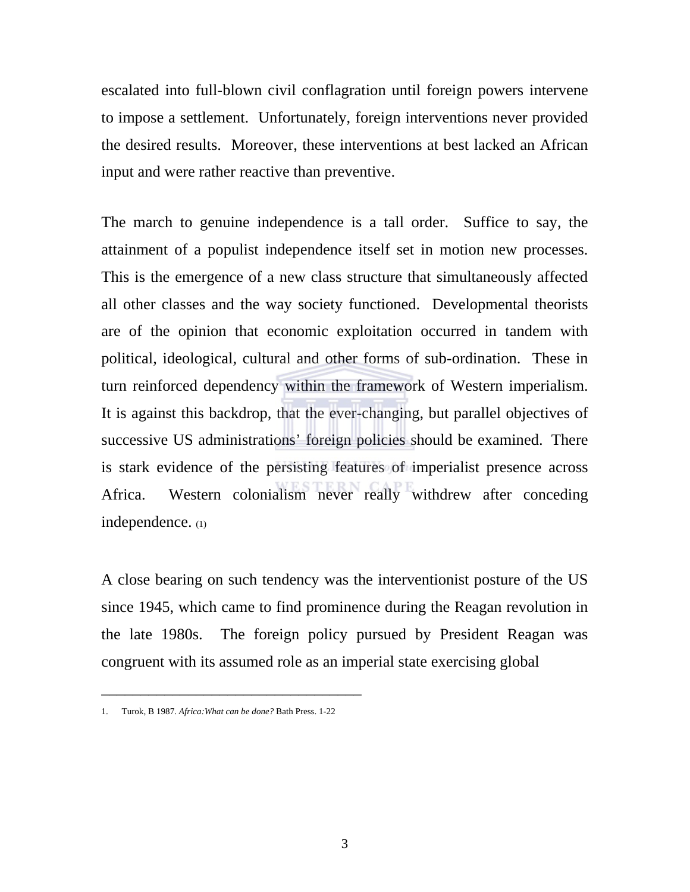escalated into full-blown civil conflagration until foreign powers intervene to impose a settlement. Unfortunately, foreign interventions never provided the desired results. Moreover, these interventions at best lacked an African input and were rather reactive than preventive.

The march to genuine independence is a tall order. Suffice to say, the attainment of a populist independence itself set in motion new processes. This is the emergence of a new class structure that simultaneously affected all other classes and the way society functioned. Developmental theorists are of the opinion that economic exploitation occurred in tandem with political, ideological, cultural and other forms of sub-ordination. These in turn reinforced dependency within the framework of Western imperialism. It is against this backdrop, that the ever-changing, but parallel objectives of successive US administrations' foreign policies should be examined. There is stark evidence of the persisting features of imperialist presence across Africa. Western colonialism never really withdrew after conceding independence. (1)

A close bearing on such tendency was the interventionist posture of the US since 1945, which came to find prominence during the Reagan revolution in the late 1980s. The foreign policy pursued by President Reagan was congruent with its assumed role as an imperial state exercising global

\_\_\_\_\_\_\_\_\_\_\_\_\_\_\_\_\_\_\_\_\_\_\_\_\_\_\_\_\_\_\_\_\_

<sup>1.</sup> Turok, B 1987. *Africa:What can be done?* Bath Press. 1-22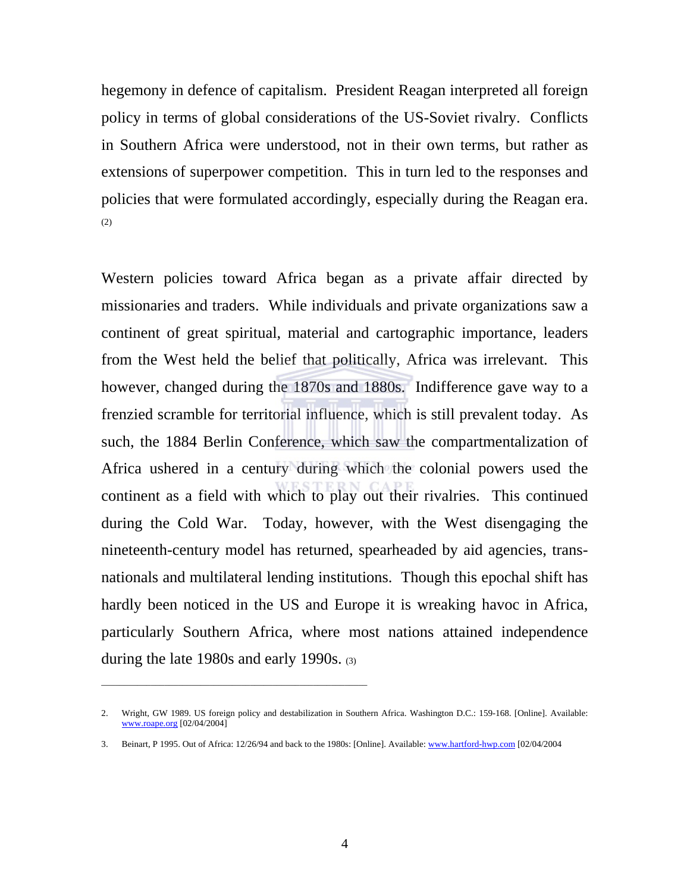hegemony in defence of capitalism. President Reagan interpreted all foreign policy in terms of global considerations of the US-Soviet rivalry. Conflicts in Southern Africa were understood, not in their own terms, but rather as extensions of superpower competition. This in turn led to the responses and policies that were formulated accordingly, especially during the Reagan era. (2)

Western policies toward Africa began as a private affair directed by missionaries and traders. While individuals and private organizations saw a continent of great spiritual, material and cartographic importance, leaders from the West held the belief that politically, Africa was irrelevant. This however, changed during the 1870s and 1880s. Indifference gave way to a frenzied scramble for territorial influence, which is still prevalent today. As such, the 1884 Berlin Conference, which saw the compartmentalization of Africa ushered in a century during which the colonial powers used the continent as a field with which to play out their rivalries. This continued during the Cold War. Today, however, with the West disengaging the nineteenth-century model has returned, spearheaded by aid agencies, transnationals and multilateral lending institutions. Though this epochal shift has hardly been noticed in the US and Europe it is wreaking havoc in Africa, particularly Southern Africa, where most nations attained independence during the late 1980s and early 1990s. (3)

\_\_\_\_\_\_\_\_\_\_\_\_\_\_\_\_\_\_\_\_\_\_\_\_\_\_\_\_\_\_\_\_\_\_\_\_\_\_\_\_\_\_\_\_\_\_\_\_\_\_\_\_\_\_\_\_\_\_\_

<sup>2.</sup> Wright, GW 1989. US foreign policy and destabilization in Southern Africa. Washington D.C.: 159-168. [Online]. Available: www.roape.org [02/04/2004]

<sup>3.</sup> Beinart, P 1995. Out of Africa: 12/26/94 and back to the 1980s: [Online]. Available: www.hartford-hwp.com [02/04/2004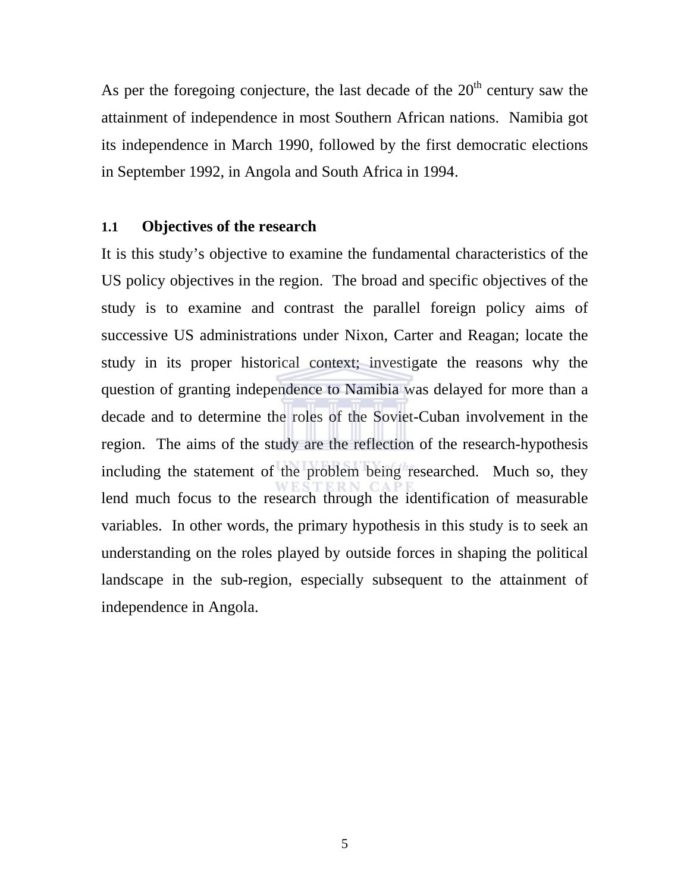As per the foregoing conjecture, the last decade of the  $20<sup>th</sup>$  century saw the attainment of independence in most Southern African nations. Namibia got its independence in March 1990, followed by the first democratic elections in September 1992, in Angola and South Africa in 1994.

### **1.1 Objectives of the research**

It is this study's objective to examine the fundamental characteristics of the US policy objectives in the region. The broad and specific objectives of the study is to examine and contrast the parallel foreign policy aims of successive US administrations under Nixon, Carter and Reagan; locate the study in its proper historical context; investigate the reasons why the question of granting independence to Namibia was delayed for more than a decade and to determine the roles of the Soviet-Cuban involvement in the region. The aims of the study are the reflection of the research-hypothesis including the statement of the problem being researched. Much so, they lend much focus to the research through the identification of measurable variables. In other words, the primary hypothesis in this study is to seek an understanding on the roles played by outside forces in shaping the political landscape in the sub-region, especially subsequent to the attainment of independence in Angola.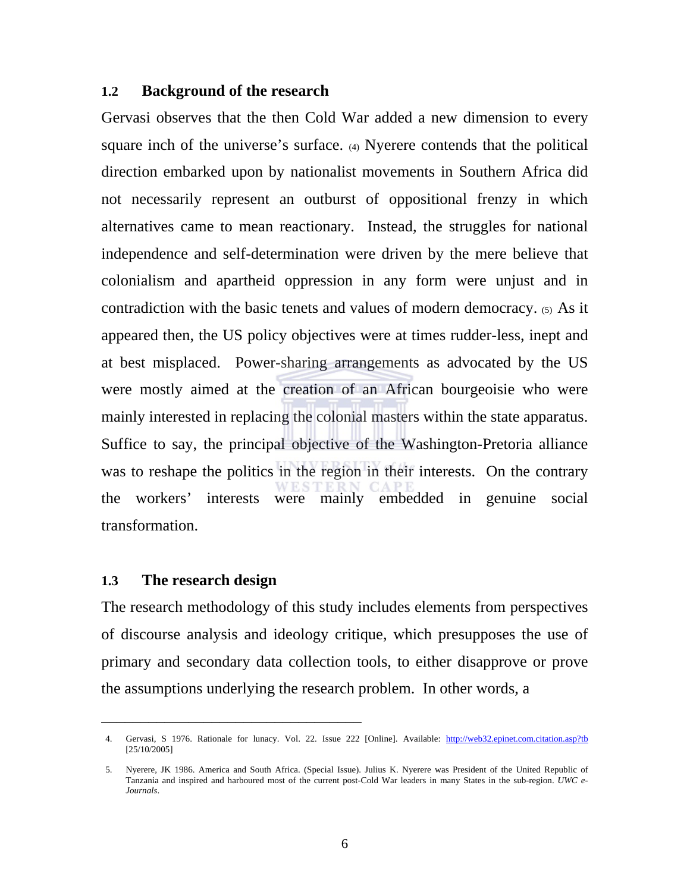### **1.2 Background of the research**

Gervasi observes that the then Cold War added a new dimension to every square inch of the universe's surface. (4) Nyerere contends that the political direction embarked upon by nationalist movements in Southern Africa did not necessarily represent an outburst of oppositional frenzy in which alternatives came to mean reactionary. Instead, the struggles for national independence and self-determination were driven by the mere believe that colonialism and apartheid oppression in any form were unjust and in contradiction with the basic tenets and values of modern democracy. (5)As it appeared then, the US policy objectives were at times rudder-less, inept and at best misplaced. Power-sharing arrangements as advocated by the US were mostly aimed at the creation of an African bourgeoisie who were mainly interested in replacing the colonial masters within the state apparatus. Suffice to say, the principal objective of the Washington-Pretoria alliance was to reshape the politics in the region in their interests. On the contrary the workers' interests were mainly embedded in genuine social transformation.

## **1.3 The research design**

\_\_\_\_\_\_\_\_\_\_\_\_\_\_\_\_\_\_\_\_\_\_\_\_\_\_\_\_\_\_\_\_\_

The research methodology of this study includes elements from perspectives of discourse analysis and ideology critique, which presupposes the use of primary and secondary data collection tools, to either disapprove or prove the assumptions underlying the research problem. In other words, a

<sup>4.</sup> Gervasi, S 1976. Rationale for lunacy. Vol. 22. Issue 222 [Online]. Available: http://web32.epinet.com.citation.asp?tb [25/10/2005]

<sup>5.</sup> Nyerere, JK 1986. America and South Africa. (Special Issue). Julius K. Nyerere was President of the United Republic of Tanzania and inspired and harboured most of the current post-Cold War leaders in many States in the sub-region. *UWC e-Journals*.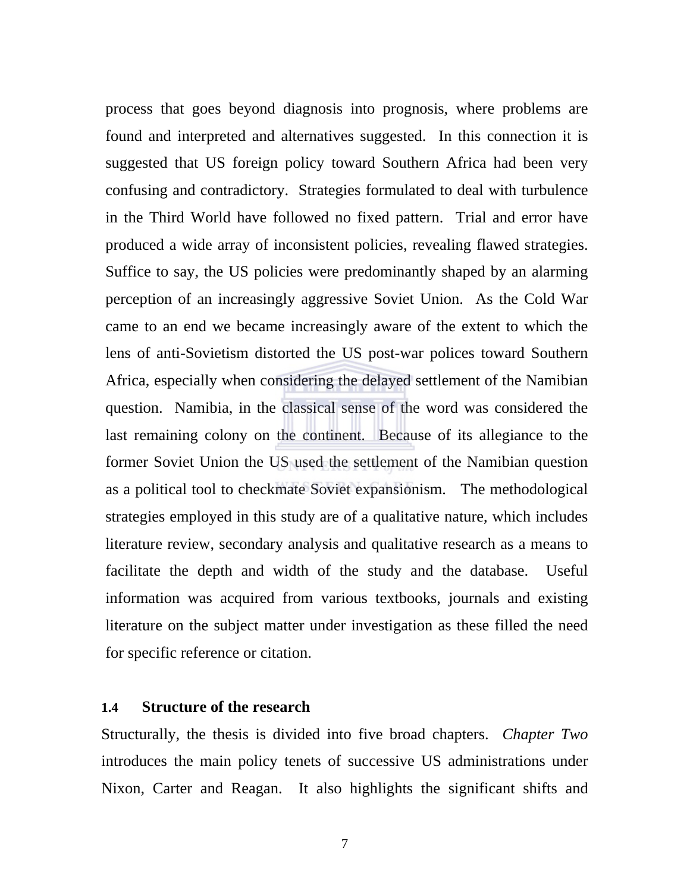process that goes beyond diagnosis into prognosis, where problems are found and interpreted and alternatives suggested. In this connection it is suggested that US foreign policy toward Southern Africa had been very confusing and contradictory. Strategies formulated to deal with turbulence in the Third World have followed no fixed pattern. Trial and error have produced a wide array of inconsistent policies, revealing flawed strategies. Suffice to say, the US policies were predominantly shaped by an alarming perception of an increasingly aggressive Soviet Union. As the Cold War came to an end we became increasingly aware of the extent to which the lens of anti-Sovietism distorted the US post-war polices toward Southern Africa, especially when considering the delayed settlement of the Namibian question. Namibia, in the classical sense of the word was considered the last remaining colony on the continent. Because of its allegiance to the former Soviet Union the US used the settlement of the Namibian question as a political tool to checkmate Soviet expansionism. The methodological strategies employed in this study are of a qualitative nature, which includes literature review, secondary analysis and qualitative research as a means to facilitate the depth and width of the study and the database. Useful information was acquired from various textbooks, journals and existing literature on the subject matter under investigation as these filled the need for specific reference or citation.

### **1.4 Structure of the research**

Structurally, the thesis is divided into five broad chapters. *Chapter Two* introduces the main policy tenets of successive US administrations under Nixon, Carter and Reagan. It also highlights the significant shifts and

7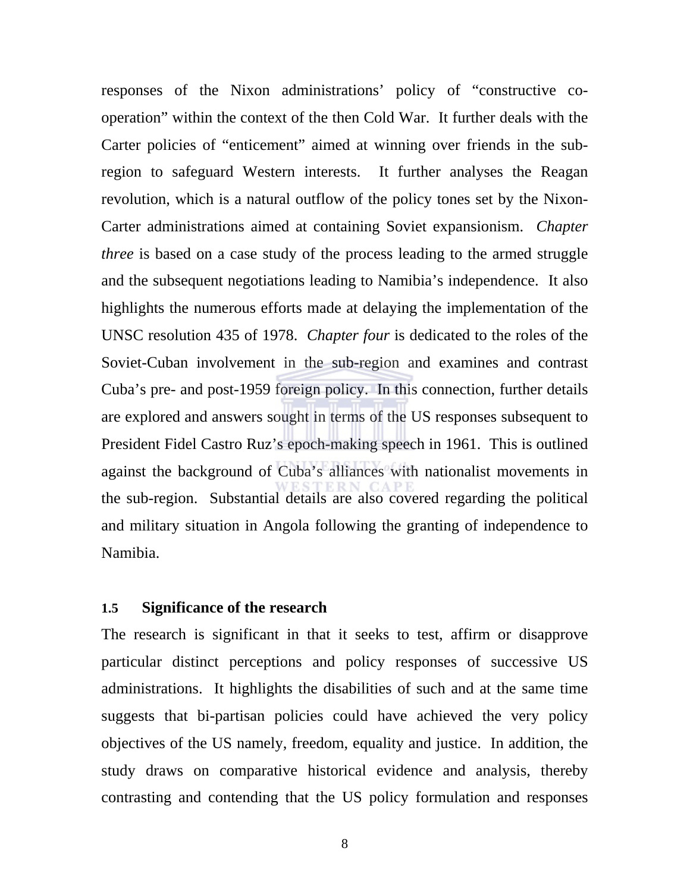responses of the Nixon administrations' policy of "constructive cooperation" within the context of the then Cold War. It further deals with the Carter policies of "enticement" aimed at winning over friends in the subregion to safeguard Western interests. It further analyses the Reagan revolution, which is a natural outflow of the policy tones set by the Nixon-Carter administrations aimed at containing Soviet expansionism. *Chapter three* is based on a case study of the process leading to the armed struggle and the subsequent negotiations leading to Namibia's independence. It also highlights the numerous efforts made at delaying the implementation of the UNSC resolution 435 of 1978. *Chapter four* is dedicated to the roles of the Soviet-Cuban involvement in the sub-region and examines and contrast Cuba's pre- and post-1959 foreign policy. In this connection, further details are explored and answers sought in terms of the US responses subsequent to President Fidel Castro Ruz's epoch-making speech in 1961. This is outlined against the background of Cuba's alliances with nationalist movements in the sub-region. Substantial details are also covered regarding the political and military situation in Angola following the granting of independence to Namibia.

### **1.5 Significance of the research**

The research is significant in that it seeks to test, affirm or disapprove particular distinct perceptions and policy responses of successive US administrations. It highlights the disabilities of such and at the same time suggests that bi-partisan policies could have achieved the very policy objectives of the US namely, freedom, equality and justice. In addition, the study draws on comparative historical evidence and analysis, thereby contrasting and contending that the US policy formulation and responses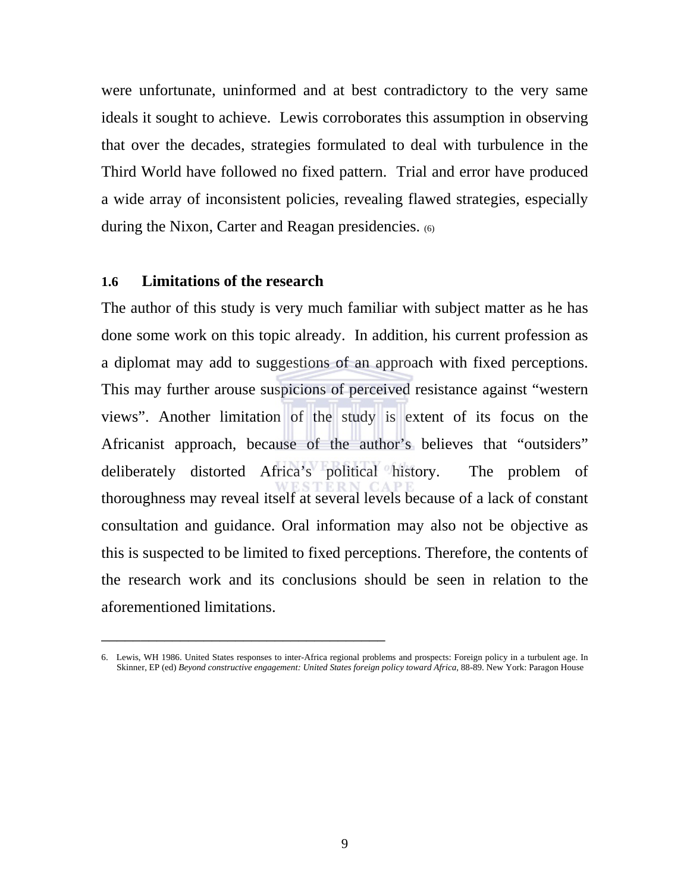were unfortunate, uninformed and at best contradictory to the very same ideals it sought to achieve. Lewis corroborates this assumption in observing that over the decades, strategies formulated to deal with turbulence in the Third World have followed no fixed pattern. Trial and error have produced a wide array of inconsistent policies, revealing flawed strategies, especially during the Nixon, Carter and Reagan presidencies. (6)

### **1.6 Limitations of the research**

\_\_\_\_\_\_\_\_\_\_\_\_\_\_\_\_\_\_\_\_\_\_\_\_\_\_\_\_\_\_\_\_\_\_\_\_

The author of this study is very much familiar with subject matter as he has done some work on this topic already. In addition, his current profession as a diplomat may add to suggestions of an approach with fixed perceptions. This may further arouse suspicions of perceived resistance against "western views". Another limitation of the study is extent of its focus on the Africanist approach, because of the author's believes that "outsiders" deliberately distorted Africa's political history. The problem of thoroughness may reveal itself at several levels because of a lack of constant consultation and guidance. Oral information may also not be objective as this is suspected to be limited to fixed perceptions. Therefore, the contents of the research work and its conclusions should be seen in relation to the aforementioned limitations.

<sup>6.</sup> Lewis, WH 1986. United States responses to inter-Africa regional problems and prospects: Foreign policy in a turbulent age. In Skinner, EP (ed) *Beyond constructive engagement: United States foreign policy toward Africa*, 88-89. New York: Paragon House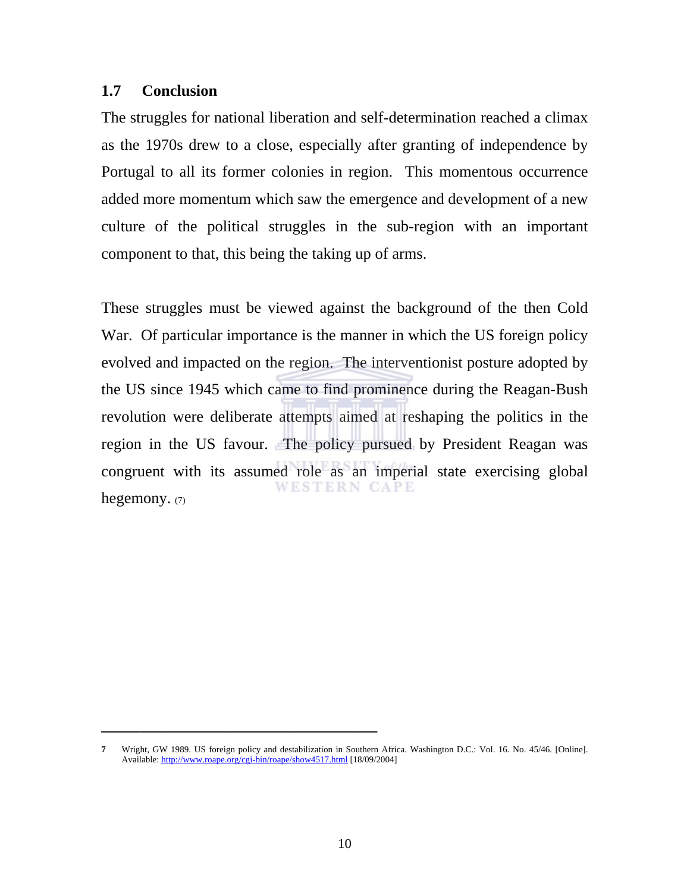### **1.7 Conclusion**

The struggles for national liberation and self-determination reached a climax as the 1970s drew to a close, especially after granting of independence by Portugal to all its former colonies in region. This momentous occurrence added more momentum which saw the emergence and development of a new culture of the political struggles in the sub-region with an important component to that, this being the taking up of arms.

These struggles must be viewed against the background of the then Cold War. Of particular importance is the manner in which the US foreign policy evolved and impacted on the region. The interventionist posture adopted by the US since 1945 which came to find prominence during the Reagan-Bush revolution were deliberate attempts aimed at reshaping the politics in the region in the US favour. The policy pursued by President Reagan was congruent with its assumed role as an imperial state exercising global **WESTERN CAPE** hegemony. (7)

**\_\_\_\_\_\_\_\_\_\_\_\_\_\_\_\_\_\_\_\_\_\_\_\_\_\_\_\_\_\_\_\_\_\_\_** 

**<sup>7</sup>** Wright, GW 1989. US foreign policy and destabilization in Southern Africa. Washington D.C.: Vol. 16. No. 45/46. [Online]. Available: http://www.roape.org/cgi-bin/roape/show4517.html [18/09/2004]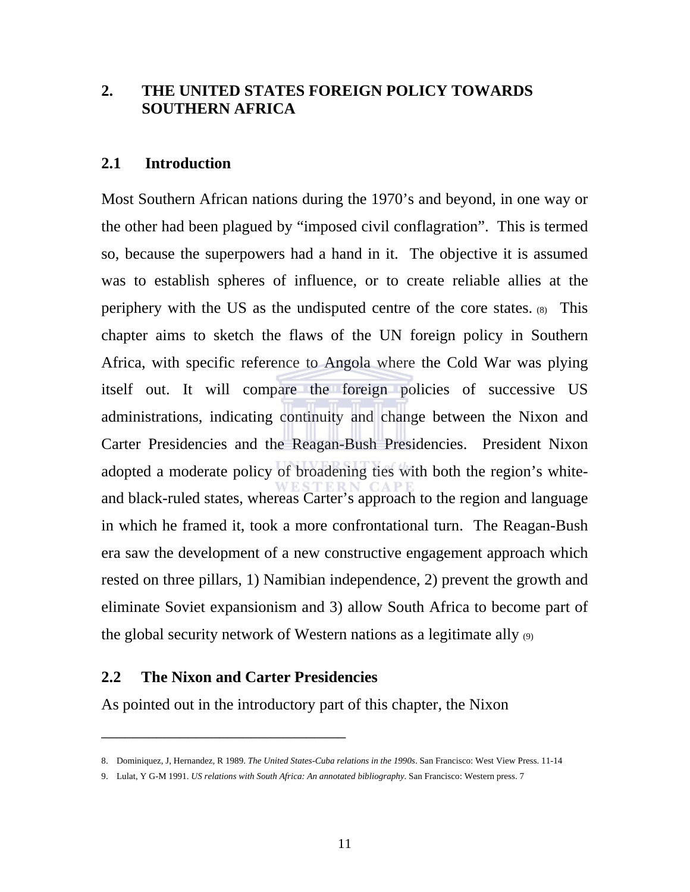## **2. THE UNITED STATES FOREIGN POLICY TOWARDS SOUTHERN AFRICA**

### **2.1 Introduction**

Most Southern African nations during the 1970's and beyond, in one way or the other had been plagued by "imposed civil conflagration". This is termed so, because the superpowers had a hand in it. The objective it is assumed was to establish spheres of influence, or to create reliable allies at the periphery with the US as the undisputed centre of the core states. (8) This chapter aims to sketch the flaws of the UN foreign policy in Southern Africa, with specific reference to Angola where the Cold War was plying itself out. It will compare the foreign policies of successive US administrations, indicating continuity and change between the Nixon and Carter Presidencies and the Reagan-Bush Presidencies. President Nixon adopted a moderate policy of broadening ties with both the region's whiteand black-ruled states, whereas Carter's approach to the region and language in which he framed it, took a more confrontational turn. The Reagan-Bush era saw the development of a new constructive engagement approach which rested on three pillars, 1) Namibian independence, 2) prevent the growth and eliminate Soviet expansionism and 3) allow South Africa to become part of the global security network of Western nations as a legitimate ally (9)

## **2.2 The Nixon and Carter Presidencies**

\_\_\_\_\_\_\_\_\_\_\_\_\_\_\_\_\_\_\_\_\_\_\_\_\_\_\_\_\_\_\_

As pointed out in the introductory part of this chapter, the Nixon

<sup>8.</sup> Dominiquez, J, Hernandez, R 1989. *The United States-Cuba relations in the 1990s*. San Francisco: West View Press. 11-14

<sup>9.</sup> Lulat, Y G-M 1991. *US relations with South Africa: An annotated bibliography*. San Francisco: Western press. 7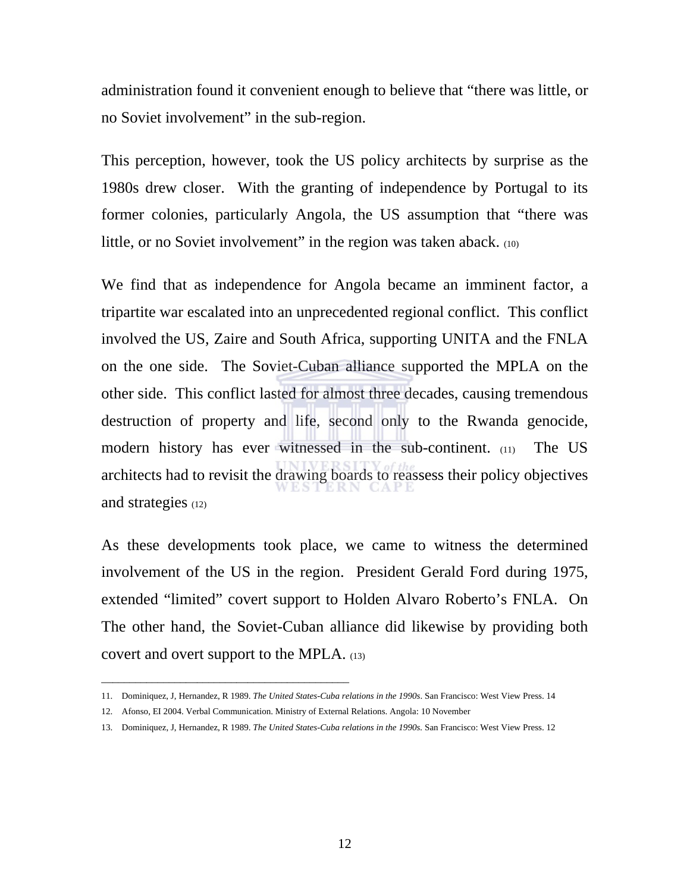administration found it convenient enough to believe that "there was little, or no Soviet involvement" in the sub-region.

This perception, however, took the US policy architects by surprise as the 1980s drew closer. With the granting of independence by Portugal to its former colonies, particularly Angola, the US assumption that "there was little, or no Soviet involvement" in the region was taken aback. (10)

We find that as independence for Angola became an imminent factor, a tripartite war escalated into an unprecedented regional conflict. This conflict involved the US, Zaire and South Africa, supporting UNITA and the FNLA on the one side. The Soviet-Cuban alliance supported the MPLA on the other side. This conflict lasted for almost three decades, causing tremendous destruction of property and life, second only to the Rwanda genocide, modern history has ever witnessed in the sub-continent. (11) The US architects had to revisit the drawing boards to reassess their policy objectives and strategies (12)

As these developments took place, we came to witness the determined involvement of the US in the region. President Gerald Ford during 1975, extended "limited" covert support to Holden Alvaro Roberto's FNLA. On The other hand, the Soviet-Cuban alliance did likewise by providing both covert and overt support to the MPLA. (13)

\_\_\_\_\_\_\_\_\_\_\_\_\_\_\_\_\_\_\_\_\_\_\_\_\_\_\_\_\_\_\_\_\_\_\_\_\_\_\_\_\_\_\_\_

<sup>11.</sup> Dominiquez, J, Hernandez, R 1989. *The United States-Cuba relations in the 1990s*. San Francisco: West View Press. 14

<sup>12.</sup> Afonso, EI 2004. Verbal Communication. Ministry of External Relations. Angola: 10 November

<sup>13.</sup> Dominiquez, J, Hernandez, R 1989. *The United States-Cuba relations in the 1990s.* San Francisco: West View Press. 12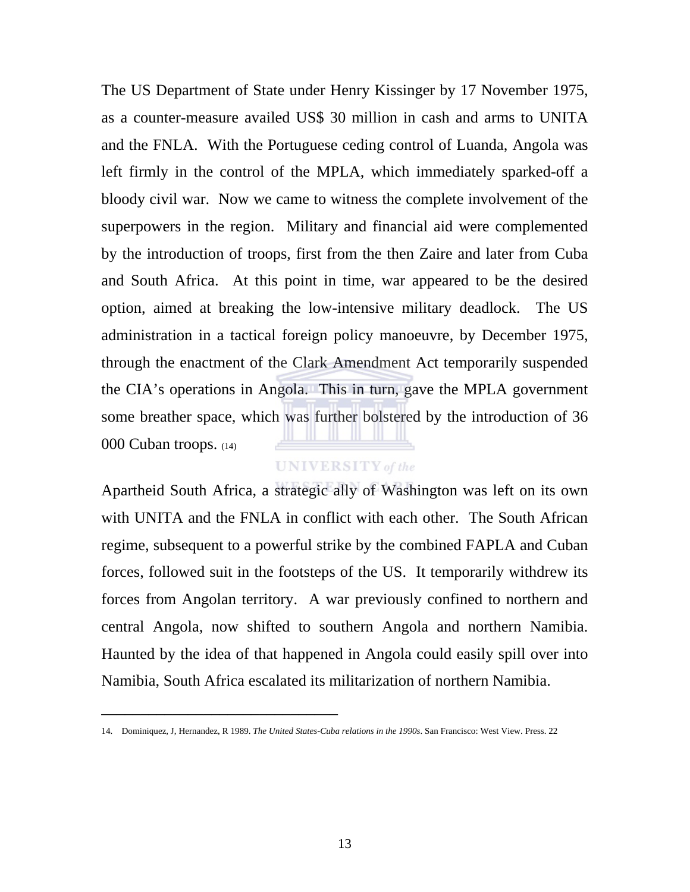The US Department of State under Henry Kissinger by 17 November 1975, as a counter-measure availed US\$ 30 million in cash and arms to UNITA and the FNLA. With the Portuguese ceding control of Luanda, Angola was left firmly in the control of the MPLA, which immediately sparked-off a bloody civil war. Now we came to witness the complete involvement of the superpowers in the region. Military and financial aid were complemented by the introduction of troops, first from the then Zaire and later from Cuba and South Africa. At this point in time, war appeared to be the desired option, aimed at breaking the low-intensive military deadlock. The US administration in a tactical foreign policy manoeuvre, by December 1975, through the enactment of the Clark Amendment Act temporarily suspended the CIA's operations in Angola. This in turn, gave the MPLA government some breather space, which was further bolstered by the introduction of 36 000 Cuban troops. (14)

## **UNIVERSITY** of the

Apartheid South Africa, a strategic ally of Washington was left on its own with UNITA and the FNLA in conflict with each other. The South African regime, subsequent to a powerful strike by the combined FAPLA and Cuban forces, followed suit in the footsteps of the US. It temporarily withdrew its forces from Angolan territory. A war previously confined to northern and central Angola, now shifted to southern Angola and northern Namibia. Haunted by the idea of that happened in Angola could easily spill over into Namibia, South Africa escalated its militarization of northern Namibia.

\_\_\_\_\_\_\_\_\_\_\_\_\_\_\_\_\_\_\_\_\_\_\_\_\_\_\_\_\_\_

<sup>14.</sup> Dominiquez, J, Hernandez, R 1989. *The United States-Cuba relations in the 1990s*. San Francisco: West View. Press. 22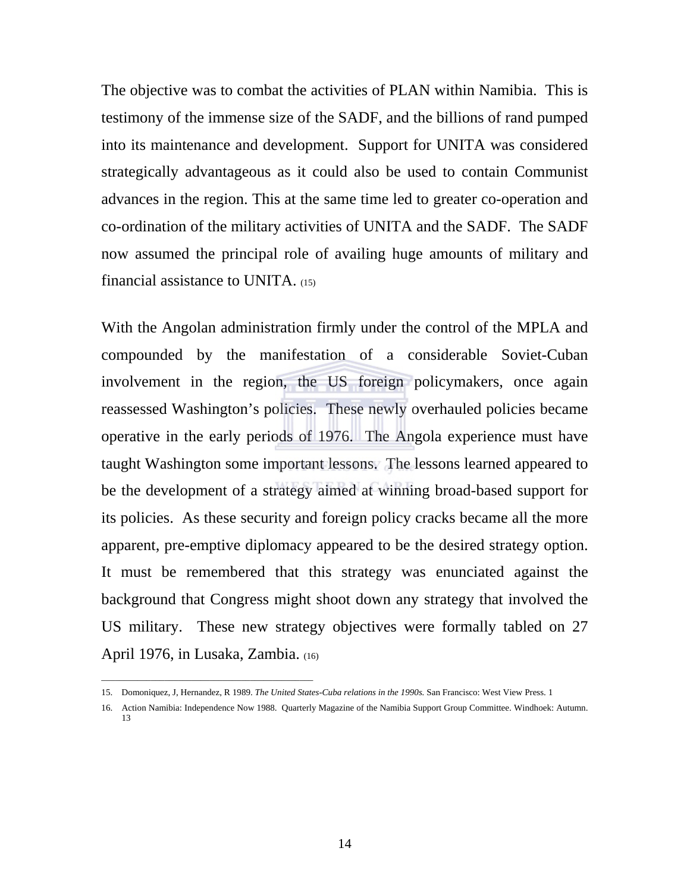The objective was to combat the activities of PLAN within Namibia. This is testimony of the immense size of the SADF, and the billions of rand pumped into its maintenance and development. Support for UNITA was considered strategically advantageous as it could also be used to contain Communist advances in the region. This at the same time led to greater co-operation and co-ordination of the military activities of UNITA and the SADF. The SADF now assumed the principal role of availing huge amounts of military and financial assistance to UNITA. (15)

With the Angolan administration firmly under the control of the MPLA and compounded by the manifestation of a considerable Soviet-Cuban involvement in the region, the US foreign policymakers, once again reassessed Washington's policies. These newly overhauled policies became operative in the early periods of 1976. The Angola experience must have taught Washington some important lessons. The lessons learned appeared to be the development of a strategy aimed at winning broad-based support for its policies. As these security and foreign policy cracks became all the more apparent, pre-emptive diplomacy appeared to be the desired strategy option. It must be remembered that this strategy was enunciated against the background that Congress might shoot down any strategy that involved the US military. These new strategy objectives were formally tabled on 27 April 1976, in Lusaka, Zambia. (16)

\_\_\_\_\_\_\_\_\_\_\_\_\_\_\_\_\_\_\_\_\_\_\_\_\_\_\_\_\_\_\_\_\_\_\_\_\_\_\_\_\_\_\_\_\_\_\_

<sup>15.</sup> Domoniquez, J, Hernandez, R 1989. *The United States-Cuba relations in the 1990s.* San Francisco: West View Press. 1

<sup>16.</sup> Action Namibia: Independence Now 1988. Quarterly Magazine of the Namibia Support Group Committee. Windhoek: Autumn. 13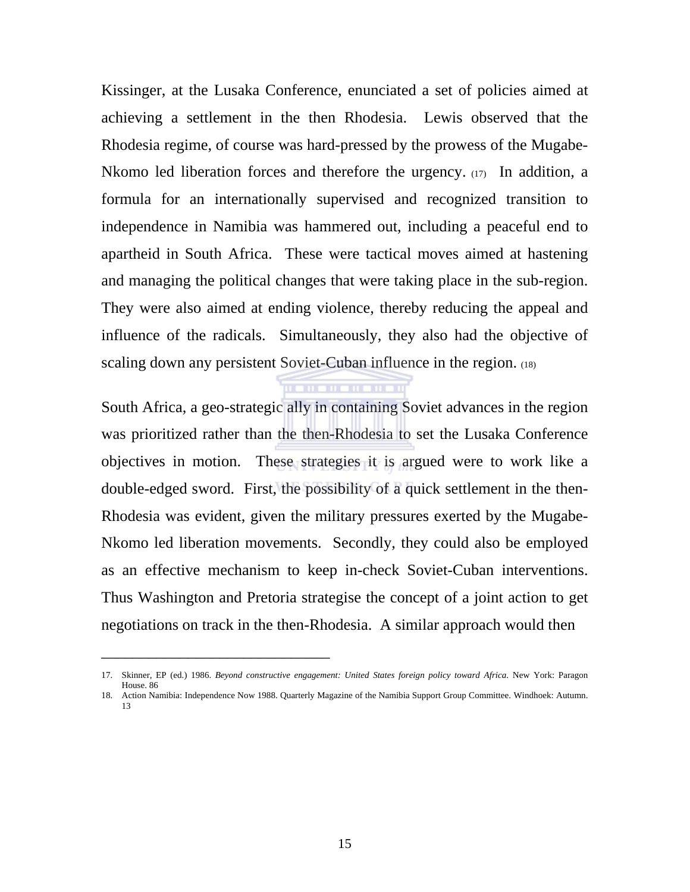Kissinger, at the Lusaka Conference, enunciated a set of policies aimed at achieving a settlement in the then Rhodesia. Lewis observed that the Rhodesia regime, of course was hard-pressed by the prowess of the Mugabe-Nkomo led liberation forces and therefore the urgency. (17) In addition, a formula for an internationally supervised and recognized transition to independence in Namibia was hammered out, including a peaceful end to apartheid in South Africa. These were tactical moves aimed at hastening and managing the political changes that were taking place in the sub-region. They were also aimed at ending violence, thereby reducing the appeal and influence of the radicals. Simultaneously, they also had the objective of scaling down any persistent Soviet-Cuban influence in the region. (18)

South Africa, a geo-strategic ally in containing Soviet advances in the region was prioritized rather than the then-Rhodesia to set the Lusaka Conference objectives in motion. These strategies it is argued were to work like a double-edged sword. First, the possibility of a quick settlement in the then-Rhodesia was evident, given the military pressures exerted by the Mugabe-Nkomo led liberation movements. Secondly, they could also be employed as an effective mechanism to keep in-check Soviet-Cuban interventions. Thus Washington and Pretoria strategise the concept of a joint action to get negotiations on track in the then-Rhodesia. A similar approach would then

\_\_\_\_\_\_\_\_\_\_\_\_\_\_\_\_\_\_\_\_\_\_\_\_\_\_\_\_\_

<sup>17.</sup> Skinner, EP (ed.) 1986. *Beyond constructive engagement: United States foreign policy toward Africa*. New York: Paragon House. 86

<sup>18.</sup> Action Namibia: Independence Now 1988. Quarterly Magazine of the Namibia Support Group Committee. Windhoek: Autumn. 13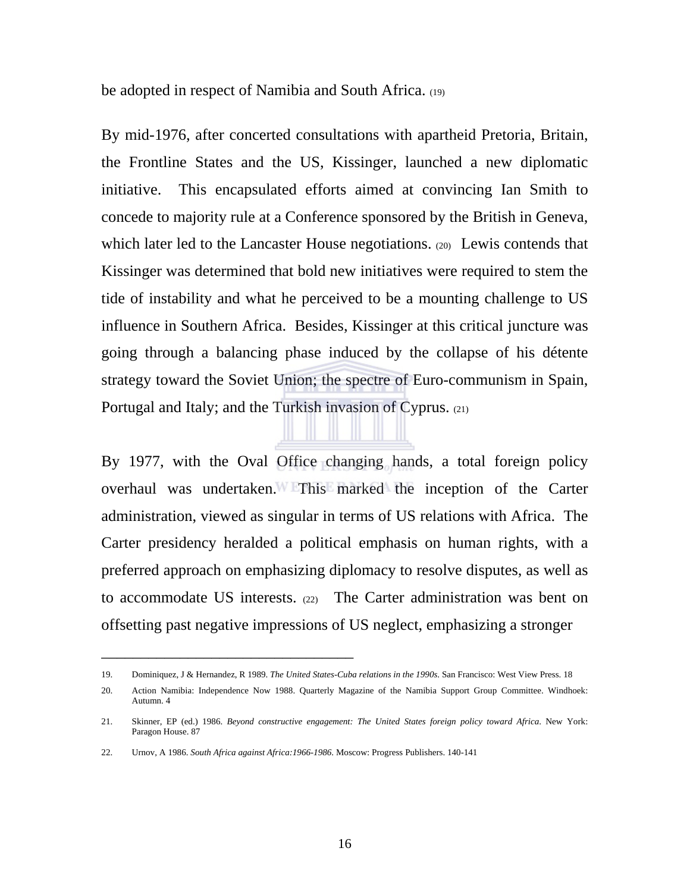be adopted in respect of Namibia and South Africa. (19)

By mid-1976, after concerted consultations with apartheid Pretoria, Britain, the Frontline States and the US, Kissinger, launched a new diplomatic initiative. This encapsulated efforts aimed at convincing Ian Smith to concede to majority rule at a Conference sponsored by the British in Geneva, which later led to the Lancaster House negotiations. (20) Lewis contends that Kissinger was determined that bold new initiatives were required to stem the tide of instability and what he perceived to be a mounting challenge to US influence in Southern Africa. Besides, Kissinger at this critical juncture was going through a balancing phase induced by the collapse of his détente strategy toward the Soviet Union; the spectre of Euro-communism in Spain, Portugal and Italy; and the Turkish invasion of Cyprus. (21)

By 1977, with the Oval Office changing hands, a total foreign policy overhaul was undertaken. This marked the inception of the Carter administration, viewed as singular in terms of US relations with Africa. The Carter presidency heralded a political emphasis on human rights, with a preferred approach on emphasizing diplomacy to resolve disputes, as well as to accommodate US interests.  $(22)$  The Carter administration was bent on offsetting past negative impressions of US neglect, emphasizing a stronger

\_\_\_\_\_\_\_\_\_\_\_\_\_\_\_\_\_\_\_\_\_\_\_\_\_\_\_\_\_\_\_\_

<sup>19.</sup> Dominiquez, J & Hernandez, R 1989. *The United States-Cuba relations in the 1990s*. San Francisco: West View Press. 18

<sup>20.</sup> Action Namibia: Independence Now 1988. Quarterly Magazine of the Namibia Support Group Committee. Windhoek: Autumn. 4

<sup>21.</sup> Skinner, EP (ed.) 1986. *Beyond constructive engagement: The United States foreign policy toward Africa*. New York: Paragon House. 87

<sup>22.</sup> Urnov, A 1986. *South Africa against Africa:1966-1986*. Moscow: Progress Publishers. 140-141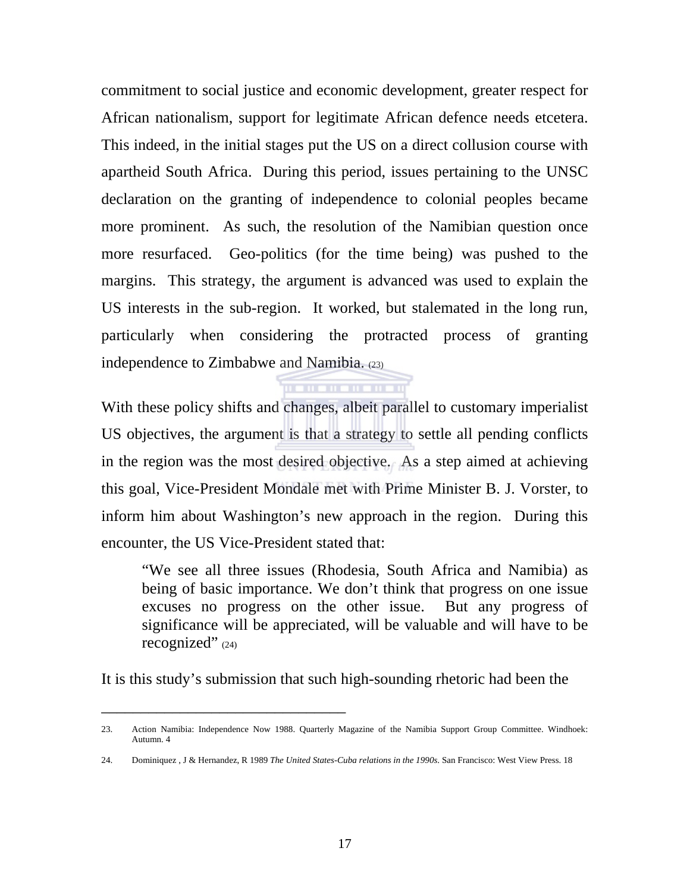commitment to social justice and economic development, greater respect for African nationalism, support for legitimate African defence needs etcetera. This indeed, in the initial stages put the US on a direct collusion course with apartheid South Africa. During this period, issues pertaining to the UNSC declaration on the granting of independence to colonial peoples became more prominent. As such, the resolution of the Namibian question once more resurfaced. Geo-politics (for the time being) was pushed to the margins. This strategy, the argument is advanced was used to explain the US interests in the sub-region. It worked, but stalemated in the long run, particularly when considering the protracted process of granting independence to Zimbabwe and Namibia. (23)

With these policy shifts and changes, albeit parallel to customary imperialist US objectives, the argument is that a strategy to settle all pending conflicts in the region was the most desired objective. As a step aimed at achieving this goal, Vice-President Mondale met with Prime Minister B. J. Vorster, to inform him about Washington's new approach in the region. During this encounter, the US Vice-President stated that:

. . . . . . . . . . . . .

 "We see all three issues (Rhodesia, South Africa and Namibia) as being of basic importance. We don't think that progress on one issue excuses no progress on the other issue. But any progress of significance will be appreciated, will be valuable and will have to be recognized"  $(24)$ 

It is this study's submission that such high-sounding rhetoric had been the

\_\_\_\_\_\_\_\_\_\_\_\_\_\_\_\_\_\_\_\_\_\_\_\_\_\_\_\_\_\_\_

<sup>23.</sup> Action Namibia: Independence Now 1988. Quarterly Magazine of the Namibia Support Group Committee. Windhoek: Autumn. 4

<sup>24.</sup> Dominiquez , J & Hernandez, R 1989 *The United States-Cuba relations in the 1990s*. San Francisco: West View Press. 18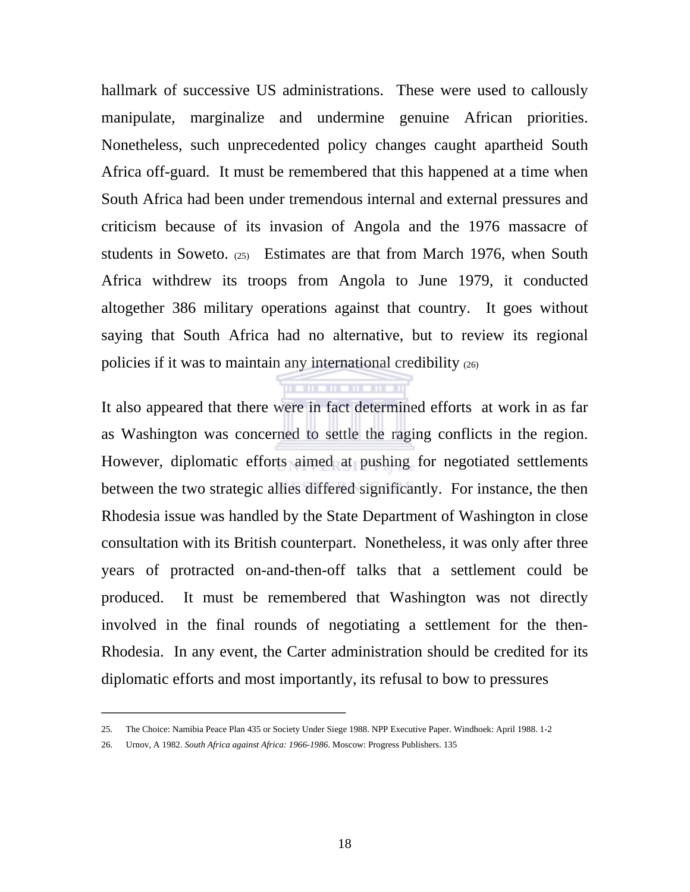hallmark of successive US administrations. These were used to callously manipulate, marginalize and undermine genuine African priorities. Nonetheless, such unprecedented policy changes caught apartheid South Africa off-guard. It must be remembered that this happened at a time when South Africa had been under tremendous internal and external pressures and criticism because of its invasion of Angola and the 1976 massacre of students in Soweto. (25) Estimates are that from March 1976, when South Africa withdrew its troops from Angola to June 1979, it conducted altogether 386 military operations against that country. It goes without saying that South Africa had no alternative, but to review its regional policies if it was to maintain any international credibility (26)

It also appeared that there were in fact determined efforts at work in as far as Washington was concerned to settle the raging conflicts in the region. However, diplomatic efforts aimed at pushing for negotiated settlements between the two strategic allies differed significantly. For instance, the then Rhodesia issue was handled by the State Department of Washington in close consultation with its British counterpart. Nonetheless, it was only after three years of protracted on-and-then-off talks that a settlement could be produced. It must be remembered that Washington was not directly involved in the final rounds of negotiating a settlement for the then-Rhodesia. In any event, the Carter administration should be credited for its diplomatic efforts and most importantly, its refusal to bow to pressures

**THE THEFT** 

26. Urnov, A 1982. *South Africa against Africa: 1966-1986*. Moscow: Progress Publishers. 135

\_\_\_\_\_\_\_\_\_\_\_\_\_\_\_\_\_\_\_\_\_\_\_\_\_\_\_\_\_\_\_

<sup>25.</sup> The Choice: Namibia Peace Plan 435 or Society Under Siege 1988. NPP Executive Paper. Windhoek: April 1988. 1-2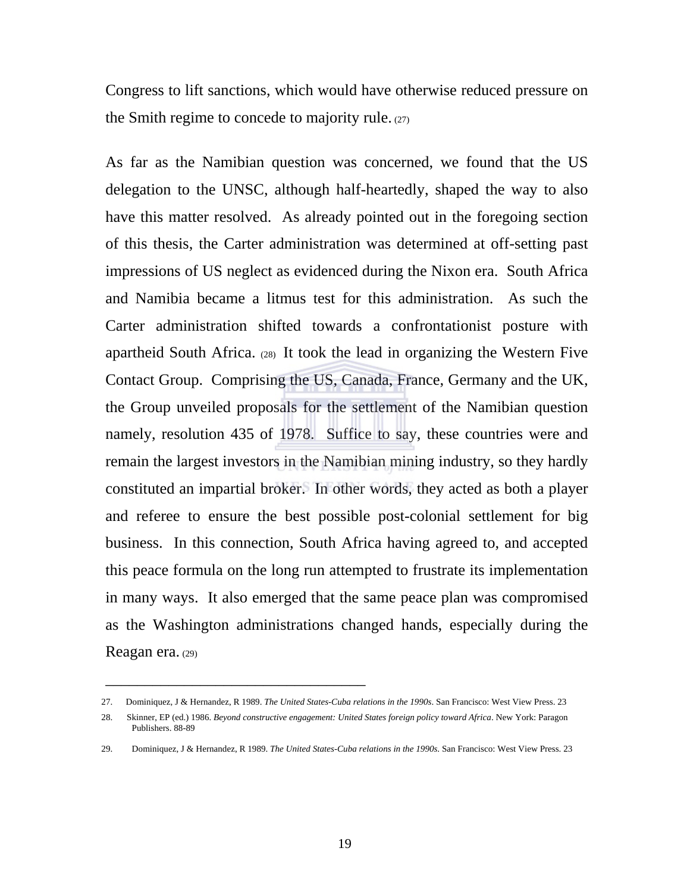Congress to lift sanctions, which would have otherwise reduced pressure on the Smith regime to concede to majority rule. (27)

As far as the Namibian question was concerned, we found that the US delegation to the UNSC, although half-heartedly, shaped the way to also have this matter resolved. As already pointed out in the foregoing section of this thesis, the Carter administration was determined at off-setting past impressions of US neglect as evidenced during the Nixon era. South Africa and Namibia became a litmus test for this administration. As such the Carter administration shifted towards a confrontationist posture with apartheid South Africa. (28) It took the lead in organizing the Western Five Contact Group. Comprising the US, Canada, France, Germany and the UK, the Group unveiled proposals for the settlement of the Namibian question namely, resolution 435 of 1978. Suffice to say, these countries were and remain the largest investors in the Namibian mining industry, so they hardly constituted an impartial broker. In other words, they acted as both a player and referee to ensure the best possible post-colonial settlement for big business. In this connection, South Africa having agreed to, and accepted this peace formula on the long run attempted to frustrate its implementation in many ways. It also emerged that the same peace plan was compromised as the Washington administrations changed hands, especially during the Reagan era. (29)

\_\_\_\_\_\_\_\_\_\_\_\_\_\_\_\_\_\_\_\_\_\_\_\_\_\_\_\_\_\_\_\_\_

<sup>27.</sup> Dominiquez, J & Hernandez, R 1989. *The United States-Cuba relations in the 1990s*. San Francisco: West View Press. 23

<sup>28.</sup> Skinner, EP (ed.) 1986. *Beyond constructive engagement: United States foreign policy toward Africa*. New York: Paragon Publishers. 88-89

<sup>29.</sup> Dominiquez, J & Hernandez, R 1989. *The United States-Cuba relations in the 1990s*. San Francisco: West View Press. 23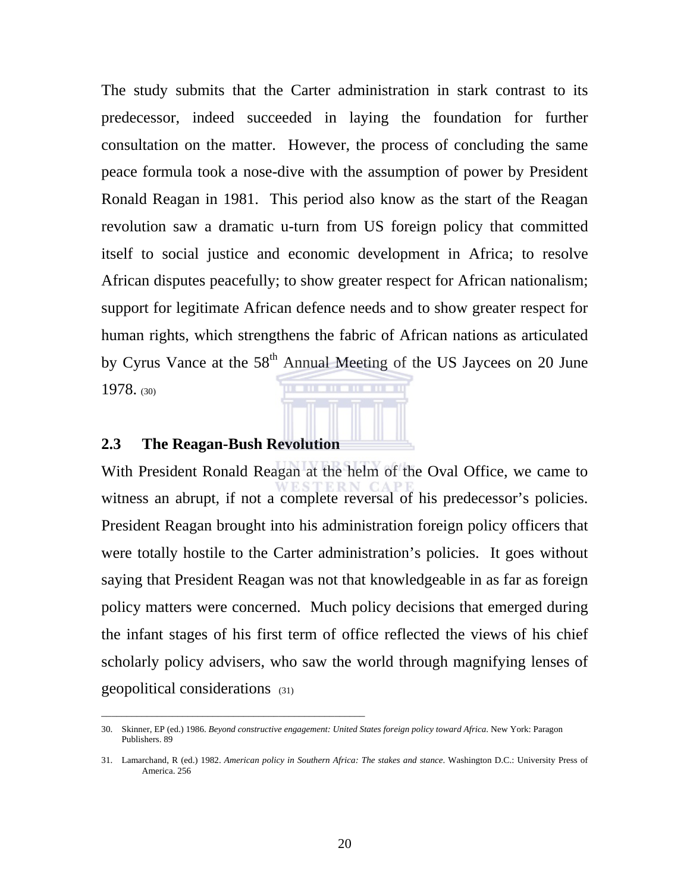The study submits that the Carter administration in stark contrast to its predecessor, indeed succeeded in laying the foundation for further consultation on the matter. However, the process of concluding the same peace formula took a nose-dive with the assumption of power by President Ronald Reagan in 1981. This period also know as the start of the Reagan revolution saw a dramatic u-turn from US foreign policy that committed itself to social justice and economic development in Africa; to resolve African disputes peacefully; to show greater respect for African nationalism; support for legitimate African defence needs and to show greater respect for human rights, which strengthens the fabric of African nations as articulated by Cyrus Vance at the  $58<sup>th</sup>$  Annual Meeting of the US Jaycees on 20 June 1978. (30)

### **2.3 The Reagan-Bush Revolution**

\_\_\_\_\_\_\_\_\_\_\_\_\_\_\_\_\_\_\_\_\_\_\_\_\_\_\_\_\_\_\_\_\_\_\_\_\_\_\_\_\_\_\_\_\_\_\_\_\_\_\_\_

With President Ronald Reagan at the helm of the Oval Office, we came to witness an abrupt, if not a complete reversal of his predecessor's policies. President Reagan brought into his administration foreign policy officers that were totally hostile to the Carter administration's policies. It goes without saying that President Reagan was not that knowledgeable in as far as foreign policy matters were concerned. Much policy decisions that emerged during the infant stages of his first term of office reflected the views of his chief scholarly policy advisers, who saw the world through magnifying lenses of geopolitical considerations (31)

<sup>30.</sup> Skinner, EP (ed.) 1986. *Beyond constructive engagement: United States foreign policy toward Africa*. New York: Paragon Publishers. 89

<sup>31.</sup> Lamarchand, R (ed.) 1982. *American policy in Southern Africa: The stakes and stance*. Washington D.C.: University Press of America. 256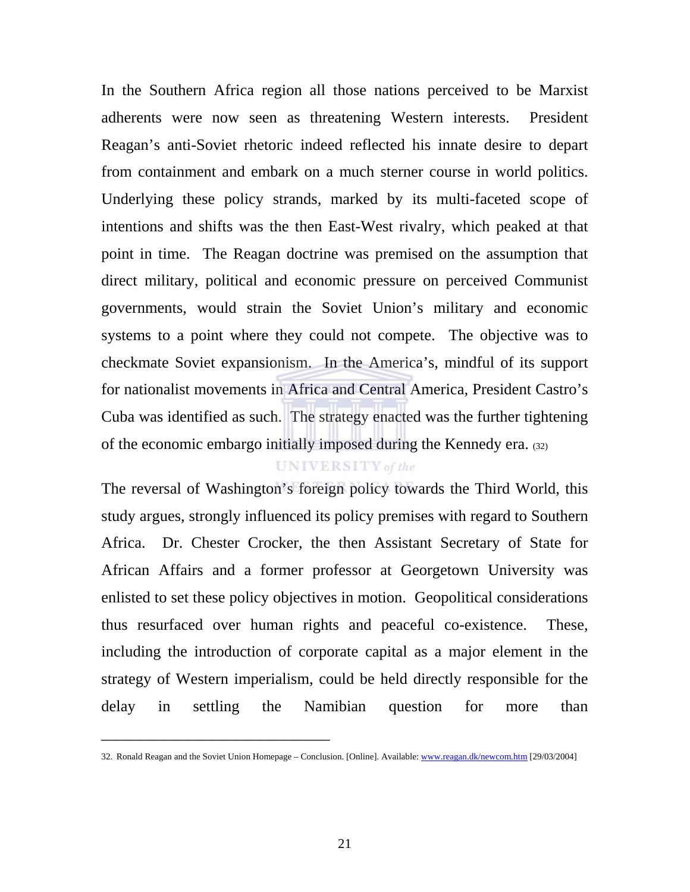In the Southern Africa region all those nations perceived to be Marxist adherents were now seen as threatening Western interests. President Reagan's anti-Soviet rhetoric indeed reflected his innate desire to depart from containment and embark on a much sterner course in world politics. Underlying these policy strands, marked by its multi-faceted scope of intentions and shifts was the then East-West rivalry, which peaked at that point in time. The Reagan doctrine was premised on the assumption that direct military, political and economic pressure on perceived Communist governments, would strain the Soviet Union's military and economic systems to a point where they could not compete. The objective was to checkmate Soviet expansionism. In the America's, mindful of its support for nationalist movements in Africa and Central America, President Castro's Cuba was identified as such. The strategy enacted was the further tightening of the economic embargo initially imposed during the Kennedy era. (32)

### **UNIVERSITY** of the

The reversal of Washington's foreign policy towards the Third World, this study argues, strongly influenced its policy premises with regard to Southern Africa. Dr. Chester Crocker, the then Assistant Secretary of State for African Affairs and a former professor at Georgetown University was enlisted to set these policy objectives in motion. Geopolitical considerations thus resurfaced over human rights and peaceful co-existence. These, including the introduction of corporate capital as a major element in the strategy of Western imperialism, could be held directly responsible for the delay in settling the Namibian question for more than

\_\_\_\_\_\_\_\_\_\_\_\_\_\_\_\_\_\_\_\_\_\_\_\_\_\_\_\_\_

<sup>32.</sup> Ronald Reagan and the Soviet Union Homepage – Conclusion. [Online]. Available: www.reagan.dk/newcom.htm [29/03/2004]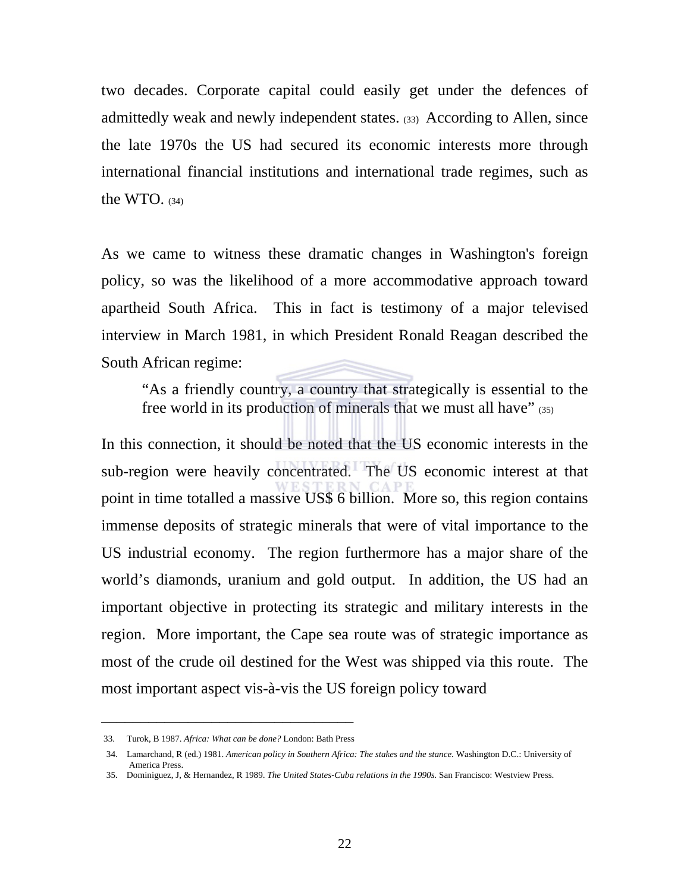two decades. Corporate capital could easily get under the defences of admittedly weak and newly independent states. (33) According to Allen, since the late 1970s the US had secured its economic interests more through international financial institutions and international trade regimes, such as the WTO.  $(34)$ 

As we came to witness these dramatic changes in Washington's foreign policy, so was the likelihood of a more accommodative approach toward apartheid South Africa. This in fact is testimony of a major televised interview in March 1981, in which President Ronald Reagan described the South African regime:

 "As a friendly country, a country that strategically is essential to the free world in its production of minerals that we must all have" (35)

In this connection, it should be noted that the US economic interests in the sub-region were heavily concentrated. The US economic interest at that point in time totalled a massive US\$ 6 billion. More so, this region contains immense deposits of strategic minerals that were of vital importance to the US industrial economy. The region furthermore has a major share of the world's diamonds, uranium and gold output. In addition, the US had an important objective in protecting its strategic and military interests in the region. More important, the Cape sea route was of strategic importance as most of the crude oil destined for the West was shipped via this route. The most important aspect vis-à-vis the US foreign policy toward

\_\_\_\_\_\_\_\_\_\_\_\_\_\_\_\_\_\_\_\_\_\_\_\_\_\_\_\_\_\_\_\_ 33. Turok, B 1987. *Africa: What can be done?* London: Bath Press

<sup>34.</sup> Lamarchand, R (ed.) 1981. *American policy in Southern Africa: The stakes and the stance.* Washington D.C.: University of America Press.

<sup>35.</sup> Dominiguez, J, & Hernandez, R 1989. *The United States-Cuba relations in the 1990s.* San Francisco: Westview Press.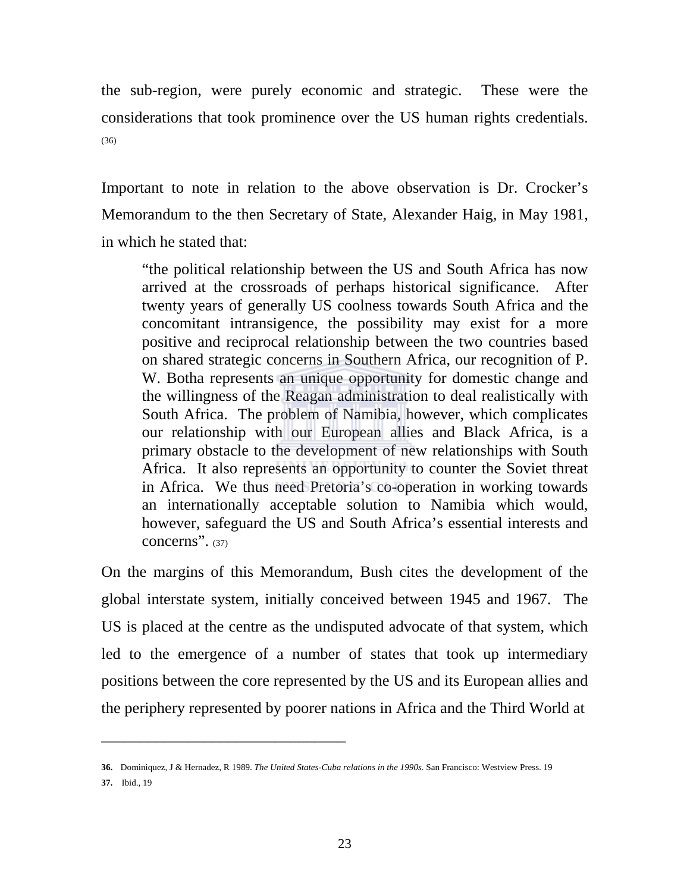the sub-region, were purely economic and strategic. These were the considerations that took prominence over the US human rights credentials. (36)

Important to note in relation to the above observation is Dr. Crocker's Memorandum to the then Secretary of State, Alexander Haig, in May 1981, in which he stated that:

"the political relationship between the US and South Africa has now arrived at the crossroads of perhaps historical significance. After twenty years of generally US coolness towards South Africa and the concomitant intransigence, the possibility may exist for a more positive and reciprocal relationship between the two countries based on shared strategic concerns in Southern Africa, our recognition of P. W. Botha represents an unique opportunity for domestic change and the willingness of the Reagan administration to deal realistically with South Africa. The problem of Namibia, however, which complicates our relationship with our European allies and Black Africa, is a primary obstacle to the development of new relationships with South Africa. It also represents an opportunity to counter the Soviet threat in Africa. We thus need Pretoria's co-operation in working towards an internationally acceptable solution to Namibia which would, however, safeguard the US and South Africa's essential interests and concerns". (37)

On the margins of this Memorandum, Bush cites the development of the global interstate system, initially conceived between 1945 and 1967. The US is placed at the centre as the undisputed advocate of that system, which led to the emergence of a number of states that took up intermediary positions between the core represented by the US and its European allies and the periphery represented by poorer nations in Africa and the Third World at

\_\_\_\_\_\_\_\_\_\_\_\_\_\_\_\_\_\_\_\_\_\_\_\_\_\_\_\_\_\_\_

**37.** Ibid., 19

**<sup>36.</sup>** Dominiquez, J & Hernadez, R 1989. *The United States-Cuba relations in the 1990s.* San Francisco: Westview Press. 19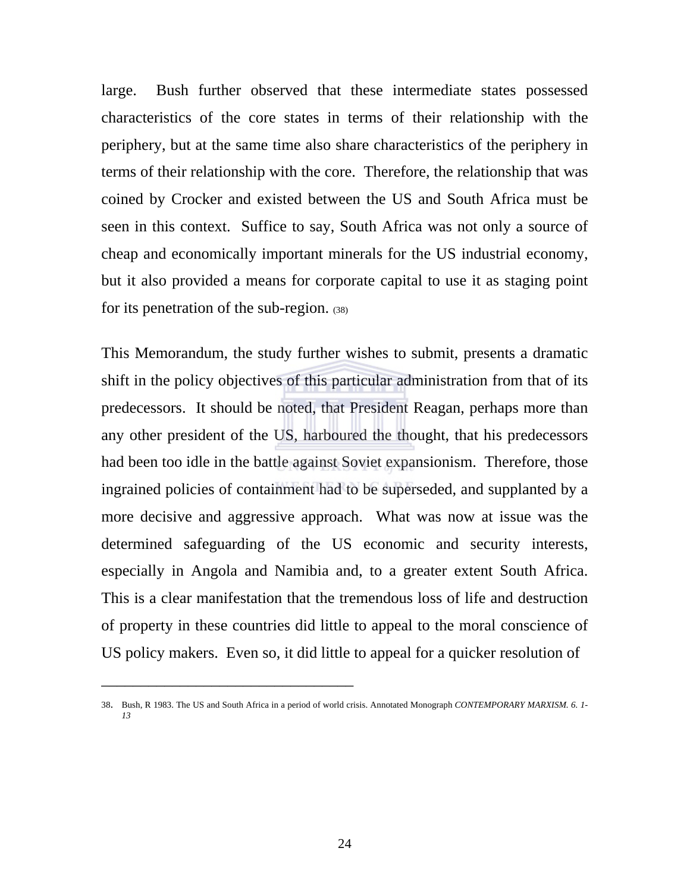large. Bush further observed that these intermediate states possessed characteristics of the core states in terms of their relationship with the periphery, but at the same time also share characteristics of the periphery in terms of their relationship with the core. Therefore, the relationship that was coined by Crocker and existed between the US and South Africa must be seen in this context. Suffice to say, South Africa was not only a source of cheap and economically important minerals for the US industrial economy, but it also provided a means for corporate capital to use it as staging point for its penetration of the sub-region. (38)

This Memorandum, the study further wishes to submit, presents a dramatic shift in the policy objectives of this particular administration from that of its predecessors. It should be noted, that President Reagan, perhaps more than any other president of the US, harboured the thought, that his predecessors had been too idle in the battle against Soviet expansionism. Therefore, those ingrained policies of containment had to be superseded, and supplanted by a more decisive and aggressive approach. What was now at issue was the determined safeguarding of the US economic and security interests, especially in Angola and Namibia and, to a greater extent South Africa. This is a clear manifestation that the tremendous loss of life and destruction of property in these countries did little to appeal to the moral conscience of US policy makers. Even so, it did little to appeal for a quicker resolution of

\_\_\_\_\_\_\_\_\_\_\_\_\_\_\_\_\_\_\_\_\_\_\_\_\_\_\_\_\_\_\_\_

<sup>38.</sup> Bush, R 1983. The US and South Africa in a period of world crisis. Annotated Monograph *CONTEMPORARY MARXISM. 6. 1- 13*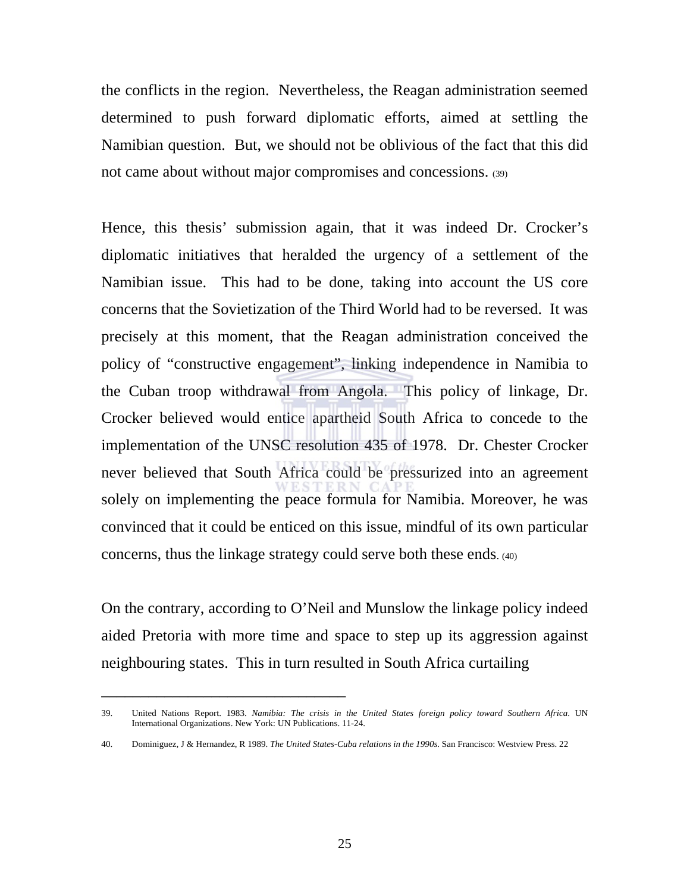the conflicts in the region. Nevertheless, the Reagan administration seemed determined to push forward diplomatic efforts, aimed at settling the Namibian question. But, we should not be oblivious of the fact that this did not came about without major compromises and concessions. (39)

Hence, this thesis' submission again, that it was indeed Dr. Crocker's diplomatic initiatives that heralded the urgency of a settlement of the Namibian issue. This had to be done, taking into account the US core concerns that the Sovietization of the Third World had to be reversed. It was precisely at this moment, that the Reagan administration conceived the policy of "constructive engagement", linking independence in Namibia to the Cuban troop withdrawal from Angola. This policy of linkage, Dr. Crocker believed would entice apartheid South Africa to concede to the implementation of the UNSC resolution 435 of 1978. Dr. Chester Crocker never believed that South Africa could be pressurized into an agreement solely on implementing the peace formula for Namibia. Moreover, he was convinced that it could be enticed on this issue, mindful of its own particular concerns, thus the linkage strategy could serve both these ends. (40)

On the contrary, according to O'Neil and Munslow the linkage policy indeed aided Pretoria with more time and space to step up its aggression against neighbouring states. This in turn resulted in South Africa curtailing

\_\_\_\_\_\_\_\_\_\_\_\_\_\_\_\_\_\_\_\_\_\_\_\_\_\_\_\_\_\_\_

<sup>39.</sup> United Nations Report. 1983. *Namibia: The crisis in the United States foreign policy toward Southern Africa*. UN International Organizations. New York: UN Publications. 11-24.

<sup>40.</sup> Dominiguez, J & Hernandez, R 1989. *The United States-Cuba relations in the 1990s.* San Francisco: Westview Press. 22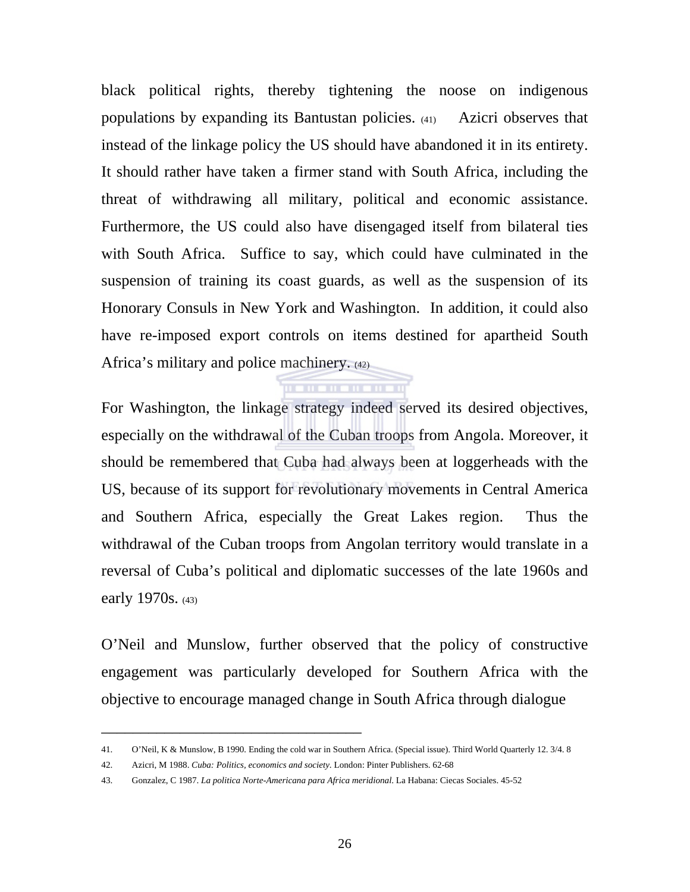black political rights, thereby tightening the noose on indigenous populations by expanding its Bantustan policies. (41) Azicri observes that instead of the linkage policy the US should have abandoned it in its entirety. It should rather have taken a firmer stand with South Africa, including the threat of withdrawing all military, political and economic assistance. Furthermore, the US could also have disengaged itself from bilateral ties with South Africa. Suffice to say, which could have culminated in the suspension of training its coast guards, as well as the suspension of its Honorary Consuls in New York and Washington. In addition, it could also have re-imposed export controls on items destined for apartheid South Africa's military and police machinery. (42)

For Washington, the linkage strategy indeed served its desired objectives, especially on the withdrawal of the Cuban troops from Angola. Moreover, it should be remembered that Cuba had always been at loggerheads with the US, because of its support for revolutionary movements in Central America and Southern Africa, especially the Great Lakes region. Thus the withdrawal of the Cuban troops from Angolan territory would translate in a reversal of Cuba's political and diplomatic successes of the late 1960s and early 1970s. (43)

<u>The member of the state</u>

O'Neil and Munslow, further observed that the policy of constructive engagement was particularly developed for Southern Africa with the objective to encourage managed change in South Africa through dialogue

\_\_\_\_\_\_\_\_\_\_\_\_\_\_\_\_\_\_\_\_\_\_\_\_\_\_\_\_\_\_\_\_\_

<sup>41.</sup> O'Neil, K & Munslow, B 1990*.* Ending the cold war in Southern Africa. (Special issue). Third World Quarterly 12. 3/4. 8

<sup>42.</sup> Azicri, M 1988. *Cuba: Politics, economics and society*. London: Pinter Publishers. 62-68

<sup>43.</sup> Gonzalez, C 1987. *La politica Norte-Americana para Africa meridional*. La Habana: Ciecas Sociales. 45-52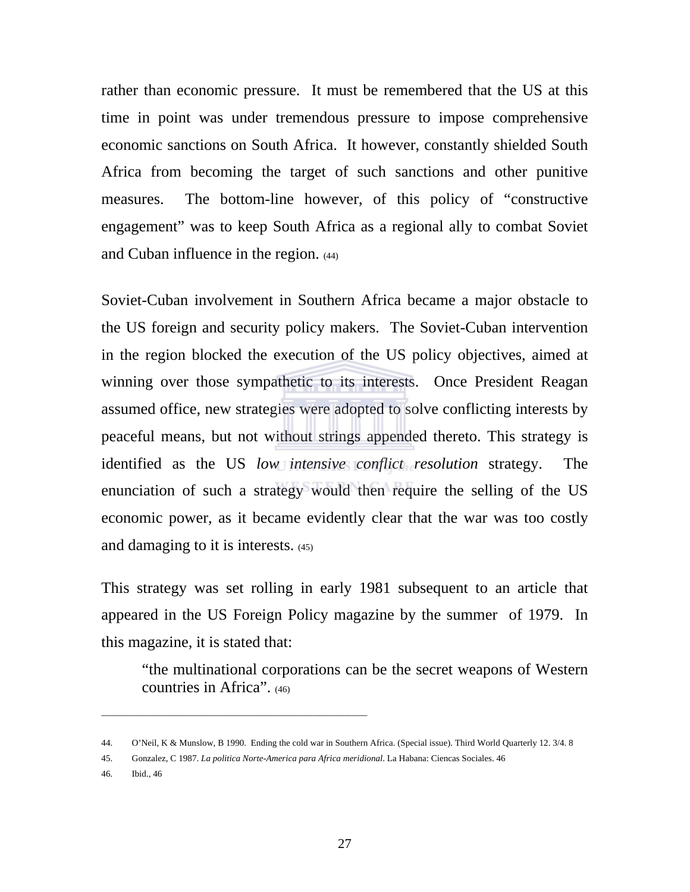rather than economic pressure. It must be remembered that the US at this time in point was under tremendous pressure to impose comprehensive economic sanctions on South Africa. It however, constantly shielded South Africa from becoming the target of such sanctions and other punitive measures. The bottom-line however, of this policy of "constructive engagement" was to keep South Africa as a regional ally to combat Soviet and Cuban influence in the region. (44)

Soviet-Cuban involvement in Southern Africa became a major obstacle to the US foreign and security policy makers. The Soviet-Cuban intervention in the region blocked the execution of the US policy objectives, aimed at winning over those sympathetic to its interests. Once President Reagan assumed office, new strategies were adopted to solve conflicting interests by peaceful means, but not without strings appended thereto. This strategy is identified as the US *low intensive conflict resolution* strategy. The enunciation of such a strategy would then require the selling of the US economic power, as it became evidently clear that the war was too costly and damaging to it is interests. (45)

This strategy was set rolling in early 1981 subsequent to an article that appeared in the US Foreign Policy magazine by the summer of 1979. In this magazine, it is stated that:

 "the multinational corporations can be the secret weapons of Western countries in Africa". (46)

\_\_\_\_\_\_\_\_\_\_\_\_\_\_\_\_\_\_\_\_\_\_\_\_\_\_\_\_\_\_\_\_\_\_\_\_\_\_\_\_\_\_\_\_\_\_\_\_\_\_\_\_\_\_\_\_\_\_\_

46. Ibid., 46

<sup>44.</sup> O'Neil, K & Munslow, B 1990. Ending the cold war in Southern Africa. (Special issue). Third World Quarterly 12. 3/4. 8

<sup>45.</sup> Gonzalez, C 1987. *La politica Norte-America para Africa meridional*. La Habana: Ciencas Sociales. 46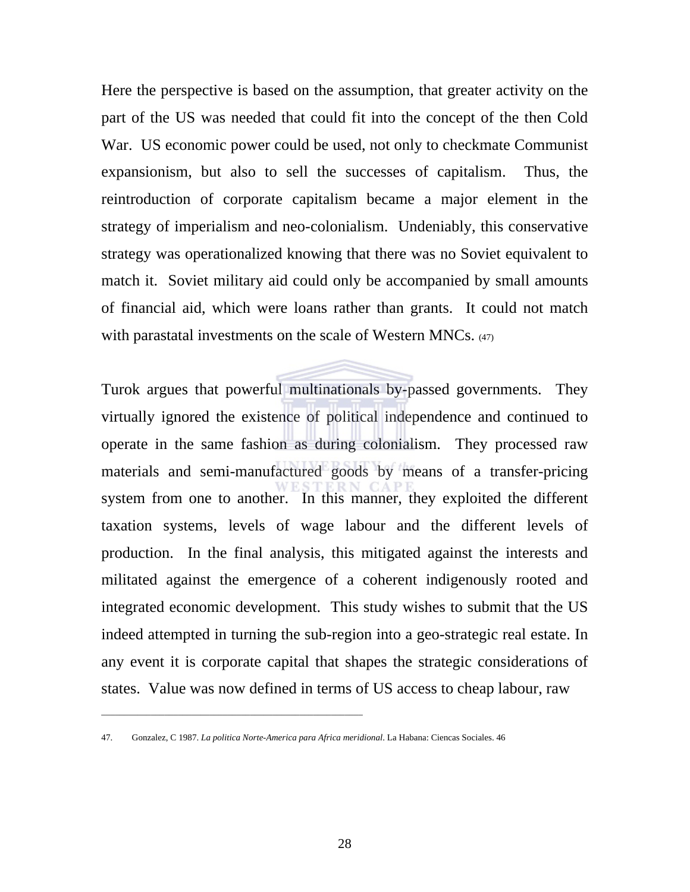Here the perspective is based on the assumption, that greater activity on the part of the US was needed that could fit into the concept of the then Cold War. US economic power could be used, not only to checkmate Communist expansionism, but also to sell the successes of capitalism. Thus, the reintroduction of corporate capitalism became a major element in the strategy of imperialism and neo-colonialism. Undeniably, this conservative strategy was operationalized knowing that there was no Soviet equivalent to match it. Soviet military aid could only be accompanied by small amounts of financial aid, which were loans rather than grants. It could not match with parastatal investments on the scale of Western MNCs. (47)

Turok argues that powerful multinationals by-passed governments. They virtually ignored the existence of political independence and continued to operate in the same fashion as during colonialism. They processed raw materials and semi-manufactured goods by means of a transfer-pricing system from one to another. In this manner, they exploited the different taxation systems, levels of wage labour and the different levels of production. In the final analysis, this mitigated against the interests and militated against the emergence of a coherent indigenously rooted and integrated economic development. This study wishes to submit that the US indeed attempted in turning the sub-region into a geo-strategic real estate. In any event it is corporate capital that shapes the strategic considerations of states. Value was now defined in terms of US access to cheap labour, raw

\_\_\_\_\_\_\_\_\_\_\_\_\_\_\_\_\_\_\_\_\_\_\_\_\_\_\_\_\_\_\_\_\_\_\_\_\_\_\_\_\_\_\_\_\_\_\_\_\_\_\_\_\_\_\_\_\_\_

<sup>47.</sup> Gonzalez, C 1987. *La politica Norte-America para Africa meridional*. La Habana: Ciencas Sociales. 46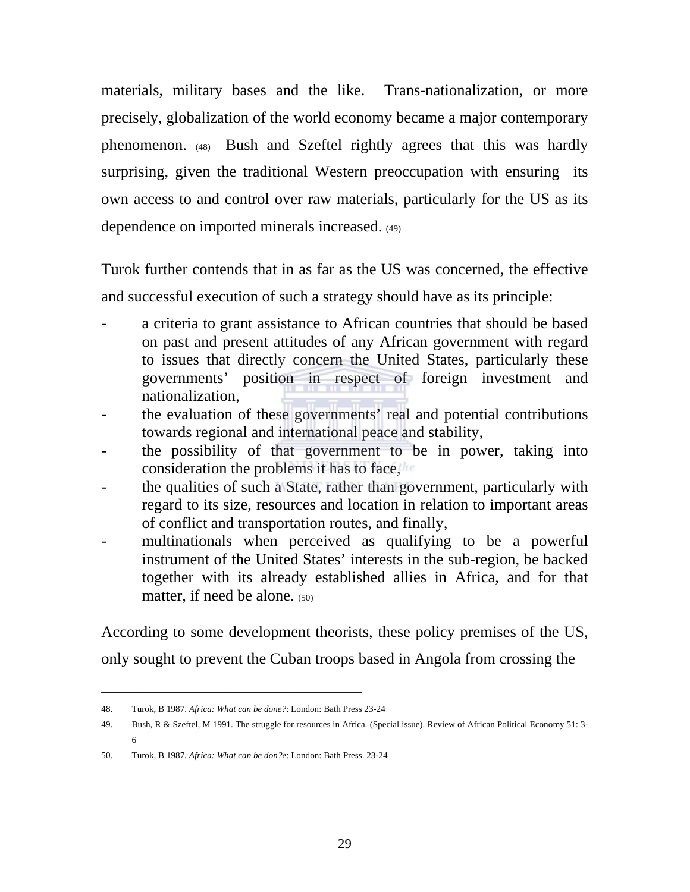materials, military bases and the like. Trans-nationalization, or more precisely, globalization of the world economy became a major contemporary phenomenon. (48) Bush and Szeftel rightly agrees that this was hardly surprising, given the traditional Western preoccupation with ensuring its own access to and control over raw materials, particularly for the US as its dependence on imported minerals increased. (49)

Turok further contends that in as far as the US was concerned, the effective and successful execution of such a strategy should have as its principle:

- a criteria to grant assistance to African countries that should be based on past and present attitudes of any African government with regard to issues that directly concern the United States, particularly these governments' position in respect of foreign investment and nationalization,
- the evaluation of these governments' real and potential contributions towards regional and international peace and stability,
- the possibility of that government to be in power, taking into consideration the problems it has to face,
- the qualities of such a State, rather than government, particularly with regard to its size, resources and location in relation to important areas of conflict and transportation routes, and finally,
- multinationals when perceived as qualifying to be a powerful instrument of the United States' interests in the sub-region, be backed together with its already established allies in Africa, and for that matter, if need be alone. (50)

According to some development theorists, these policy premises of the US, only sought to prevent the Cuban troops based in Angola from crossing the

<sup>48.</sup> Turok, B 1987. *Africa: What can be done?*: London: Bath Press 23-24

<sup>49.</sup> Bush, R & Szeftel, M 1991. The struggle for resources in Africa. (Special issue). Review of African Political Economy 51: 3- 6

<sup>50.</sup> Turok, B 1987*. Africa: What can be don?e*: London: Bath Press. 23-24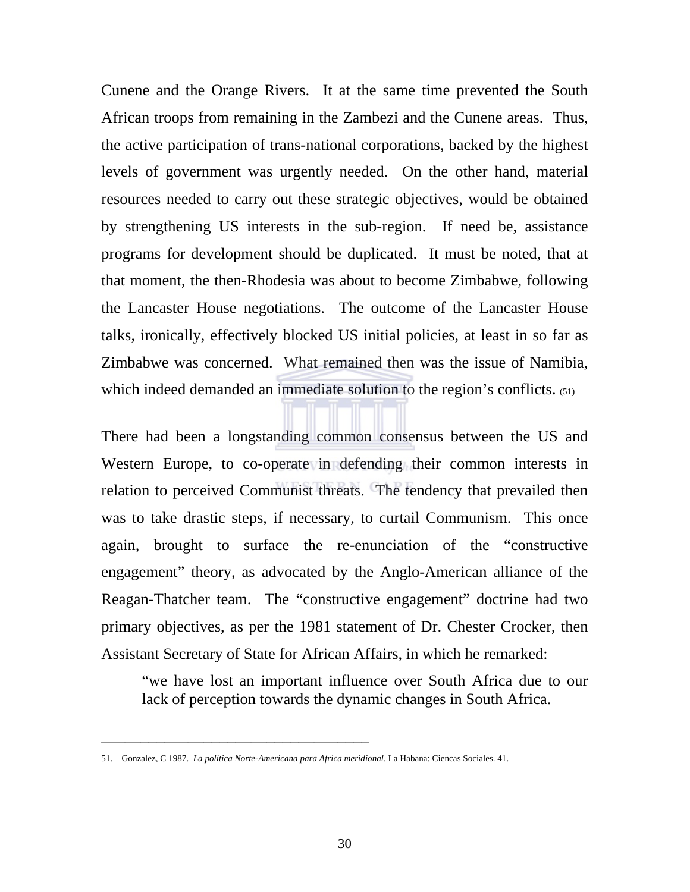Cunene and the Orange Rivers. It at the same time prevented the South African troops from remaining in the Zambezi and the Cunene areas. Thus, the active participation of trans-national corporations, backed by the highest levels of government was urgently needed. On the other hand, material resources needed to carry out these strategic objectives, would be obtained by strengthening US interests in the sub-region. If need be, assistance programs for development should be duplicated. It must be noted, that at that moment, the then-Rhodesia was about to become Zimbabwe, following the Lancaster House negotiations. The outcome of the Lancaster House talks, ironically, effectively blocked US initial policies, at least in so far as Zimbabwe was concerned. What remained then was the issue of Namibia, which indeed demanded an immediate solution to the region's conflicts. (51)

There had been a longstanding common consensus between the US and Western Europe, to co-operate in defending their common interests in relation to perceived Communist threats. The tendency that prevailed then was to take drastic steps, if necessary, to curtail Communism. This once again, brought to surface the re-enunciation of the "constructive engagement" theory, as advocated by the Anglo-American alliance of the Reagan-Thatcher team. The "constructive engagement" doctrine had two primary objectives, as per the 1981 statement of Dr. Chester Crocker, then Assistant Secretary of State for African Affairs, in which he remarked:

"we have lost an important influence over South Africa due to our lack of perception towards the dynamic changes in South Africa.

<sup>51.</sup> Gonzalez, C 1987. *La politica Norte-Americana para Africa meridional*. La Habana: Ciencas Sociales. 41.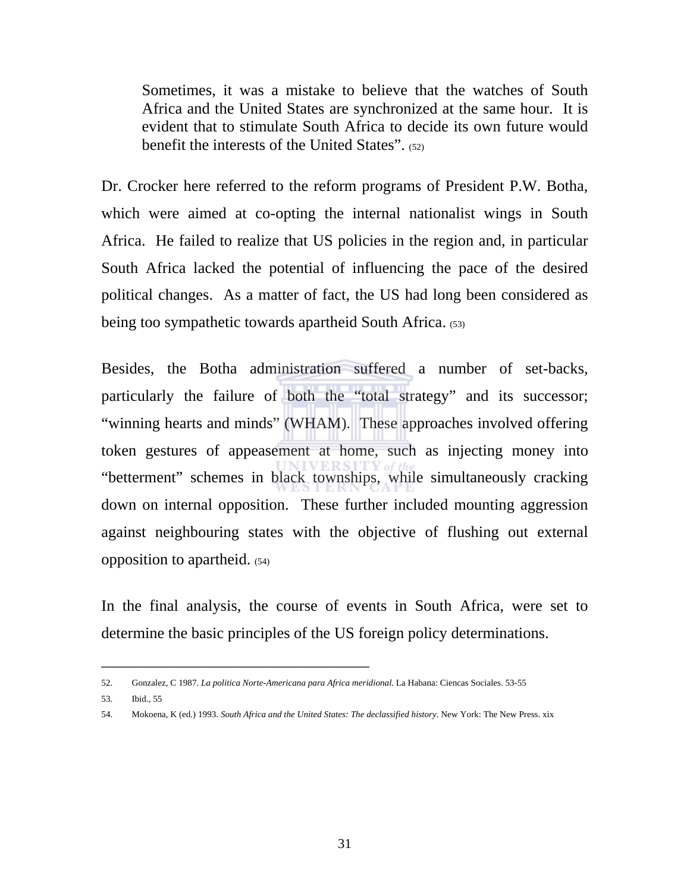Sometimes, it was a mistake to believe that the watches of South Africa and the United States are synchronized at the same hour. It is evident that to stimulate South Africa to decide its own future would benefit the interests of the United States". (52)

Dr. Crocker here referred to the reform programs of President P.W. Botha, which were aimed at co-opting the internal nationalist wings in South Africa. He failed to realize that US policies in the region and, in particular South Africa lacked the potential of influencing the pace of the desired political changes. As a matter of fact, the US had long been considered as being too sympathetic towards apartheid South Africa. (53)

Besides, the Botha administration suffered a number of set-backs, particularly the failure of both the "total strategy" and its successor; "winning hearts and minds" (WHAM). These approaches involved offering token gestures of appeasement at home, such as injecting money into "betterment" schemes in black townships, while simultaneously cracking down on internal opposition. These further included mounting aggression against neighbouring states with the objective of flushing out external opposition to apartheid. (54)

In the final analysis, the course of events in South Africa, were set to determine the basic principles of the US foreign policy determinations.

<sup>52.</sup> Gonzalez, C 1987. *La politica Norte-Americana para Africa meridional*. La Habana: Ciencas Sociales. 53-55

<sup>53.</sup> Ibid., 55

<sup>54.</sup> Mokoena, K (ed.) 1993. *South Africa and the United States: The declassified history*. New York: The New Press. xix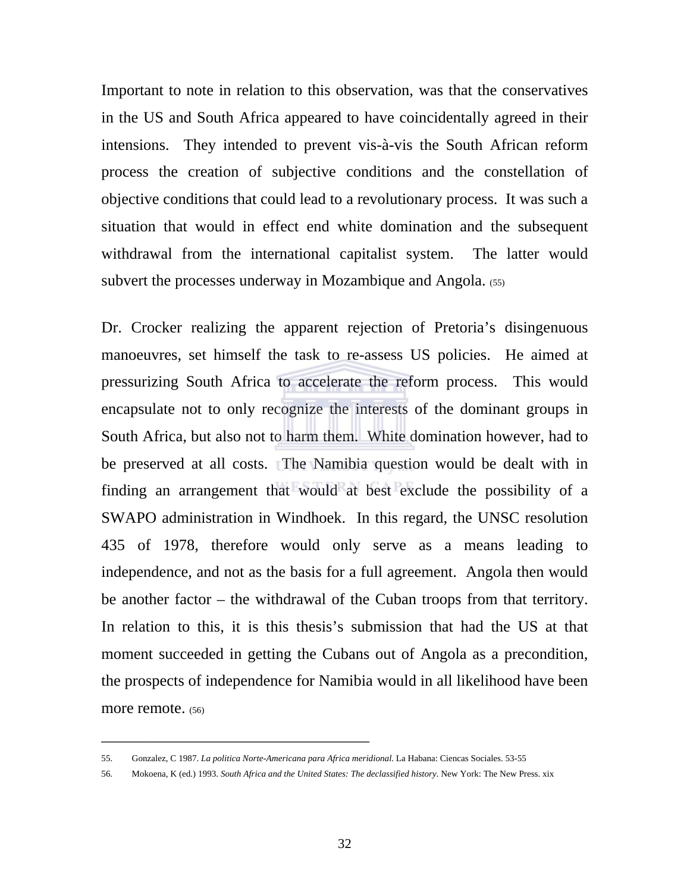Important to note in relation to this observation, was that the conservatives in the US and South Africa appeared to have coincidentally agreed in their intensions. They intended to prevent vis-à-vis the South African reform process the creation of subjective conditions and the constellation of objective conditions that could lead to a revolutionary process. It was such a situation that would in effect end white domination and the subsequent withdrawal from the international capitalist system. The latter would subvert the processes underway in Mozambique and Angola. (55)

Dr. Crocker realizing the apparent rejection of Pretoria's disingenuous manoeuvres, set himself the task to re-assess US policies. He aimed at pressurizing South Africa to accelerate the reform process. This would encapsulate not to only recognize the interests of the dominant groups in South Africa, but also not to harm them. White domination however, had to be preserved at all costs. The Namibia question would be dealt with in finding an arrangement that would at best exclude the possibility of a SWAPO administration in Windhoek. In this regard, the UNSC resolution 435 of 1978, therefore would only serve as a means leading to independence, and not as the basis for a full agreement. Angola then would be another factor – the withdrawal of the Cuban troops from that territory. In relation to this, it is this thesis's submission that had the US at that moment succeeded in getting the Cubans out of Angola as a precondition, the prospects of independence for Namibia would in all likelihood have been more remote. (56)

<sup>55.</sup> Gonzalez, C 1987. *La politica Norte-Americana para Africa meridional*. La Habana: Ciencas Sociales. 53-55

<sup>56.</sup> Mokoena, K (ed.) 1993. *South Africa and the United States: The declassified history*. New York: The New Press. xix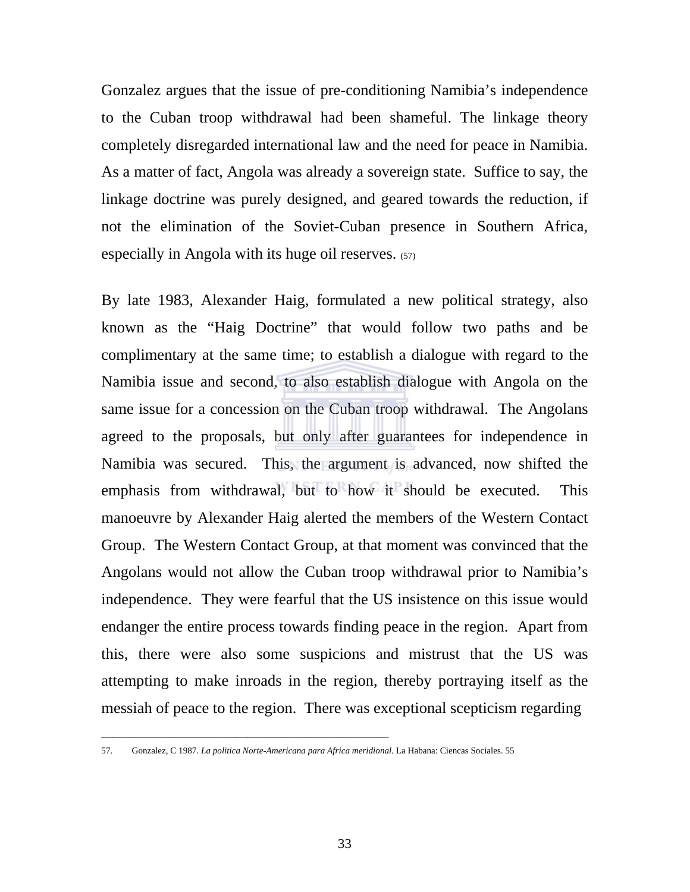Gonzalez argues that the issue of pre-conditioning Namibia's independence to the Cuban troop withdrawal had been shameful. The linkage theory completely disregarded international law and the need for peace in Namibia. As a matter of fact, Angola was already a sovereign state. Suffice to say, the linkage doctrine was purely designed, and geared towards the reduction, if not the elimination of the Soviet-Cuban presence in Southern Africa, especially in Angola with its huge oil reserves. (57)

By late 1983, Alexander Haig, formulated a new political strategy, also known as the "Haig Doctrine" that would follow two paths and be complimentary at the same time; to establish a dialogue with regard to the Namibia issue and second, to also establish dialogue with Angola on the same issue for a concession on the Cuban troop withdrawal. The Angolans agreed to the proposals, but only after guarantees for independence in Namibia was secured. This, the argument is advanced, now shifted the emphasis from withdrawal, but to how it should be executed. This manoeuvre by Alexander Haig alerted the members of the Western Contact Group. The Western Contact Group, at that moment was convinced that the Angolans would not allow the Cuban troop withdrawal prior to Namibia's independence. They were fearful that the US insistence on this issue would endanger the entire process towards finding peace in the region. Apart from this, there were also some suspicions and mistrust that the US was attempting to make inroads in the region, thereby portraying itself as the messiah of peace to the region. There was exceptional scepticism regarding

\_\_\_\_\_\_\_\_\_\_\_\_\_\_\_\_\_\_\_\_\_\_\_\_\_\_\_\_\_\_\_\_\_\_\_\_\_\_\_\_\_\_\_\_\_\_\_\_\_\_\_

<sup>57.</sup> Gonzalez, C 1987*. La politica Norte-Americana para Africa meridional.* La Habana: Ciencas Sociales. 55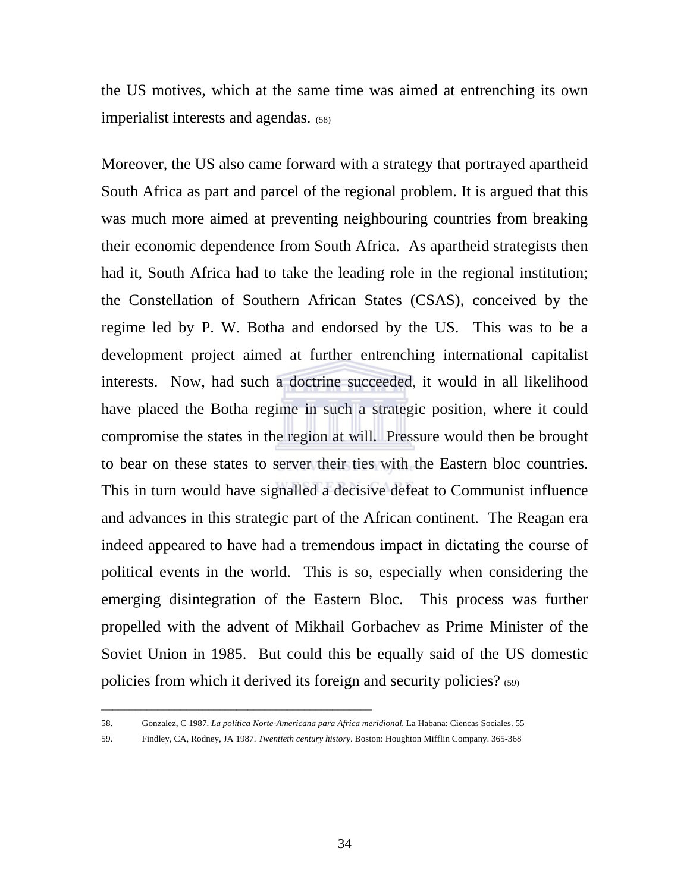the US motives, which at the same time was aimed at entrenching its own imperialist interests and agendas. (58)

Moreover, the US also came forward with a strategy that portrayed apartheid South Africa as part and parcel of the regional problem. It is argued that this was much more aimed at preventing neighbouring countries from breaking their economic dependence from South Africa. As apartheid strategists then had it, South Africa had to take the leading role in the regional institution; the Constellation of Southern African States (CSAS), conceived by the regime led by P. W. Botha and endorsed by the US. This was to be a development project aimed at further entrenching international capitalist interests. Now, had such a doctrine succeeded, it would in all likelihood have placed the Botha regime in such a strategic position, where it could compromise the states in the region at will. Pressure would then be brought to bear on these states to server their ties with the Eastern bloc countries. This in turn would have signalled a decisive defeat to Communist influence and advances in this strategic part of the African continent. The Reagan era indeed appeared to have had a tremendous impact in dictating the course of political events in the world. This is so, especially when considering the emerging disintegration of the Eastern Bloc. This process was further propelled with the advent of Mikhail Gorbachev as Prime Minister of the Soviet Union in 1985. But could this be equally said of the US domestic policies from which it derived its foreign and security policies? (59)

\_\_\_\_\_\_\_\_\_\_\_\_\_\_\_\_\_\_\_\_\_\_\_\_\_\_\_\_\_\_\_\_\_\_\_\_\_\_\_\_\_\_\_\_\_\_\_\_

59. Findley, CA, Rodney, JA 1987. *Twentieth century history*. Boston: Houghton Mifflin Company. 365-368

<sup>58.</sup> Gonzalez, C 1987. *La politica Norte-Americana para Africa meridional*. La Habana: Ciencas Sociales. 55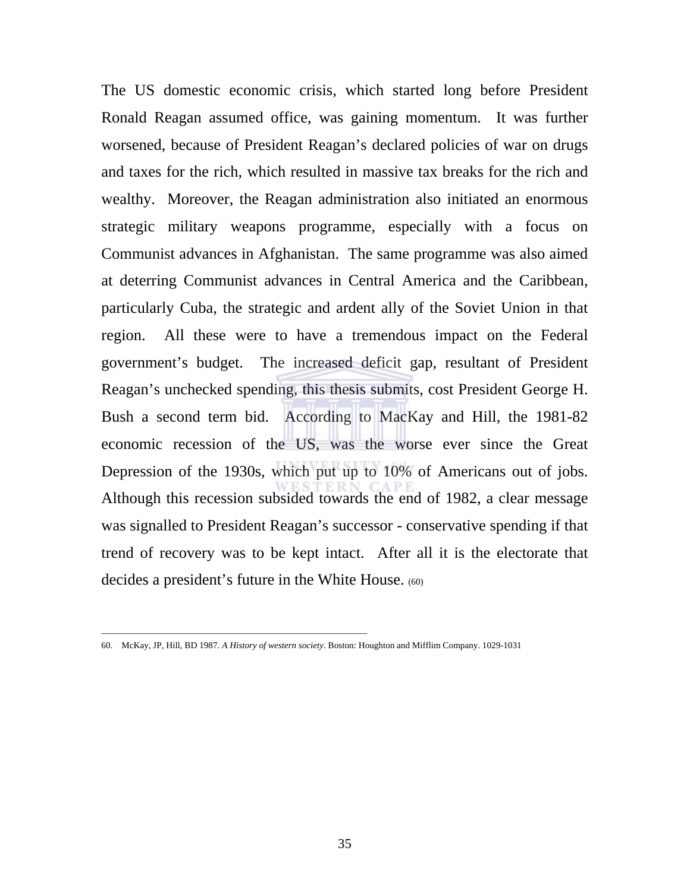The US domestic economic crisis, which started long before President Ronald Reagan assumed office, was gaining momentum. It was further worsened, because of President Reagan's declared policies of war on drugs and taxes for the rich, which resulted in massive tax breaks for the rich and wealthy. Moreover, the Reagan administration also initiated an enormous strategic military weapons programme, especially with a focus on Communist advances in Afghanistan. The same programme was also aimed at deterring Communist advances in Central America and the Caribbean, particularly Cuba, the strategic and ardent ally of the Soviet Union in that region. All these were to have a tremendous impact on the Federal government's budget. The increased deficit gap, resultant of President Reagan's unchecked spending, this thesis submits, cost President George H. Bush a second term bid. According to MacKay and Hill, the 1981-82 economic recession of the US, was the worse ever since the Great Depression of the 1930s, which put up to 10% of Americans out of jobs. Although this recession subsided towards the end of 1982, a clear message was signalled to President Reagan's successor - conservative spending if that trend of recovery was to be kept intact. After all it is the electorate that decides a president's future in the White House. (60)

\_\_\_\_\_\_\_\_\_\_\_\_\_\_\_\_\_\_\_\_\_\_\_\_\_\_\_\_\_\_\_\_\_\_\_\_\_\_\_\_\_\_\_\_\_\_\_\_\_\_\_\_\_\_\_\_\_\_\_

<sup>60.</sup> McKay, JP, Hill, BD 1987. *A History of western society*. Boston: Houghton and Mifflim Company. 1029-1031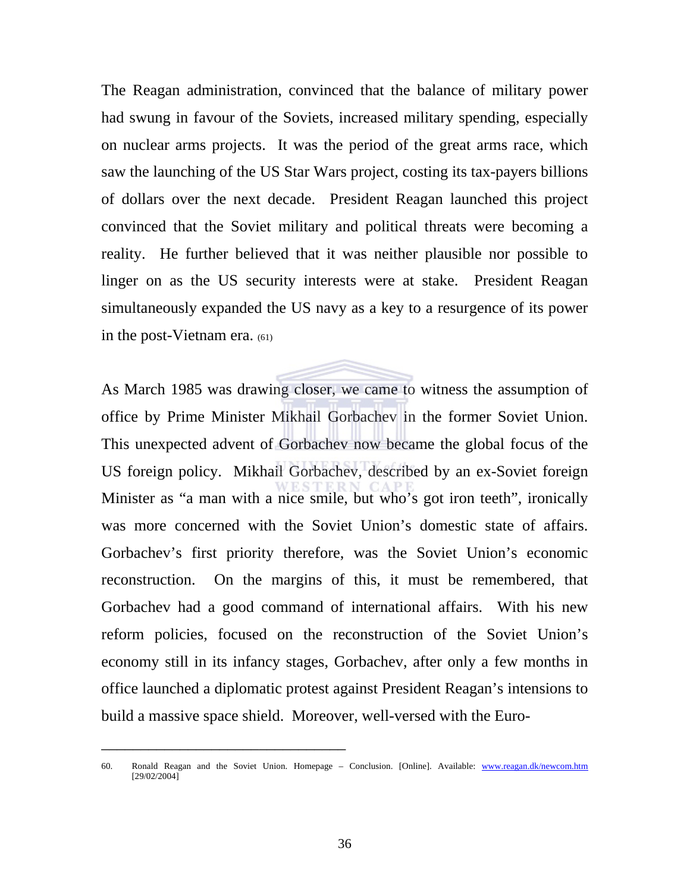The Reagan administration, convinced that the balance of military power had swung in favour of the Soviets, increased military spending, especially on nuclear arms projects. It was the period of the great arms race, which saw the launching of the US Star Wars project, costing its tax-payers billions of dollars over the next decade. President Reagan launched this project convinced that the Soviet military and political threats were becoming a reality. He further believed that it was neither plausible nor possible to linger on as the US security interests were at stake. President Reagan simultaneously expanded the US navy as a key to a resurgence of its power in the post-Vietnam era. (61)

As March 1985 was drawing closer, we came to witness the assumption of office by Prime Minister Mikhail Gorbachev in the former Soviet Union. This unexpected advent of Gorbachev now became the global focus of the US foreign policy. Mikhail Gorbachev, described by an ex-Soviet foreign Minister as "a man with a nice smile, but who's got iron teeth", ironically was more concerned with the Soviet Union's domestic state of affairs. Gorbachev's first priority therefore, was the Soviet Union's economic reconstruction. On the margins of this, it must be remembered, that Gorbachev had a good command of international affairs. With his new reform policies, focused on the reconstruction of the Soviet Union's economy still in its infancy stages, Gorbachev, after only a few months in office launched a diplomatic protest against President Reagan's intensions to build a massive space shield. Moreover, well-versed with the Euro-

<sup>60.</sup> Ronald Reagan and the Soviet Union. Homepage – Conclusion. [Online]. Available: www.reagan.dk/newcom.htm [29/02/2004]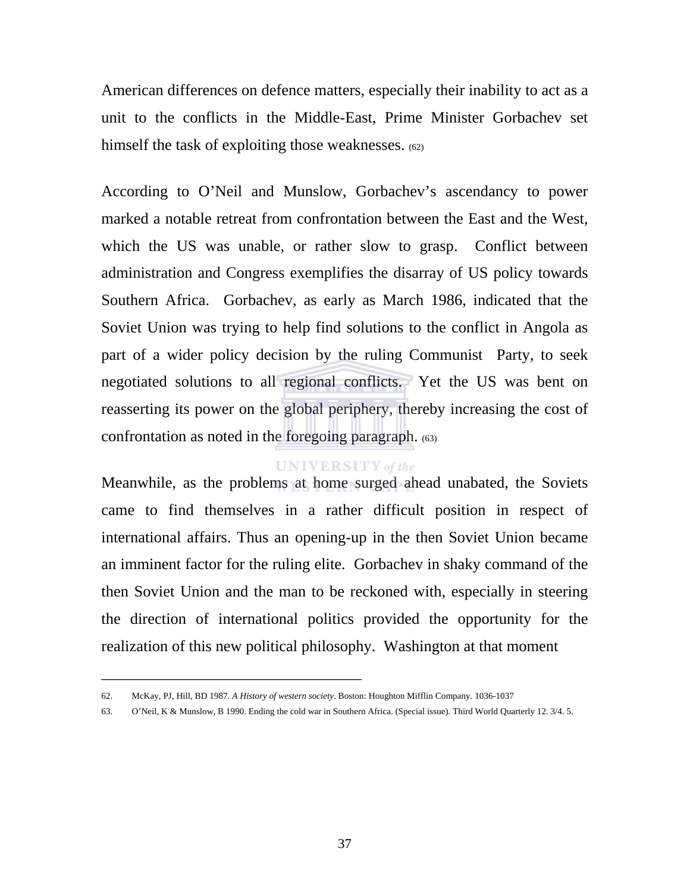American differences on defence matters, especially their inability to act as a unit to the conflicts in the Middle-East, Prime Minister Gorbachev set himself the task of exploiting those weaknesses. (62)

According to O'Neil and Munslow, Gorbachev's ascendancy to power marked a notable retreat from confrontation between the East and the West, which the US was unable, or rather slow to grasp. Conflict between administration and Congress exemplifies the disarray of US policy towards Southern Africa. Gorbachev, as early as March 1986, indicated that the Soviet Union was trying to help find solutions to the conflict in Angola as part of a wider policy decision by the ruling Communist Party, to seek negotiated solutions to all regional conflicts. Yet the US was bent on reasserting its power on the global periphery, thereby increasing the cost of confrontation as noted in the foregoing paragraph. (63)

#### **UNIVERSITY** of the

Meanwhile, as the problems at home surged ahead unabated, the Soviets came to find themselves in a rather difficult position in respect of international affairs. Thus an opening-up in the then Soviet Union became an imminent factor for the ruling elite. Gorbachev in shaky command of the then Soviet Union and the man to be reckoned with, especially in steering the direction of international politics provided the opportunity for the realization of this new political philosophy. Washington at that moment

<sup>62.</sup> McKay, PJ, Hill, BD 1987. *A History of western society*. Boston: Houghton Mifflin Company. 1036-1037

<sup>63.</sup> O'Neil, K & Munslow, B 1990. Ending the cold war in Southern Africa. (Special issue). Third World Quarterly 12. 3/4. 5.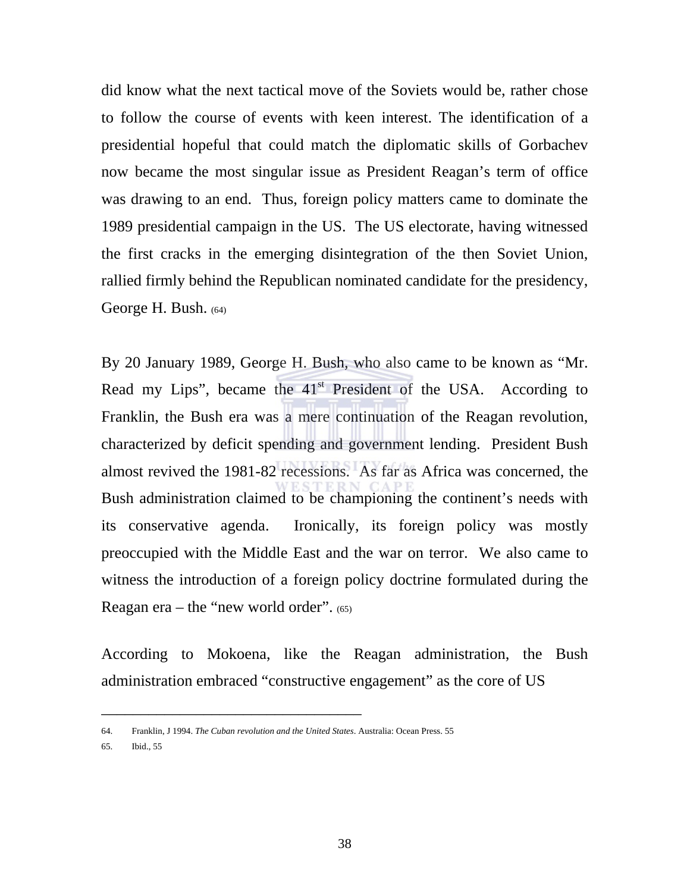did know what the next tactical move of the Soviets would be, rather chose to follow the course of events with keen interest. The identification of a presidential hopeful that could match the diplomatic skills of Gorbachev now became the most singular issue as President Reagan's term of office was drawing to an end. Thus, foreign policy matters came to dominate the 1989 presidential campaign in the US. The US electorate, having witnessed the first cracks in the emerging disintegration of the then Soviet Union, rallied firmly behind the Republican nominated candidate for the presidency, George H. Bush. (64)

By 20 January 1989, George H. Bush, who also came to be known as "Mr. Read my Lips", became the  $41<sup>st</sup>$  President of the USA. According to Franklin, the Bush era was a mere continuation of the Reagan revolution, characterized by deficit spending and government lending. President Bush almost revived the 1981-82 recessions. As far as Africa was concerned, the Bush administration claimed to be championing the continent's needs with its conservative agenda. Ironically, its foreign policy was mostly preoccupied with the Middle East and the war on terror. We also came to witness the introduction of a foreign policy doctrine formulated during the Reagan era – the "new world order". (65)

According to Mokoena, like the Reagan administration, the Bush administration embraced "constructive engagement" as the core of US

<sup>64.</sup> Franklin, J 1994. *The Cuban revolution and the United States*. Australia: Ocean Press. 55

<sup>65.</sup> Ibid., 55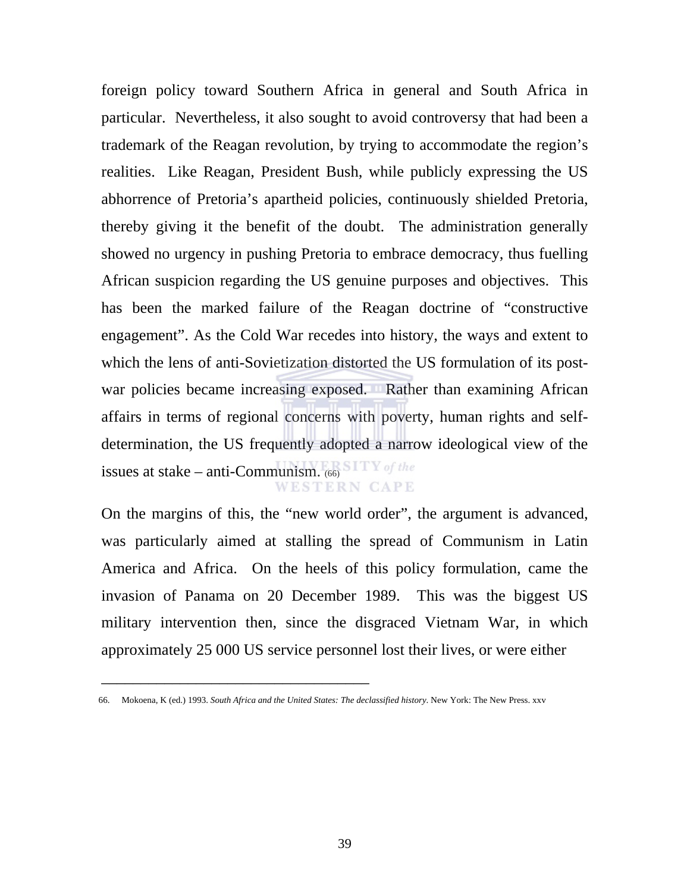foreign policy toward Southern Africa in general and South Africa in particular. Nevertheless, it also sought to avoid controversy that had been a trademark of the Reagan revolution, by trying to accommodate the region's realities. Like Reagan, President Bush, while publicly expressing the US abhorrence of Pretoria's apartheid policies, continuously shielded Pretoria, thereby giving it the benefit of the doubt. The administration generally showed no urgency in pushing Pretoria to embrace democracy, thus fuelling African suspicion regarding the US genuine purposes and objectives. This has been the marked failure of the Reagan doctrine of "constructive engagement". As the Cold War recedes into history, the ways and extent to which the lens of anti-Sovietization distorted the US formulation of its postwar policies became increasing exposed. Rather than examining African affairs in terms of regional concerns with poverty, human rights and selfdetermination, the US frequently adopted a narrow ideological view of the issues at stake – anti-Communism. (66) **WESTERN CAPE** 

On the margins of this, the "new world order", the argument is advanced, was particularly aimed at stalling the spread of Communism in Latin America and Africa. On the heels of this policy formulation, came the invasion of Panama on 20 December 1989. This was the biggest US military intervention then, since the disgraced Vietnam War, in which approximately 25 000 US service personnel lost their lives, or were either

 <sup>66.</sup> Mokoena, K (ed.) 1993. *South Africa and the United States: The declassified history*. New York: The New Press. xxv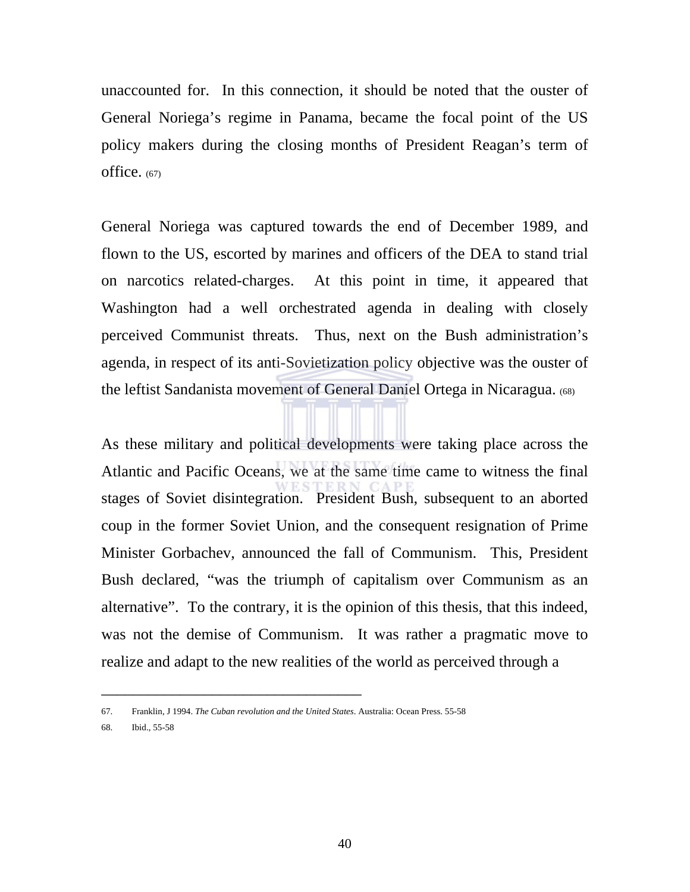unaccounted for. In this connection, it should be noted that the ouster of General Noriega's regime in Panama, became the focal point of the US policy makers during the closing months of President Reagan's term of office.  $(67)$ 

General Noriega was captured towards the end of December 1989, and flown to the US, escorted by marines and officers of the DEA to stand trial on narcotics related-charges. At this point in time, it appeared that Washington had a well orchestrated agenda in dealing with closely perceived Communist threats. Thus, next on the Bush administration's agenda, in respect of its anti-Sovietization policy objective was the ouster of the leftist Sandanista movement of General Daniel Ortega in Nicaragua. (68)

As these military and political developments were taking place across the Atlantic and Pacific Oceans, we at the same time came to witness the final stages of Soviet disintegration. President Bush, subsequent to an aborted coup in the former Soviet Union, and the consequent resignation of Prime Minister Gorbachev, announced the fall of Communism. This, President Bush declared, "was the triumph of capitalism over Communism as an alternative". To the contrary, it is the opinion of this thesis, that this indeed, was not the demise of Communism. It was rather a pragmatic move to realize and adapt to the new realities of the world as perceived through a

<sup>67.</sup> Franklin, J 1994. *The Cuban revolution and the United States*. Australia: Ocean Press. 55-58

<sup>68.</sup> Ibid., 55-58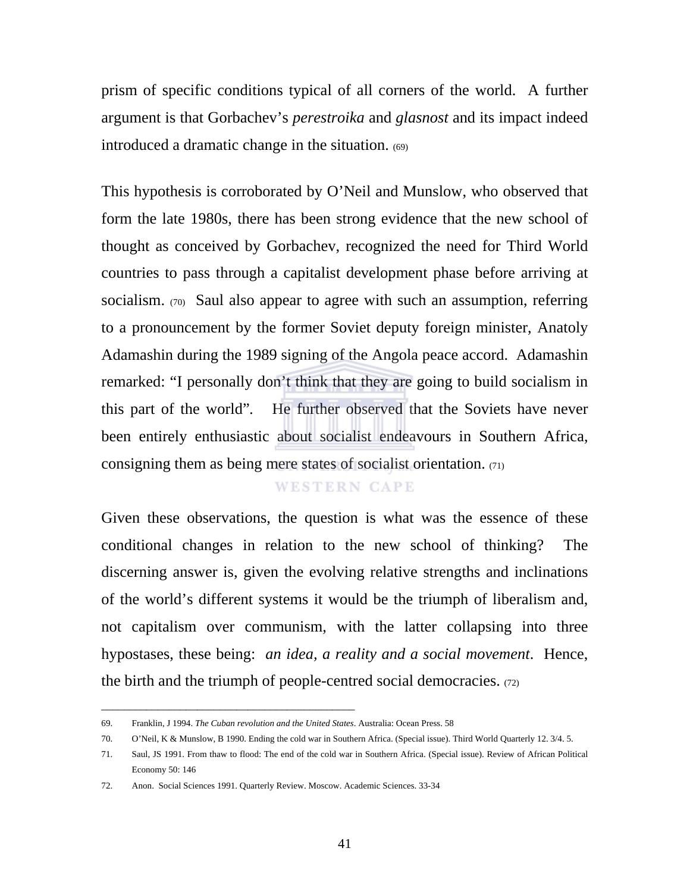prism of specific conditions typical of all corners of the world. A further argument is that Gorbachev's *perestroika* and *glasnost* and its impact indeed introduced a dramatic change in the situation. (69)

This hypothesis is corroborated by O'Neil and Munslow, who observed that form the late 1980s, there has been strong evidence that the new school of thought as conceived by Gorbachev, recognized the need for Third World countries to pass through a capitalist development phase before arriving at socialism. (70) Saul also appear to agree with such an assumption, referring to a pronouncement by the former Soviet deputy foreign minister, Anatoly Adamashin during the 1989 signing of the Angola peace accord. Adamashin remarked: "I personally don't think that they are going to build socialism in this part of the world"*.* He further observed that the Soviets have never been entirely enthusiastic about socialist endeavours in Southern Africa, consigning them as being mere states of socialist orientation. (71)

### **WESTERN CAPE**

Given these observations, the question is what was the essence of these conditional changes in relation to the new school of thinking? The discerning answer is, given the evolving relative strengths and inclinations of the world's different systems it would be the triumph of liberalism and, not capitalism over communism, with the latter collapsing into three hypostases, these being: *an idea, a reality and a social movement*. Hence, the birth and the triumph of people-centred social democracies.  $(72)$ 

\_\_\_\_\_\_\_\_\_\_\_\_\_\_\_\_\_\_\_\_\_\_\_\_\_\_\_\_\_\_\_\_\_\_\_\_\_\_\_\_\_\_\_\_\_

<sup>69.</sup> Franklin, J 1994. *The Cuban revolution and the United States*. Australia: Ocean Press. 58

<sup>70.</sup> O'Neil, K & Munslow, B 1990. Ending the cold war in Southern Africa. (Special issue). Third World Quarterly 12. 3/4. 5.

<sup>71.</sup> Saul, JS 1991. From thaw to flood: The end of the cold war in Southern Africa. (Special issue). Review of African Political Economy 50: 146

<sup>72.</sup> Anon. Social Sciences 1991. Quarterly Review. Moscow. Academic Sciences. 33-34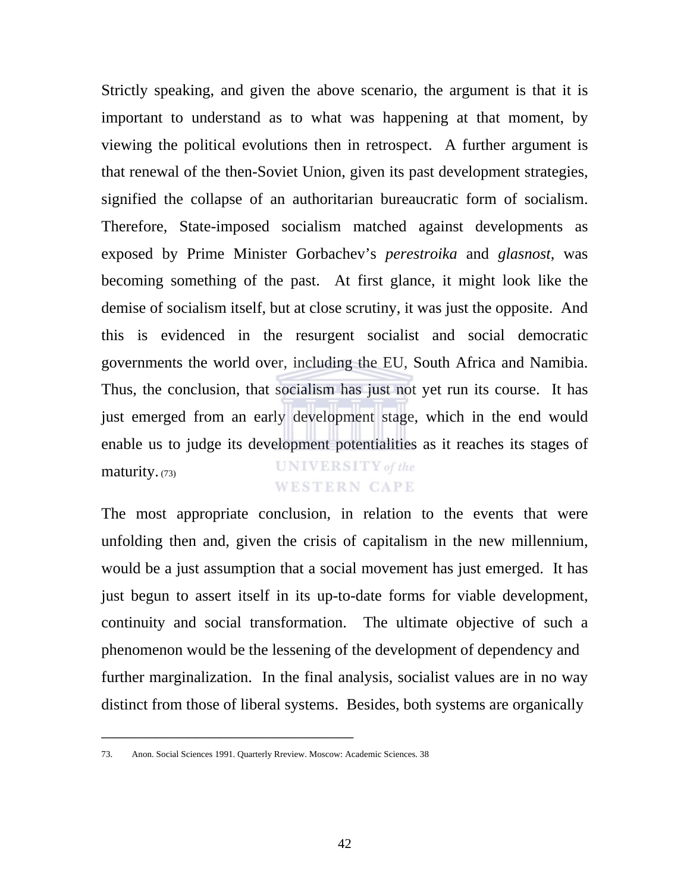Strictly speaking, and given the above scenario, the argument is that it is important to understand as to what was happening at that moment, by viewing the political evolutions then in retrospect. A further argument is that renewal of the then-Soviet Union, given its past development strategies, signified the collapse of an authoritarian bureaucratic form of socialism. Therefore, State-imposed socialism matched against developments as exposed by Prime Minister Gorbachev's *perestroika* and *glasnost*, was becoming something of the past. At first glance, it might look like the demise of socialism itself, but at close scrutiny, it was just the opposite. And this is evidenced in the resurgent socialist and social democratic governments the world over, including the EU, South Africa and Namibia. Thus, the conclusion, that socialism has just not yet run its course. It has just emerged from an early development stage, which in the end would enable us to judge its development potentialities as it reaches its stages of **UNIVERSITY** of the maturity. (73) **WESTERN CAPE** 

The most appropriate conclusion, in relation to the events that were unfolding then and, given the crisis of capitalism in the new millennium, would be a just assumption that a social movement has just emerged. It has just begun to assert itself in its up-to-date forms for viable development, continuity and social transformation. The ultimate objective of such a phenomenon would be the lessening of the development of dependency and further marginalization. In the final analysis, socialist values are in no way distinct from those of liberal systems. Besides, both systems are organically

<sup>73.</sup> Anon. Social Sciences 1991. Quarterly Rreview. Moscow: Academic Sciences. 38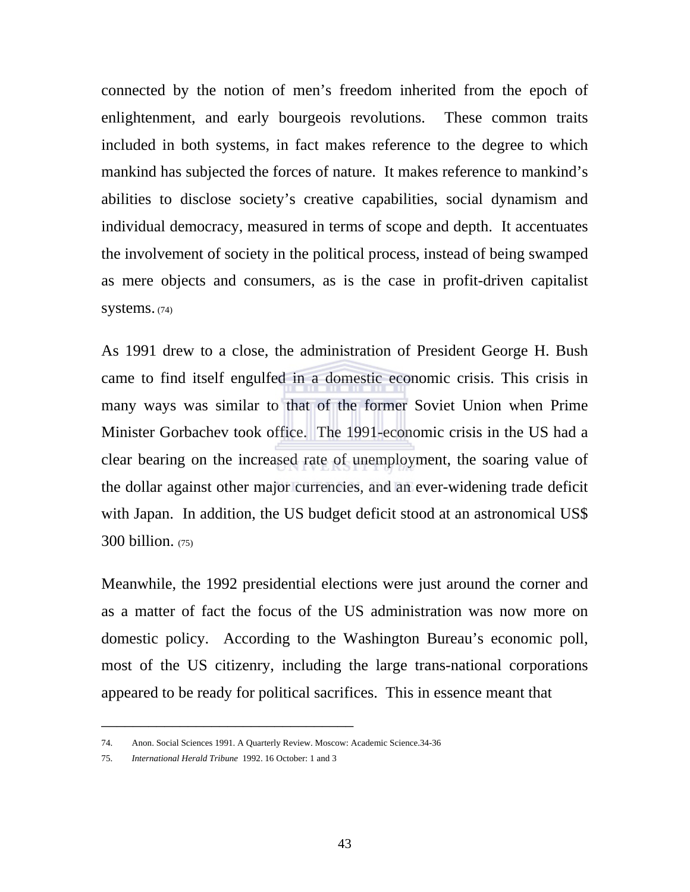connected by the notion of men's freedom inherited from the epoch of enlightenment, and early bourgeois revolutions. These common traits included in both systems, in fact makes reference to the degree to which mankind has subjected the forces of nature. It makes reference to mankind's abilities to disclose society's creative capabilities, social dynamism and individual democracy, measured in terms of scope and depth. It accentuates the involvement of society in the political process, instead of being swamped as mere objects and consumers, as is the case in profit-driven capitalist systems. (74)

As 1991 drew to a close, the administration of President George H. Bush came to find itself engulfed in a domestic economic crisis. This crisis in many ways was similar to that of the former Soviet Union when Prime Minister Gorbachev took office. The 1991-economic crisis in the US had a clear bearing on the increased rate of unemployment, the soaring value of the dollar against other major currencies, and an ever-widening trade deficit with Japan. In addition, the US budget deficit stood at an astronomical US\$  $300$  billion.  $(75)$ 

Meanwhile, the 1992 presidential elections were just around the corner and as a matter of fact the focus of the US administration was now more on domestic policy. According to the Washington Bureau's economic poll, most of the US citizenry, including the large trans-national corporations appeared to be ready for political sacrifices. This in essence meant that

<sup>74.</sup> Anon. Social Sciences 1991. A Quarterly Review. Moscow: Academic Science.34-36

<sup>75.</sup> *International Herald Tribune* 1992. 16 October: 1 and 3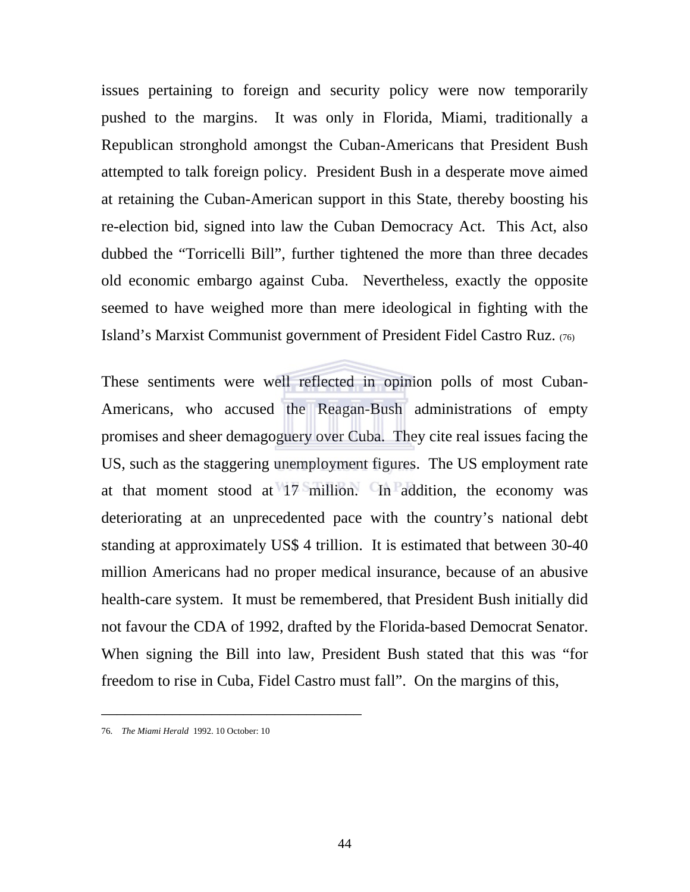issues pertaining to foreign and security policy were now temporarily pushed to the margins. It was only in Florida, Miami, traditionally a Republican stronghold amongst the Cuban-Americans that President Bush attempted to talk foreign policy. President Bush in a desperate move aimed at retaining the Cuban-American support in this State, thereby boosting his re-election bid, signed into law the Cuban Democracy Act. This Act, also dubbed the "Torricelli Bill", further tightened the more than three decades old economic embargo against Cuba. Nevertheless, exactly the opposite seemed to have weighed more than mere ideological in fighting with the Island's Marxist Communist government of President Fidel Castro Ruz. (76)

These sentiments were well reflected in opinion polls of most Cuban-Americans, who accused the Reagan-Bush administrations of empty promises and sheer demagoguery over Cuba. They cite real issues facing the US, such as the staggering unemployment figures. The US employment rate at that moment stood at 17 million. In addition, the economy was deteriorating at an unprecedented pace with the country's national debt standing at approximately US\$ 4 trillion. It is estimated that between 30-40 million Americans had no proper medical insurance, because of an abusive health-care system. It must be remembered, that President Bush initially did not favour the CDA of 1992, drafted by the Florida-based Democrat Senator. When signing the Bill into law, President Bush stated that this was "for freedom to rise in Cuba, Fidel Castro must fall". On the margins of this,

<sup>76.</sup> *The Miami Herald* 1992. 10 October: 10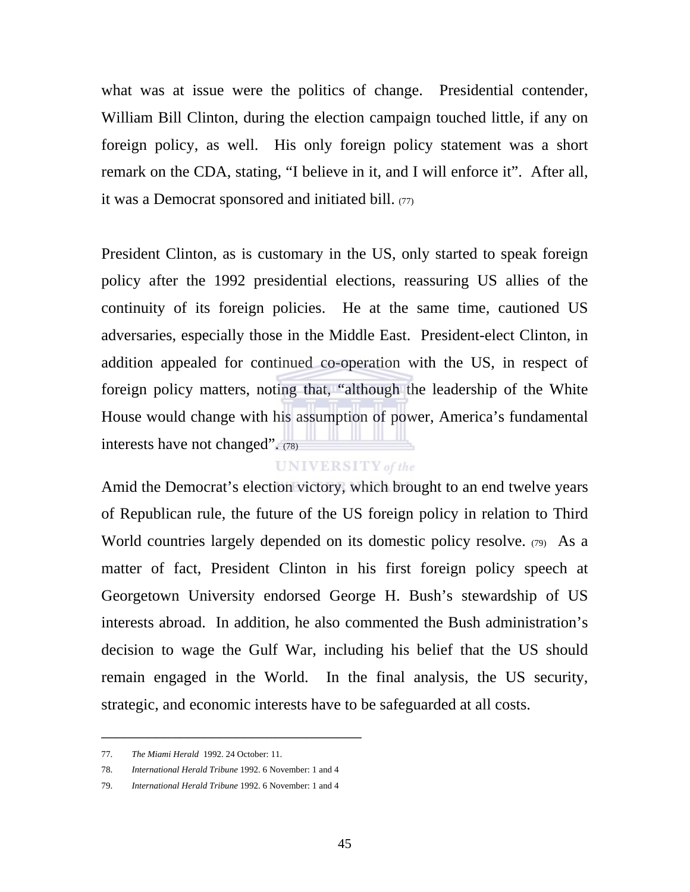what was at issue were the politics of change. Presidential contender, William Bill Clinton, during the election campaign touched little, if any on foreign policy, as well. His only foreign policy statement was a short remark on the CDA, stating, "I believe in it, and I will enforce it". After all, it was a Democrat sponsored and initiated bill. (77)

President Clinton, as is customary in the US, only started to speak foreign policy after the 1992 presidential elections, reassuring US allies of the continuity of its foreign policies. He at the same time, cautioned US adversaries, especially those in the Middle East. President-elect Clinton, in addition appealed for continued co-operation with the US, in respect of foreign policy matters, noting that, "although the leadership of the White House would change with his assumption of power, America's fundamental interests have not changed". (78)

### **UNIVERSITY** of the

Amid the Democrat's election victory, which brought to an end twelve years of Republican rule, the future of the US foreign policy in relation to Third World countries largely depended on its domestic policy resolve. (79) As a matter of fact, President Clinton in his first foreign policy speech at Georgetown University endorsed George H. Bush's stewardship of US interests abroad. In addition, he also commented the Bush administration's decision to wage the Gulf War, including his belief that the US should remain engaged in the World. In the final analysis, the US security, strategic, and economic interests have to be safeguarded at all costs.

<sup>77.</sup> *The Miami Herald* 1992. 24 October: 11.

<sup>78.</sup> *International Herald Tribune* 1992. 6 November: 1 and 4

<sup>79.</sup> *International Herald Tribune* 1992. 6 November: 1 and 4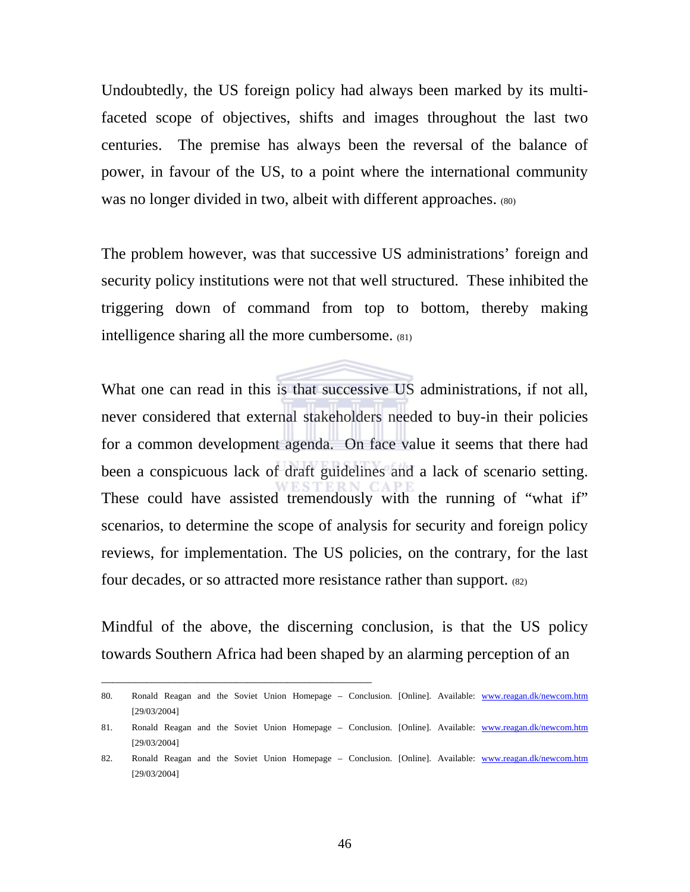Undoubtedly, the US foreign policy had always been marked by its multifaceted scope of objectives, shifts and images throughout the last two centuries. The premise has always been the reversal of the balance of power, in favour of the US, to a point where the international community was no longer divided in two, albeit with different approaches. (80)

The problem however, was that successive US administrations' foreign and security policy institutions were not that well structured. These inhibited the triggering down of command from top to bottom, thereby making intelligence sharing all the more cumbersome. (81)

What one can read in this is that successive US administrations, if not all, never considered that external stakeholders needed to buy-in their policies for a common development agenda. On face value it seems that there had been a conspicuous lack of draft guidelines and a lack of scenario setting. These could have assisted tremendously with the running of "what if" scenarios, to determine the scope of analysis for security and foreign policy reviews, for implementation. The US policies, on the contrary, for the last four decades, or so attracted more resistance rather than support. (82)

Mindful of the above, the discerning conclusion, is that the US policy towards Southern Africa had been shaped by an alarming perception of an

\_\_\_\_\_\_\_\_\_\_\_\_\_\_\_\_\_\_\_\_\_\_\_\_\_\_\_\_\_\_\_\_\_\_\_\_\_\_\_\_\_\_\_\_\_\_\_\_

<sup>80.</sup> Ronald Reagan and the Soviet Union Homepage – Conclusion. [Online]. Available: www.reagan.dk/newcom.htm [29/03/2004]

<sup>81.</sup> Ronald Reagan and the Soviet Union Homepage – Conclusion. [Online]. Available: www.reagan.dk/newcom.htm [29/03/2004]

<sup>82.</sup> Ronald Reagan and the Soviet Union Homepage – Conclusion. [Online]. Available: www.reagan.dk/newcom.htm [29/03/2004]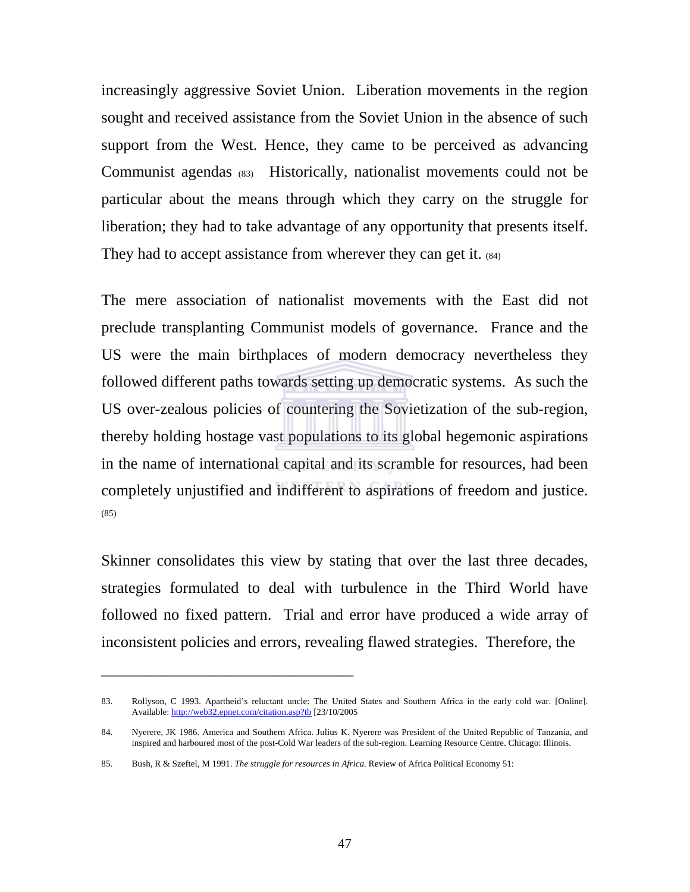increasingly aggressive Soviet Union. Liberation movements in the region sought and received assistance from the Soviet Union in the absence of such support from the West. Hence, they came to be perceived as advancing Communist agendas (83) Historically, nationalist movements could not be particular about the means through which they carry on the struggle for liberation; they had to take advantage of any opportunity that presents itself. They had to accept assistance from wherever they can get it. (84)

The mere association of nationalist movements with the East did not preclude transplanting Communist models of governance. France and the US were the main birthplaces of modern democracy nevertheless they followed different paths towards setting up democratic systems. As such the US over-zealous policies of countering the Sovietization of the sub-region, thereby holding hostage vast populations to its global hegemonic aspirations in the name of international capital and its scramble for resources, had been completely unjustified and indifferent to aspirations of freedom and justice. (85)

Skinner consolidates this view by stating that over the last three decades, strategies formulated to deal with turbulence in the Third World have followed no fixed pattern. Trial and error have produced a wide array of inconsistent policies and errors, revealing flawed strategies. Therefore, the

<sup>83.</sup> Rollyson, C 1993. Apartheid's reluctant uncle: The United States and Southern Africa in the early cold war. [Online]. Available: http://web32.epnet.com/citation.asp?tb [23/10/2005

<sup>84.</sup> Nyerere, JK 1986. America and Southern Africa. Julius K. Nyerere was President of the United Republic of Tanzania, and inspired and harboured most of the post-Cold War leaders of the sub-region. Learning Resource Centre. Chicago: Illinois.

<sup>85.</sup> Bush, R & Szeftel, M 1991. *The struggle for resources in Africa*. Review of Africa Political Economy 51: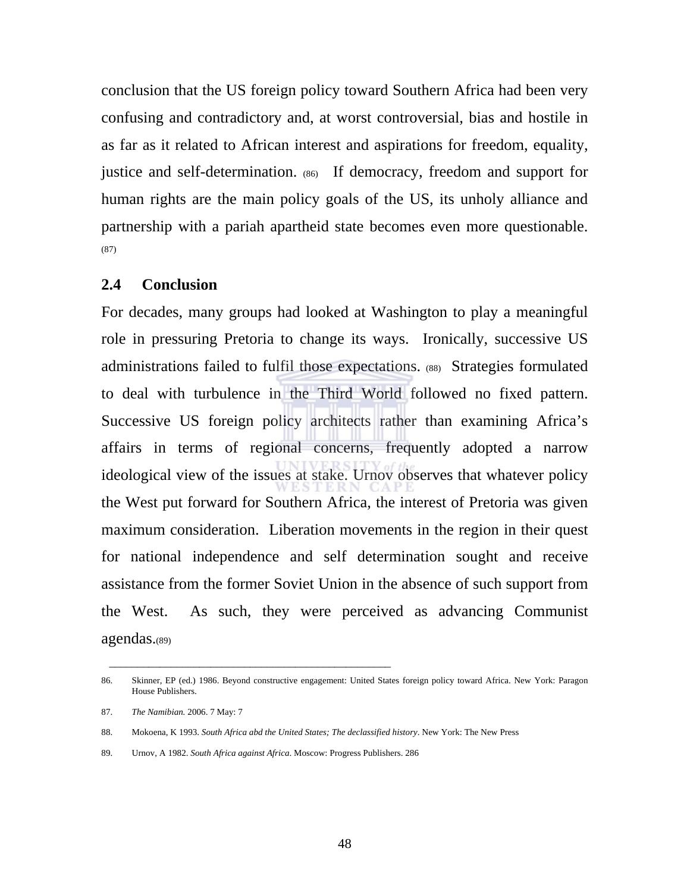conclusion that the US foreign policy toward Southern Africa had been very confusing and contradictory and, at worst controversial, bias and hostile in as far as it related to African interest and aspirations for freedom, equality, justice and self-determination. (86) If democracy, freedom and support for human rights are the main policy goals of the US, its unholy alliance and partnership with a pariah apartheid state becomes even more questionable. (87)

## **2.4 Conclusion**

For decades, many groups had looked at Washington to play a meaningful role in pressuring Pretoria to change its ways. Ironically, successive US administrations failed to fulfil those expectations. (88) Strategies formulated to deal with turbulence in the Third World followed no fixed pattern. Successive US foreign policy architects rather than examining Africa's affairs in terms of regional concerns, frequently adopted a narrow ideological view of the issues at stake. Urnov observes that whatever policy the West put forward for Southern Africa, the interest of Pretoria was given maximum consideration. Liberation movements in the region in their quest for national independence and self determination sought and receive assistance from the former Soviet Union in the absence of such support from the West. As such, they were perceived as advancing Communist agendas.(89)

 $\frac{1}{\sqrt{2\pi}}\left[\frac{1}{2(1-2\pi)^2}\left(1-\frac{1}{2(1-2\pi)^2}\right)\frac{1}{2(1-2\pi)^2}\right],$ 

<sup>86.</sup> Skinner, EP (ed.) 1986. Beyond constructive engagement: United States foreign policy toward Africa. New York: Paragon House Publishers.

<sup>87.</sup> *The Namibian.* 2006. 7 May: 7

<sup>88.</sup> Mokoena, K 1993. *South Africa abd the United States; The declassified history*. New York: The New Press

<sup>89.</sup> Urnov, A 1982. *South Africa against Africa*. Moscow: Progress Publishers. 286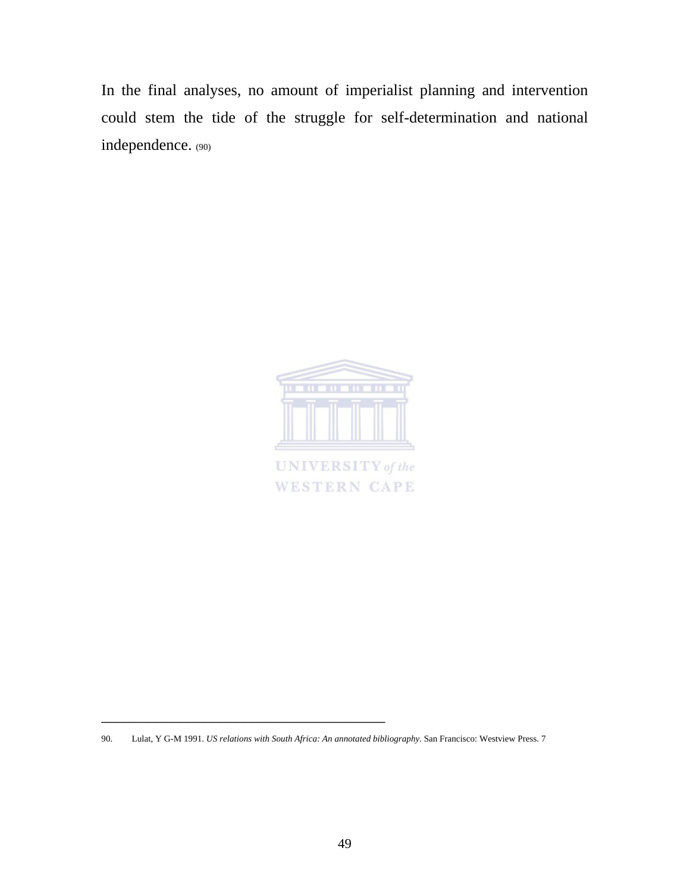In the final analyses, no amount of imperialist planning and intervention could stem the tide of the struggle for self-determination and national independence. (90)



<sup>90.</sup> Lulat, Y G-M 1991. *US relations with South Africa: An annotated bibliography*. San Francisco: Westview Press. 7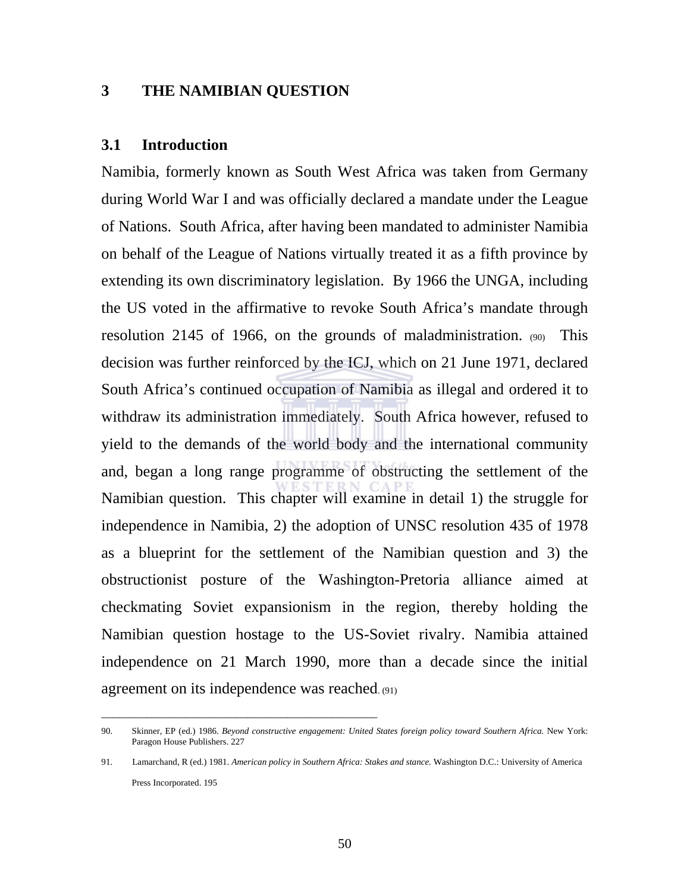# **3 THE NAMIBIAN QUESTION**

## **3.1 Introduction**

Namibia, formerly known as South West Africa was taken from Germany during World War I and was officially declared a mandate under the League of Nations. South Africa, after having been mandated to administer Namibia on behalf of the League of Nations virtually treated it as a fifth province by extending its own discriminatory legislation. By 1966 the UNGA, including the US voted in the affirmative to revoke South Africa's mandate through resolution 2145 of 1966, on the grounds of maladministration. (90) This decision was further reinforced by the ICJ, which on 21 June 1971, declared South Africa's continued occupation of Namibia as illegal and ordered it to withdraw its administration immediately. South Africa however, refused to yield to the demands of the world body and the international community and, began a long range programme of obstructing the settlement of the Namibian question. This chapter will examine in detail 1) the struggle for independence in Namibia, 2) the adoption of UNSC resolution 435 of 1978 as a blueprint for the settlement of the Namibian question and 3) the obstructionist posture of the Washington-Pretoria alliance aimed at checkmating Soviet expansionism in the region, thereby holding the Namibian question hostage to the US-Soviet rivalry. Namibia attained independence on 21 March 1990, more than a decade since the initial agreement on its independence was reached. (91)

\_\_\_\_\_\_\_\_\_\_\_\_\_\_\_\_\_\_\_\_\_\_\_\_\_\_\_\_\_\_\_\_\_\_\_\_\_\_\_\_\_\_\_\_\_\_\_\_\_

<sup>90.</sup> Skinner, EP (ed.) 1986. *Beyond constructive engagement: United States foreign policy toward Southern Africa*. New York: Paragon House Publishers. 227

<sup>91.</sup> Lamarchand, R (ed.) 1981. *American policy in Southern Africa: Stakes and stance.* Washington D.C.: University of America Press Incorporated. 195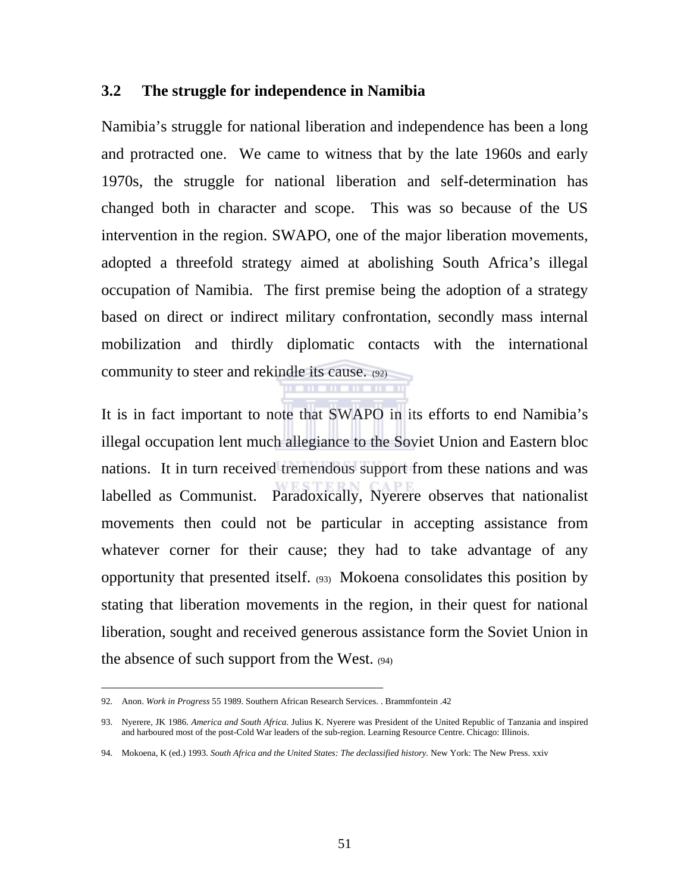## **3.2 The struggle for independence in Namibia**

Namibia's struggle for national liberation and independence has been a long and protracted one. We came to witness that by the late 1960s and early 1970s, the struggle for national liberation and self-determination has changed both in character and scope. This was so because of the US intervention in the region. SWAPO, one of the major liberation movements, adopted a threefold strategy aimed at abolishing South Africa's illegal occupation of Namibia. The first premise being the adoption of a strategy based on direct or indirect military confrontation, secondly mass internal mobilization and thirdly diplomatic contacts with the international community to steer and rekindle its cause. (92) <u> 11 - 11 - 11 - 11</u>

It is in fact important to note that SWAPO in its efforts to end Namibia's illegal occupation lent much allegiance to the Soviet Union and Eastern bloc nations. It in turn received tremendous support from these nations and was labelled as Communist. Paradoxically, Nyerere observes that nationalist movements then could not be particular in accepting assistance from whatever corner for their cause; they had to take advantage of any opportunity that presented itself. (93) Mokoena consolidates this position by stating that liberation movements in the region, in their quest for national liberation, sought and received generous assistance form the Soviet Union in the absence of such support from the West. (94)

\_\_\_\_\_\_\_\_\_\_\_\_\_\_\_\_\_\_\_\_\_\_\_\_\_\_\_\_\_\_\_\_\_\_\_\_\_\_\_\_\_\_\_\_\_\_\_\_\_\_

<sup>92.</sup> Anon. *Work in Progress* 55 1989. Southern African Research Services. . Brammfontein .42

<sup>93.</sup> Nyerere, JK 1986. *America and South Africa*. Julius K. Nyerere was President of the United Republic of Tanzania and inspired and harboured most of the post-Cold War leaders of the sub-region. Learning Resource Centre. Chicago: Illinois.

<sup>94.</sup> Mokoena, K (ed.) 1993. *South Africa and the United States: The declassified history.* New York: The New Press. xxiv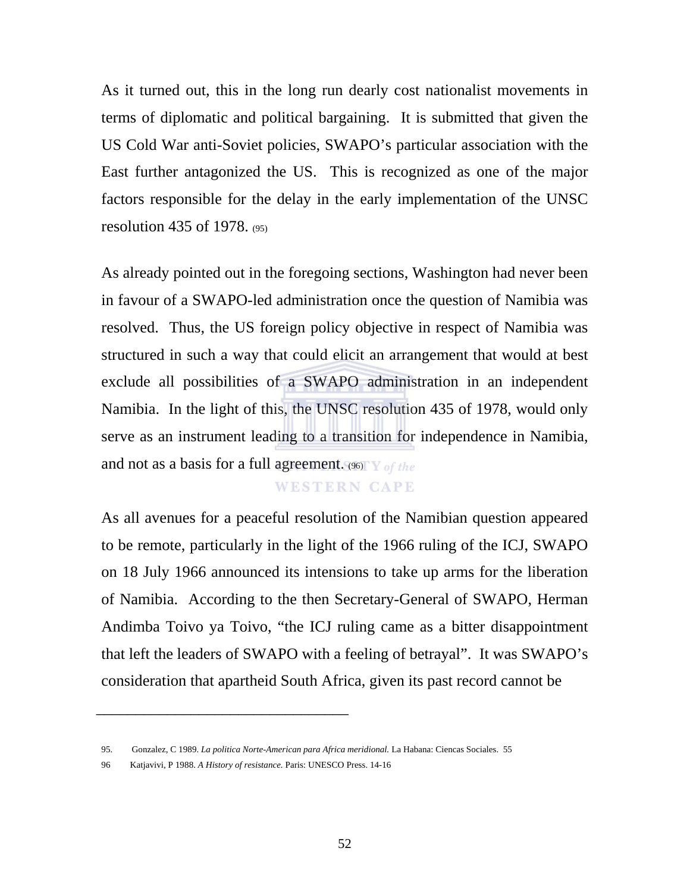As it turned out, this in the long run dearly cost nationalist movements in terms of diplomatic and political bargaining. It is submitted that given the US Cold War anti-Soviet policies, SWAPO's particular association with the East further antagonized the US. This is recognized as one of the major factors responsible for the delay in the early implementation of the UNSC resolution 435 of 1978. (95)

As already pointed out in the foregoing sections, Washington had never been in favour of a SWAPO-led administration once the question of Namibia was resolved. Thus, the US foreign policy objective in respect of Namibia was structured in such a way that could elicit an arrangement that would at best exclude all possibilities of a SWAPO administration in an independent Namibia. In the light of this, the UNSC resolution 435 of 1978, would only serve as an instrument leading to a transition for independence in Namibia, and not as a basis for a full agreement. (96)

# **WESTERN CAPE**

As all avenues for a peaceful resolution of the Namibian question appeared to be remote, particularly in the light of the 1966 ruling of the ICJ, SWAPO on 18 July 1966 announced its intensions to take up arms for the liberation of Namibia. According to the then Secretary-General of SWAPO, Herman Andimba Toivo ya Toivo, "the ICJ ruling came as a bitter disappointment that left the leaders of SWAPO with a feeling of betrayal". It was SWAPO's consideration that apartheid South Africa, given its past record cannot be

<sup>95.</sup> Gonzalez, C 1989. *La politica Norte-American para Africa meridional.* La Habana: Ciencas Sociales. 55

<sup>96</sup> Katjavivi, P 1988. *A History of resistance.* Paris: UNESCO Press. 14-16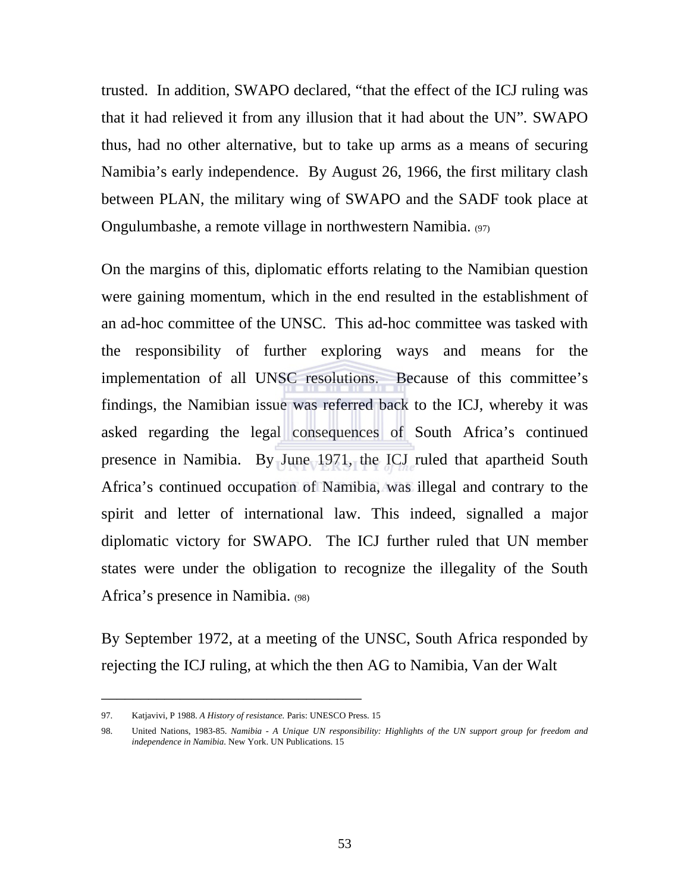trusted. In addition, SWAPO declared, "that the effect of the ICJ ruling was that it had relieved it from any illusion that it had about the UN"*.* SWAPO thus, had no other alternative, but to take up arms as a means of securing Namibia's early independence. By August 26, 1966, the first military clash between PLAN, the military wing of SWAPO and the SADF took place at Ongulumbashe, a remote village in northwestern Namibia. (97)

On the margins of this, diplomatic efforts relating to the Namibian question were gaining momentum, which in the end resulted in the establishment of an ad-hoc committee of the UNSC. This ad-hoc committee was tasked with the responsibility of further exploring ways and means for the implementation of all UNSC resolutions. Because of this committee's findings, the Namibian issue was referred back to the ICJ, whereby it was asked regarding the legal consequences of South Africa's continued presence in Namibia. By June 1971, the ICJ ruled that apartheid South Africa's continued occupation of Namibia, was illegal and contrary to the spirit and letter of international law. This indeed, signalled a major diplomatic victory for SWAPO. The ICJ further ruled that UN member states were under the obligation to recognize the illegality of the South Africa's presence in Namibia. (98)

By September 1972, at a meeting of the UNSC, South Africa responded by rejecting the ICJ ruling, at which the then AG to Namibia, Van der Walt

<sup>97.</sup> Katjavivi, P 1988. *A History of resistance.* Paris: UNESCO Press. 15

<sup>98.</sup> United Nations, 1983-85. *Namibia - A Unique UN responsibility: Highlights of the UN support group for freedom and independence in Namibia.* New York. UN Publications. 15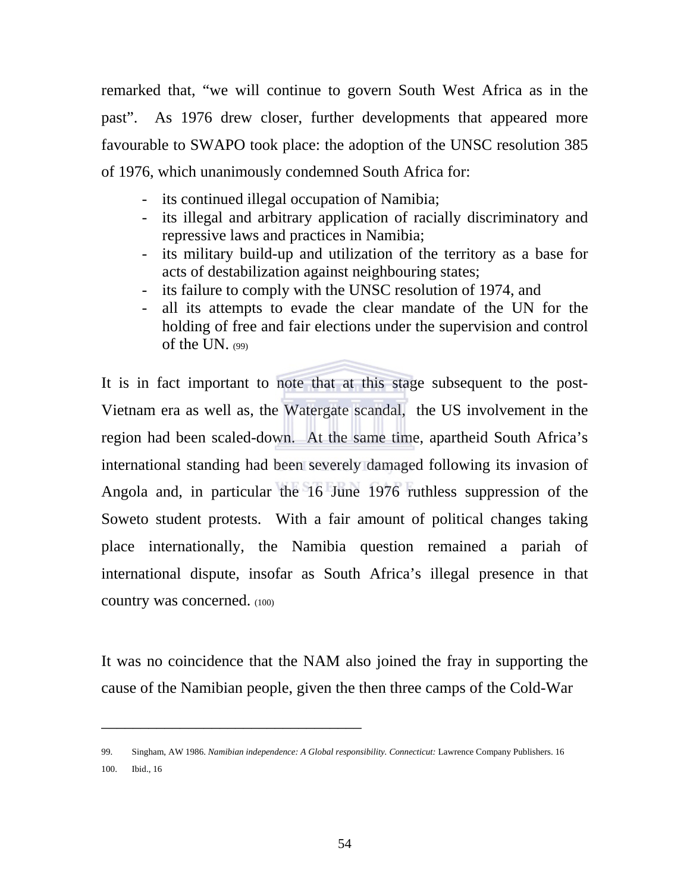remarked that, "we will continue to govern South West Africa as in the past". As 1976 drew closer, further developments that appeared more favourable to SWAPO took place: the adoption of the UNSC resolution 385 of 1976, which unanimously condemned South Africa for:

- its continued illegal occupation of Namibia;
- its illegal and arbitrary application of racially discriminatory and repressive laws and practices in Namibia;
- its military build-up and utilization of the territory as a base for acts of destabilization against neighbouring states;
- its failure to comply with the UNSC resolution of 1974, and
- all its attempts to evade the clear mandate of the UN for the holding of free and fair elections under the supervision and control of the UN. (99)

It is in fact important to note that at this stage subsequent to the post-Vietnam era as well as, the Watergate scandal, the US involvement in the region had been scaled-down. At the same time, apartheid South Africa's international standing had been severely damaged following its invasion of Angola and, in particular the 16 June 1976 ruthless suppression of the Soweto student protests. With a fair amount of political changes taking place internationally, the Namibia question remained a pariah of international dispute, insofar as South Africa's illegal presence in that country was concerned. (100)

It was no coincidence that the NAM also joined the fray in supporting the cause of the Namibian people, given the then three camps of the Cold-War

<sup>99.</sup> Singham, AW 1986. *Namibian independence: A Global responsibility. Connecticut:* Lawrence Company Publishers. 16 100. Ibid., 16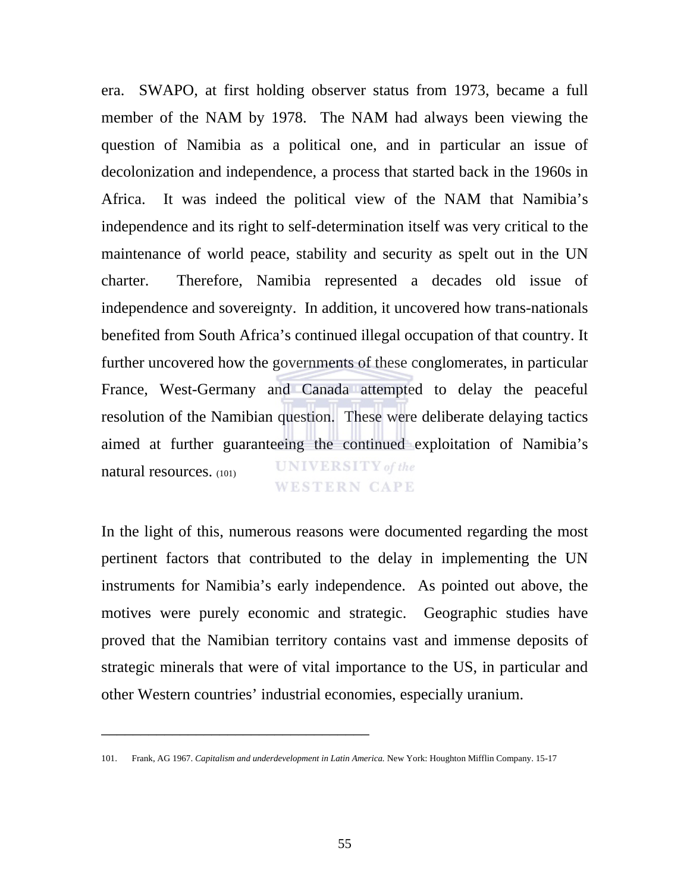era. SWAPO, at first holding observer status from 1973, became a full member of the NAM by 1978. The NAM had always been viewing the question of Namibia as a political one, and in particular an issue of decolonization and independence, a process that started back in the 1960s in Africa. It was indeed the political view of the NAM that Namibia's independence and its right to self-determination itself was very critical to the maintenance of world peace, stability and security as spelt out in the UN charter. Therefore, Namibia represented a decades old issue of independence and sovereignty. In addition, it uncovered how trans-nationals benefited from South Africa's continued illegal occupation of that country. It further uncovered how the governments of these conglomerates, in particular France, West-Germany and Canada attempted to delay the peaceful resolution of the Namibian question. These were deliberate delaying tactics aimed at further guaranteeing the continued exploitation of Namibia's **UNIVERSITY** of the natural resources. (101) **WESTERN CAPE** 

In the light of this, numerous reasons were documented regarding the most pertinent factors that contributed to the delay in implementing the UN instruments for Namibia's early independence. As pointed out above, the motives were purely economic and strategic. Geographic studies have proved that the Namibian territory contains vast and immense deposits of strategic minerals that were of vital importance to the US, in particular and other Western countries' industrial economies, especially uranium.

<sup>101.</sup> Frank, AG 1967. *Capitalism and underdevelopment in Latin America.* New York: Houghton Mifflin Company. 15-17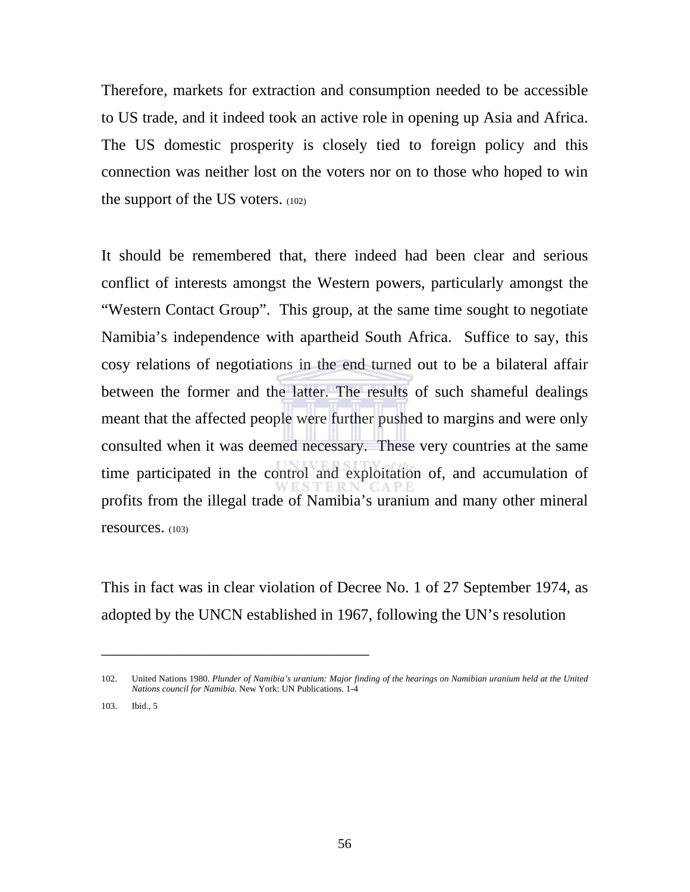Therefore, markets for extraction and consumption needed to be accessible to US trade, and it indeed took an active role in opening up Asia and Africa. The US domestic prosperity is closely tied to foreign policy and this connection was neither lost on the voters nor on to those who hoped to win the support of the US voters. (102)

It should be remembered that, there indeed had been clear and serious conflict of interests amongst the Western powers, particularly amongst the "Western Contact Group". This group, at the same time sought to negotiate Namibia's independence with apartheid South Africa. Suffice to say, this cosy relations of negotiations in the end turned out to be a bilateral affair between the former and the latter. The results of such shameful dealings meant that the affected people were further pushed to margins and were only consulted when it was deemed necessary. These very countries at the same time participated in the control and exploitation of, and accumulation of profits from the illegal trade of Namibia's uranium and many other mineral resources. (103)

This in fact was in clear violation of Decree No. 1 of 27 September 1974, as adopted by the UNCN established in 1967, following the UN's resolution

\_\_\_\_\_\_\_\_\_\_\_\_\_\_\_\_\_\_\_\_\_\_\_\_\_\_\_\_\_\_\_\_\_\_

103. Ibid., 5

<sup>102.</sup> United Nations 1980. *Plunder of Namibia's uranium: Major finding of the hearings on Namibian uranium held at the United Nations council for Namibia.* New York: UN Publications. 1-4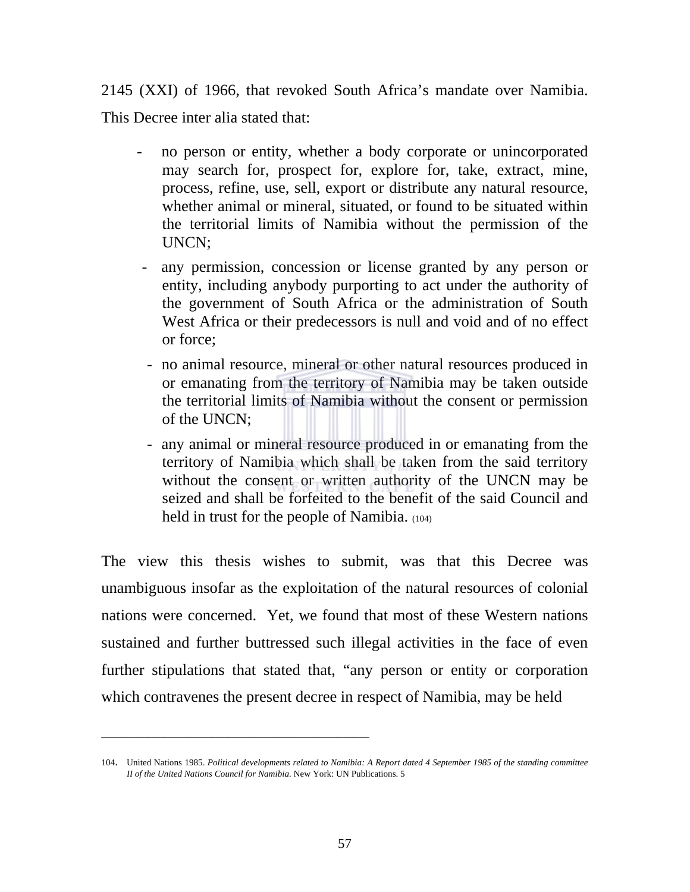2145 (XXI) of 1966, that revoked South Africa's mandate over Namibia. This Decree inter alia stated that:

- no person or entity, whether a body corporate or unincorporated may search for, prospect for, explore for, take, extract, mine, process, refine, use, sell, export or distribute any natural resource, whether animal or mineral, situated, or found to be situated within the territorial limits of Namibia without the permission of the UNCN;
- any permission, concession or license granted by any person or entity, including anybody purporting to act under the authority of the government of South Africa or the administration of South West Africa or their predecessors is null and void and of no effect or force;
- no animal resource, mineral or other natural resources produced in or emanating from the territory of Namibia may be taken outside the territorial limits of Namibia without the consent or permission of the UNCN;
- any animal or mineral resource produced in or emanating from the territory of Namibia which shall be taken from the said territory without the consent or written authority of the UNCN may be seized and shall be forfeited to the benefit of the said Council and held in trust for the people of Namibia. (104)

The view this thesis wishes to submit, was that this Decree was unambiguous insofar as the exploitation of the natural resources of colonial nations were concerned. Yet, we found that most of these Western nations sustained and further buttressed such illegal activities in the face of even further stipulations that stated that, "any person or entity or corporation which contravenes the present decree in respect of Namibia, may be held

<sup>104.</sup> United Nations 1985. *Political developments related to Namibia: A Report dated 4 September 1985 of the standing committee II of the United Nations Council for Namibia.* New York: UN Publications. 5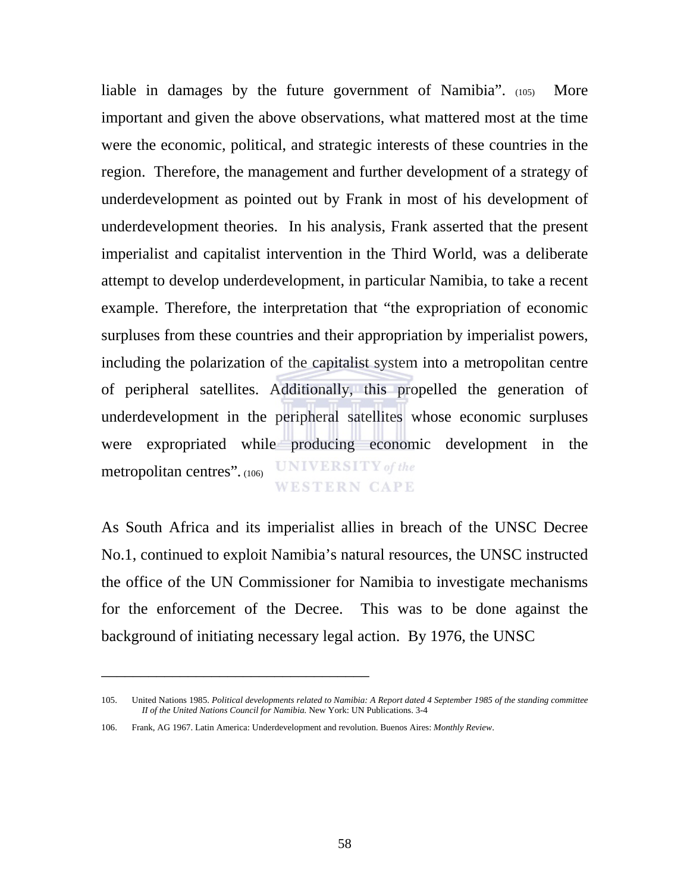liable in damages by the future government of Namibia". (105) More important and given the above observations, what mattered most at the time were the economic, political, and strategic interests of these countries in the region. Therefore, the management and further development of a strategy of underdevelopment as pointed out by Frank in most of his development of underdevelopment theories. In his analysis, Frank asserted that the present imperialist and capitalist intervention in the Third World, was a deliberate attempt to develop underdevelopment, in particular Namibia, to take a recent example. Therefore, the interpretation that "the expropriation of economic surpluses from these countries and their appropriation by imperialist powers, including the polarization of the capitalist system into a metropolitan centre of peripheral satellites. Additionally, this propelled the generation of underdevelopment in the peripheral satellites whose economic surpluses were expropriated while producing economic development in the **UNIVERSITY** of the metropolitan centres"*.* (106) **WESTERN CAPE** 

As South Africa and its imperialist allies in breach of the UNSC Decree No.1, continued to exploit Namibia's natural resources, the UNSC instructed the office of the UN Commissioner for Namibia to investigate mechanisms for the enforcement of the Decree. This was to be done against the background of initiating necessary legal action. By 1976, the UNSC

<sup>105.</sup> United Nations 1985. *Political developments related to Namibia: A Report dated 4 September 1985 of the standing committee II of the United Nations Council for Namibia.* New York: UN Publications. 3-4

<sup>106.</sup> Frank, AG 1967. Latin America: Underdevelopment and revolution. Buenos Aires: *Monthly Review*.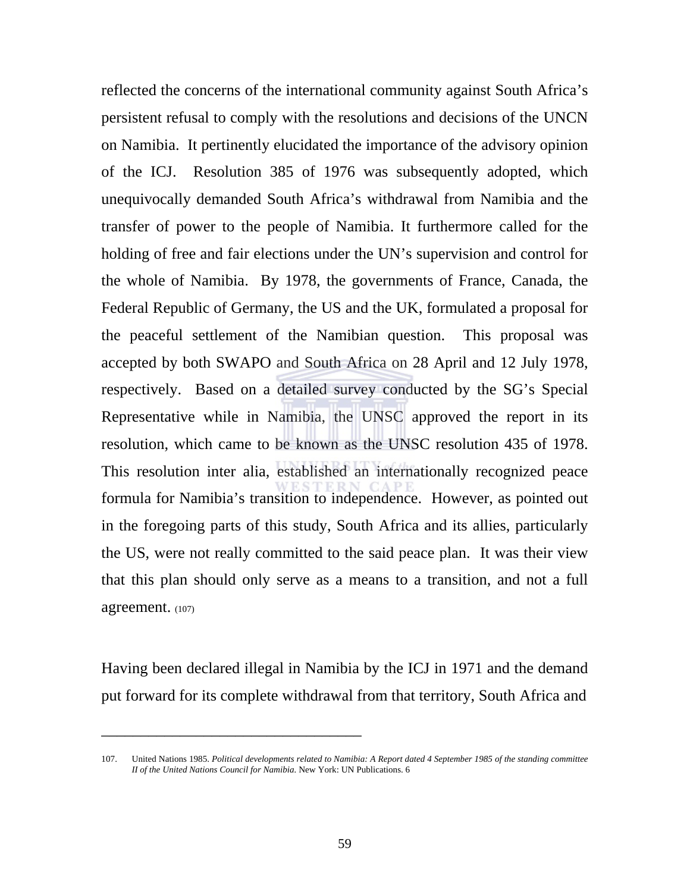reflected the concerns of the international community against South Africa's persistent refusal to comply with the resolutions and decisions of the UNCN on Namibia. It pertinently elucidated the importance of the advisory opinion of the ICJ. Resolution 385 of 1976 was subsequently adopted, which unequivocally demanded South Africa's withdrawal from Namibia and the transfer of power to the people of Namibia. It furthermore called for the holding of free and fair elections under the UN's supervision and control for the whole of Namibia. By 1978, the governments of France, Canada, the Federal Republic of Germany, the US and the UK, formulated a proposal for the peaceful settlement of the Namibian question. This proposal was accepted by both SWAPO and South Africa on 28 April and 12 July 1978, respectively. Based on a detailed survey conducted by the SG's Special Representative while in Namibia, the UNSC approved the report in its resolution, which came to be known as the UNSC resolution 435 of 1978. This resolution inter alia, established an internationally recognized peace formula for Namibia's transition to independence. However, as pointed out in the foregoing parts of this study, South Africa and its allies, particularly the US, were not really committed to the said peace plan. It was their view that this plan should only serve as a means to a transition, and not a full agreement. (107)

Having been declared illegal in Namibia by the ICJ in 1971 and the demand put forward for its complete withdrawal from that territory, South Africa and

<sup>107.</sup> United Nations 1985. *Political developments related to Namibia: A Report dated 4 September 1985 of the standing committee II of the United Nations Council for Namibia.* New York: UN Publications. 6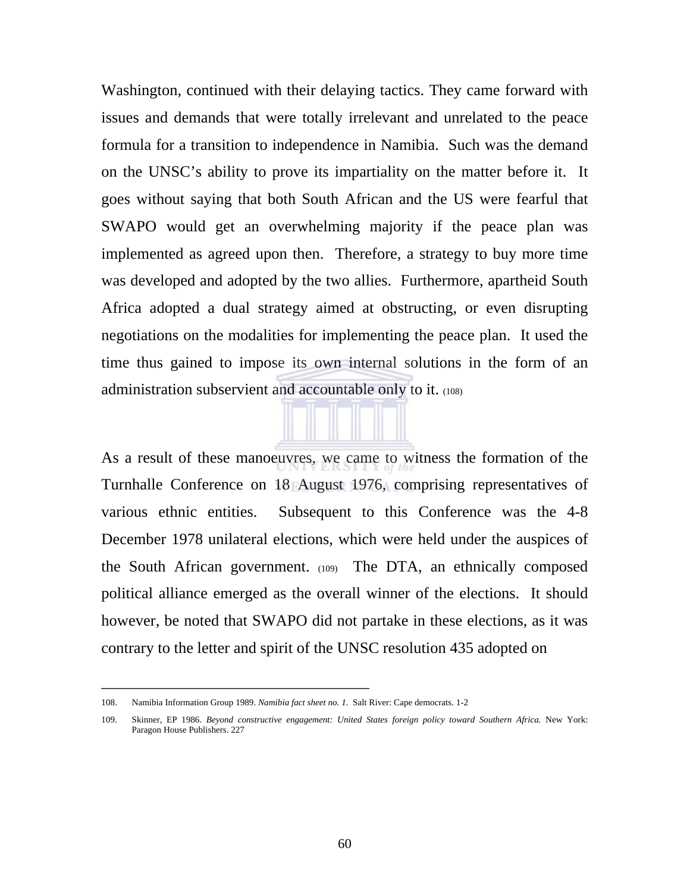Washington, continued with their delaying tactics. They came forward with issues and demands that were totally irrelevant and unrelated to the peace formula for a transition to independence in Namibia. Such was the demand on the UNSC's ability to prove its impartiality on the matter before it. It goes without saying that both South African and the US were fearful that SWAPO would get an overwhelming majority if the peace plan was implemented as agreed upon then. Therefore, a strategy to buy more time was developed and adopted by the two allies. Furthermore, apartheid South Africa adopted a dual strategy aimed at obstructing, or even disrupting negotiations on the modalities for implementing the peace plan. It used the time thus gained to impose its own internal solutions in the form of an administration subservient and accountable only to it. (108)

As a result of these manoeuvres, we came to witness the formation of the Turnhalle Conference on 18 August 1976, comprising representatives of various ethnic entities. Subsequent to this Conference was the 4-8 December 1978 unilateral elections, which were held under the auspices of the South African government. (109) The DTA, an ethnically composed political alliance emerged as the overall winner of the elections. It should however, be noted that SWAPO did not partake in these elections, as it was contrary to the letter and spirit of the UNSC resolution 435 adopted on

<sup>108.</sup> Namibia Information Group 1989. *Namibia fact sheet no. 1.* Salt River: Cape democrats. 1-2

<sup>109.</sup> Skinner, EP 1986. Beyond constructive engagement: United States foreign policy toward Southern Africa. New York: Paragon House Publishers. 227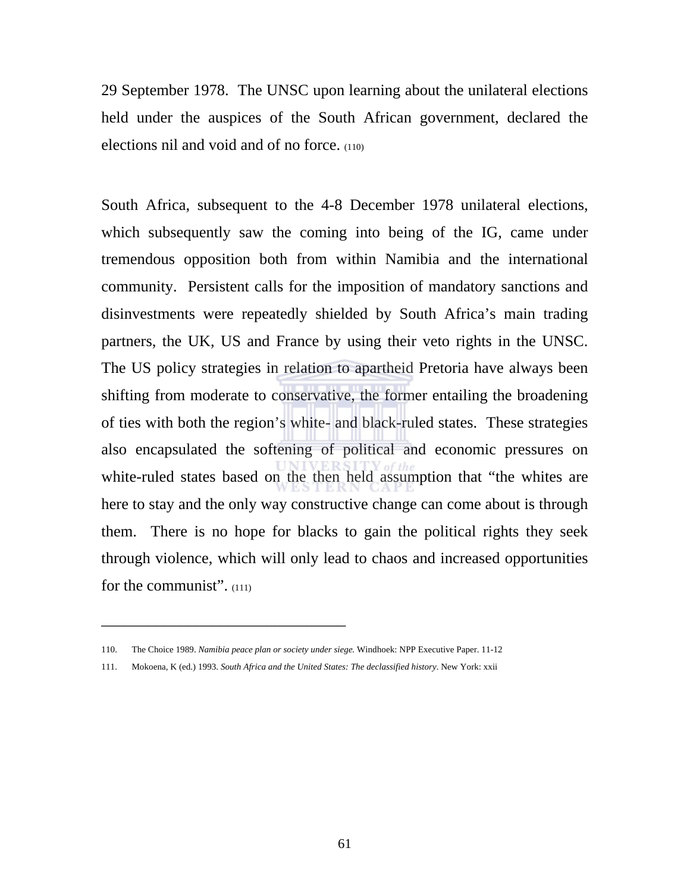29 September 1978. The UNSC upon learning about the unilateral elections held under the auspices of the South African government, declared the elections nil and void and of no force. (110)

South Africa, subsequent to the 4-8 December 1978 unilateral elections, which subsequently saw the coming into being of the IG, came under tremendous opposition both from within Namibia and the international community. Persistent calls for the imposition of mandatory sanctions and disinvestments were repeatedly shielded by South Africa's main trading partners, the UK, US and France by using their veto rights in the UNSC. The US policy strategies in relation to apartheid Pretoria have always been shifting from moderate to conservative, the former entailing the broadening of ties with both the region's white- and black-ruled states. These strategies also encapsulated the softening of political and economic pressures on white-ruled states based on the then held assumption that "the whites are here to stay and the only way constructive change can come about is through them. There is no hope for blacks to gain the political rights they seek through violence, which will only lead to chaos and increased opportunities for the communist". (111)

<sup>110.</sup> The Choice 1989. *Namibia peace plan or society under siege.* Windhoek: NPP Executive Paper. 11-12

<sup>111.</sup> Mokoena, K (ed.) 1993. *South Africa and the United States: The declassified history*. New York: xxii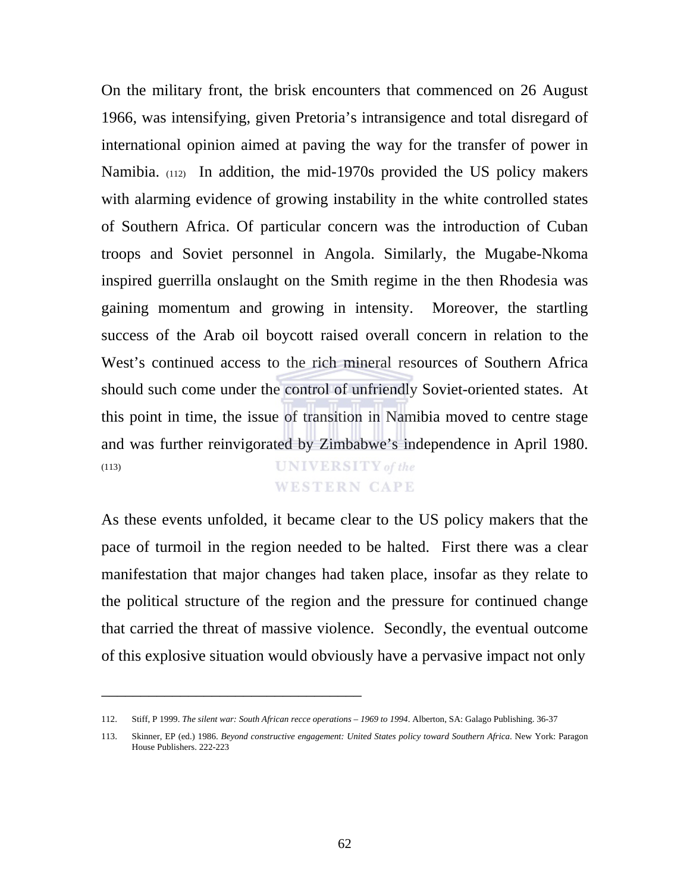On the military front, the brisk encounters that commenced on 26 August 1966, was intensifying, given Pretoria's intransigence and total disregard of international opinion aimed at paving the way for the transfer of power in Namibia. (112) In addition, the mid-1970s provided the US policy makers with alarming evidence of growing instability in the white controlled states of Southern Africa. Of particular concern was the introduction of Cuban troops and Soviet personnel in Angola. Similarly, the Mugabe-Nkoma inspired guerrilla onslaught on the Smith regime in the then Rhodesia was gaining momentum and growing in intensity. Moreover, the startling success of the Arab oil boycott raised overall concern in relation to the West's continued access to the rich mineral resources of Southern Africa should such come under the control of unfriendly Soviet-oriented states. At this point in time, the issue of transition in Namibia moved to centre stage and was further reinvigorated by Zimbabwe's independence in April 1980. **UNIVERSITY** of the (113)

## **WESTERN CAPE**

As these events unfolded, it became clear to the US policy makers that the pace of turmoil in the region needed to be halted. First there was a clear manifestation that major changes had taken place, insofar as they relate to the political structure of the region and the pressure for continued change that carried the threat of massive violence. Secondly, the eventual outcome of this explosive situation would obviously have a pervasive impact not only

<sup>112.</sup> Stiff, P 1999. *The silent war: South African recce operations – 1969 to 1994*. Alberton, SA: Galago Publishing. 36-37

<sup>113.</sup> Skinner, EP (ed.) 1986. *Beyond constructive engagement: United States policy toward Southern Africa*. New York: Paragon House Publishers. 222-223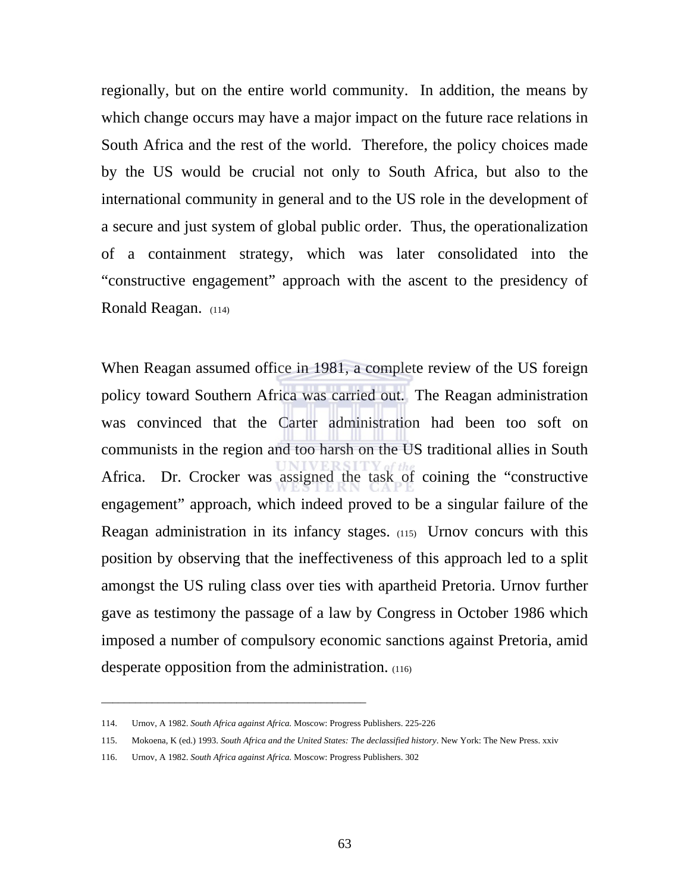regionally, but on the entire world community. In addition, the means by which change occurs may have a major impact on the future race relations in South Africa and the rest of the world. Therefore, the policy choices made by the US would be crucial not only to South Africa, but also to the international community in general and to the US role in the development of a secure and just system of global public order. Thus, the operationalization of a containment strategy, which was later consolidated into the "constructive engagement" approach with the ascent to the presidency of Ronald Reagan. (114)

When Reagan assumed office in 1981, a complete review of the US foreign policy toward Southern Africa was carried out. The Reagan administration was convinced that the Carter administration had been too soft on communists in the region and too harsh on the US traditional allies in South Africa. Dr. Crocker was assigned the task of coining the "constructive engagement" approach, which indeed proved to be a singular failure of the Reagan administration in its infancy stages. (115) Urnov concurs with this position by observing that the ineffectiveness of this approach led to a split amongst the US ruling class over ties with apartheid Pretoria. Urnov further gave as testimony the passage of a law by Congress in October 1986 which imposed a number of compulsory economic sanctions against Pretoria, amid desperate opposition from the administration. (116)

\_\_\_\_\_\_\_\_\_\_\_\_\_\_\_\_\_\_\_\_\_\_\_\_\_\_\_\_\_\_\_\_\_\_\_\_\_\_\_\_\_\_\_\_\_\_\_

<sup>114.</sup> Urnov, A 1982. *South Africa against Africa.* Moscow: Progress Publishers. 225-226

<sup>115.</sup> Mokoena, K (ed.) 1993. *South Africa and the United States: The declassified history*. New York: The New Press. xxiv

<sup>116.</sup> Urnov, A 1982. *South Africa against Africa.* Moscow: Progress Publishers. 302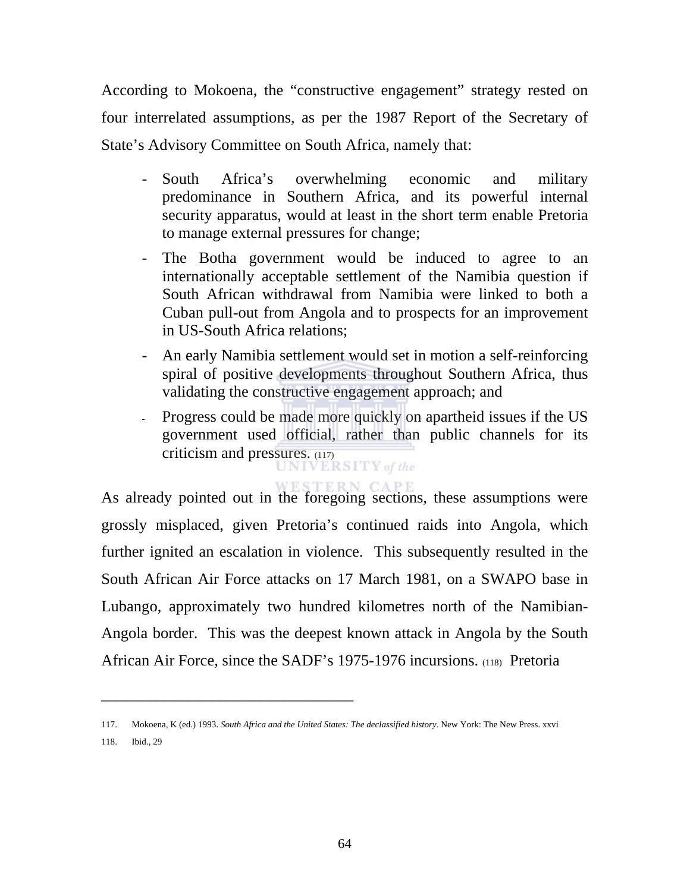According to Mokoena, the "constructive engagement" strategy rested on four interrelated assumptions, as per the 1987 Report of the Secretary of State's Advisory Committee on South Africa, namely that:

- South Africa's overwhelming economic and military predominance in Southern Africa, and its powerful internal security apparatus, would at least in the short term enable Pretoria to manage external pressures for change;
- The Botha government would be induced to agree to an internationally acceptable settlement of the Namibia question if South African withdrawal from Namibia were linked to both a Cuban pull-out from Angola and to prospects for an improvement in US-South Africa relations;
- An early Namibia settlement would set in motion a self-reinforcing spiral of positive developments throughout Southern Africa, thus validating the constructive engagement approach; and
- Progress could be made more quickly on apartheid issues if the US government used official, rather than public channels for its criticism and pressures. (117)

As already pointed out in the foregoing sections, these assumptions were grossly misplaced, given Pretoria's continued raids into Angola, which further ignited an escalation in violence. This subsequently resulted in the South African Air Force attacks on 17 March 1981, on a SWAPO base in Lubango, approximately two hundred kilometres north of the Namibian-Angola border. This was the deepest known attack in Angola by the South African Air Force, since the SADF's 1975-1976 incursions. (118) Pretoria

118. Ibid., 29

<sup>117.</sup> Mokoena, K (ed.) 1993. *South Africa and the United States: The declassified history*. New York: The New Press. xxvi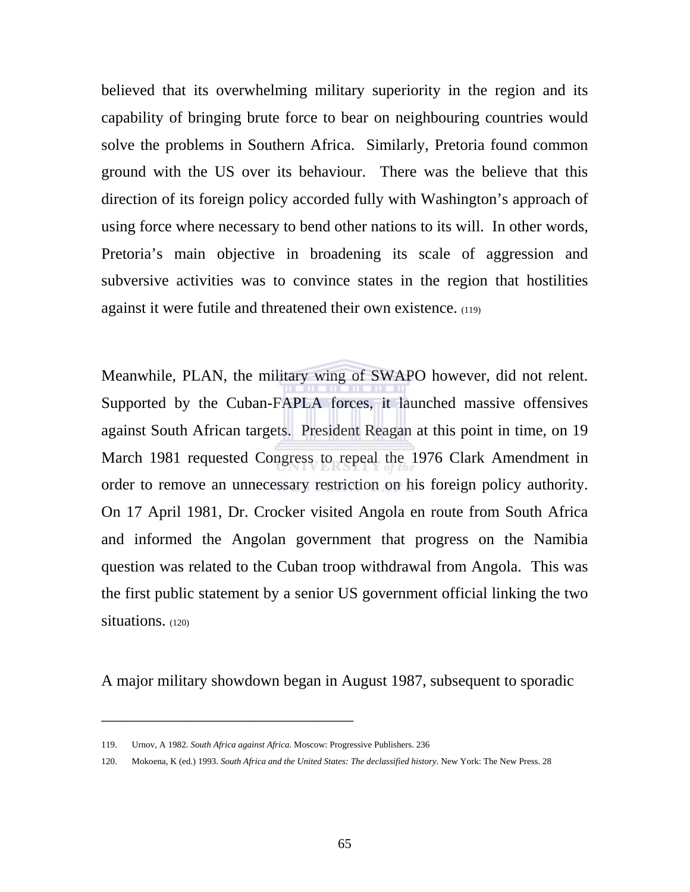believed that its overwhelming military superiority in the region and its capability of bringing brute force to bear on neighbouring countries would solve the problems in Southern Africa. Similarly, Pretoria found common ground with the US over its behaviour. There was the believe that this direction of its foreign policy accorded fully with Washington's approach of using force where necessary to bend other nations to its will. In other words, Pretoria's main objective in broadening its scale of aggression and subversive activities was to convince states in the region that hostilities against it were futile and threatened their own existence. (119)

Meanwhile, PLAN, the military wing of SWAPO however, did not relent. Supported by the Cuban-FAPLA forces, it launched massive offensives against South African targets. President Reagan at this point in time, on 19 March 1981 requested Congress to repeal the 1976 Clark Amendment in order to remove an unnecessary restriction on his foreign policy authority. On 17 April 1981, Dr. Crocker visited Angola en route from South Africa and informed the Angolan government that progress on the Namibia question was related to the Cuban troop withdrawal from Angola. This was the first public statement by a senior US government official linking the two situations. (120)

A major military showdown began in August 1987, subsequent to sporadic

<sup>119.</sup> Urnov, A 1982. *South Africa against Africa.* Moscow: Progressive Publishers. 236

<sup>120.</sup> Mokoena, K (ed.) 1993. *South Africa and the United States: The declassified history.* New York: The New Press. 28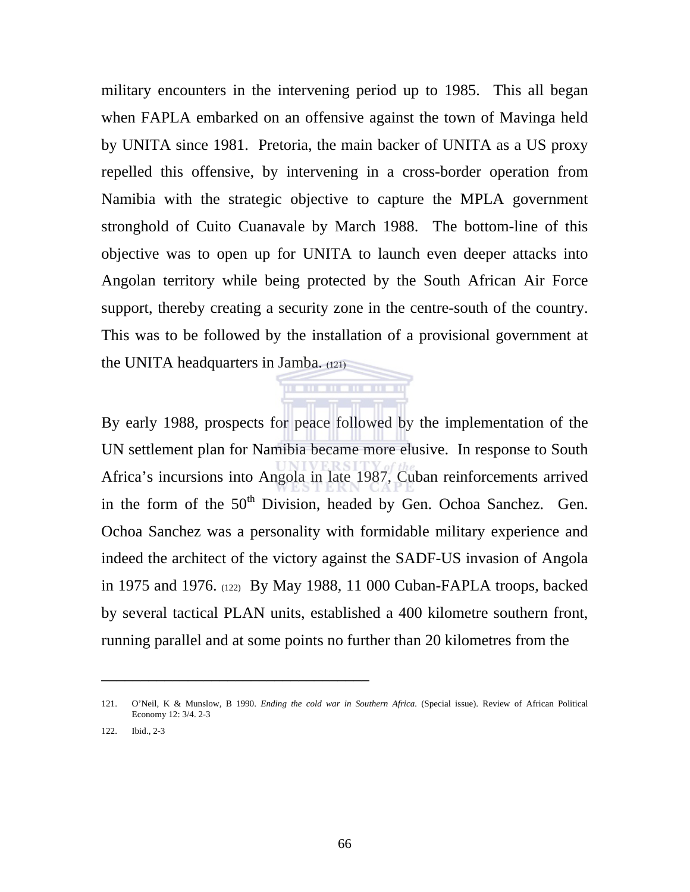military encounters in the intervening period up to 1985. This all began when FAPLA embarked on an offensive against the town of Mavinga held by UNITA since 1981. Pretoria, the main backer of UNITA as a US proxy repelled this offensive, by intervening in a cross-border operation from Namibia with the strategic objective to capture the MPLA government stronghold of Cuito Cuanavale by March 1988. The bottom-line of this objective was to open up for UNITA to launch even deeper attacks into Angolan territory while being protected by the South African Air Force support, thereby creating a security zone in the centre-south of the country. This was to be followed by the installation of a provisional government at the UNITA headquarters in Jamba. (121)

By early 1988, prospects for peace followed by the implementation of the UN settlement plan for Namibia became more elusive. In response to South Africa's incursions into Angola in late 1987, Cuban reinforcements arrived in the form of the  $50<sup>th</sup>$  Division, headed by Gen. Ochoa Sanchez. Gen. Ochoa Sanchez was a personality with formidable military experience and indeed the architect of the victory against the SADF-US invasion of Angola in 1975 and 1976. (122) By May 1988, 11 000 Cuban-FAPLA troops, backed by several tactical PLAN units, established a 400 kilometre southern front, running parallel and at some points no further than 20 kilometres from the

. . . . . . . . . . . .

<sup>121.</sup> O'Neil, K & Munslow, B 1990. *Ending the cold war in Southern Africa.* (Special issue). Review of African Political Economy 12: 3/4. 2-3

<sup>122.</sup> Ibid., 2-3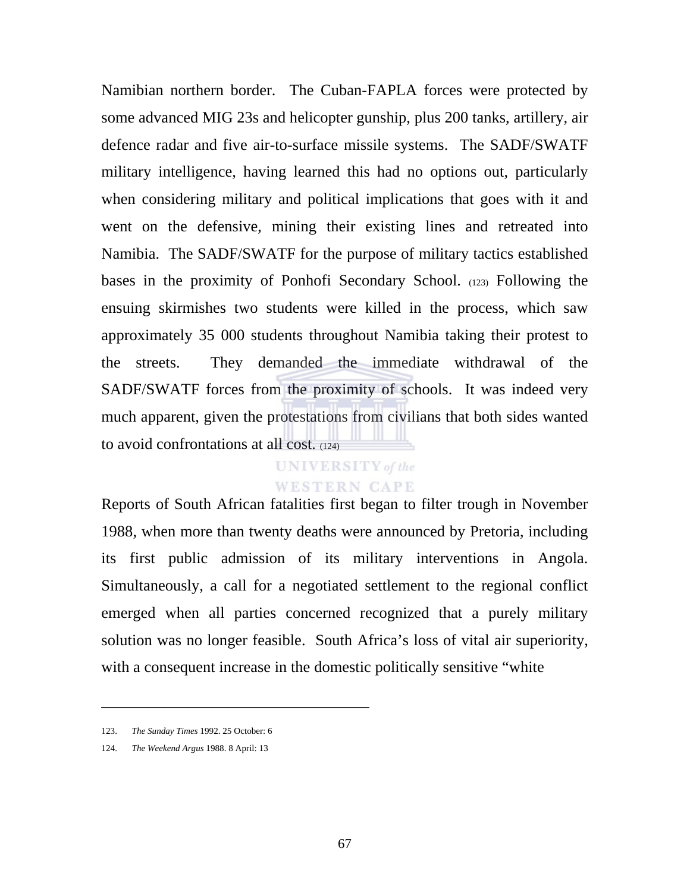Namibian northern border. The Cuban-FAPLA forces were protected by some advanced MIG 23s and helicopter gunship, plus 200 tanks, artillery, air defence radar and five air-to-surface missile systems. The SADF/SWATF military intelligence, having learned this had no options out, particularly when considering military and political implications that goes with it and went on the defensive, mining their existing lines and retreated into Namibia. The SADF/SWATF for the purpose of military tactics established bases in the proximity of Ponhofi Secondary School. (123) Following the ensuing skirmishes two students were killed in the process, which saw approximately 35 000 students throughout Namibia taking their protest to the streets. They demanded the immediate withdrawal of the SADF/SWATF forces from the proximity of schools. It was indeed very much apparent, given the protestations from civilians that both sides wanted to avoid confrontations at all cost. (124)

# **UNIVERSITY** of the **WESTERN CAPE**

Reports of South African fatalities first began to filter trough in November 1988, when more than twenty deaths were announced by Pretoria, including its first public admission of its military interventions in Angola. Simultaneously, a call for a negotiated settlement to the regional conflict emerged when all parties concerned recognized that a purely military solution was no longer feasible. South Africa's loss of vital air superiority, with a consequent increase in the domestic politically sensitive "white

\_\_\_\_\_\_\_\_\_\_\_\_\_\_\_\_\_\_\_\_\_\_\_\_\_\_\_\_\_\_\_\_\_\_

124. *The Weekend Argus* 1988. 8 April: 13

<sup>123.</sup> *The Sunday Times* 1992. 25 October: 6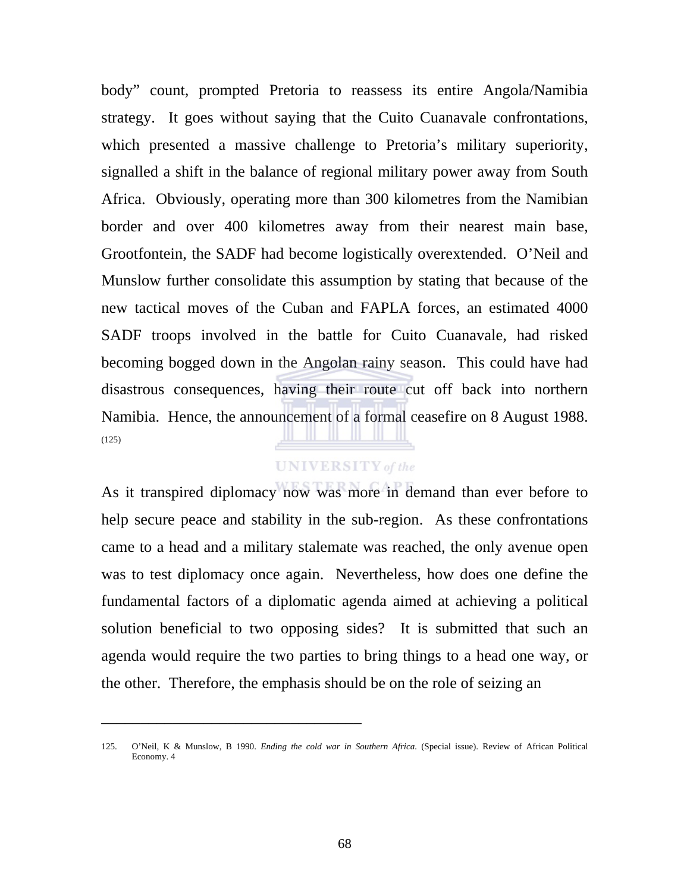body" count, prompted Pretoria to reassess its entire Angola/Namibia strategy. It goes without saying that the Cuito Cuanavale confrontations, which presented a massive challenge to Pretoria's military superiority, signalled a shift in the balance of regional military power away from South Africa. Obviously, operating more than 300 kilometres from the Namibian border and over 400 kilometres away from their nearest main base, Grootfontein, the SADF had become logistically overextended. O'Neil and Munslow further consolidate this assumption by stating that because of the new tactical moves of the Cuban and FAPLA forces, an estimated 4000 SADF troops involved in the battle for Cuito Cuanavale, had risked becoming bogged down in the Angolan rainy season. This could have had disastrous consequences, having their route cut off back into northern Namibia. Hence, the announcement of a formal ceasefire on 8 August 1988. (125)

# **UNIVERSITY** of the

As it transpired diplomacy now was more in demand than ever before to help secure peace and stability in the sub-region. As these confrontations came to a head and a military stalemate was reached, the only avenue open was to test diplomacy once again. Nevertheless, how does one define the fundamental factors of a diplomatic agenda aimed at achieving a political solution beneficial to two opposing sides? It is submitted that such an agenda would require the two parties to bring things to a head one way, or the other. Therefore, the emphasis should be on the role of seizing an

<sup>125.</sup> O'Neil, K & Munslow, B 1990. *Ending the cold war in Southern Africa.* (Special issue). Review of African Political Economy. 4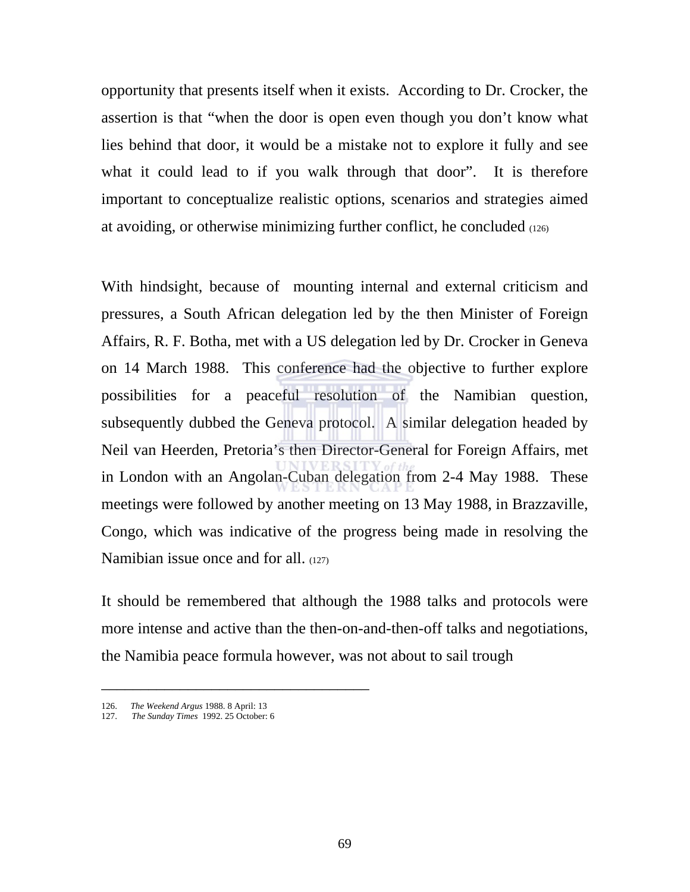opportunity that presents itself when it exists. According to Dr. Crocker, the assertion is that "when the door is open even though you don't know what lies behind that door, it would be a mistake not to explore it fully and see what it could lead to if you walk through that door". It is therefore important to conceptualize realistic options, scenarios and strategies aimed at avoiding, or otherwise minimizing further conflict, he concluded (126)

With hindsight, because of mounting internal and external criticism and pressures, a South African delegation led by the then Minister of Foreign Affairs, R. F. Botha, met with a US delegation led by Dr. Crocker in Geneva on 14 March 1988. This conference had the objective to further explore possibilities for a peaceful resolution of the Namibian question, subsequently dubbed the Geneva protocol. A similar delegation headed by Neil van Heerden, Pretoria's then Director-General for Foreign Affairs, met in London with an Angolan-Cuban delegation from 2-4 May 1988. These meetings were followed by another meeting on 13 May 1988, in Brazzaville, Congo, which was indicative of the progress being made in resolving the Namibian issue once and for all. (127)

It should be remembered that although the 1988 talks and protocols were more intense and active than the then-on-and-then-off talks and negotiations, the Namibia peace formula however, was not about to sail trough

<sup>126.</sup> *The Weekend Argus* 1988. 8 April: 13

<sup>127.</sup> *The Sunday Times* 1992. 25 October: 6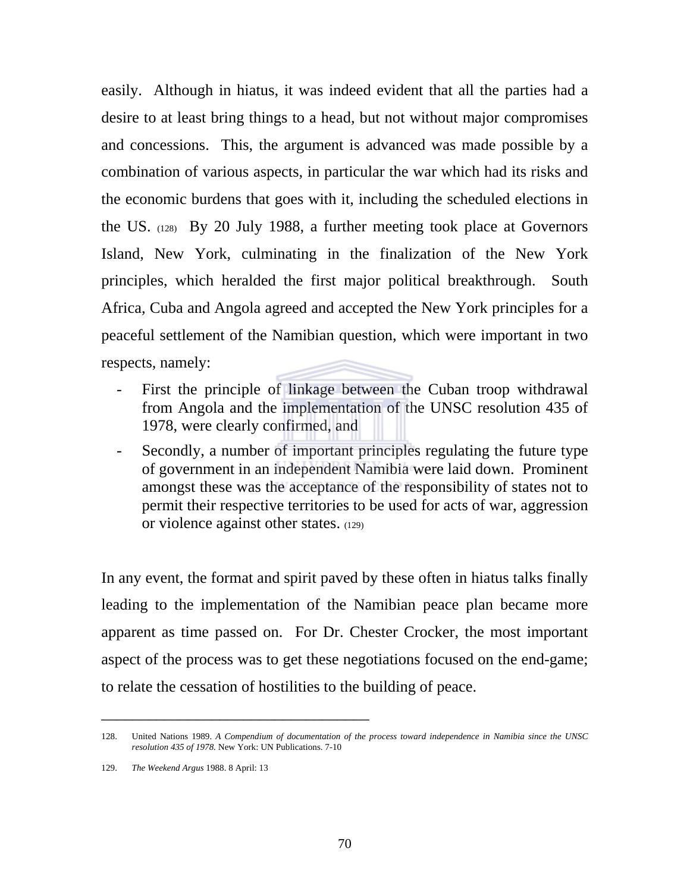easily. Although in hiatus, it was indeed evident that all the parties had a desire to at least bring things to a head, but not without major compromises and concessions. This, the argument is advanced was made possible by a combination of various aspects, in particular the war which had its risks and the economic burdens that goes with it, including the scheduled elections in the US. (128) By 20 July 1988, a further meeting took place at Governors Island, New York, culminating in the finalization of the New York principles, which heralded the first major political breakthrough. South Africa, Cuba and Angola agreed and accepted the New York principles for a peaceful settlement of the Namibian question, which were important in two respects, namely:

- First the principle of linkage between the Cuban troop withdrawal from Angola and the implementation of the UNSC resolution 435 of 1978, were clearly confirmed, and
- Secondly, a number of important principles regulating the future type of government in an independent Namibia were laid down. Prominent amongst these was the acceptance of the responsibility of states not to permit their respective territories to be used for acts of war, aggression or violence against other states. (129)

In any event, the format and spirit paved by these often in hiatus talks finally leading to the implementation of the Namibian peace plan became more apparent as time passed on. For Dr. Chester Crocker, the most important aspect of the process was to get these negotiations focused on the end-game; to relate the cessation of hostilities to the building of peace.

<sup>128.</sup> United Nations 1989. *A Compendium of documentation of the process toward independence in Namibia since the UNSC resolution 435 of 1978.* New York: UN Publications. 7-10

<sup>129.</sup> *The Weekend Argus* 1988. 8 April: 13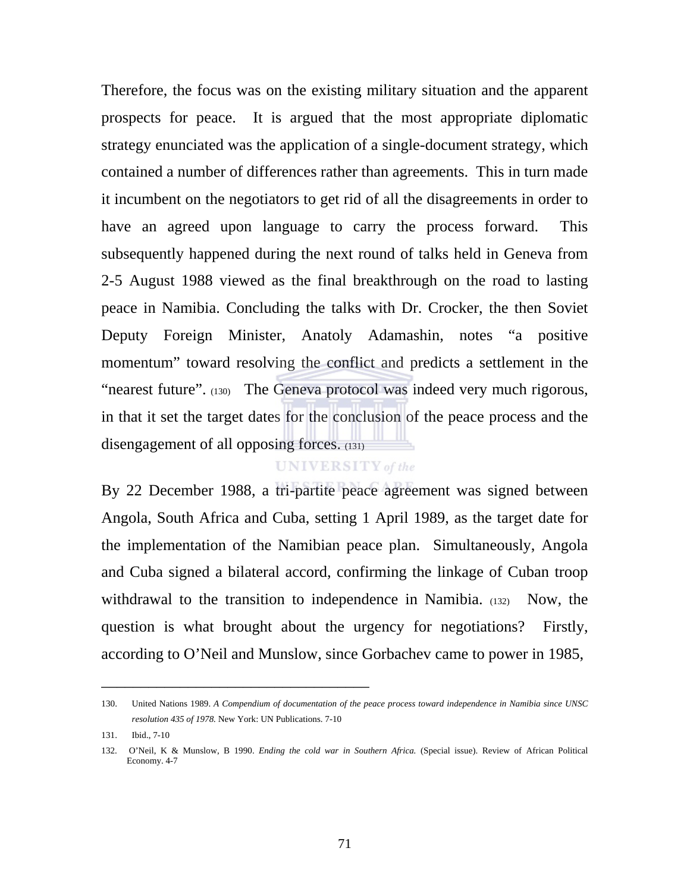Therefore, the focus was on the existing military situation and the apparent prospects for peace. It is argued that the most appropriate diplomatic strategy enunciated was the application of a single-document strategy, which contained a number of differences rather than agreements. This in turn made it incumbent on the negotiators to get rid of all the disagreements in order to have an agreed upon language to carry the process forward. This subsequently happened during the next round of talks held in Geneva from 2-5 August 1988 viewed as the final breakthrough on the road to lasting peace in Namibia. Concluding the talks with Dr. Crocker, the then Soviet Deputy Foreign Minister, Anatoly Adamashin, notes "a positive momentum" toward resolving the conflict and predicts a settlement in the "nearest future". (130) The Geneva protocol was indeed very much rigorous, in that it set the target dates for the conclusion of the peace process and the disengagement of all opposing forces. (131)

## **UNIVERSITY** of the

By 22 December 1988, a tri-partite peace agreement was signed between Angola, South Africa and Cuba, setting 1 April 1989, as the target date for the implementation of the Namibian peace plan. Simultaneously, Angola and Cuba signed a bilateral accord, confirming the linkage of Cuban troop withdrawal to the transition to independence in Namibia. (132) Now, the question is what brought about the urgency for negotiations? Firstly, according to O'Neil and Munslow, since Gorbachev came to power in 1985,

<sup>130.</sup> United Nations 1989. *A Compendium of documentation of the peace process toward independence in Namibia since UNSC resolution 435 of 1978.* New York: UN Publications. 7-10

<sup>131.</sup> Ibid., 7-10

<sup>132.</sup> O'Neil, K & Munslow, B 1990. *Ending the cold war in Southern Africa.* (Special issue). Review of African Political Economy. 4-7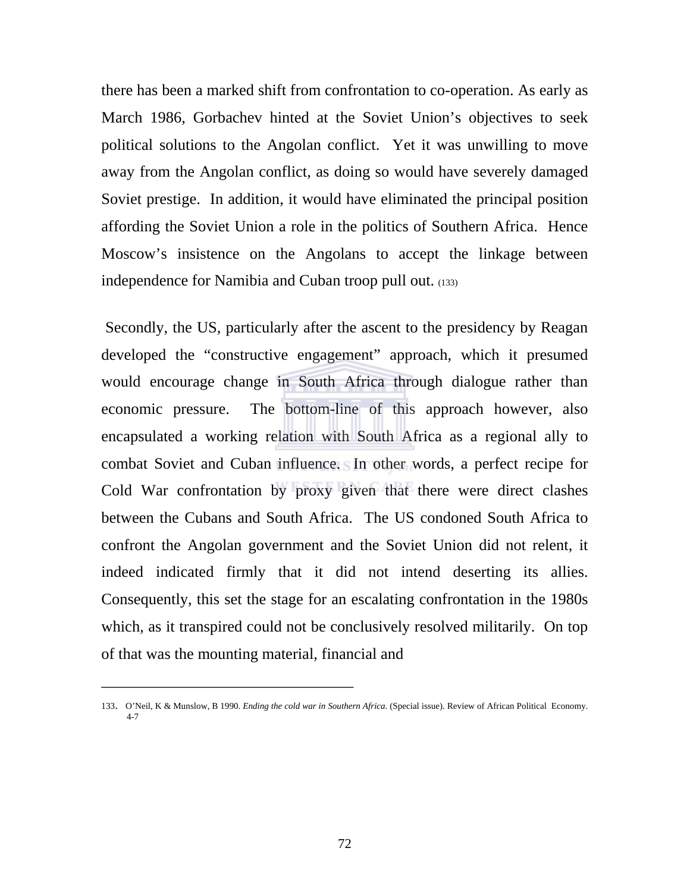there has been a marked shift from confrontation to co-operation. As early as March 1986, Gorbachev hinted at the Soviet Union's objectives to seek political solutions to the Angolan conflict. Yet it was unwilling to move away from the Angolan conflict, as doing so would have severely damaged Soviet prestige. In addition, it would have eliminated the principal position affording the Soviet Union a role in the politics of Southern Africa. Hence Moscow's insistence on the Angolans to accept the linkage between independence for Namibia and Cuban troop pull out. (133)

 Secondly, the US, particularly after the ascent to the presidency by Reagan developed the "constructive engagement" approach, which it presumed would encourage change in South Africa through dialogue rather than economic pressure. The bottom-line of this approach however, also encapsulated a working relation with South Africa as a regional ally to combat Soviet and Cuban influence. In other words, a perfect recipe for Cold War confrontation by proxy given that there were direct clashes between the Cubans and South Africa. The US condoned South Africa to confront the Angolan government and the Soviet Union did not relent, it indeed indicated firmly that it did not intend deserting its allies. Consequently, this set the stage for an escalating confrontation in the 1980s which, as it transpired could not be conclusively resolved militarily. On top of that was the mounting material, financial and

<sup>133.</sup> O'Neil, K & Munslow, B 1990. *Ending the cold war in Southern Africa.* (Special issue). Review of African Political Economy. 4-7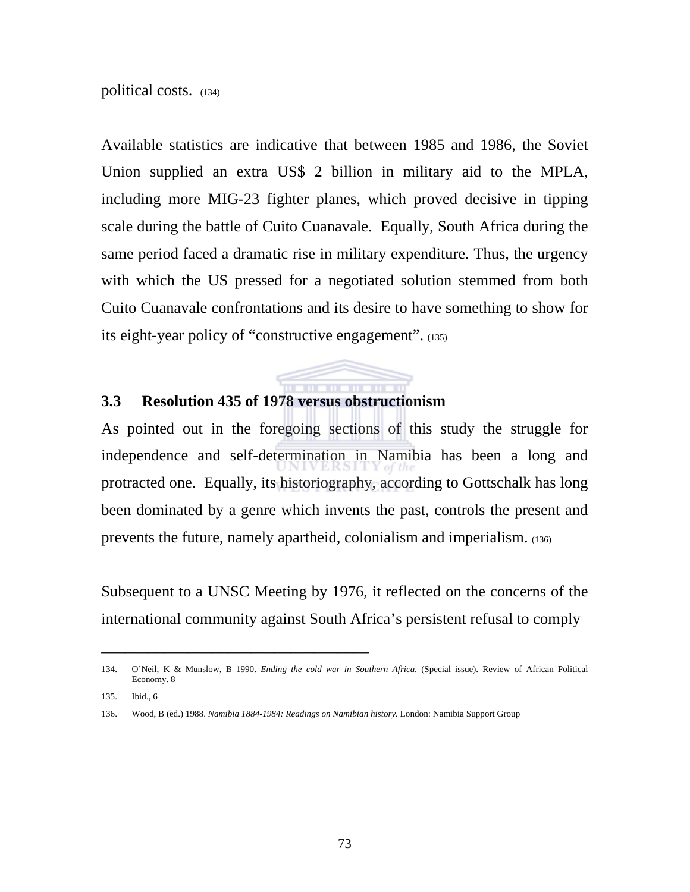#### political costs. (134)

Available statistics are indicative that between 1985 and 1986, the Soviet Union supplied an extra US\$ 2 billion in military aid to the MPLA, including more MIG-23 fighter planes, which proved decisive in tipping scale during the battle of Cuito Cuanavale. Equally, South Africa during the same period faced a dramatic rise in military expenditure. Thus, the urgency with which the US pressed for a negotiated solution stemmed from both Cuito Cuanavale confrontations and its desire to have something to show for its eight-year policy of "constructive engagement". (135)

## **3.3 Resolution 435 of 1978 versus obstructionism**

\_\_\_\_\_\_\_\_\_\_\_\_\_\_\_\_\_\_\_\_\_\_\_\_\_\_\_\_\_\_\_\_\_\_

As pointed out in the foregoing sections of this study the struggle for independence and self-determination in Namibia has been a long and protracted one. Equally, its historiography, according to Gottschalk has long been dominated by a genre which invents the past, controls the present and prevents the future, namely apartheid, colonialism and imperialism. (136)

**THE REPORT** 

Subsequent to a UNSC Meeting by 1976, it reflected on the concerns of the international community against South Africa's persistent refusal to comply

<sup>134.</sup> O'Neil, K & Munslow, B 1990. *Ending the cold war in Southern Africa.* (Special issue). Review of African Political Economy. 8

<sup>135.</sup> Ibid., 6

<sup>136.</sup> Wood, B (ed.) 1988. *Namibia 1884-1984: Readings on Namibian history.* London: Namibia Support Group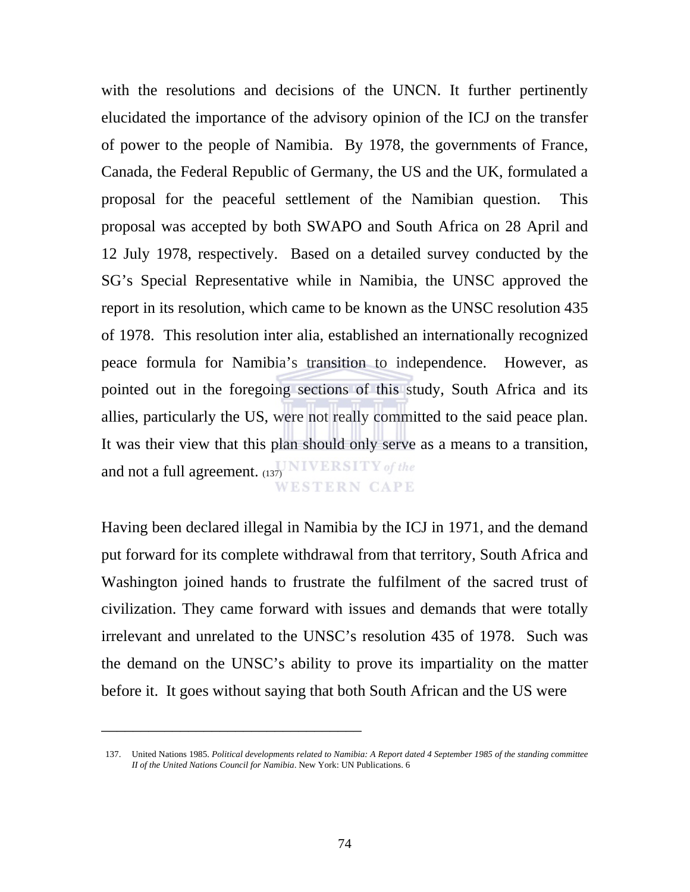with the resolutions and decisions of the UNCN. It further pertinently elucidated the importance of the advisory opinion of the ICJ on the transfer of power to the people of Namibia. By 1978, the governments of France, Canada, the Federal Republic of Germany, the US and the UK, formulated a proposal for the peaceful settlement of the Namibian question. This proposal was accepted by both SWAPO and South Africa on 28 April and 12 July 1978, respectively. Based on a detailed survey conducted by the SG's Special Representative while in Namibia, the UNSC approved the report in its resolution, which came to be known as the UNSC resolution 435 of 1978. This resolution inter alia, established an internationally recognized peace formula for Namibia's transition to independence. However, as pointed out in the foregoing sections of this study, South Africa and its allies, particularly the US, were not really committed to the said peace plan. It was their view that this plan should only serve as a means to a transition, and not a full agreement.  $(137)$  NIVERSITY of the WESTERN CAPE

Having been declared illegal in Namibia by the ICJ in 1971, and the demand put forward for its complete withdrawal from that territory, South Africa and Washington joined hands to frustrate the fulfilment of the sacred trust of civilization. They came forward with issues and demands that were totally irrelevant and unrelated to the UNSC's resolution 435 of 1978. Such was the demand on the UNSC's ability to prove its impartiality on the matter before it. It goes without saying that both South African and the US were

<sup>137.</sup> United Nations 1985. *Political developments related to Namibia: A Report dated 4 September 1985 of the standing committee II of the United Nations Council for Namibia*. New York: UN Publications. 6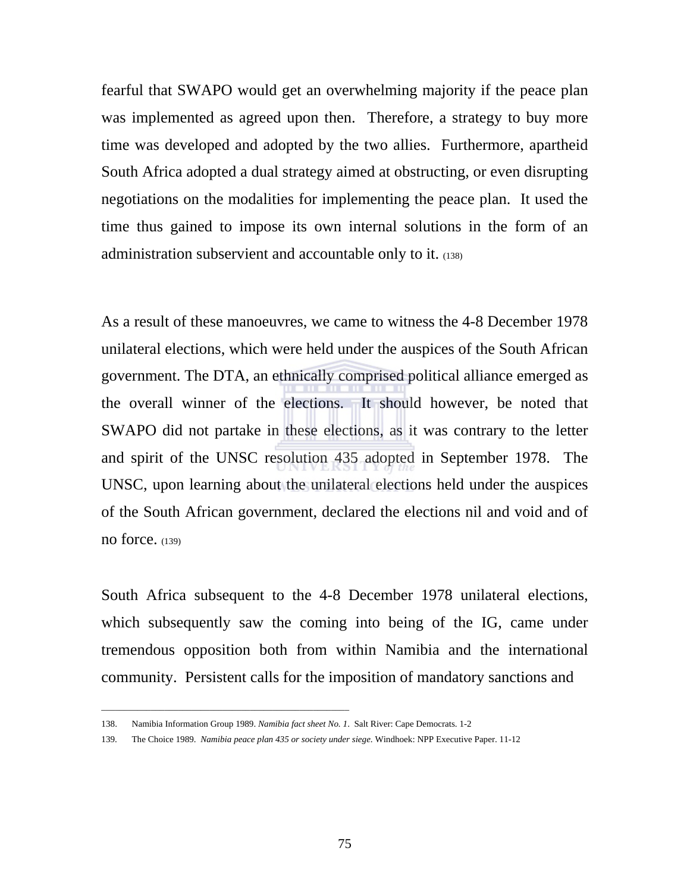fearful that SWAPO would get an overwhelming majority if the peace plan was implemented as agreed upon then. Therefore, a strategy to buy more time was developed and adopted by the two allies. Furthermore, apartheid South Africa adopted a dual strategy aimed at obstructing, or even disrupting negotiations on the modalities for implementing the peace plan. It used the time thus gained to impose its own internal solutions in the form of an administration subservient and accountable only to it. (138)

As a result of these manoeuvres, we came to witness the 4-8 December 1978 unilateral elections, which were held under the auspices of the South African government. The DTA, an ethnically comprised political alliance emerged as the overall winner of the elections. It should however, be noted that SWAPO did not partake in these elections, as it was contrary to the letter and spirit of the UNSC resolution 435 adopted in September 1978. The UNSC, upon learning about the unilateral elections held under the auspices of the South African government, declared the elections nil and void and of no force. (139)

South Africa subsequent to the 4-8 December 1978 unilateral elections, which subsequently saw the coming into being of the IG, came under tremendous opposition both from within Namibia and the international community. Persistent calls for the imposition of mandatory sanctions and

\_\_\_\_\_\_\_\_\_\_\_\_\_\_\_\_\_\_\_\_\_\_\_\_\_\_\_\_\_\_\_\_\_\_\_\_\_\_\_\_\_\_\_\_\_\_\_\_\_\_\_\_\_\_\_

<sup>138.</sup> Namibia Information Group 1989. *Namibia fact sheet No. 1*. Salt River: Cape Democrats. 1-2

<sup>139.</sup> The Choice 1989. *Namibia peace plan 435 or society under siege*. Windhoek: NPP Executive Paper. 11-12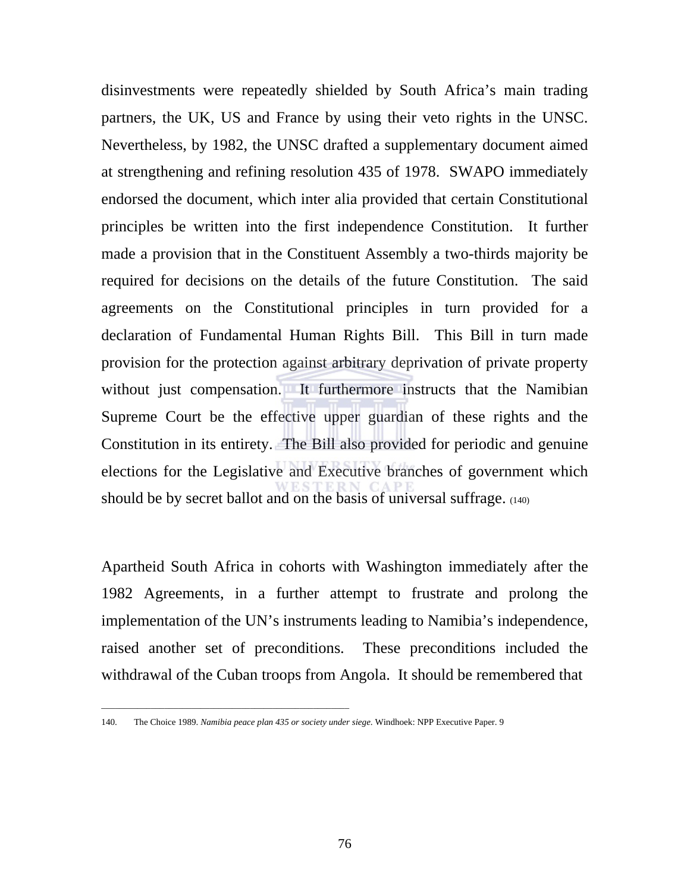disinvestments were repeatedly shielded by South Africa's main trading partners, the UK, US and France by using their veto rights in the UNSC. Nevertheless, by 1982, the UNSC drafted a supplementary document aimed at strengthening and refining resolution 435 of 1978. SWAPO immediately endorsed the document, which inter alia provided that certain Constitutional principles be written into the first independence Constitution. It further made a provision that in the Constituent Assembly a two-thirds majority be required for decisions on the details of the future Constitution. The said agreements on the Constitutional principles in turn provided for a declaration of Fundamental Human Rights Bill. This Bill in turn made provision for the protection against arbitrary deprivation of private property without just compensation. It furthermore instructs that the Namibian Supreme Court be the effective upper guardian of these rights and the Constitution in its entirety. The Bill also provided for periodic and genuine elections for the Legislative and Executive branches of government which should be by secret ballot and on the basis of universal suffrage. (140)

Apartheid South Africa in cohorts with Washington immediately after the 1982 Agreements, in a further attempt to frustrate and prolong the implementation of the UN's instruments leading to Namibia's independence, raised another set of preconditions. These preconditions included the withdrawal of the Cuban troops from Angola. It should be remembered that

\_\_\_\_\_\_\_\_\_\_\_\_\_\_\_\_\_\_\_\_\_\_\_\_\_\_\_\_\_\_\_\_\_\_\_\_\_\_\_\_\_\_\_\_\_\_\_\_\_\_\_\_\_\_\_

<sup>140.</sup> The Choice 1989. *Namibia peace plan 435 or society under siege*. Windhoek: NPP Executive Paper. 9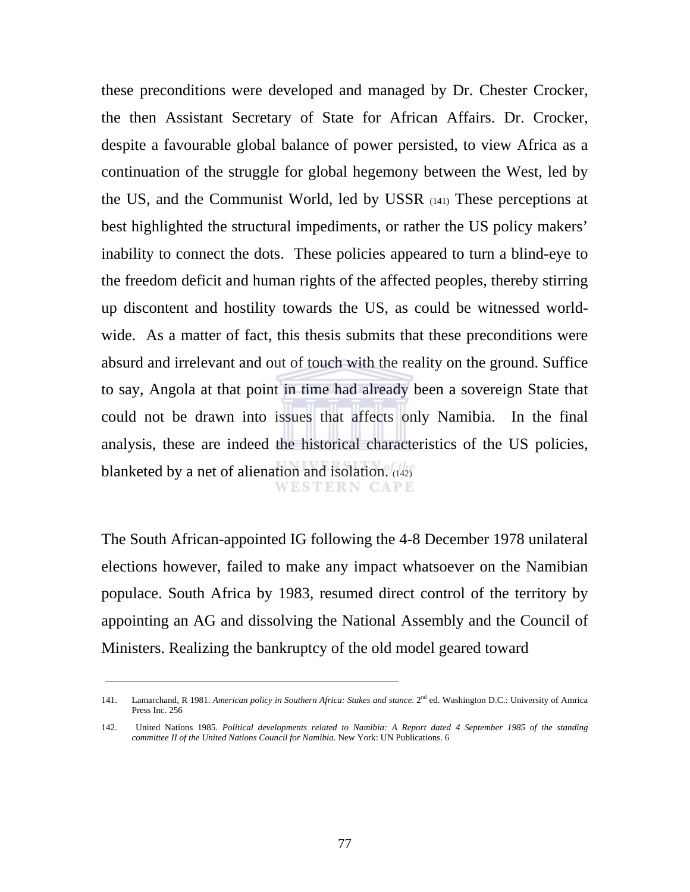these preconditions were developed and managed by Dr. Chester Crocker, the then Assistant Secretary of State for African Affairs. Dr. Crocker, despite a favourable global balance of power persisted, to view Africa as a continuation of the struggle for global hegemony between the West, led by the US, and the Communist World, led by USSR (141) These perceptions at best highlighted the structural impediments, or rather the US policy makers' inability to connect the dots. These policies appeared to turn a blind-eye to the freedom deficit and human rights of the affected peoples, thereby stirring up discontent and hostility towards the US, as could be witnessed worldwide. As a matter of fact, this thesis submits that these preconditions were absurd and irrelevant and out of touch with the reality on the ground. Suffice to say, Angola at that point in time had already been a sovereign State that could not be drawn into issues that affects only Namibia. In the final analysis, these are indeed the historical characteristics of the US policies, blanketed by a net of alienation and isolation. (142) WESTERN CAPE

The South African-appointed IG following the 4-8 December 1978 unilateral elections however, failed to make any impact whatsoever on the Namibian populace. South Africa by 1983, resumed direct control of the territory by appointing an AG and dissolving the National Assembly and the Council of Ministers. Realizing the bankruptcy of the old model geared toward

\_\_\_\_\_\_\_\_\_\_\_\_\_\_\_\_\_\_\_\_\_\_\_\_\_\_\_\_\_\_\_\_\_\_\_\_\_\_\_\_\_\_\_\_\_\_\_\_\_\_\_\_\_\_\_\_\_\_\_\_\_\_\_\_\_

<sup>141.</sup> Lamarchand, R 1981. *American policy in Southern Africa: Stakes and stance*. 2nd ed. Washington D.C.: University of Amrica Press Inc. 256

<sup>142.</sup> United Nations 1985. *Political developments related to Namibia: A Report dated 4 September 1985 of the standing committee II of the United Nations Council for Namibia*. New York: UN Publications. 6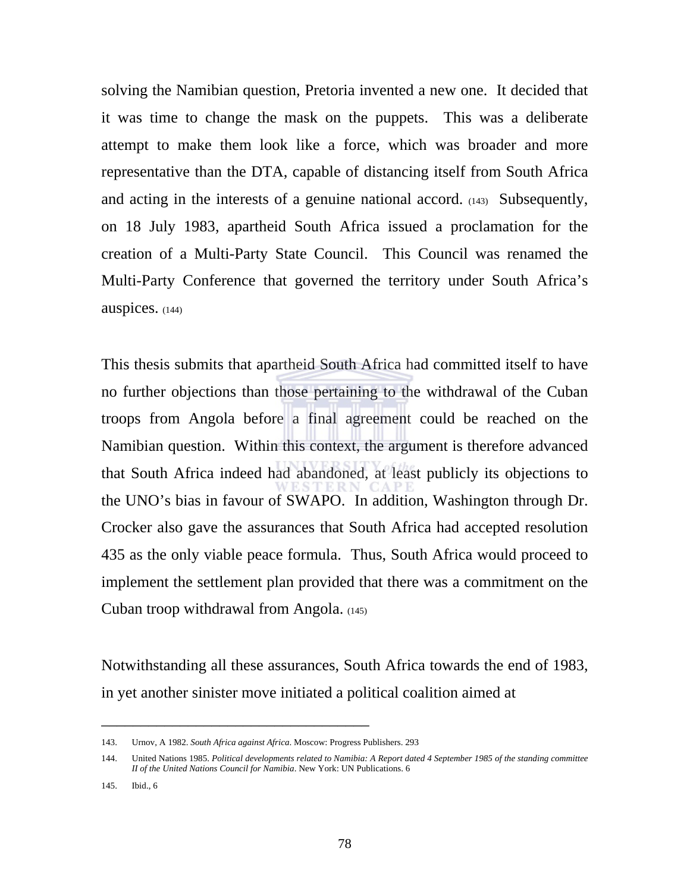solving the Namibian question, Pretoria invented a new one. It decided that it was time to change the mask on the puppets. This was a deliberate attempt to make them look like a force, which was broader and more representative than the DTA, capable of distancing itself from South Africa and acting in the interests of a genuine national accord. (143) Subsequently, on 18 July 1983, apartheid South Africa issued a proclamation for the creation of a Multi-Party State Council. This Council was renamed the Multi-Party Conference that governed the territory under South Africa's auspices. (144)

This thesis submits that apartheid South Africa had committed itself to have no further objections than those pertaining to the withdrawal of the Cuban troops from Angola before a final agreement could be reached on the Namibian question. Within this context, the argument is therefore advanced that South Africa indeed had abandoned, at least publicly its objections to the UNO's bias in favour of SWAPO. In addition, Washington through Dr. Crocker also gave the assurances that South Africa had accepted resolution 435 as the only viable peace formula. Thus, South Africa would proceed to implement the settlement plan provided that there was a commitment on the Cuban troop withdrawal from Angola. (145)

Notwithstanding all these assurances, South Africa towards the end of 1983, in yet another sinister move initiated a political coalition aimed at

<sup>143.</sup> Urnov, A 1982. *South Africa against Africa*. Moscow: Progress Publishers. 293

<sup>144.</sup> United Nations 1985. *Political developments related to Namibia: A Report dated 4 September 1985 of the standing committee II of the United Nations Council for Namibia*. New York: UN Publications. 6

<sup>145.</sup> Ibid., 6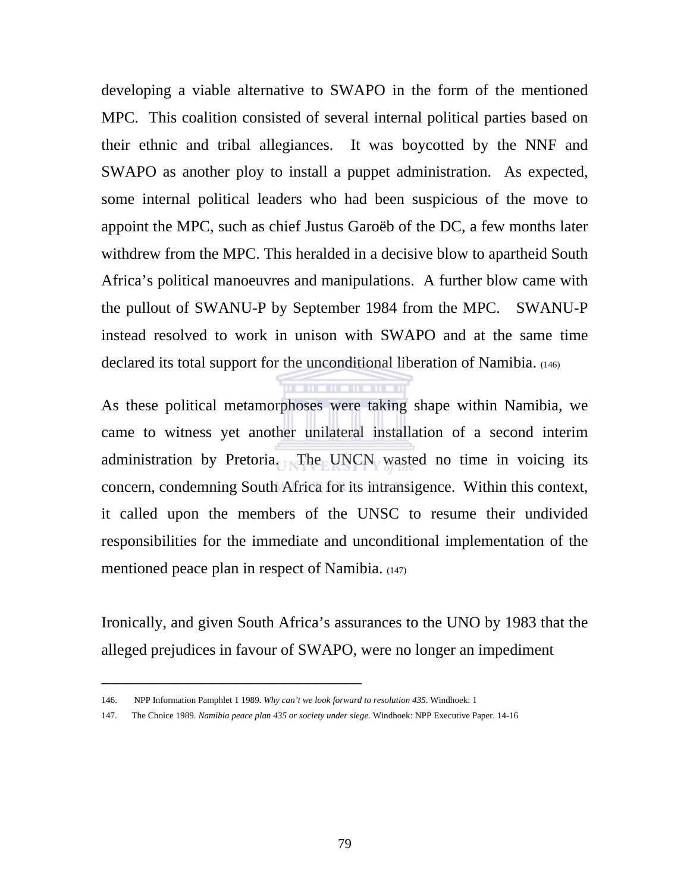developing a viable alternative to SWAPO in the form of the mentioned MPC. This coalition consisted of several internal political parties based on their ethnic and tribal allegiances. It was boycotted by the NNF and SWAPO as another ploy to install a puppet administration. As expected, some internal political leaders who had been suspicious of the move to appoint the MPC, such as chief Justus Garoëb of the DC, a few months later withdrew from the MPC. This heralded in a decisive blow to apartheid South Africa's political manoeuvres and manipulations. A further blow came with the pullout of SWANU-P by September 1984 from the MPC. SWANU-P instead resolved to work in unison with SWAPO and at the same time declared its total support for the unconditional liberation of Namibia. (146)

As these political metamorphoses were taking shape within Namibia, we came to witness yet another unilateral installation of a second interim administration by Pretoria. The UNCN wasted no time in voicing its concern, condemning South Africa for its intransigence. Within this context, it called upon the members of the UNSC to resume their undivided responsibilities for the immediate and unconditional implementation of the mentioned peace plan in respect of Namibia. (147)

Ironically, and given South Africa's assurances to the UNO by 1983 that the alleged prejudices in favour of SWAPO, were no longer an impediment

<sup>146.</sup> NPP Information Pamphlet 1 1989. *Why can't we look forward to resolution 435*. Windhoek: 1

<sup>147.</sup> The Choice 1989. *Namibia peace plan 435 or society under siege*. Windhoek: NPP Executive Paper. 14-16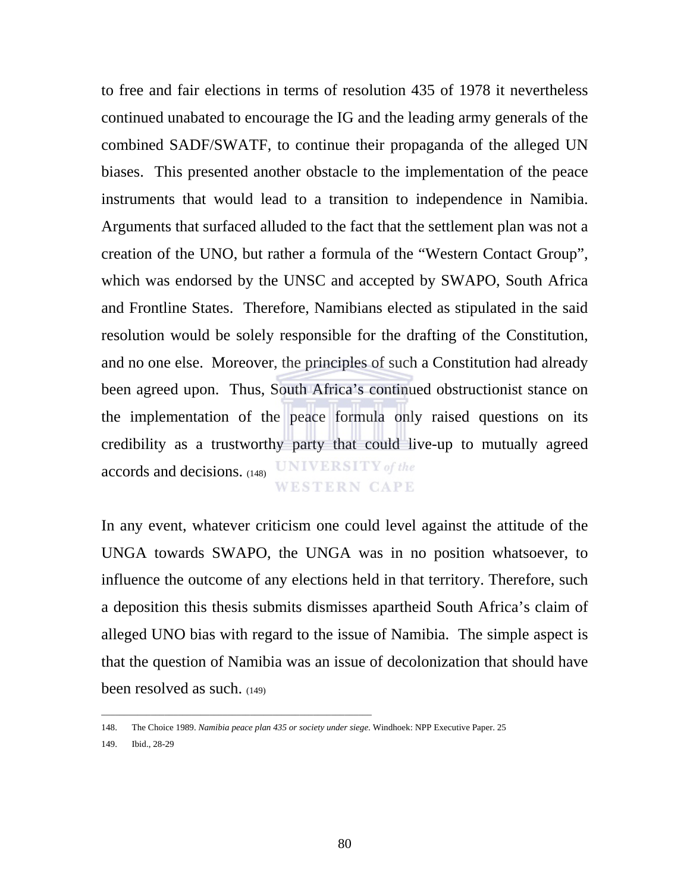to free and fair elections in terms of resolution 435 of 1978 it nevertheless continued unabated to encourage the IG and the leading army generals of the combined SADF/SWATF, to continue their propaganda of the alleged UN biases. This presented another obstacle to the implementation of the peace instruments that would lead to a transition to independence in Namibia. Arguments that surfaced alluded to the fact that the settlement plan was not a creation of the UNO, but rather a formula of the "Western Contact Group", which was endorsed by the UNSC and accepted by SWAPO, South Africa and Frontline States. Therefore, Namibians elected as stipulated in the said resolution would be solely responsible for the drafting of the Constitution, and no one else. Moreover, the principles of such a Constitution had already been agreed upon. Thus, South Africa's continued obstructionist stance on the implementation of the peace formula only raised questions on its credibility as a trustworthy party that could live-up to mutually agreed accords and decisions. (148) UNIVERSITY of the **WESTERN CAPE** 

In any event, whatever criticism one could level against the attitude of the UNGA towards SWAPO, the UNGA was in no position whatsoever, to influence the outcome of any elections held in that territory. Therefore, such a deposition this thesis submits dismisses apartheid South Africa's claim of alleged UNO bias with regard to the issue of Namibia. The simple aspect is that the question of Namibia was an issue of decolonization that should have been resolved as such. (149)

\_\_\_\_\_\_\_\_\_\_\_\_\_\_\_\_\_\_\_\_\_\_\_\_\_\_\_\_\_\_\_\_\_\_\_\_\_\_\_\_\_\_\_\_\_\_\_\_\_\_\_\_\_\_\_\_\_\_\_\_

<sup>148.</sup> The Choice 1989. *Namibia peace plan 435 or society under siege*. Windhoek: NPP Executive Paper. 25

<sup>149.</sup> Ibid., 28-29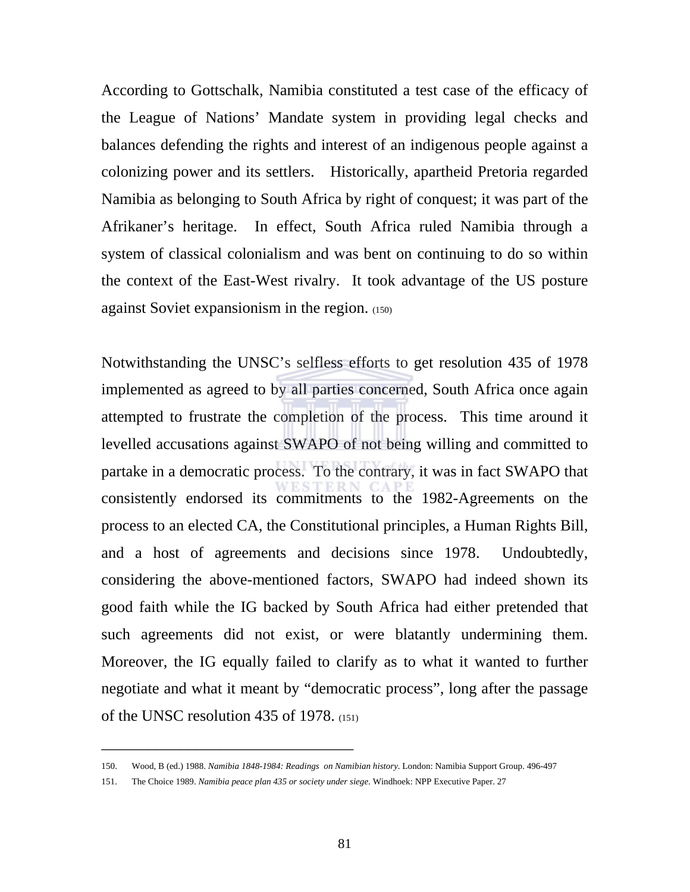According to Gottschalk, Namibia constituted a test case of the efficacy of the League of Nations' Mandate system in providing legal checks and balances defending the rights and interest of an indigenous people against a colonizing power and its settlers. Historically, apartheid Pretoria regarded Namibia as belonging to South Africa by right of conquest; it was part of the Afrikaner's heritage. In effect, South Africa ruled Namibia through a system of classical colonialism and was bent on continuing to do so within the context of the East-West rivalry. It took advantage of the US posture against Soviet expansionism in the region. (150)

Notwithstanding the UNSC's selfless efforts to get resolution 435 of 1978 implemented as agreed to by all parties concerned, South Africa once again attempted to frustrate the completion of the process. This time around it levelled accusations against SWAPO of not being willing and committed to partake in a democratic process. To the contrary, it was in fact SWAPO that consistently endorsed its commitments to the 1982-Agreements on the process to an elected CA, the Constitutional principles, a Human Rights Bill, and a host of agreements and decisions since 1978. Undoubtedly, considering the above-mentioned factors, SWAPO had indeed shown its good faith while the IG backed by South Africa had either pretended that such agreements did not exist, or were blatantly undermining them. Moreover, the IG equally failed to clarify as to what it wanted to further negotiate and what it meant by "democratic process", long after the passage of the UNSC resolution 435 of 1978. (151)

<sup>150.</sup> Wood, B (ed.) 1988. *Namibia 1848-1984: Readings on Namibian history*. London: Namibia Support Group. 496-497

<sup>151.</sup> The Choice 1989. *Namibia peace plan 435 or society under siege*. Windhoek: NPP Executive Paper. 27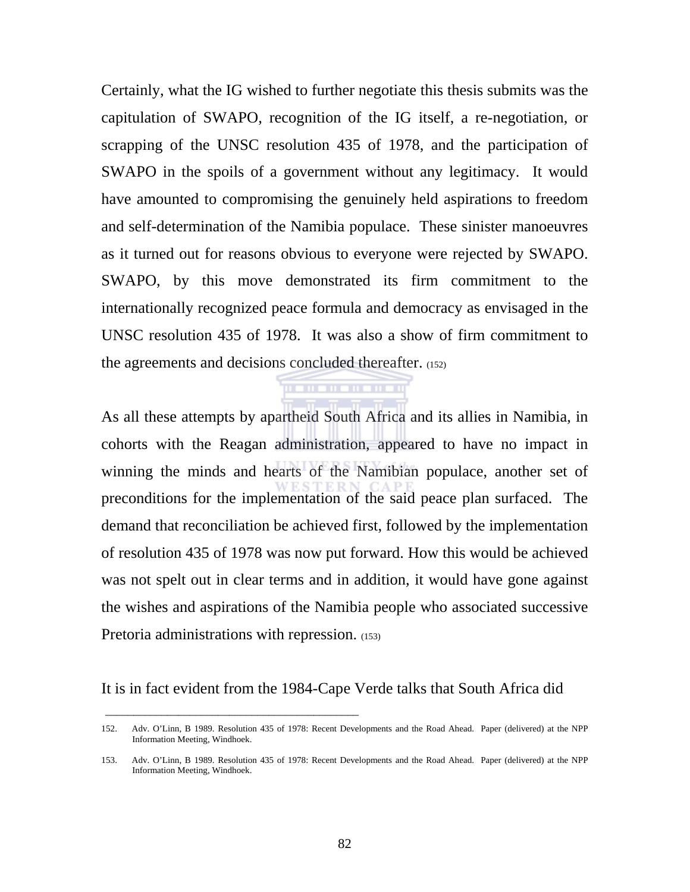Certainly, what the IG wished to further negotiate this thesis submits was the capitulation of SWAPO, recognition of the IG itself, a re-negotiation, or scrapping of the UNSC resolution 435 of 1978, and the participation of SWAPO in the spoils of a government without any legitimacy. It would have amounted to compromising the genuinely held aspirations to freedom and self-determination of the Namibia populace. These sinister manoeuvres as it turned out for reasons obvious to everyone were rejected by SWAPO. SWAPO, by this move demonstrated its firm commitment to the internationally recognized peace formula and democracy as envisaged in the UNSC resolution 435 of 1978. It was also a show of firm commitment to the agreements and decisions concluded thereafter. (152)

As all these attempts by apartheid South Africa and its allies in Namibia, in cohorts with the Reagan administration, appeared to have no impact in winning the minds and hearts of the Namibian populace, another set of preconditions for the implementation of the said peace plan surfaced. The demand that reconciliation be achieved first, followed by the implementation of resolution 435 of 1978 was now put forward. How this would be achieved was not spelt out in clear terms and in addition, it would have gone against the wishes and aspirations of the Namibia people who associated successive Pretoria administrations with repression. (153)

 $\mathbf{H}$  . The state

It is in fact evident from the 1984-Cape Verde talks that South Africa did

\_\_\_\_\_\_\_\_\_\_\_\_\_\_\_\_\_\_\_\_\_\_\_\_\_\_\_\_\_\_\_\_\_\_\_\_\_\_\_\_\_\_\_\_\_

<sup>152.</sup> Adv. O'Linn, B 1989. Resolution 435 of 1978: Recent Developments and the Road Ahead. Paper (delivered) at the NPP Information Meeting, Windhoek.

<sup>153.</sup> Adv. O'Linn, B 1989. Resolution 435 of 1978: Recent Developments and the Road Ahead. Paper (delivered) at the NPP Information Meeting, Windhoek.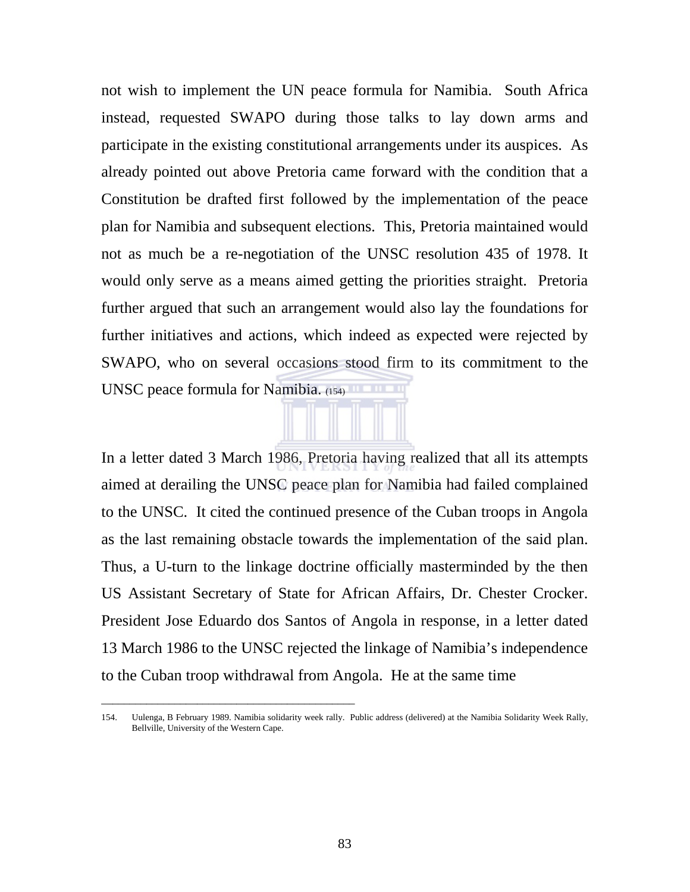not wish to implement the UN peace formula for Namibia. South Africa instead, requested SWAPO during those talks to lay down arms and participate in the existing constitutional arrangements under its auspices. As already pointed out above Pretoria came forward with the condition that a Constitution be drafted first followed by the implementation of the peace plan for Namibia and subsequent elections. This, Pretoria maintained would not as much be a re-negotiation of the UNSC resolution 435 of 1978. It would only serve as a means aimed getting the priorities straight. Pretoria further argued that such an arrangement would also lay the foundations for further initiatives and actions, which indeed as expected were rejected by SWAPO, who on several occasions stood firm to its commitment to the UNSC peace formula for Namibia. (154)

In a letter dated 3 March 1986, Pretoria having realized that all its attempts aimed at derailing the UNSC peace plan for Namibia had failed complained to the UNSC. It cited the continued presence of the Cuban troops in Angola as the last remaining obstacle towards the implementation of the said plan. Thus, a U-turn to the linkage doctrine officially masterminded by the then US Assistant Secretary of State for African Affairs, Dr. Chester Crocker. President Jose Eduardo dos Santos of Angola in response, in a letter dated 13 March 1986 to the UNSC rejected the linkage of Namibia's independence to the Cuban troop withdrawal from Angola. He at the same time

\_\_\_\_\_\_\_\_\_\_\_\_\_\_\_\_\_\_\_\_\_\_\_\_\_\_\_\_\_\_\_\_\_\_\_\_\_\_\_\_\_\_\_\_\_

<sup>154.</sup> Uulenga, B February 1989. Namibia solidarity week rally. Public address (delivered) at the Namibia Solidarity Week Rally, Bellville, University of the Western Cape.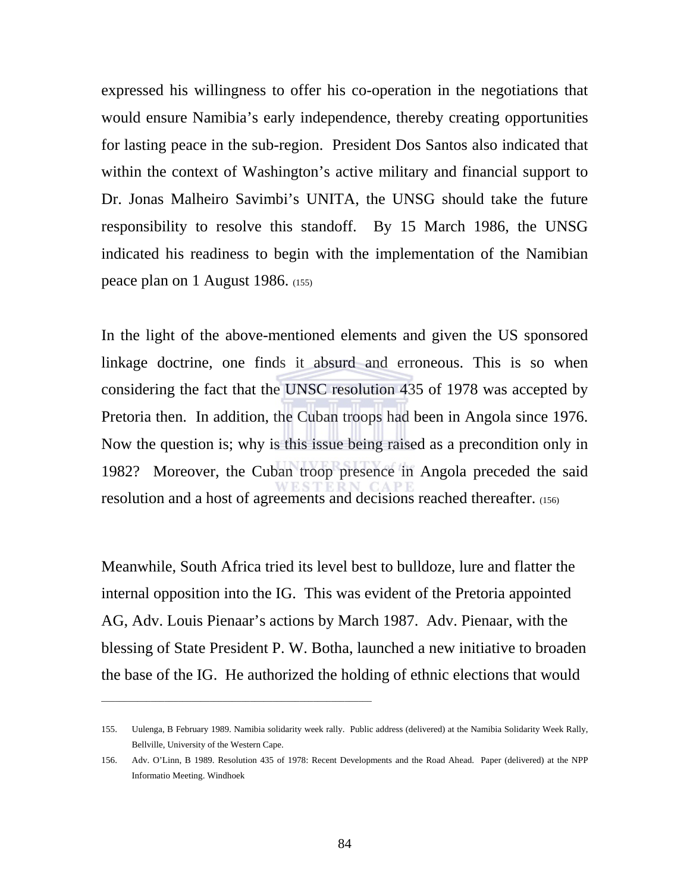expressed his willingness to offer his co-operation in the negotiations that would ensure Namibia's early independence, thereby creating opportunities for lasting peace in the sub-region. President Dos Santos also indicated that within the context of Washington's active military and financial support to Dr. Jonas Malheiro Savimbi's UNITA, the UNSG should take the future responsibility to resolve this standoff. By 15 March 1986, the UNSG indicated his readiness to begin with the implementation of the Namibian peace plan on 1 August 1986. (155)

In the light of the above-mentioned elements and given the US sponsored linkage doctrine, one finds it absurd and erroneous. This is so when considering the fact that the UNSC resolution 435 of 1978 was accepted by Pretoria then. In addition, the Cuban troops had been in Angola since 1976. Now the question is; why is this issue being raised as a precondition only in 1982? Moreover, the Cuban troop presence in Angola preceded the said resolution and a host of agreements and decisions reached thereafter. (156)

Meanwhile, South Africa tried its level best to bulldoze, lure and flatter the internal opposition into the IG. This was evident of the Pretoria appointed AG, Adv. Louis Pienaar's actions by March 1987. Adv. Pienaar, with the blessing of State President P. W. Botha, launched a new initiative to broaden the base of the IG. He authorized the holding of ethnic elections that would

\_\_\_\_\_\_\_\_\_\_\_\_\_\_\_\_\_\_\_\_\_\_\_\_\_\_\_\_\_\_\_\_\_\_\_\_\_\_\_\_\_\_\_\_\_\_\_\_\_\_\_\_\_\_\_\_\_\_\_\_

<sup>155.</sup> Uulenga, B February 1989. Namibia solidarity week rally. Public address (delivered) at the Namibia Solidarity Week Rally, Bellville, University of the Western Cape.

<sup>156.</sup> Adv. O'Linn, B 1989. Resolution 435 of 1978: Recent Developments and the Road Ahead. Paper (delivered) at the NPP Informatio Meeting. Windhoek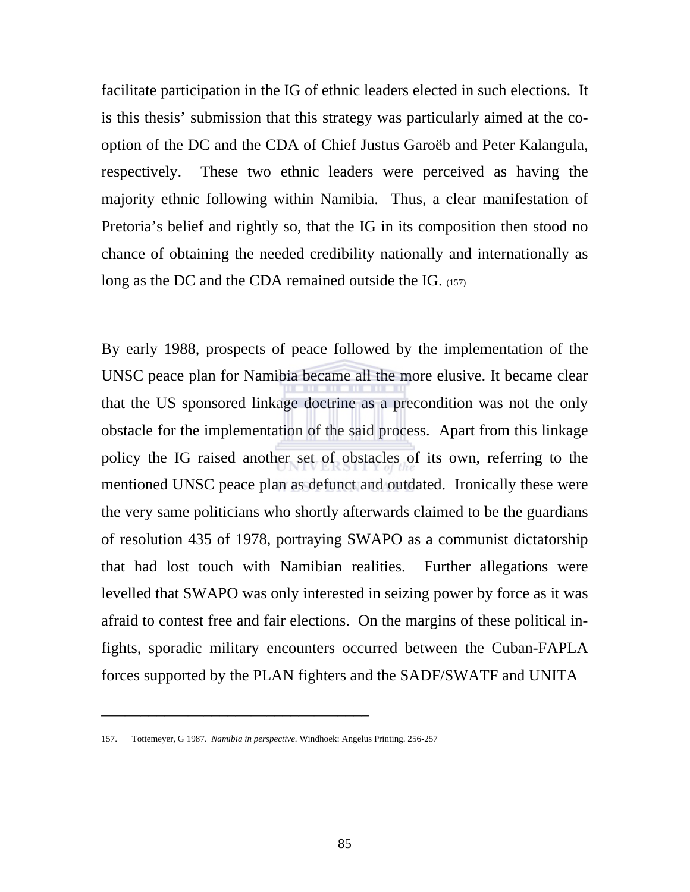facilitate participation in the IG of ethnic leaders elected in such elections. It is this thesis' submission that this strategy was particularly aimed at the cooption of the DC and the CDA of Chief Justus Garoëb and Peter Kalangula, respectively. These two ethnic leaders were perceived as having the majority ethnic following within Namibia. Thus, a clear manifestation of Pretoria's belief and rightly so, that the IG in its composition then stood no chance of obtaining the needed credibility nationally and internationally as long as the DC and the CDA remained outside the IG. (157)

By early 1988, prospects of peace followed by the implementation of the UNSC peace plan for Namibia became all the more elusive. It became clear that the US sponsored linkage doctrine as a precondition was not the only obstacle for the implementation of the said process. Apart from this linkage policy the IG raised another set of obstacles of its own, referring to the mentioned UNSC peace plan as defunct and outdated. Ironically these were the very same politicians who shortly afterwards claimed to be the guardians of resolution 435 of 1978, portraying SWAPO as a communist dictatorship that had lost touch with Namibian realities. Further allegations were levelled that SWAPO was only interested in seizing power by force as it was afraid to contest free and fair elections. On the margins of these political infights, sporadic military encounters occurred between the Cuban-FAPLA forces supported by the PLAN fighters and the SADF/SWATF and UNITA

<sup>157.</sup> Tottemeyer, G 1987. *Namibia in perspective*. Windhoek: Angelus Printing. 256-257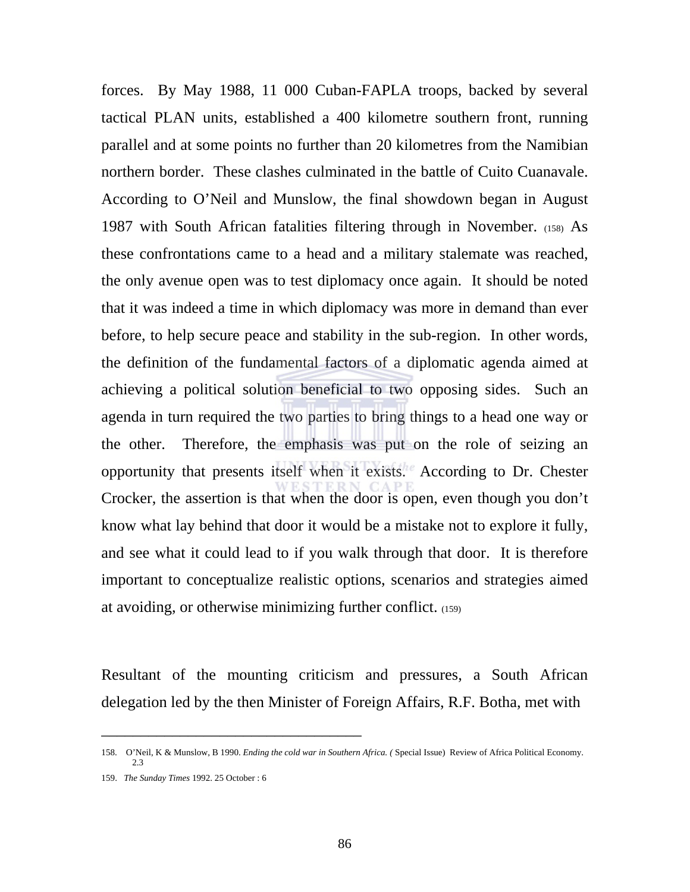forces. By May 1988, 11 000 Cuban-FAPLA troops, backed by several tactical PLAN units, established a 400 kilometre southern front, running parallel and at some points no further than 20 kilometres from the Namibian northern border. These clashes culminated in the battle of Cuito Cuanavale. According to O'Neil and Munslow, the final showdown began in August 1987 with South African fatalities filtering through in November. (158) As these confrontations came to a head and a military stalemate was reached, the only avenue open was to test diplomacy once again. It should be noted that it was indeed a time in which diplomacy was more in demand than ever before, to help secure peace and stability in the sub-region. In other words, the definition of the fundamental factors of a diplomatic agenda aimed at achieving a political solution beneficial to two opposing sides. Such an agenda in turn required the two parties to bring things to a head one way or the other. Therefore, the emphasis was put on the role of seizing an opportunity that presents itself when it exists. According to Dr. Chester Crocker, the assertion is that when the door is open, even though you don't know what lay behind that door it would be a mistake not to explore it fully, and see what it could lead to if you walk through that door. It is therefore important to conceptualize realistic options, scenarios and strategies aimed at avoiding, or otherwise minimizing further conflict. (159)

Resultant of the mounting criticism and pressures, a South African delegation led by the then Minister of Foreign Affairs, R.F. Botha, met with

<sup>158.</sup> O'Neil, K & Munslow, B 1990. *Ending the cold war in Southern Africa. (* Special Issue) Review of Africa Political Economy. 2.3

<sup>159.</sup> *The Sunday Times* 1992. 25 October : 6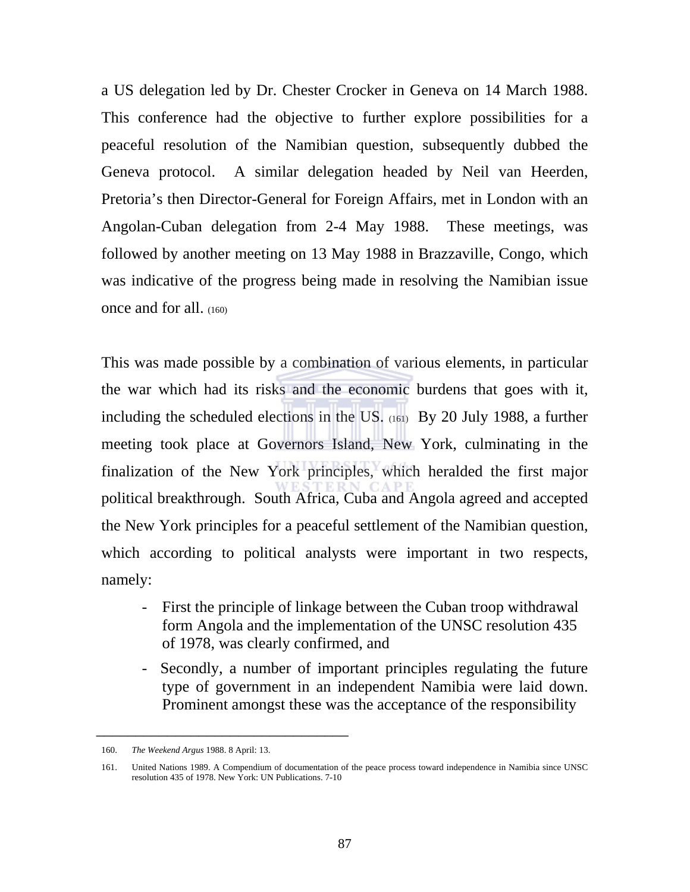a US delegation led by Dr. Chester Crocker in Geneva on 14 March 1988. This conference had the objective to further explore possibilities for a peaceful resolution of the Namibian question, subsequently dubbed the Geneva protocol. A similar delegation headed by Neil van Heerden, Pretoria's then Director-General for Foreign Affairs, met in London with an Angolan-Cuban delegation from 2-4 May 1988. These meetings, was followed by another meeting on 13 May 1988 in Brazzaville, Congo, which was indicative of the progress being made in resolving the Namibian issue once and for all. (160)

This was made possible by a combination of various elements, in particular the war which had its risks and the economic burdens that goes with it, including the scheduled elections in the US. (161) By 20 July 1988, a further meeting took place at Governors Island, New York, culminating in the finalization of the New York principles, which heralded the first major political breakthrough. South Africa, Cuba and Angola agreed and accepted the New York principles for a peaceful settlement of the Namibian question, which according to political analysts were important in two respects, namely:

- First the principle of linkage between the Cuban troop withdrawal form Angola and the implementation of the UNSC resolution 435 of 1978, was clearly confirmed, and
- Secondly, a number of important principles regulating the future type of government in an independent Namibia were laid down. Prominent amongst these was the acceptance of the responsibility

<sup>160.</sup> *The Weekend Argus* 1988. 8 April: 13.

<sup>161.</sup> United Nations 1989. A Compendium of documentation of the peace process toward independence in Namibia since UNSC resolution 435 of 1978. New York: UN Publications. 7-10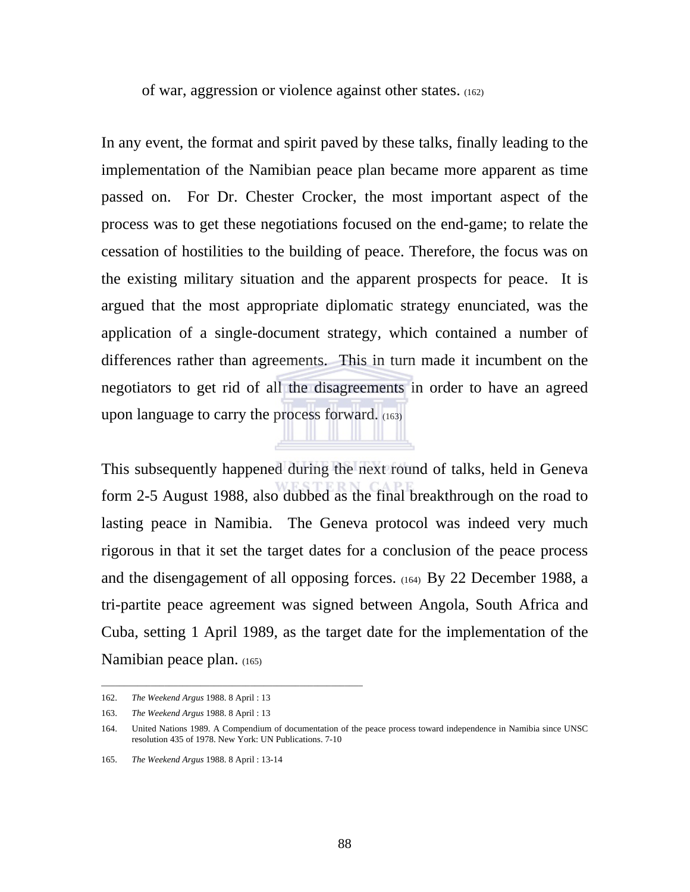of war, aggression or violence against other states. (162)

In any event, the format and spirit paved by these talks, finally leading to the implementation of the Namibian peace plan became more apparent as time passed on. For Dr. Chester Crocker, the most important aspect of the process was to get these negotiations focused on the end-game; to relate the cessation of hostilities to the building of peace. Therefore, the focus was on the existing military situation and the apparent prospects for peace. It is argued that the most appropriate diplomatic strategy enunciated, was the application of a single-document strategy, which contained a number of differences rather than agreements. This in turn made it incumbent on the negotiators to get rid of all the disagreements in order to have an agreed upon language to carry the process forward. (163)

This subsequently happened during the next round of talks, held in Geneva form 2-5 August 1988, also dubbed as the final breakthrough on the road to lasting peace in Namibia. The Geneva protocol was indeed very much rigorous in that it set the target dates for a conclusion of the peace process and the disengagement of all opposing forces. (164) By 22 December 1988, a tri-partite peace agreement was signed between Angola, South Africa and Cuba, setting 1 April 1989, as the target date for the implementation of the Namibian peace plan. (165)

\_\_\_\_\_\_\_\_\_\_\_\_\_\_\_\_\_\_\_\_\_\_\_\_\_\_\_\_\_\_\_\_\_\_\_\_\_\_\_\_\_\_\_\_\_\_\_\_\_\_\_\_\_\_\_\_\_\_

<sup>162.</sup> *The Weekend Argus* 1988. 8 April : 13

<sup>163.</sup> *The Weekend Argus* 1988. 8 April : 13

<sup>164.</sup> United Nations 1989. A Compendium of documentation of the peace process toward independence in Namibia since UNSC resolution 435 of 1978. New York: UN Publications. 7-10

<sup>165.</sup> *The Weekend Argus* 1988. 8 April : 13-14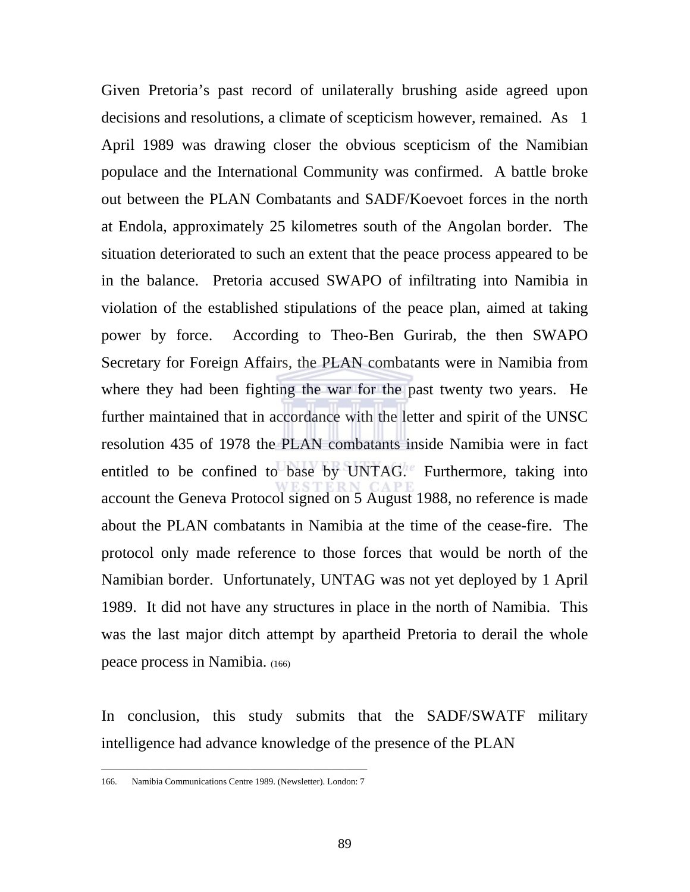Given Pretoria's past record of unilaterally brushing aside agreed upon decisions and resolutions, a climate of scepticism however, remained. As 1 April 1989 was drawing closer the obvious scepticism of the Namibian populace and the International Community was confirmed. A battle broke out between the PLAN Combatants and SADF/Koevoet forces in the north at Endola, approximately 25 kilometres south of the Angolan border. The situation deteriorated to such an extent that the peace process appeared to be in the balance. Pretoria accused SWAPO of infiltrating into Namibia in violation of the established stipulations of the peace plan, aimed at taking power by force. According to Theo-Ben Gurirab, the then SWAPO Secretary for Foreign Affairs, the PLAN combatants were in Namibia from where they had been fighting the war for the past twenty two years. He further maintained that in accordance with the letter and spirit of the UNSC resolution 435 of 1978 the PLAN combatants inside Namibia were in fact entitled to be confined to base by UNTAG. Furthermore, taking into account the Geneva Protocol signed on 5 August 1988, no reference is made about the PLAN combatants in Namibia at the time of the cease-fire. The protocol only made reference to those forces that would be north of the Namibian border. Unfortunately, UNTAG was not yet deployed by 1 April 1989. It did not have any structures in place in the north of Namibia. This was the last major ditch attempt by apartheid Pretoria to derail the whole peace process in Namibia. (166)

In conclusion, this study submits that the SADF/SWATF military intelligence had advance knowledge of the presence of the PLAN

\_\_\_\_\_\_\_\_\_\_\_\_\_\_\_\_\_\_\_\_\_\_\_\_\_\_\_\_\_\_\_\_\_\_\_\_\_\_\_\_\_\_\_\_\_\_\_\_\_\_\_\_\_\_\_\_\_\_\_ 166. Namibia Communications Centre 1989. (Newsletter). London: 7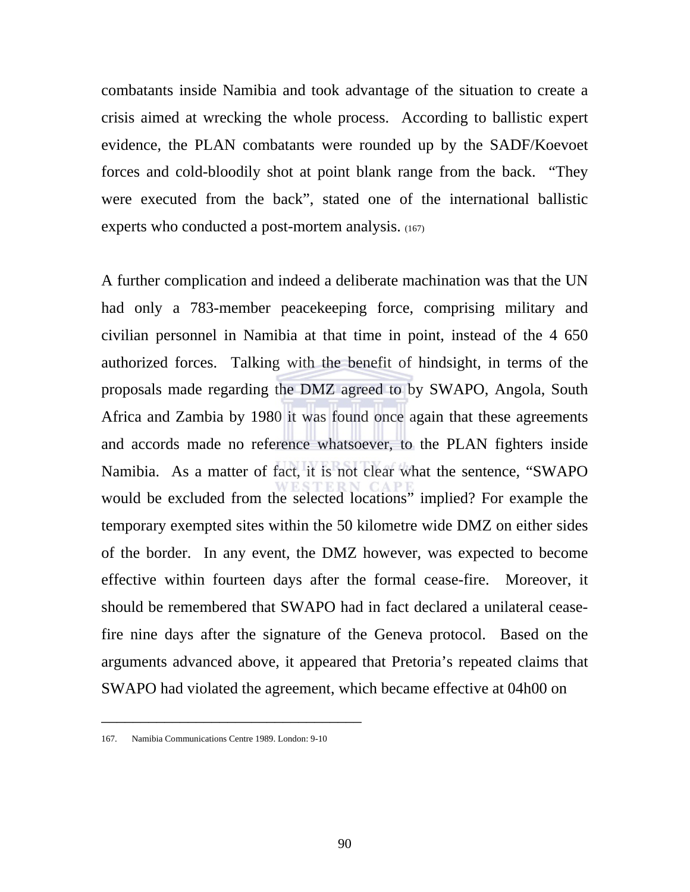combatants inside Namibia and took advantage of the situation to create a crisis aimed at wrecking the whole process. According to ballistic expert evidence, the PLAN combatants were rounded up by the SADF/Koevoet forces and cold-bloodily shot at point blank range from the back. "They were executed from the back", stated one of the international ballistic experts who conducted a post-mortem analysis. (167)

A further complication and indeed a deliberate machination was that the UN had only a 783-member peacekeeping force, comprising military and civilian personnel in Namibia at that time in point, instead of the 4 650 authorized forces. Talking with the benefit of hindsight, in terms of the proposals made regarding the DMZ agreed to by SWAPO, Angola, South Africa and Zambia by 1980 it was found once again that these agreements and accords made no reference whatsoever, to the PLAN fighters inside Namibia. As a matter of fact, it is not clear what the sentence, "SWAPO would be excluded from the selected locations" implied? For example the temporary exempted sites within the 50 kilometre wide DMZ on either sides of the border. In any event, the DMZ however, was expected to become effective within fourteen days after the formal cease-fire. Moreover, it should be remembered that SWAPO had in fact declared a unilateral ceasefire nine days after the signature of the Geneva protocol. Based on the arguments advanced above, it appeared that Pretoria's repeated claims that SWAPO had violated the agreement, which became effective at 04h00 on

<sup>167.</sup> Namibia Communications Centre 1989. London: 9-10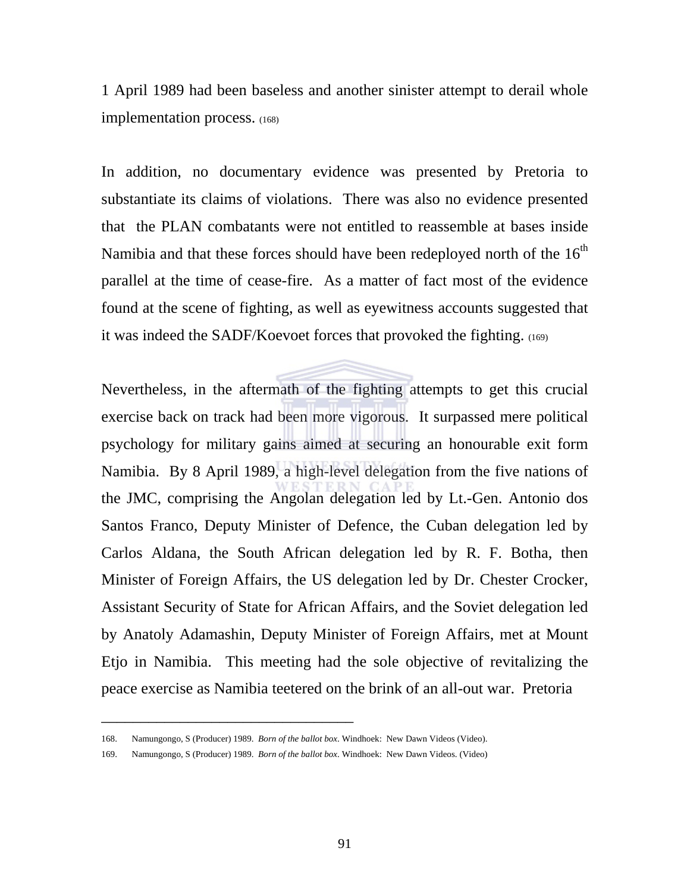1 April 1989 had been baseless and another sinister attempt to derail whole implementation process. (168)

In addition, no documentary evidence was presented by Pretoria to substantiate its claims of violations. There was also no evidence presented that the PLAN combatants were not entitled to reassemble at bases inside Namibia and that these forces should have been redeployed north of the  $16<sup>th</sup>$ parallel at the time of cease-fire. As a matter of fact most of the evidence found at the scene of fighting, as well as eyewitness accounts suggested that it was indeed the SADF/Koevoet forces that provoked the fighting. (169)

Nevertheless, in the aftermath of the fighting attempts to get this crucial exercise back on track had been more vigorous. It surpassed mere political psychology for military gains aimed at securing an honourable exit form Namibia. By 8 April 1989, a high-level delegation from the five nations of the JMC, comprising the Angolan delegation led by Lt.-Gen. Antonio dos Santos Franco, Deputy Minister of Defence, the Cuban delegation led by Carlos Aldana, the South African delegation led by R. F. Botha, then Minister of Foreign Affairs, the US delegation led by Dr. Chester Crocker, Assistant Security of State for African Affairs, and the Soviet delegation led by Anatoly Adamashin, Deputy Minister of Foreign Affairs, met at Mount Etjo in Namibia. This meeting had the sole objective of revitalizing the peace exercise as Namibia teetered on the brink of an all-out war. Pretoria

<sup>168.</sup> Namungongo, S (Producer) 1989. *Born of the ballot box*. Windhoek: New Dawn Videos (Video).

<sup>169.</sup> Namungongo, S (Producer) 1989. *Born of the ballot box*. Windhoek: New Dawn Videos. (Video)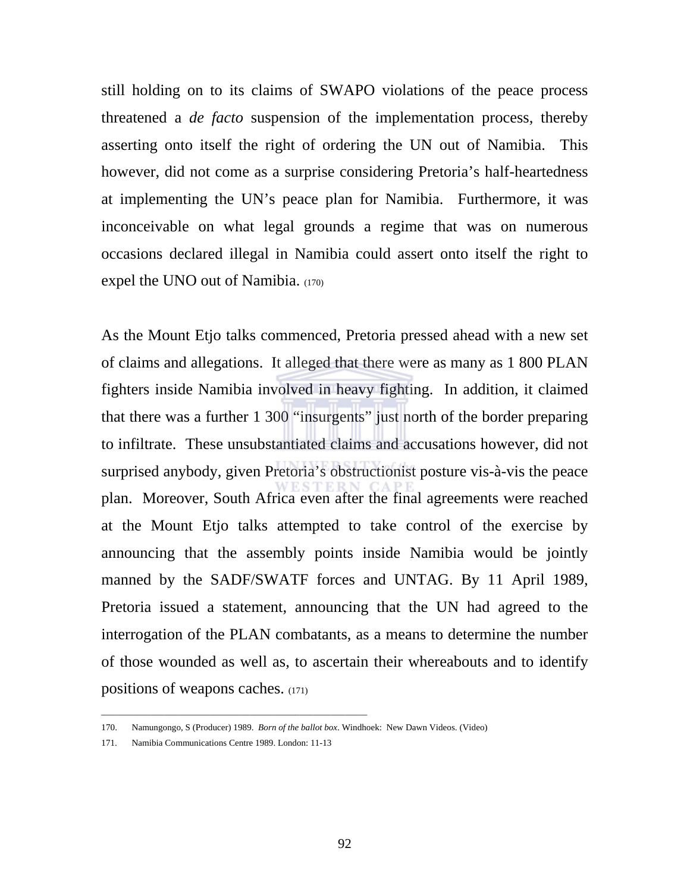still holding on to its claims of SWAPO violations of the peace process threatened a *de facto* suspension of the implementation process, thereby asserting onto itself the right of ordering the UN out of Namibia. This however, did not come as a surprise considering Pretoria's half-heartedness at implementing the UN's peace plan for Namibia. Furthermore, it was inconceivable on what legal grounds a regime that was on numerous occasions declared illegal in Namibia could assert onto itself the right to expel the UNO out of Namibia. (170)

As the Mount Etjo talks commenced, Pretoria pressed ahead with a new set of claims and allegations. It alleged that there were as many as 1 800 PLAN fighters inside Namibia involved in heavy fighting. In addition, it claimed that there was a further 1 300 "insurgents" just north of the border preparing to infiltrate. These unsubstantiated claims and accusations however, did not surprised anybody, given Pretoria's obstructionist posture vis-à-vis the peace plan. Moreover, South Africa even after the final agreements were reached at the Mount Etjo talks attempted to take control of the exercise by announcing that the assembly points inside Namibia would be jointly manned by the SADF/SWATF forces and UNTAG. By 11 April 1989, Pretoria issued a statement, announcing that the UN had agreed to the interrogation of the PLAN combatants, as a means to determine the number of those wounded as well as, to ascertain their whereabouts and to identify positions of weapons caches. (171)

\_\_\_\_\_\_\_\_\_\_\_\_\_\_\_\_\_\_\_\_\_\_\_\_\_\_\_\_\_\_\_\_\_\_\_\_\_\_\_\_\_\_\_\_\_\_\_\_\_\_\_\_\_\_\_\_\_\_\_

<sup>170.</sup> Namungongo, S (Producer) 1989. *Born of the ballot box*. Windhoek: New Dawn Videos. (Video) 171. Namibia Communications Centre 1989. London: 11-13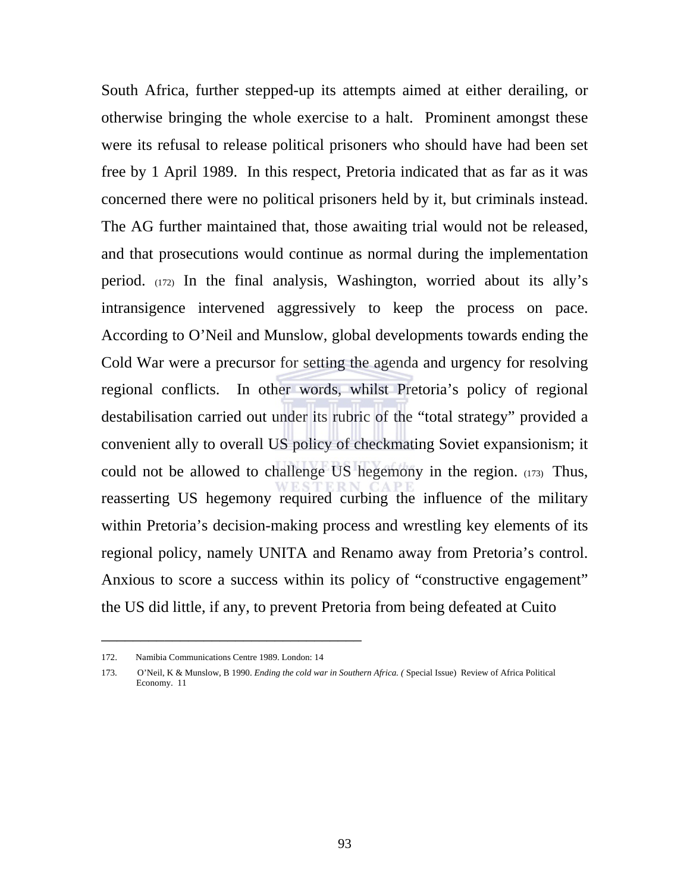South Africa, further stepped-up its attempts aimed at either derailing, or otherwise bringing the whole exercise to a halt. Prominent amongst these were its refusal to release political prisoners who should have had been set free by 1 April 1989. In this respect, Pretoria indicated that as far as it was concerned there were no political prisoners held by it, but criminals instead. The AG further maintained that, those awaiting trial would not be released, and that prosecutions would continue as normal during the implementation period. (172) In the final analysis, Washington, worried about its ally's intransigence intervened aggressively to keep the process on pace. According to O'Neil and Munslow, global developments towards ending the Cold War were a precursor for setting the agenda and urgency for resolving regional conflicts. In other words, whilst Pretoria's policy of regional destabilisation carried out under its rubric of the "total strategy" provided a convenient ally to overall US policy of checkmating Soviet expansionism; it could not be allowed to challenge US hegemony in the region. (173) Thus, reasserting US hegemony required curbing the influence of the military within Pretoria's decision-making process and wrestling key elements of its regional policy, namely UNITA and Renamo away from Pretoria's control. Anxious to score a success within its policy of "constructive engagement" the US did little, if any, to prevent Pretoria from being defeated at Cuito

<sup>172.</sup> Namibia Communications Centre 1989. London: 14

<sup>173.</sup> O'Neil, K & Munslow, B 1990. *Ending the cold war in Southern Africa. (* Special Issue) Review of Africa Political Economy. 11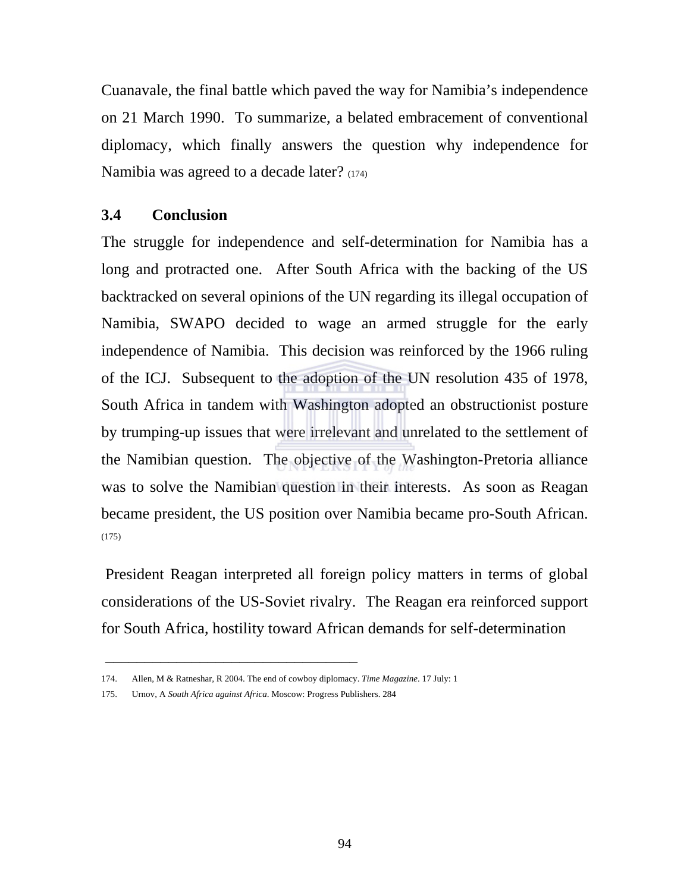Cuanavale, the final battle which paved the way for Namibia's independence on 21 March 1990. To summarize, a belated embracement of conventional diplomacy, which finally answers the question why independence for Namibia was agreed to a decade later? (174)

## **3.4 Conclusion**

The struggle for independence and self-determination for Namibia has a long and protracted one. After South Africa with the backing of the US backtracked on several opinions of the UN regarding its illegal occupation of Namibia, SWAPO decided to wage an armed struggle for the early independence of Namibia. This decision was reinforced by the 1966 ruling of the ICJ. Subsequent to the adoption of the UN resolution 435 of 1978, South Africa in tandem with Washington adopted an obstructionist posture by trumping-up issues that were irrelevant and unrelated to the settlement of the Namibian question. The objective of the Washington-Pretoria alliance was to solve the Namibian question in their interests. As soon as Reagan became president, the US position over Namibia became pro-South African. (175)

 President Reagan interpreted all foreign policy matters in terms of global considerations of the US-Soviet rivalry. The Reagan era reinforced support for South Africa, hostility toward African demands for self-determination

 $\overline{\phantom{a}}$  , we can consider the constraint of the constraint  $\overline{\phantom{a}}$ 

<sup>174.</sup> Allen, M & Ratneshar, R 2004. The end of cowboy diplomacy. *Time Magazine*. 17 July: 1

<sup>175.</sup> Urnov, A *South Africa against Africa*. Moscow: Progress Publishers. 284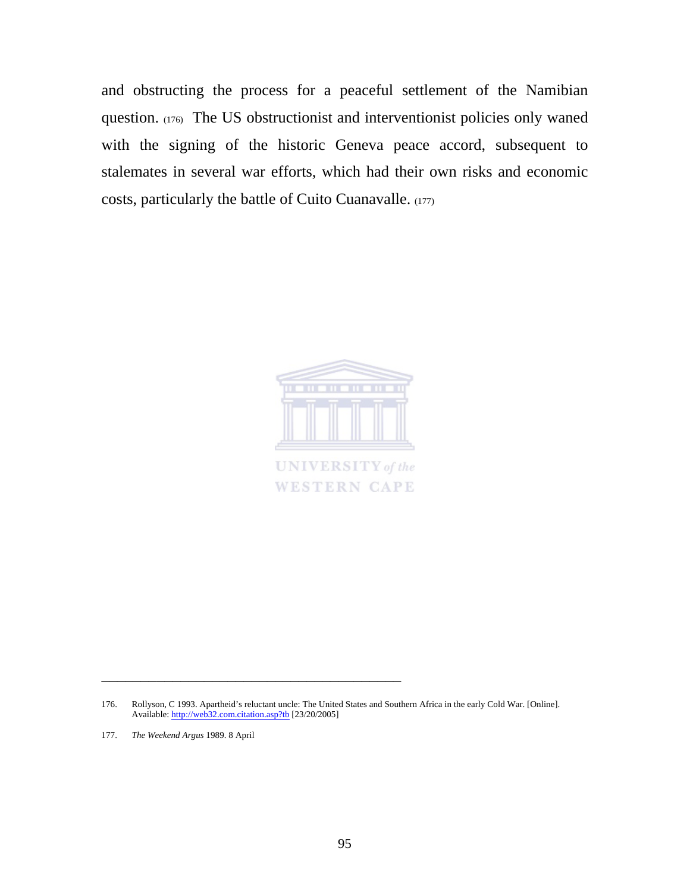and obstructing the process for a peaceful settlement of the Namibian question. (176) The US obstructionist and interventionist policies only waned with the signing of the historic Geneva peace accord, subsequent to stalemates in several war efforts, which had their own risks and economic costs, particularly the battle of Cuito Cuanavalle. (177)



\_\_\_\_\_\_\_\_\_\_\_\_\_\_\_\_\_\_\_\_\_\_\_\_\_\_\_\_\_\_\_\_\_\_\_\_\_\_

177. *The Weekend Argus* 1989. 8 April

<sup>176.</sup> Rollyson, C 1993. Apartheid's reluctant uncle: The United States and Southern Africa in the early Cold War. [Online]. Available: http://web32.com.citation.asp?tb [23/20/2005]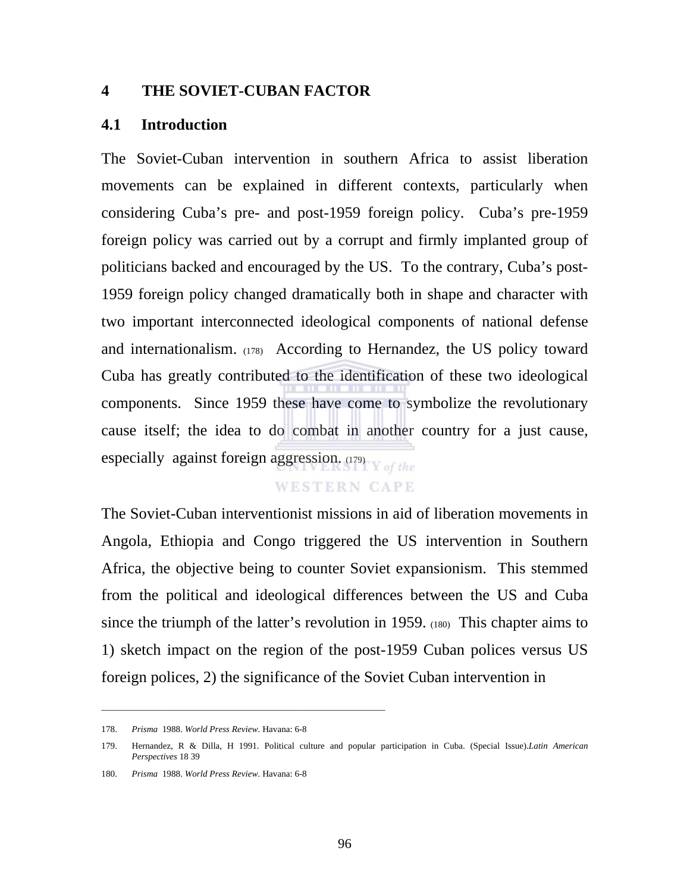## **4 THE SOVIET-CUBAN FACTOR**

#### **4.1 Introduction**

The Soviet-Cuban intervention in southern Africa to assist liberation movements can be explained in different contexts, particularly when considering Cuba's pre- and post-1959 foreign policy. Cuba's pre-1959 foreign policy was carried out by a corrupt and firmly implanted group of politicians backed and encouraged by the US. To the contrary, Cuba's post-1959 foreign policy changed dramatically both in shape and character with two important interconnected ideological components of national defense and internationalism. (178) According to Hernandez, the US policy toward Cuba has greatly contributed to the identification of these two ideological components. Since 1959 these have come to symbolize the revolutionary cause itself; the idea to do combat in another country for a just cause, especially against foreign aggression.  $(179)$  of the

#### **WESTERN CAPE**

The Soviet-Cuban interventionist missions in aid of liberation movements in Angola, Ethiopia and Congo triggered the US intervention in Southern Africa, the objective being to counter Soviet expansionism. This stemmed from the political and ideological differences between the US and Cuba since the triumph of the latter's revolution in 1959. (180) This chapter aims to 1) sketch impact on the region of the post-1959 Cuban polices versus US foreign polices, 2) the significance of the Soviet Cuban intervention in

\_\_\_\_\_\_\_\_\_\_\_\_\_\_\_\_\_\_\_\_\_\_\_\_\_\_\_\_\_\_\_\_\_\_\_\_\_\_\_\_\_\_\_\_\_\_\_\_\_\_\_\_\_\_\_\_\_\_\_\_\_\_\_

<sup>178.</sup> *Prisma* 1988. *World Press Review*. Havana: 6-8

<sup>179.</sup> Hernandez, R & Dilla, H 1991. Political culture and popular participation in Cuba. (Special Issue).*Latin American Perspectives* 18 39

<sup>180.</sup> *Prisma* 1988. *World Press Review*. Havana: 6-8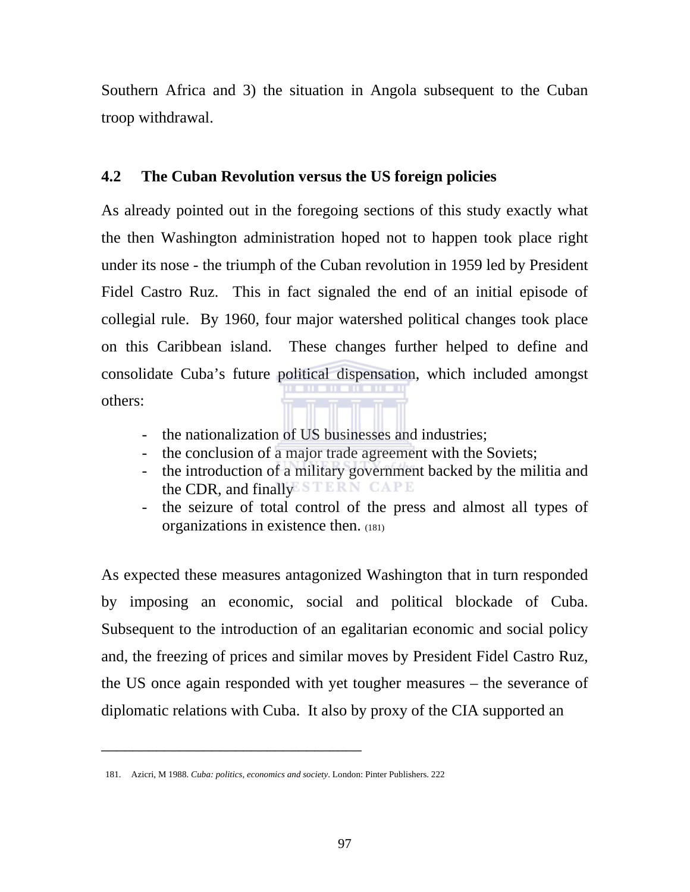Southern Africa and 3) the situation in Angola subsequent to the Cuban troop withdrawal.

# **4.2 The Cuban Revolution versus the US foreign policies**

As already pointed out in the foregoing sections of this study exactly what the then Washington administration hoped not to happen took place right under its nose - the triumph of the Cuban revolution in 1959 led by President Fidel Castro Ruz. This in fact signaled the end of an initial episode of collegial rule. By 1960, four major watershed political changes took place on this Caribbean island. These changes further helped to define and consolidate Cuba's future political dispensation, which included amongst others:

- the nationalization of US businesses and industries;
- the conclusion of a major trade agreement with the Soviets;
- the introduction of a military government backed by the militia and the CDR, and finally ESTERN CAPE
- the seizure of total control of the press and almost all types of organizations in existence then. (181)

As expected these measures antagonized Washington that in turn responded by imposing an economic, social and political blockade of Cuba. Subsequent to the introduction of an egalitarian economic and social policy and, the freezing of prices and similar moves by President Fidel Castro Ruz, the US once again responded with yet tougher measures – the severance of diplomatic relations with Cuba. It also by proxy of the CIA supported an

<sup>181.</sup> Azicri, M 1988. *Cuba: politics, economics and society*. London: Pinter Publishers. 222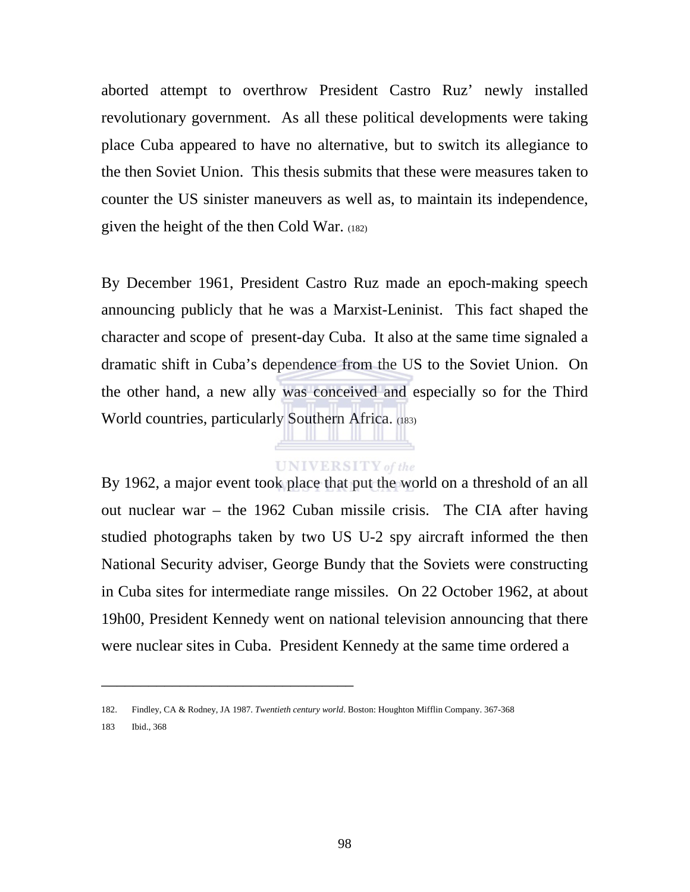aborted attempt to overthrow President Castro Ruz' newly installed revolutionary government. As all these political developments were taking place Cuba appeared to have no alternative, but to switch its allegiance to the then Soviet Union. This thesis submits that these were measures taken to counter the US sinister maneuvers as well as, to maintain its independence, given the height of the then Cold War. (182)

By December 1961, President Castro Ruz made an epoch-making speech announcing publicly that he was a Marxist-Leninist. This fact shaped the character and scope of present-day Cuba. It also at the same time signaled a dramatic shift in Cuba's dependence from the US to the Soviet Union. On the other hand, a new ally was conceived and especially so for the Third World countries, particularly Southern Africa. (183)

## **UNIVERSITY** of the

By 1962, a major event took place that put the world on a threshold of an all out nuclear war – the 1962 Cuban missile crisis. The CIA after having studied photographs taken by two US U-2 spy aircraft informed the then National Security adviser, George Bundy that the Soviets were constructing in Cuba sites for intermediate range missiles. On 22 October 1962, at about 19h00, President Kennedy went on national television announcing that there were nuclear sites in Cuba. President Kennedy at the same time ordered a

\_\_\_\_\_\_\_\_\_\_\_\_\_\_\_\_\_\_\_\_\_\_\_\_\_\_\_\_\_\_\_\_

183 Ibid., 368

<sup>182.</sup> Findley, CA & Rodney, JA 1987. *Twentieth century world*. Boston: Houghton Mifflin Company. 367-368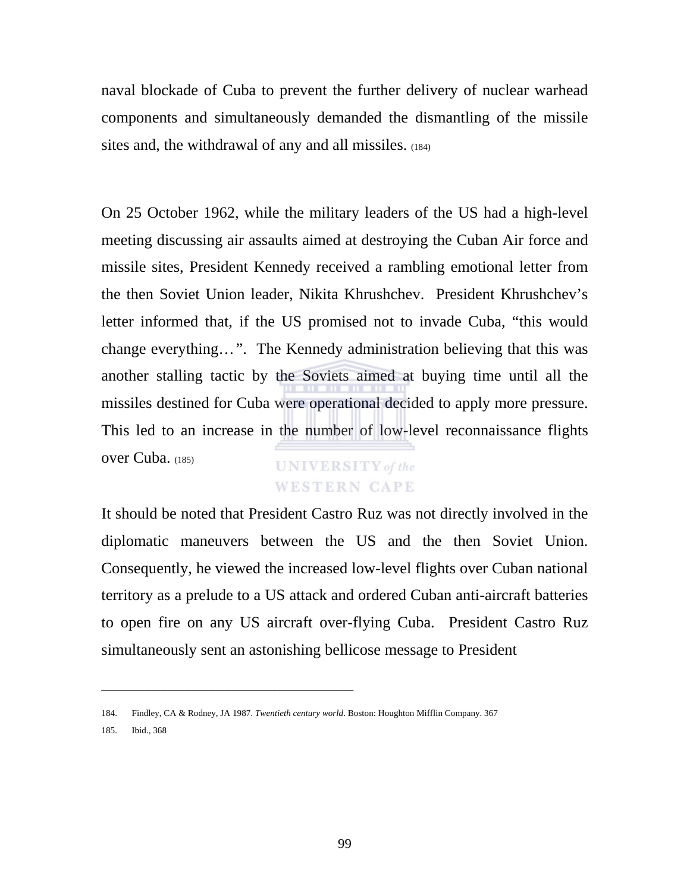naval blockade of Cuba to prevent the further delivery of nuclear warhead components and simultaneously demanded the dismantling of the missile sites and, the withdrawal of any and all missiles. (184)

On 25 October 1962, while the military leaders of the US had a high-level meeting discussing air assaults aimed at destroying the Cuban Air force and missile sites, President Kennedy received a rambling emotional letter from the then Soviet Union leader, Nikita Khrushchev. President Khrushchev's letter informed that, if the US promised not to invade Cuba, "this would change everything…*"*. The Kennedy administration believing that this was another stalling tactic by the Soviets aimed at buying time until all the missiles destined for Cuba were operational decided to apply more pressure. This led to an increase in the number of low-level reconnaissance flights over Cuba. (185) **UNIVERSITY** of the

# **WESTERN CAPE**

It should be noted that President Castro Ruz was not directly involved in the diplomatic maneuvers between the US and the then Soviet Union. Consequently, he viewed the increased low-level flights over Cuban national territory as a prelude to a US attack and ordered Cuban anti-aircraft batteries to open fire on any US aircraft over-flying Cuba. President Castro Ruz simultaneously sent an astonishing bellicose message to President

<sup>184.</sup> Findley, CA & Rodney, JA 1987. *Twentieth century world*. Boston: Houghton Mifflin Company. 367

<sup>185.</sup> Ibid., 368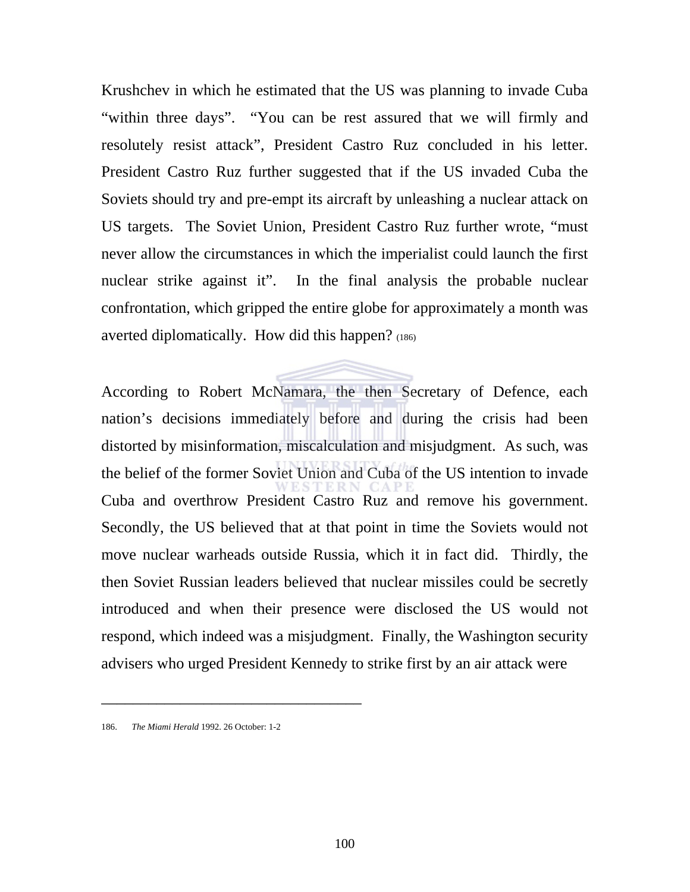Krushchev in which he estimated that the US was planning to invade Cuba "within three days". "You can be rest assured that we will firmly and resolutely resist attack", President Castro Ruz concluded in his letter. President Castro Ruz further suggested that if the US invaded Cuba the Soviets should try and pre-empt its aircraft by unleashing a nuclear attack on US targets. The Soviet Union, President Castro Ruz further wrote, "must never allow the circumstances in which the imperialist could launch the first nuclear strike against it". In the final analysis the probable nuclear confrontation, which gripped the entire globe for approximately a month was averted diplomatically. How did this happen? (186)

According to Robert McNamara, the then Secretary of Defence, each nation's decisions immediately before and during the crisis had been distorted by misinformation, miscalculation and misjudgment. As such, was the belief of the former Soviet Union and Cuba of the US intention to invade Cuba and overthrow President Castro Ruz and remove his government. Secondly, the US believed that at that point in time the Soviets would not move nuclear warheads outside Russia, which it in fact did. Thirdly, the then Soviet Russian leaders believed that nuclear missiles could be secretly introduced and when their presence were disclosed the US would not respond, which indeed was a misjudgment. Finally, the Washington security advisers who urged President Kennedy to strike first by an air attack were

<sup>186.</sup> *The Miami Herald* 1992. 26 October: 1-2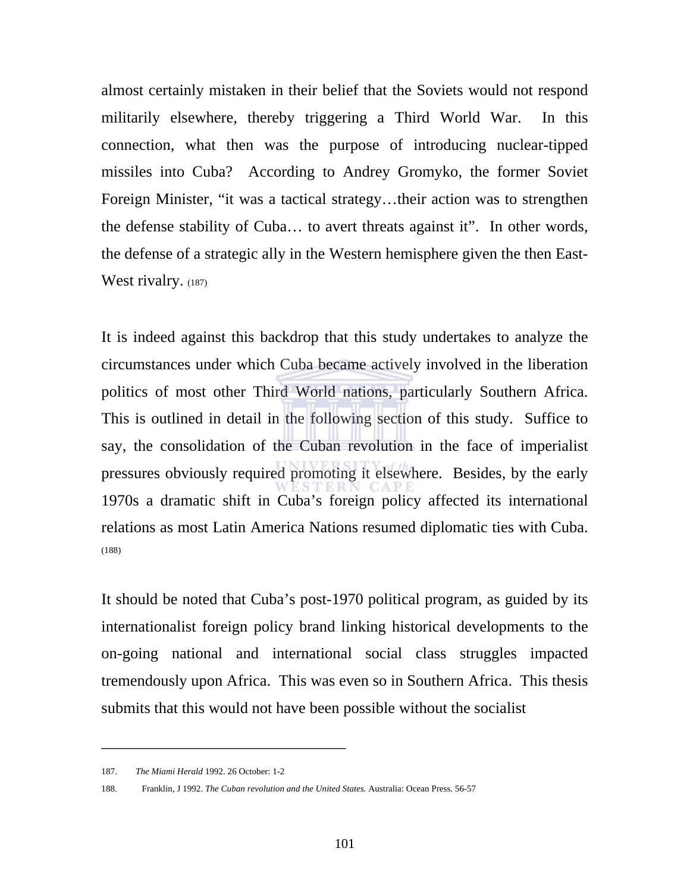almost certainly mistaken in their belief that the Soviets would not respond militarily elsewhere, thereby triggering a Third World War. In this connection, what then was the purpose of introducing nuclear-tipped missiles into Cuba? According to Andrey Gromyko, the former Soviet Foreign Minister, "it was a tactical strategy…their action was to strengthen the defense stability of Cuba… to avert threats against it". In other words, the defense of a strategic ally in the Western hemisphere given the then East-West rivalry. (187)

It is indeed against this backdrop that this study undertakes to analyze the circumstances under which Cuba became actively involved in the liberation politics of most other Third World nations, particularly Southern Africa. This is outlined in detail in the following section of this study. Suffice to say, the consolidation of the Cuban revolution in the face of imperialist pressures obviously required promoting it elsewhere. Besides, by the early 1970s a dramatic shift in Cuba's foreign policy affected its international relations as most Latin America Nations resumed diplomatic ties with Cuba. (188)

It should be noted that Cuba's post-1970 political program, as guided by its internationalist foreign policy brand linking historical developments to the on-going national and international social class struggles impacted tremendously upon Africa. This was even so in Southern Africa. This thesis submits that this would not have been possible without the socialist

<sup>187.</sup> *The Miami Herald* 1992. 26 October: 1-2

<sup>188.</sup> Franklin, J 1992. *The Cuban revolution and the United States.* Australia: Ocean Press. 56-57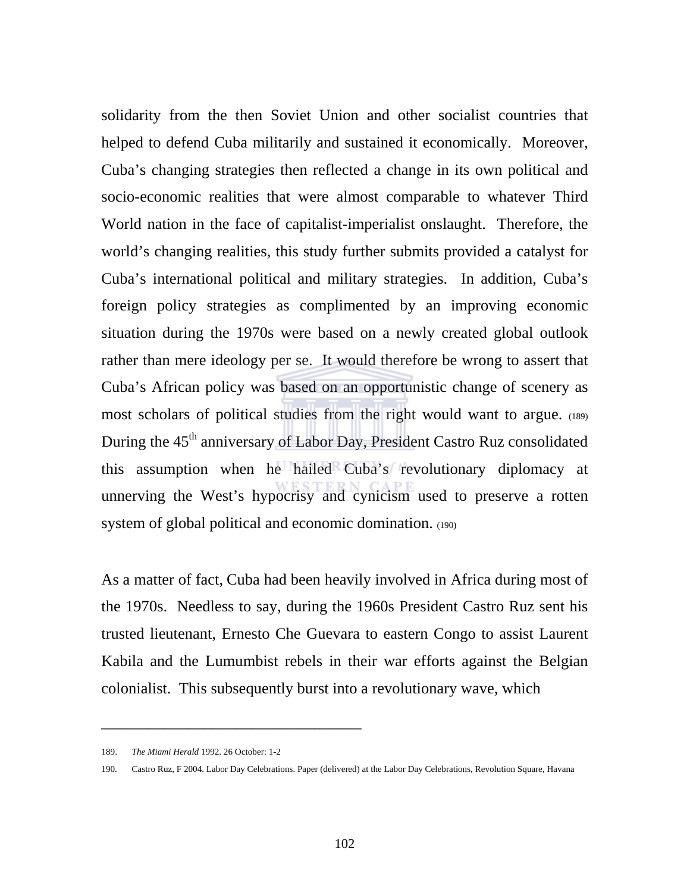solidarity from the then Soviet Union and other socialist countries that helped to defend Cuba militarily and sustained it economically. Moreover, Cuba's changing strategies then reflected a change in its own political and socio-economic realities that were almost comparable to whatever Third World nation in the face of capitalist-imperialist onslaught. Therefore, the world's changing realities, this study further submits provided a catalyst for Cuba's international political and military strategies. In addition, Cuba's foreign policy strategies as complimented by an improving economic situation during the 1970s were based on a newly created global outlook rather than mere ideology per se. It would therefore be wrong to assert that Cuba's African policy was based on an opportunistic change of scenery as most scholars of political studies from the right would want to argue. (189) During the 45<sup>th</sup> anniversary of Labor Day, President Castro Ruz consolidated this assumption when he hailed Cuba's revolutionary diplomacy at unnerving the West's hypocrisy and cynicism used to preserve a rotten system of global political and economic domination. (190)

As a matter of fact, Cuba had been heavily involved in Africa during most of the 1970s. Needless to say, during the 1960s President Castro Ruz sent his trusted lieutenant, Ernesto Che Guevara to eastern Congo to assist Laurent Kabila and the Lumumbist rebels in their war efforts against the Belgian colonialist. This subsequently burst into a revolutionary wave, which

<sup>189.</sup> *The Miami Herald* 1992. 26 October: 1-2

<sup>190.</sup> Castro Ruz, F 2004. Labor Day Celebrations. Paper (delivered) at the Labor Day Celebrations, Revolution Square, Havana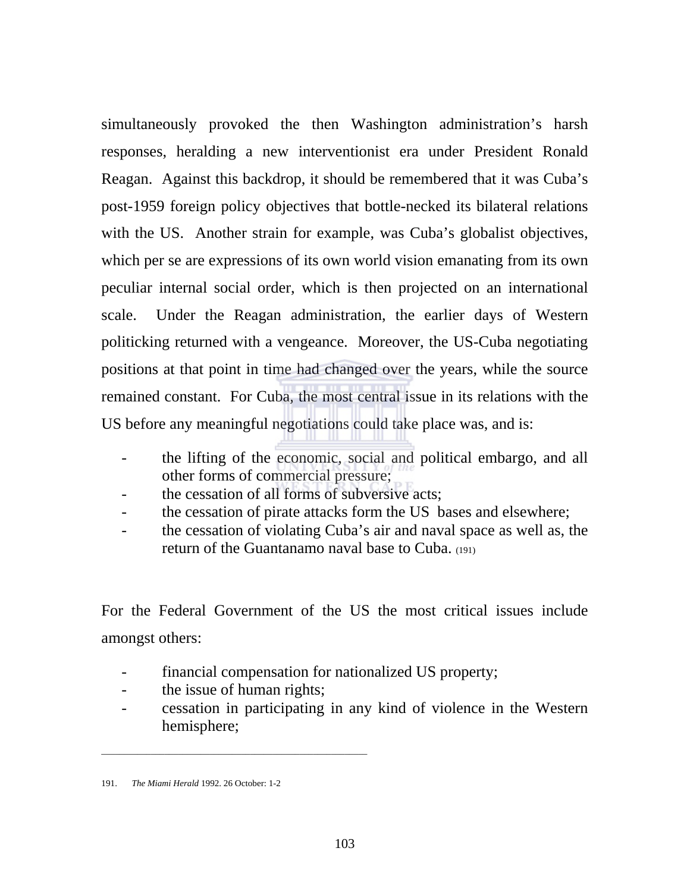simultaneously provoked the then Washington administration's harsh responses, heralding a new interventionist era under President Ronald Reagan. Against this backdrop, it should be remembered that it was Cuba's post-1959 foreign policy objectives that bottle-necked its bilateral relations with the US. Another strain for example, was Cuba's globalist objectives, which per se are expressions of its own world vision emanating from its own peculiar internal social order, which is then projected on an international scale. Under the Reagan administration, the earlier days of Western politicking returned with a vengeance. Moreover, the US-Cuba negotiating positions at that point in time had changed over the years, while the source remained constant. For Cuba, the most central issue in its relations with the US before any meaningful negotiations could take place was, and is:

- the lifting of the economic, social and political embargo, and all other forms of commercial pressure;
- the cessation of all forms of subversive acts;
- the cessation of pirate attacks form the US bases and elsewhere;
- the cessation of violating Cuba's air and naval space as well as, the return of the Guantanamo naval base to Cuba. (191)

For the Federal Government of the US the most critical issues include amongst others:

- financial compensation for nationalized US property;
- the issue of human rights;

\_\_\_\_\_\_\_\_\_\_\_\_\_\_\_\_\_\_\_\_\_\_\_\_\_\_\_\_\_\_\_\_\_\_\_\_\_\_\_\_\_\_\_\_\_\_\_\_\_\_\_\_\_\_\_\_\_\_\_

- cessation in participating in any kind of violence in the Western hemisphere;

<sup>191.</sup> *The Miami Herald* 1992. 26 October: 1-2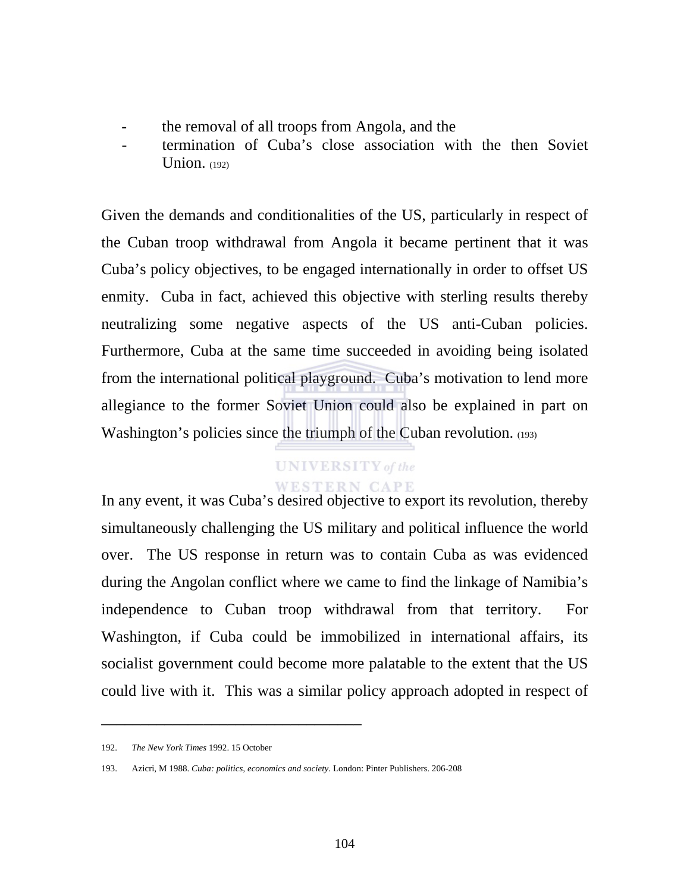- the removal of all troops from Angola, and the
- termination of Cuba's close association with the then Soviet Union.  $(192)$

Given the demands and conditionalities of the US, particularly in respect of the Cuban troop withdrawal from Angola it became pertinent that it was Cuba's policy objectives, to be engaged internationally in order to offset US enmity. Cuba in fact, achieved this objective with sterling results thereby neutralizing some negative aspects of the US anti-Cuban policies. Furthermore, Cuba at the same time succeeded in avoiding being isolated from the international political playground. Cuba's motivation to lend more allegiance to the former Soviet Union could also be explained in part on Washington's policies since the triumph of the Cuban revolution. (193)

# **UNIVERSITY** of the **WESTERN CAPE**

In any event, it was Cuba's desired objective to export its revolution, thereby simultaneously challenging the US military and political influence the world over. The US response in return was to contain Cuba as was evidenced during the Angolan conflict where we came to find the linkage of Namibia's independence to Cuban troop withdrawal from that territory. For Washington, if Cuba could be immobilized in international affairs, its socialist government could become more palatable to the extent that the US could live with it. This was a similar policy approach adopted in respect of

<sup>192.</sup> *The New York Times* 1992. 15 October

<sup>193.</sup> Azicri, M 1988. *Cuba: politics, economics and society*. London: Pinter Publishers. 206-208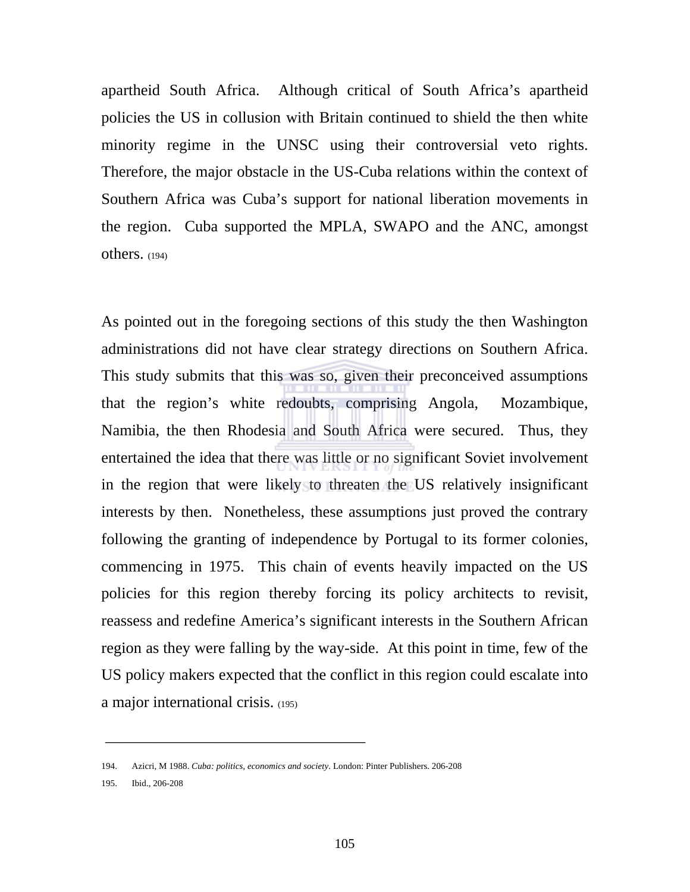apartheid South Africa. Although critical of South Africa's apartheid policies the US in collusion with Britain continued to shield the then white minority regime in the UNSC using their controversial veto rights. Therefore, the major obstacle in the US-Cuba relations within the context of Southern Africa was Cuba's support for national liberation movements in the region. Cuba supported the MPLA, SWAPO and the ANC, amongst  $others. (194)$ 

As pointed out in the foregoing sections of this study the then Washington administrations did not have clear strategy directions on Southern Africa. This study submits that this was so, given their preconceived assumptions that the region's white redoubts, comprising Angola, Mozambique, Namibia, the then Rhodesia and South Africa were secured. Thus, they entertained the idea that there was little or no significant Soviet involvement in the region that were likely to threaten the US relatively insignificant interests by then. Nonetheless, these assumptions just proved the contrary following the granting of independence by Portugal to its former colonies, commencing in 1975. This chain of events heavily impacted on the US policies for this region thereby forcing its policy architects to revisit, reassess and redefine America's significant interests in the Southern African region as they were falling by the way-side. At this point in time, few of the US policy makers expected that the conflict in this region could escalate into a major international crisis. (195)

\_\_\_\_\_\_\_\_\_\_\_\_\_\_\_\_\_\_\_\_\_\_\_\_\_\_\_\_\_\_\_\_\_

195. Ibid., 206-208

<sup>194.</sup> Azicri, M 1988. *Cuba: politics, economics and society*. London: Pinter Publishers. 206-208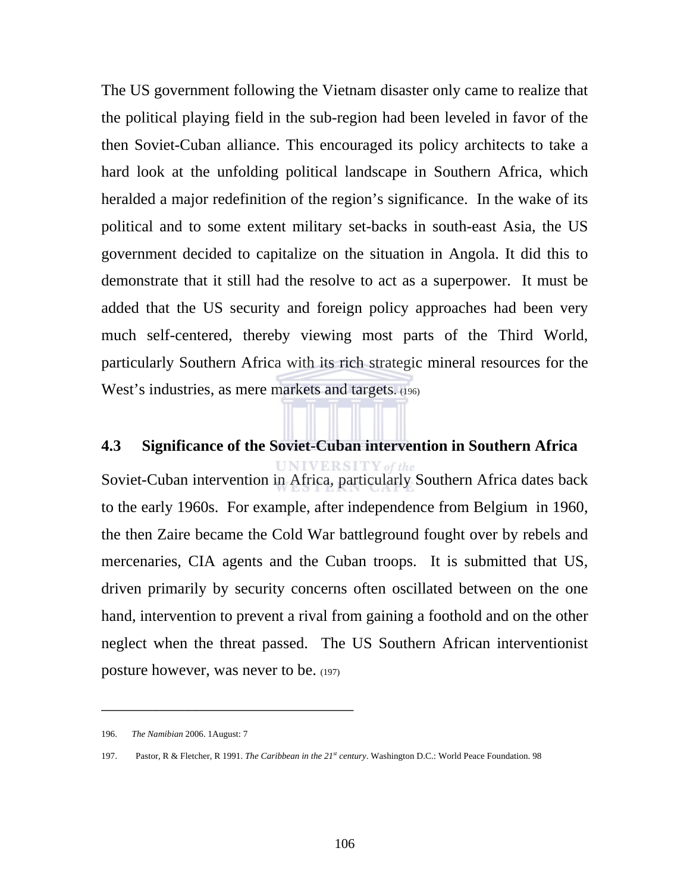The US government following the Vietnam disaster only came to realize that the political playing field in the sub-region had been leveled in favor of the then Soviet-Cuban alliance. This encouraged its policy architects to take a hard look at the unfolding political landscape in Southern Africa, which heralded a major redefinition of the region's significance. In the wake of its political and to some extent military set-backs in south-east Asia, the US government decided to capitalize on the situation in Angola. It did this to demonstrate that it still had the resolve to act as a superpower. It must be added that the US security and foreign policy approaches had been very much self-centered, thereby viewing most parts of the Third World, particularly Southern Africa with its rich strategic mineral resources for the West's industries, as mere markets and targets. (196)

# **4.3 Significance of the Soviet-Cuban intervention in Southern Africa**

**UNIVERSITY** of the Soviet-Cuban intervention in Africa, particularly Southern Africa dates back to the early 1960s. For example, after independence from Belgium in 1960, the then Zaire became the Cold War battleground fought over by rebels and mercenaries, CIA agents and the Cuban troops. It is submitted that US, driven primarily by security concerns often oscillated between on the one hand, intervention to prevent a rival from gaining a foothold and on the other neglect when the threat passed. The US Southern African interventionist posture however, was never to be. (197)

<sup>196.</sup> *The Namibian* 2006. 1August: 7

<sup>197.</sup> Pastor, R & Fletcher, R 1991. *The Caribbean in the 21st century*. Washington D.C.: World Peace Foundation. 98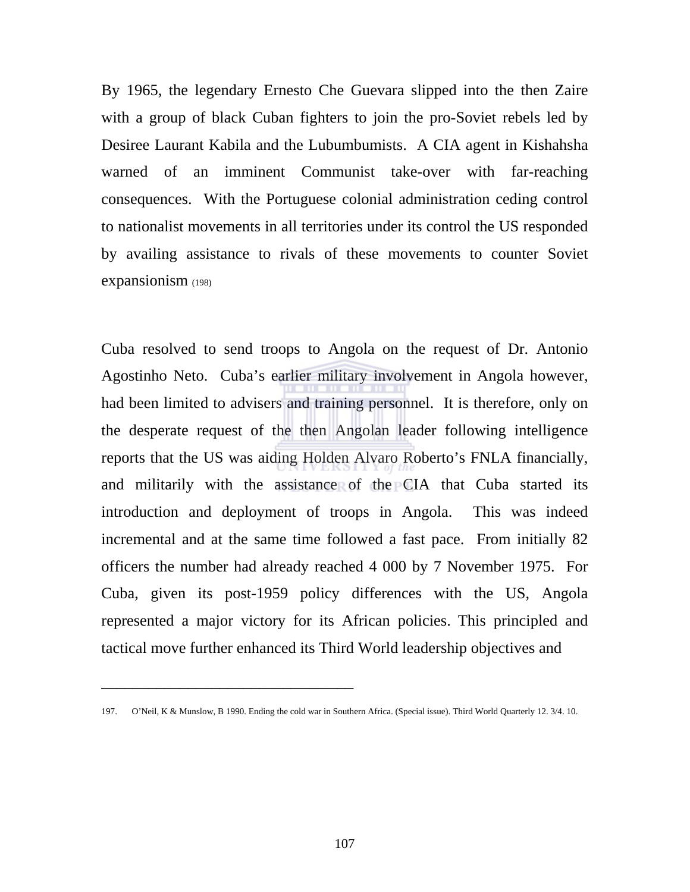By 1965, the legendary Ernesto Che Guevara slipped into the then Zaire with a group of black Cuban fighters to join the pro-Soviet rebels led by Desiree Laurant Kabila and the Lubumbumists. A CIA agent in Kishahsha warned of an imminent Communist take-over with far-reaching consequences. With the Portuguese colonial administration ceding control to nationalist movements in all territories under its control the US responded by availing assistance to rivals of these movements to counter Soviet expansionism (198)

Cuba resolved to send troops to Angola on the request of Dr. Antonio Agostinho Neto. Cuba's earlier military involvement in Angola however, had been limited to advisers and training personnel. It is therefore, only on the desperate request of the then Angolan leader following intelligence reports that the US was aiding Holden Alvaro Roberto's FNLA financially, and militarily with the assistance of the CIA that Cuba started its introduction and deployment of troops in Angola. This was indeed incremental and at the same time followed a fast pace. From initially 82 officers the number had already reached 4 000 by 7 November 1975. For Cuba, given its post-1959 policy differences with the US, Angola represented a major victory for its African policies. This principled and tactical move further enhanced its Third World leadership objectives and

<sup>197.</sup> O'Neil, K & Munslow, B 1990. Ending the cold war in Southern Africa. (Special issue). Third World Quarterly 12. 3/4. 10.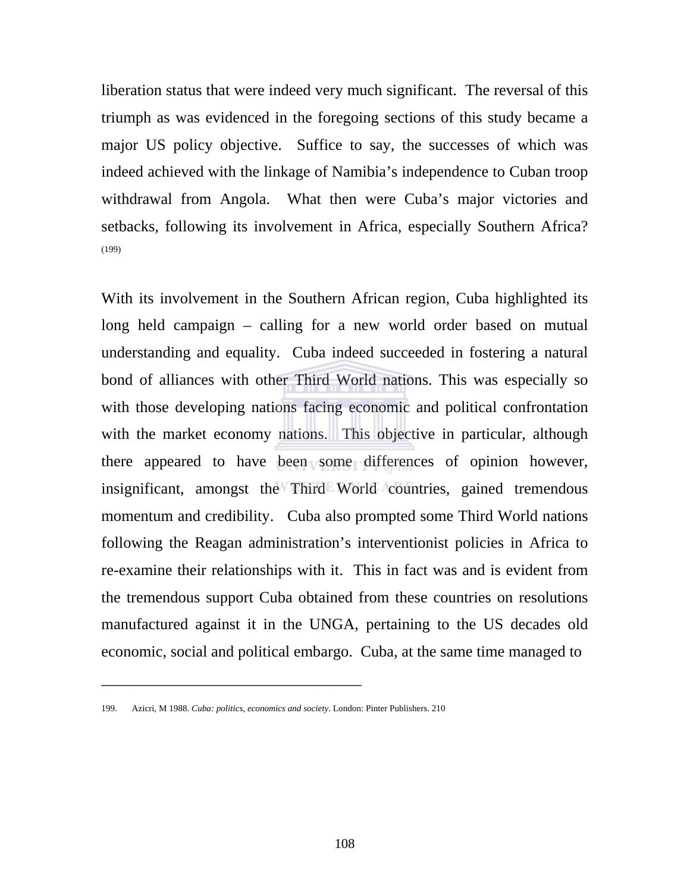liberation status that were indeed very much significant. The reversal of this triumph as was evidenced in the foregoing sections of this study became a major US policy objective. Suffice to say, the successes of which was indeed achieved with the linkage of Namibia's independence to Cuban troop withdrawal from Angola. What then were Cuba's major victories and setbacks, following its involvement in Africa, especially Southern Africa? (199)

With its involvement in the Southern African region, Cuba highlighted its long held campaign – calling for a new world order based on mutual understanding and equality. Cuba indeed succeeded in fostering a natural bond of alliances with other Third World nations. This was especially so with those developing nations facing economic and political confrontation with the market economy nations. This objective in particular, although there appeared to have been some differences of opinion however, insignificant, amongst the Third World countries, gained tremendous momentum and credibility. Cuba also prompted some Third World nations following the Reagan administration's interventionist policies in Africa to re-examine their relationships with it. This in fact was and is evident from the tremendous support Cuba obtained from these countries on resolutions manufactured against it in the UNGA, pertaining to the US decades old economic, social and political embargo. Cuba, at the same time managed to

<sup>199.</sup> Azicri, M 1988. *Cuba: politics, economics and society*. London: Pinter Publishers. 210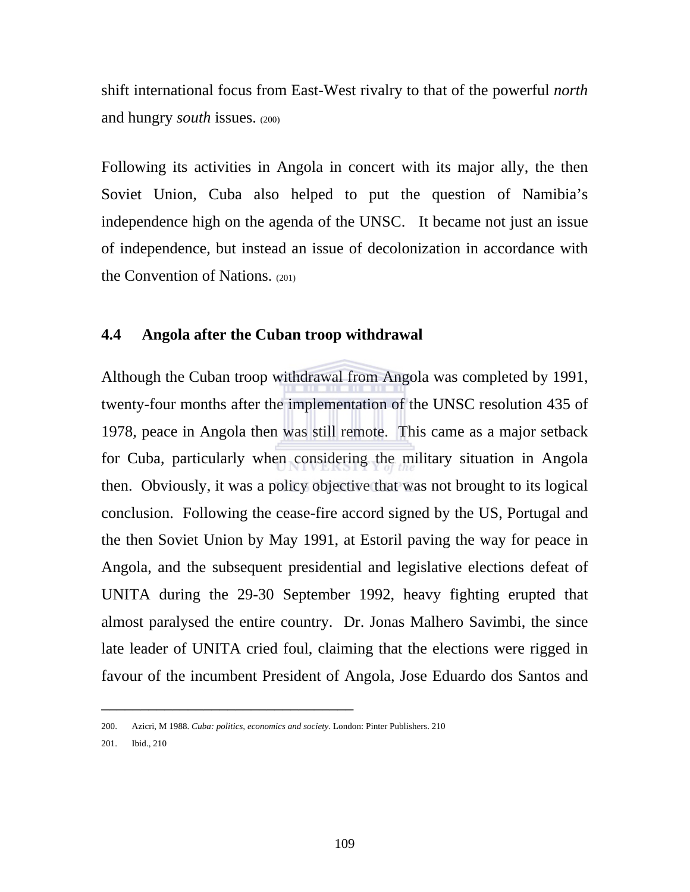shift international focus from East-West rivalry to that of the powerful *north* and hungry *south* issues. (200)

Following its activities in Angola in concert with its major ally, the then Soviet Union, Cuba also helped to put the question of Namibia's independence high on the agenda of the UNSC. It became not just an issue of independence, but instead an issue of decolonization in accordance with the Convention of Nations. (201)

# **4.4 Angola after the Cuban troop withdrawal**

Although the Cuban troop withdrawal from Angola was completed by 1991, twenty-four months after the implementation of the UNSC resolution 435 of 1978, peace in Angola then was still remote. This came as a major setback for Cuba, particularly when considering the military situation in Angola then. Obviously, it was a policy objective that was not brought to its logical conclusion. Following the cease-fire accord signed by the US, Portugal and the then Soviet Union by May 1991, at Estoril paving the way for peace in Angola, and the subsequent presidential and legislative elections defeat of UNITA during the 29-30 September 1992, heavy fighting erupted that almost paralysed the entire country. Dr. Jonas Malhero Savimbi, the since late leader of UNITA cried foul, claiming that the elections were rigged in favour of the incumbent President of Angola, Jose Eduardo dos Santos and

<sup>200.</sup> Azicri, M 1988. *Cuba: politics, economics and society*. London: Pinter Publishers. 210

<sup>201.</sup> Ibid., 210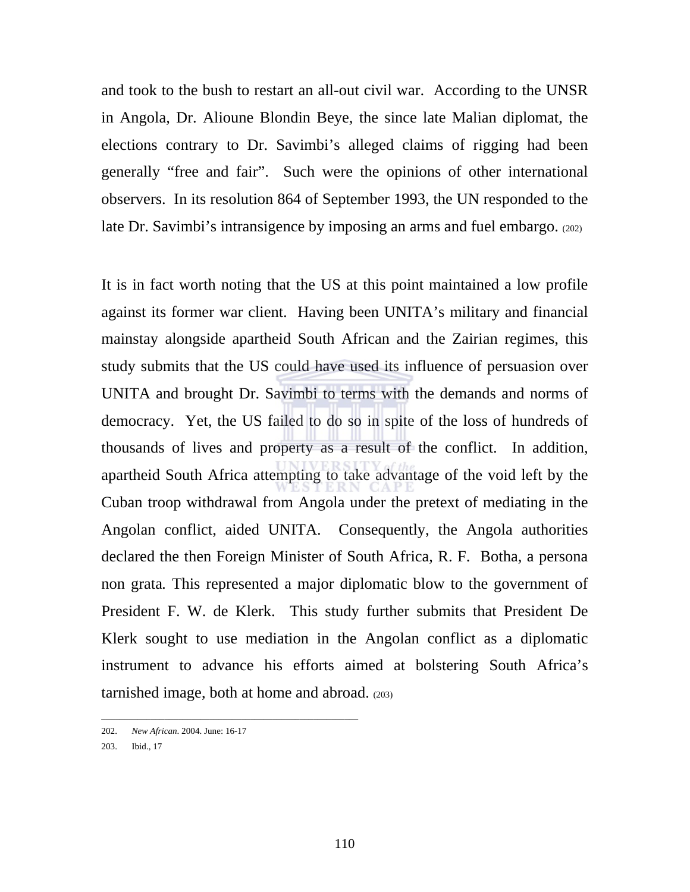and took to the bush to restart an all-out civil war. According to the UNSR in Angola, Dr. Alioune Blondin Beye, the since late Malian diplomat, the elections contrary to Dr. Savimbi's alleged claims of rigging had been generally "free and fair". Such were the opinions of other international observers. In its resolution 864 of September 1993, the UN responded to the late Dr. Savimbi's intransigence by imposing an arms and fuel embargo. (202)

It is in fact worth noting that the US at this point maintained a low profile against its former war client. Having been UNITA's military and financial mainstay alongside apartheid South African and the Zairian regimes, this study submits that the US could have used its influence of persuasion over UNITA and brought Dr. Savimbi to terms with the demands and norms of democracy. Yet, the US failed to do so in spite of the loss of hundreds of thousands of lives and property as a result of the conflict. In addition, apartheid South Africa attempting to take advantage of the void left by the Cuban troop withdrawal from Angola under the pretext of mediating in the Angolan conflict, aided UNITA. Consequently, the Angola authorities declared the then Foreign Minister of South Africa, R. F. Botha, a persona non grata*.* This represented a major diplomatic blow to the government of President F. W. de Klerk. This study further submits that President De Klerk sought to use mediation in the Angolan conflict as a diplomatic instrument to advance his efforts aimed at bolstering South Africa's tarnished image, both at home and abroad. (203)

\_\_\_\_\_\_\_\_\_\_\_\_\_\_\_\_\_\_\_\_\_\_\_\_\_\_\_\_\_\_\_\_\_\_\_\_\_\_\_\_\_\_\_\_\_\_\_\_\_\_\_\_\_\_\_\_\_

<sup>202.</sup> *New African*. 2004. June: 16-17

<sup>203.</sup> Ibid., 17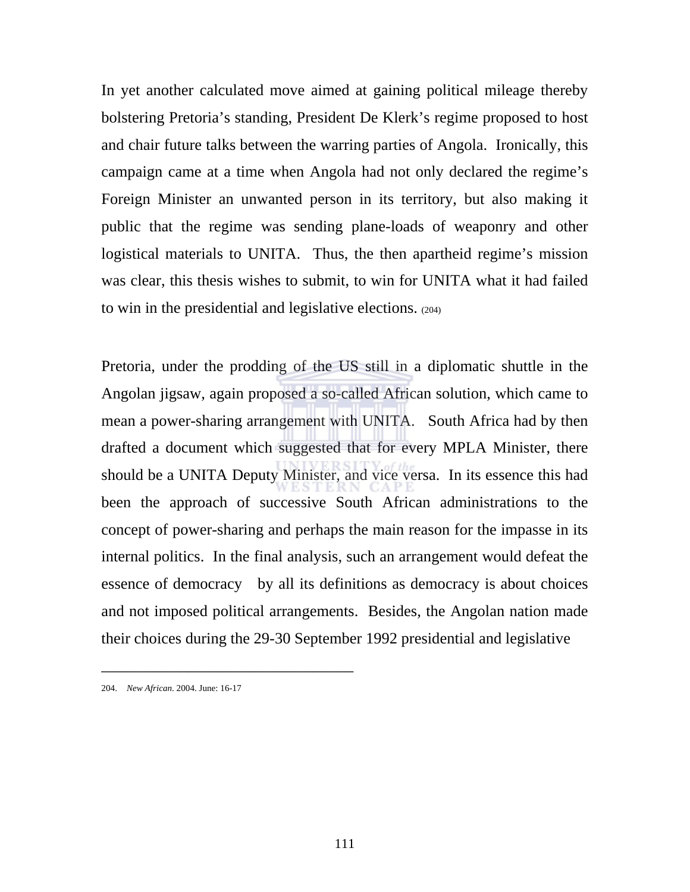In yet another calculated move aimed at gaining political mileage thereby bolstering Pretoria's standing, President De Klerk's regime proposed to host and chair future talks between the warring parties of Angola. Ironically, this campaign came at a time when Angola had not only declared the regime's Foreign Minister an unwanted person in its territory, but also making it public that the regime was sending plane-loads of weaponry and other logistical materials to UNITA. Thus, the then apartheid regime's mission was clear, this thesis wishes to submit, to win for UNITA what it had failed to win in the presidential and legislative elections. (204)

Pretoria, under the prodding of the US still in a diplomatic shuttle in the Angolan jigsaw, again proposed a so-called African solution, which came to mean a power-sharing arrangement with UNITA. South Africa had by then drafted a document which suggested that for every MPLA Minister, there should be a UNITA Deputy Minister, and vice versa. In its essence this had been the approach of successive South African administrations to the concept of power-sharing and perhaps the main reason for the impasse in its internal politics. In the final analysis, such an arrangement would defeat the essence of democracy by all its definitions as democracy is about choices and not imposed political arrangements. Besides, the Angolan nation made their choices during the 29-30 September 1992 presidential and legislative

<sup>204.</sup> *New African*. 2004. June: 16-17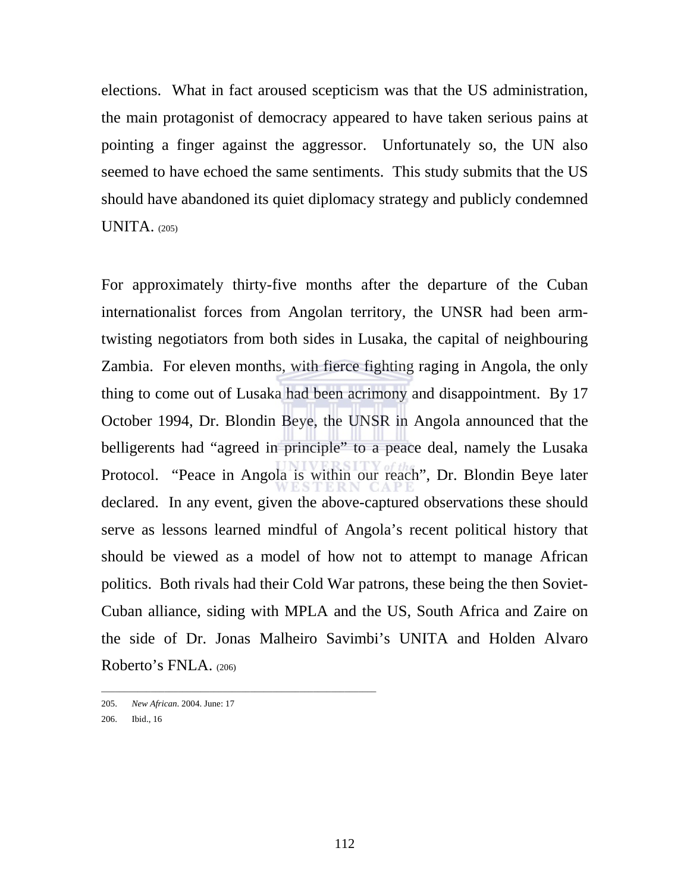elections. What in fact aroused scepticism was that the US administration, the main protagonist of democracy appeared to have taken serious pains at pointing a finger against the aggressor. Unfortunately so, the UN also seemed to have echoed the same sentiments. This study submits that the US should have abandoned its quiet diplomacy strategy and publicly condemned UNITA. (205)

For approximately thirty-five months after the departure of the Cuban internationalist forces from Angolan territory, the UNSR had been armtwisting negotiators from both sides in Lusaka, the capital of neighbouring Zambia. For eleven months, with fierce fighting raging in Angola, the only thing to come out of Lusaka had been acrimony and disappointment. By 17 October 1994, Dr. Blondin Beye, the UNSR in Angola announced that the belligerents had "agreed in principle" to a peace deal, namely the Lusaka Protocol. "Peace in Angola is within our reach", Dr. Blondin Beye later declared. In any event, given the above-captured observations these should serve as lessons learned mindful of Angola's recent political history that should be viewed as a model of how not to attempt to manage African politics. Both rivals had their Cold War patrons, these being the then Soviet-Cuban alliance, siding with MPLA and the US, South Africa and Zaire on the side of Dr. Jonas Malheiro Savimbi's UNITA and Holden Alvaro Roberto's FNLA. (206)

\_\_\_\_\_\_\_\_\_\_\_\_\_\_\_\_\_\_\_\_\_\_\_\_\_\_\_\_\_\_\_\_\_\_\_\_\_\_\_\_\_\_\_\_\_\_\_\_\_\_\_\_\_\_\_\_\_\_\_\_\_

<sup>205.</sup> *New African*. 2004. June: 17

<sup>206.</sup> Ibid., 16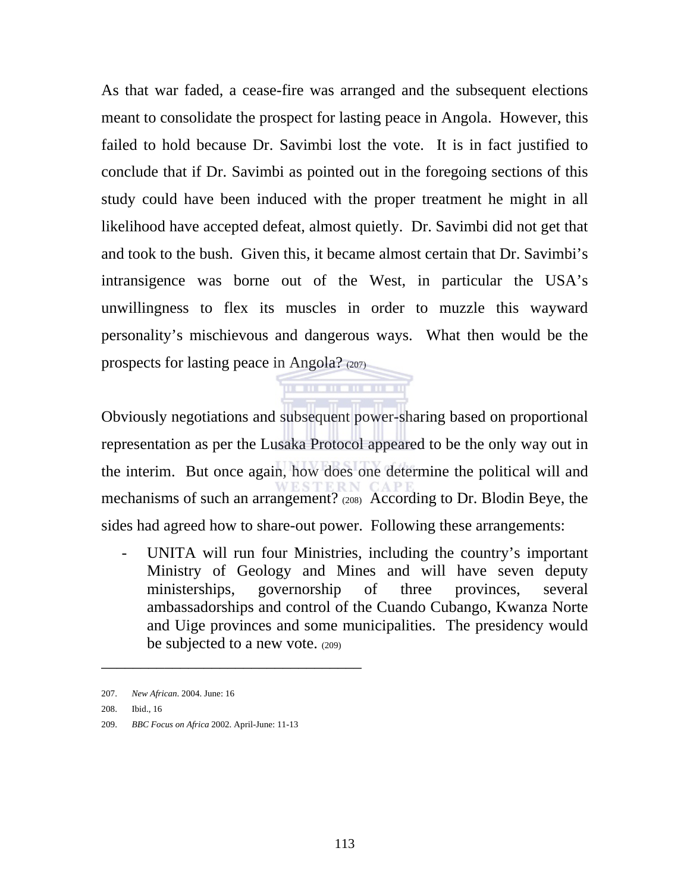As that war faded, a cease-fire was arranged and the subsequent elections meant to consolidate the prospect for lasting peace in Angola. However, this failed to hold because Dr. Savimbi lost the vote. It is in fact justified to conclude that if Dr. Savimbi as pointed out in the foregoing sections of this study could have been induced with the proper treatment he might in all likelihood have accepted defeat, almost quietly. Dr. Savimbi did not get that and took to the bush. Given this, it became almost certain that Dr. Savimbi's intransigence was borne out of the West, in particular the USA's unwillingness to flex its muscles in order to muzzle this wayward personality's mischievous and dangerous ways. What then would be the prospects for lasting peace in Angola? (207)

Obviously negotiations and subsequent power-sharing based on proportional representation as per the Lusaka Protocol appeared to be the only way out in the interim. But once again, how does one determine the political will and mechanisms of such an arrangement? (208) According to Dr. Blodin Beye, the sides had agreed how to share-out power. Following these arrangements:

. . . . . . . . . . . .

- UNITA will run four Ministries, including the country's important Ministry of Geology and Mines and will have seven deputy ministerships, governorship of three provinces, several ambassadorships and control of the Cuando Cubango, Kwanza Norte and Uige provinces and some municipalities. The presidency would be subjected to a new vote. (209)

209. *BBC Focus on Africa* 2002. April-June: 11-13

<sup>207.</sup> *New African*. 2004. June: 16

<sup>208.</sup> Ibid., 16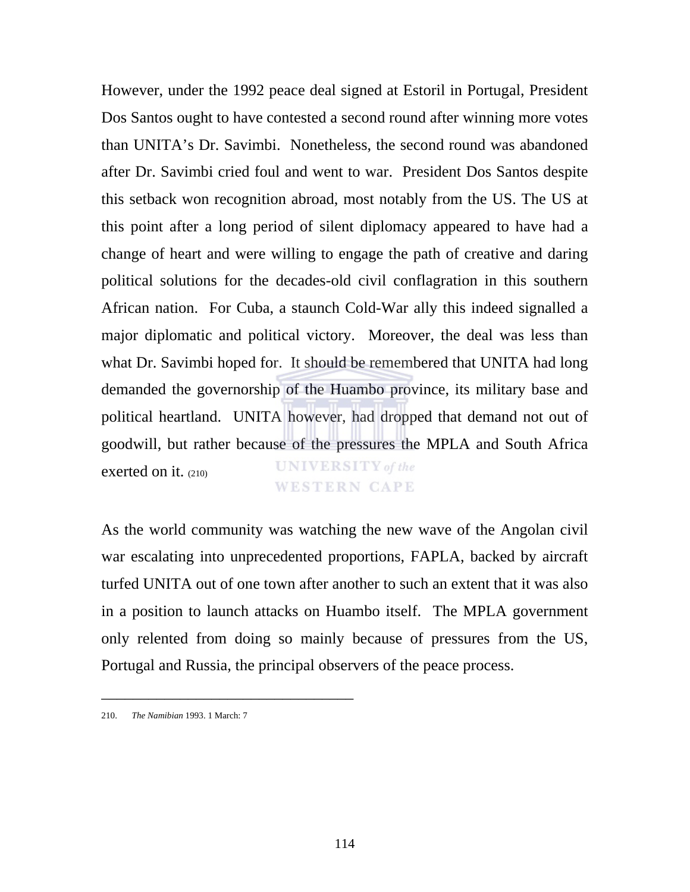However, under the 1992 peace deal signed at Estoril in Portugal, President Dos Santos ought to have contested a second round after winning more votes than UNITA's Dr. Savimbi. Nonetheless, the second round was abandoned after Dr. Savimbi cried foul and went to war. President Dos Santos despite this setback won recognition abroad, most notably from the US. The US at this point after a long period of silent diplomacy appeared to have had a change of heart and were willing to engage the path of creative and daring political solutions for the decades-old civil conflagration in this southern African nation. For Cuba, a staunch Cold-War ally this indeed signalled a major diplomatic and political victory. Moreover, the deal was less than what Dr. Savimbi hoped for. It should be remembered that UNITA had long demanded the governorship of the Huambo province, its military base and political heartland. UNITA however, had dropped that demand not out of goodwill, but rather because of the pressures the MPLA and South Africa **UNIVERSITY** of the exerted on it. (210) **WESTERN CAPE** 

As the world community was watching the new wave of the Angolan civil war escalating into unprecedented proportions, FAPLA, backed by aircraft turfed UNITA out of one town after another to such an extent that it was also in a position to launch attacks on Huambo itself. The MPLA government only relented from doing so mainly because of pressures from the US, Portugal and Russia, the principal observers of the peace process.

<sup>210.</sup> *The Namibian* 1993. 1 March: 7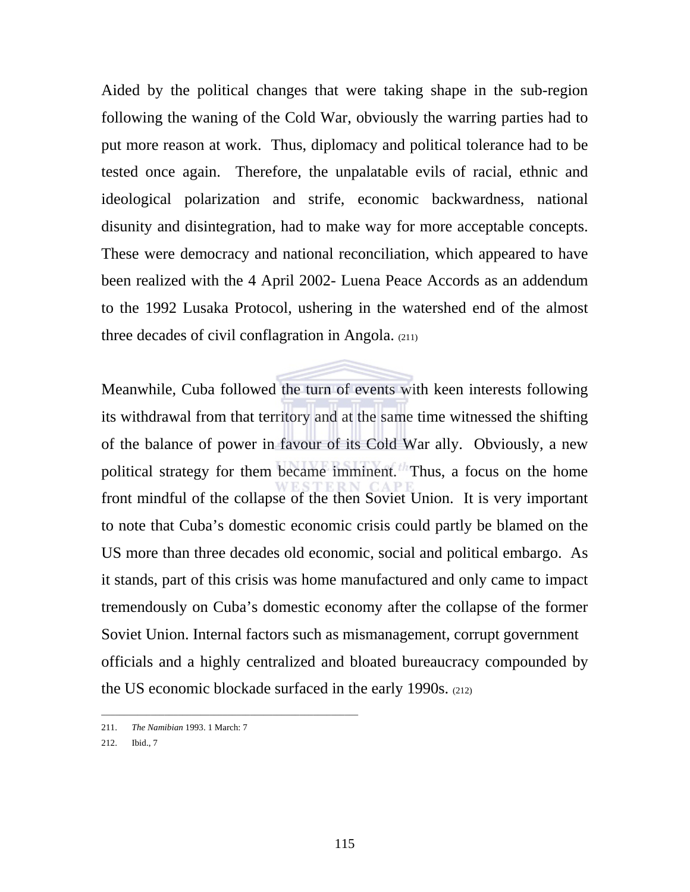Aided by the political changes that were taking shape in the sub-region following the waning of the Cold War, obviously the warring parties had to put more reason at work. Thus, diplomacy and political tolerance had to be tested once again. Therefore, the unpalatable evils of racial, ethnic and ideological polarization and strife, economic backwardness, national disunity and disintegration, had to make way for more acceptable concepts. These were democracy and national reconciliation, which appeared to have been realized with the 4 April 2002- Luena Peace Accords as an addendum to the 1992 Lusaka Protocol, ushering in the watershed end of the almost three decades of civil conflagration in Angola. (211)

Meanwhile, Cuba followed the turn of events with keen interests following its withdrawal from that territory and at the same time witnessed the shifting of the balance of power in favour of its Cold War ally. Obviously, a new political strategy for them became imminent. Thus, a focus on the home front mindful of the collapse of the then Soviet Union. It is very important to note that Cuba's domestic economic crisis could partly be blamed on the US more than three decades old economic, social and political embargo. As it stands, part of this crisis was home manufactured and only came to impact tremendously on Cuba's domestic economy after the collapse of the former Soviet Union. Internal factors such as mismanagement, corrupt government officials and a highly centralized and bloated bureaucracy compounded by the US economic blockade surfaced in the early 1990s. (212)

\_\_\_\_\_\_\_\_\_\_\_\_\_\_\_\_\_\_\_\_\_\_\_\_\_\_\_\_\_\_\_\_\_\_\_\_\_\_\_\_\_\_\_\_\_\_\_\_\_\_\_\_\_\_\_\_\_

<sup>211.</sup> *The Namibian* 1993. 1 March: 7

<sup>212.</sup> Ibid., 7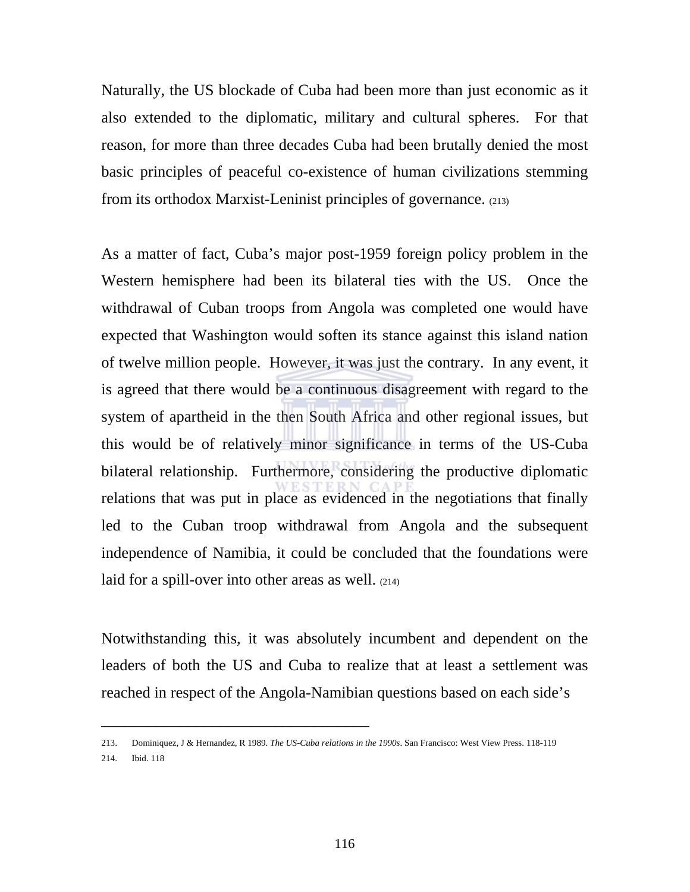Naturally, the US blockade of Cuba had been more than just economic as it also extended to the diplomatic, military and cultural spheres. For that reason, for more than three decades Cuba had been brutally denied the most basic principles of peaceful co-existence of human civilizations stemming from its orthodox Marxist-Leninist principles of governance. (213)

As a matter of fact, Cuba's major post-1959 foreign policy problem in the Western hemisphere had been its bilateral ties with the US. Once the withdrawal of Cuban troops from Angola was completed one would have expected that Washington would soften its stance against this island nation of twelve million people. However, it was just the contrary. In any event, it is agreed that there would be a continuous disagreement with regard to the system of apartheid in the then South Africa and other regional issues, but this would be of relatively minor significance in terms of the US-Cuba bilateral relationship. Furthermore, considering the productive diplomatic relations that was put in place as evidenced in the negotiations that finally led to the Cuban troop withdrawal from Angola and the subsequent independence of Namibia, it could be concluded that the foundations were laid for a spill-over into other areas as well. (214)

Notwithstanding this, it was absolutely incumbent and dependent on the leaders of both the US and Cuba to realize that at least a settlement was reached in respect of the Angola-Namibian questions based on each side's

<sup>213.</sup> Dominiquez, J & Hernandez, R 1989. *The US-Cuba relations in the 1990s*. San Francisco: West View Press. 118-119 214. Ibid. 118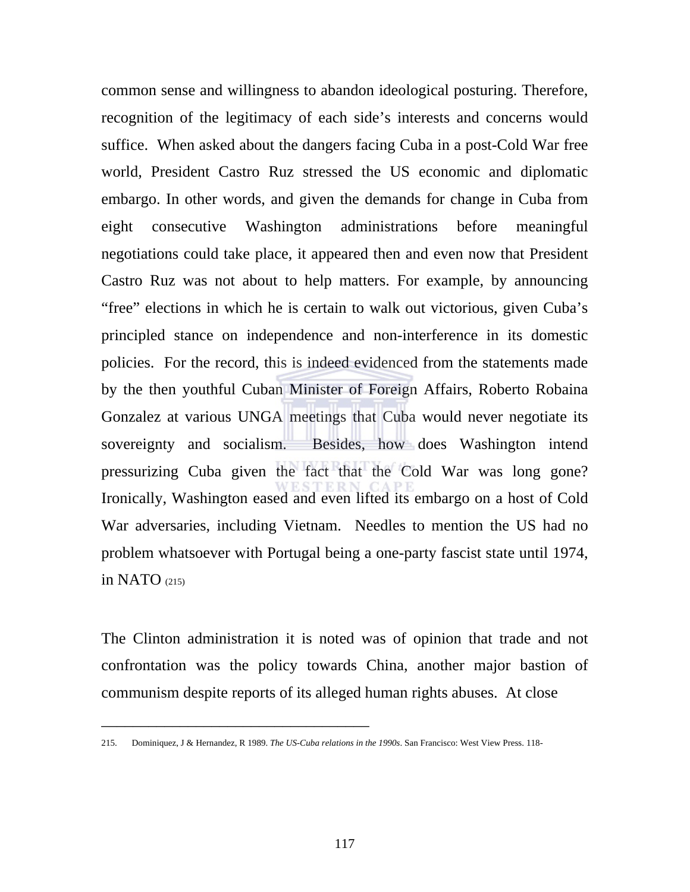common sense and willingness to abandon ideological posturing. Therefore, recognition of the legitimacy of each side's interests and concerns would suffice. When asked about the dangers facing Cuba in a post-Cold War free world, President Castro Ruz stressed the US economic and diplomatic embargo. In other words, and given the demands for change in Cuba from eight consecutive Washington administrations before meaningful negotiations could take place, it appeared then and even now that President Castro Ruz was not about to help matters. For example, by announcing "free" elections in which he is certain to walk out victorious, given Cuba's principled stance on independence and non-interference in its domestic policies. For the record, this is indeed evidenced from the statements made by the then youthful Cuban Minister of Foreign Affairs, Roberto Robaina Gonzalez at various UNGA meetings that Cuba would never negotiate its sovereignty and socialism. Besides, how does Washington intend pressurizing Cuba given the fact that the Cold War was long gone? Ironically, Washington eased and even lifted its embargo on a host of Cold War adversaries, including Vietnam. Needles to mention the US had no problem whatsoever with Portugal being a one-party fascist state until 1974, in NATO  $(215)$ 

The Clinton administration it is noted was of opinion that trade and not confrontation was the policy towards China, another major bastion of communism despite reports of its alleged human rights abuses. At close

<sup>215.</sup> Dominiquez, J & Hernandez, R 1989. *The US-Cuba relations in the 1990s*. San Francisco: West View Press. 118-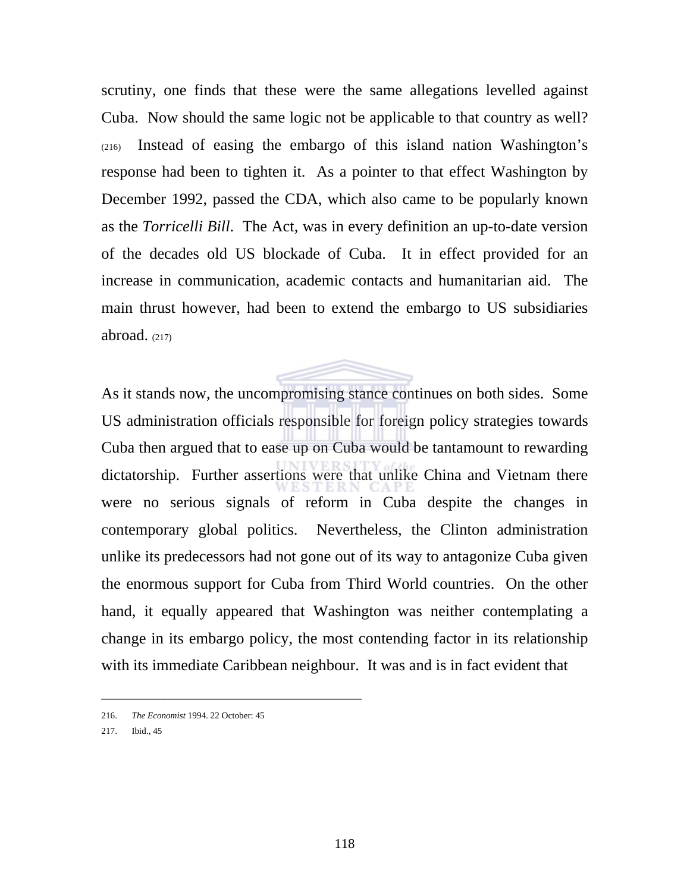scrutiny, one finds that these were the same allegations levelled against Cuba. Now should the same logic not be applicable to that country as well? (216) Instead of easing the embargo of this island nation Washington's response had been to tighten it. As a pointer to that effect Washington by December 1992, passed the CDA, which also came to be popularly known as the *Torricelli Bill*. The Act, was in every definition an up-to-date version of the decades old US blockade of Cuba. It in effect provided for an increase in communication, academic contacts and humanitarian aid. The main thrust however, had been to extend the embargo to US subsidiaries abroad.  $(217)$ 

As it stands now, the uncompromising stance continues on both sides. Some US administration officials responsible for foreign policy strategies towards Cuba then argued that to ease up on Cuba would be tantamount to rewarding dictatorship. Further assertions were that unlike China and Vietnam there were no serious signals of reform in Cuba despite the changes in contemporary global politics. Nevertheless, the Clinton administration unlike its predecessors had not gone out of its way to antagonize Cuba given the enormous support for Cuba from Third World countries. On the other hand, it equally appeared that Washington was neither contemplating a change in its embargo policy, the most contending factor in its relationship with its immediate Caribbean neighbour. It was and is in fact evident that

<sup>216.</sup> *The Economist* 1994. 22 October: 45

<sup>217.</sup> Ibid., 45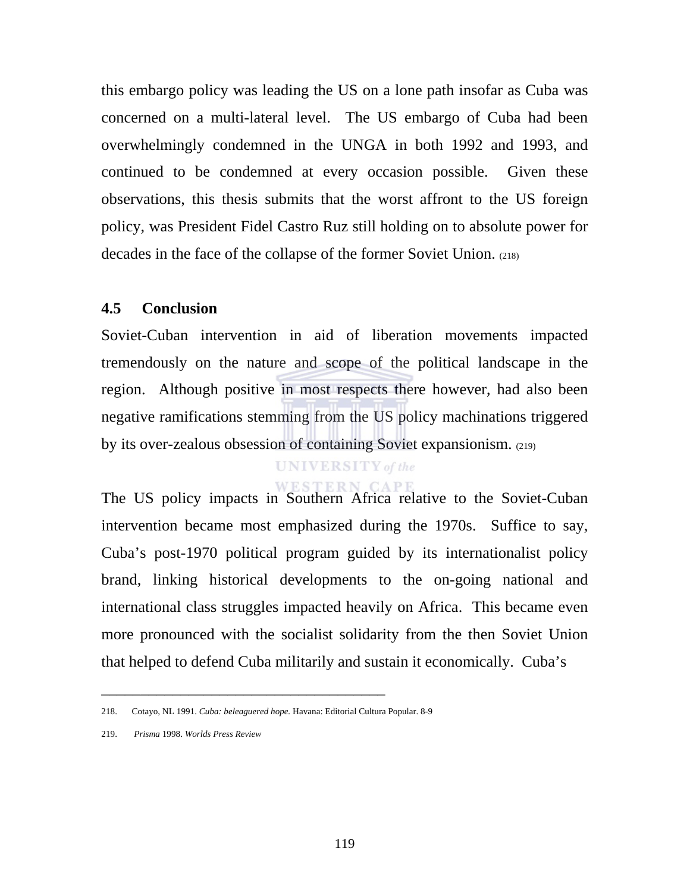this embargo policy was leading the US on a lone path insofar as Cuba was concerned on a multi-lateral level. The US embargo of Cuba had been overwhelmingly condemned in the UNGA in both 1992 and 1993, and continued to be condemned at every occasion possible. Given these observations, this thesis submits that the worst affront to the US foreign policy, was President Fidel Castro Ruz still holding on to absolute power for decades in the face of the collapse of the former Soviet Union. (218)

# **4.5 Conclusion**

Soviet-Cuban intervention in aid of liberation movements impacted tremendously on the nature and scope of the political landscape in the region. Although positive in most respects there however, had also been negative ramifications stemming from the US policy machinations triggered by its over-zealous obsession of containing Soviet expansionism. (219)

# **UNIVERSITY** of the

**WESTERN CAPE** The US policy impacts in Southern Africa relative to the Soviet-Cuban intervention became most emphasized during the 1970s. Suffice to say, Cuba's post-1970 political program guided by its internationalist policy brand, linking historical developments to the on-going national and international class struggles impacted heavily on Africa. This became even more pronounced with the socialist solidarity from the then Soviet Union that helped to defend Cuba militarily and sustain it economically. Cuba's

<sup>218.</sup> Cotayo, NL 1991. *Cuba: beleaguered hope.* Havana: Editorial Cultura Popular. 8-9

<sup>219.</sup> *Prisma* 1998. *Worlds Press Review*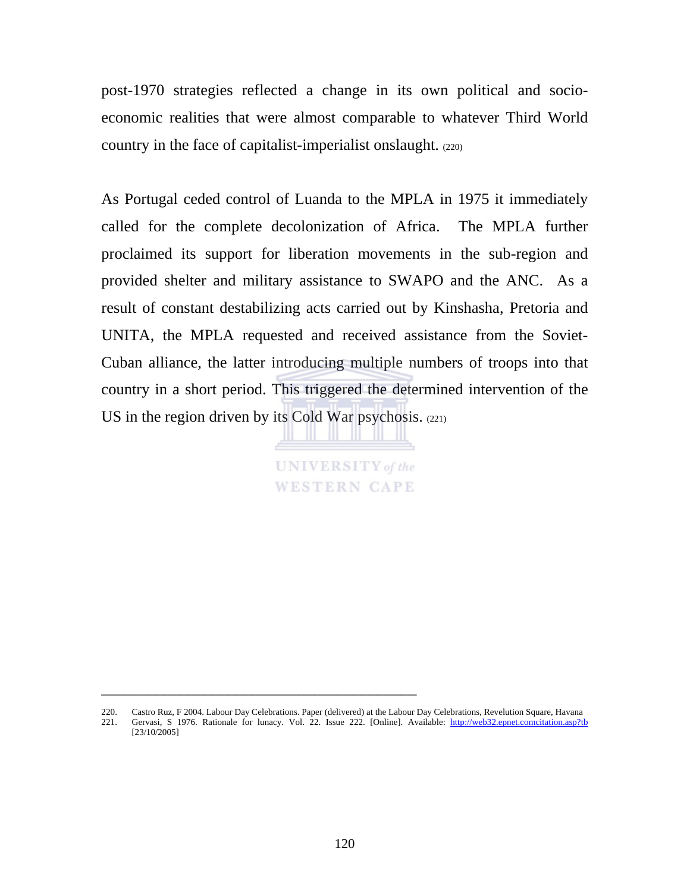post-1970 strategies reflected a change in its own political and socioeconomic realities that were almost comparable to whatever Third World country in the face of capitalist-imperialist onslaught. (220)

As Portugal ceded control of Luanda to the MPLA in 1975 it immediately called for the complete decolonization of Africa. The MPLA further proclaimed its support for liberation movements in the sub-region and provided shelter and military assistance to SWAPO and the ANC. As a result of constant destabilizing acts carried out by Kinshasha, Pretoria and UNITA, the MPLA requested and received assistance from the Soviet-Cuban alliance, the latter introducing multiple numbers of troops into that country in a short period. This triggered the determined intervention of the US in the region driven by its Cold War psychosis. (221)

> **UNIVERSITY** of the **WESTERN CAPE**

<sup>220.</sup> Castro Ruz, F 2004. Labour Day Celebrations. Paper (delivered) at the Labour Day Celebrations, Revelution Square, Havana 221. Gervasi, S 1976. Rationale for lunacy. Vol. 22. Issue 222. [Online]. Available: http://web32.epnet.comcitation.asp?tb [23/10/2005]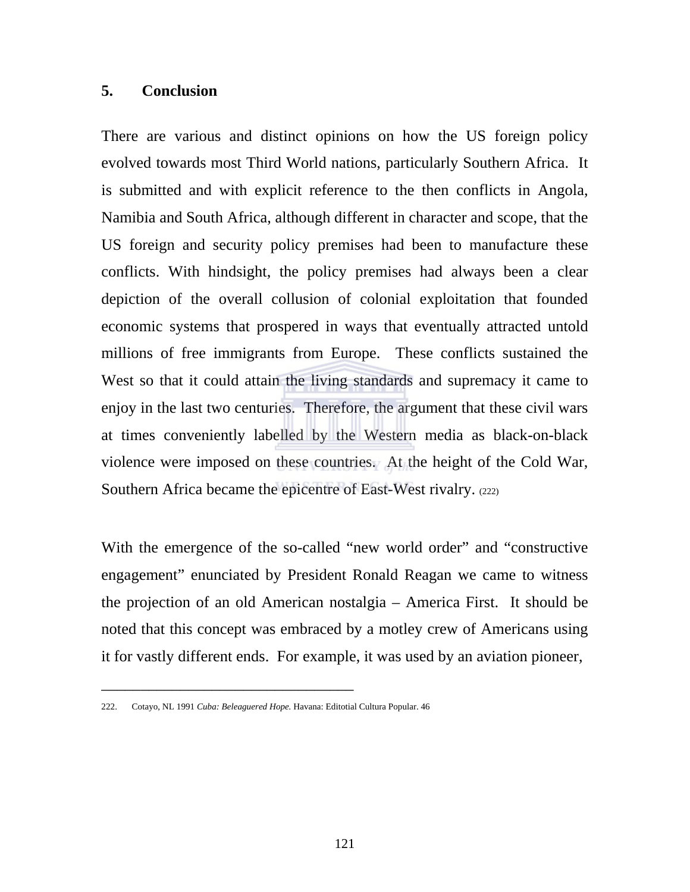# **5. Conclusion**

There are various and distinct opinions on how the US foreign policy evolved towards most Third World nations, particularly Southern Africa. It is submitted and with explicit reference to the then conflicts in Angola, Namibia and South Africa, although different in character and scope, that the US foreign and security policy premises had been to manufacture these conflicts. With hindsight, the policy premises had always been a clear depiction of the overall collusion of colonial exploitation that founded economic systems that prospered in ways that eventually attracted untold millions of free immigrants from Europe. These conflicts sustained the West so that it could attain the living standards and supremacy it came to enjoy in the last two centuries. Therefore, the argument that these civil wars at times conveniently labelled by the Western media as black-on-black violence were imposed on these countries. At the height of the Cold War, Southern Africa became the epicentre of East-West rivalry. (222)

With the emergence of the so-called "new world order" and "constructive engagement" enunciated by President Ronald Reagan we came to witness the projection of an old American nostalgia – America First. It should be noted that this concept was embraced by a motley crew of Americans using it for vastly different ends. For example, it was used by an aviation pioneer,

<sup>222.</sup> Cotayo, NL 1991 *Cuba: Beleaguered Hope.* Havana: Editotial Cultura Popular. 46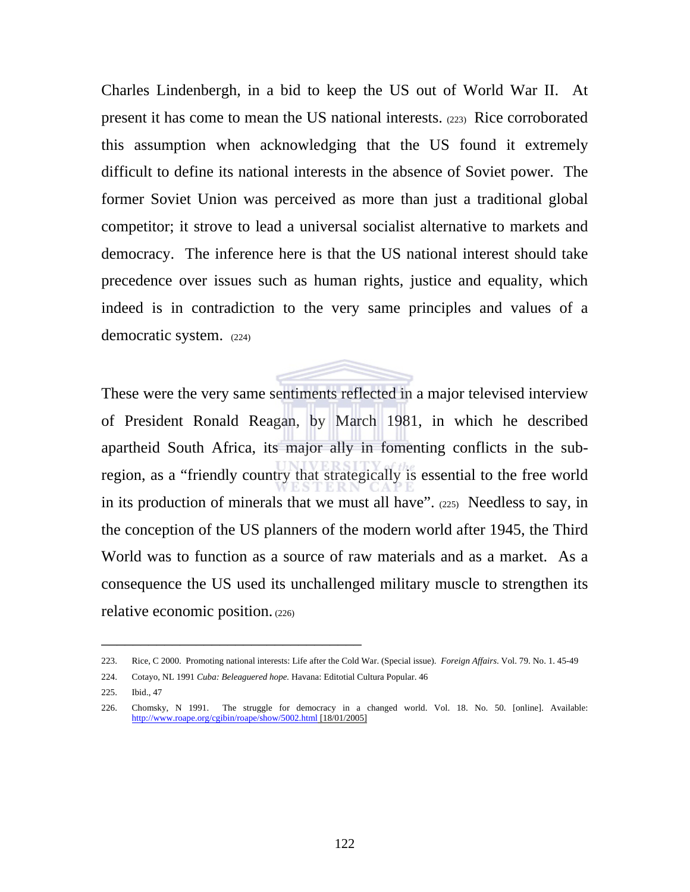Charles Lindenbergh, in a bid to keep the US out of World War II. At present it has come to mean the US national interests. (223) Rice corroborated this assumption when acknowledging that the US found it extremely difficult to define its national interests in the absence of Soviet power. The former Soviet Union was perceived as more than just a traditional global competitor; it strove to lead a universal socialist alternative to markets and democracy. The inference here is that the US national interest should take precedence over issues such as human rights, justice and equality, which indeed is in contradiction to the very same principles and values of a democratic system. (224)

These were the very same sentiments reflected in a major televised interview of President Ronald Reagan, by March 1981, in which he described apartheid South Africa, its major ally in fomenting conflicts in the subregion, as a "friendly country that strategically is essential to the free world in its production of minerals that we must all have". (225)Needless to say, in the conception of the US planners of the modern world after 1945, the Third World was to function as a source of raw materials and as a market. As a consequence the US used its unchallenged military muscle to strengthen its relative economic position. (226)

<sup>223.</sup> Rice, C 2000. Promoting national interests: Life after the Cold War. (Special issue). *Foreign Affairs*. Vol. 79. No. 1. 45-49

<sup>224.</sup> Cotayo, NL 1991 *Cuba: Beleaguered hope.* Havana: Editotial Cultura Popular. 46

<sup>225.</sup> Ibid., 47

<sup>226.</sup> Chomsky, N 1991. The struggle for democracy in a changed world. Vol. 18. No. 50. [online]. Available: http://www.roape.org/cgibin/roape/show/5002.html [18/01/2005]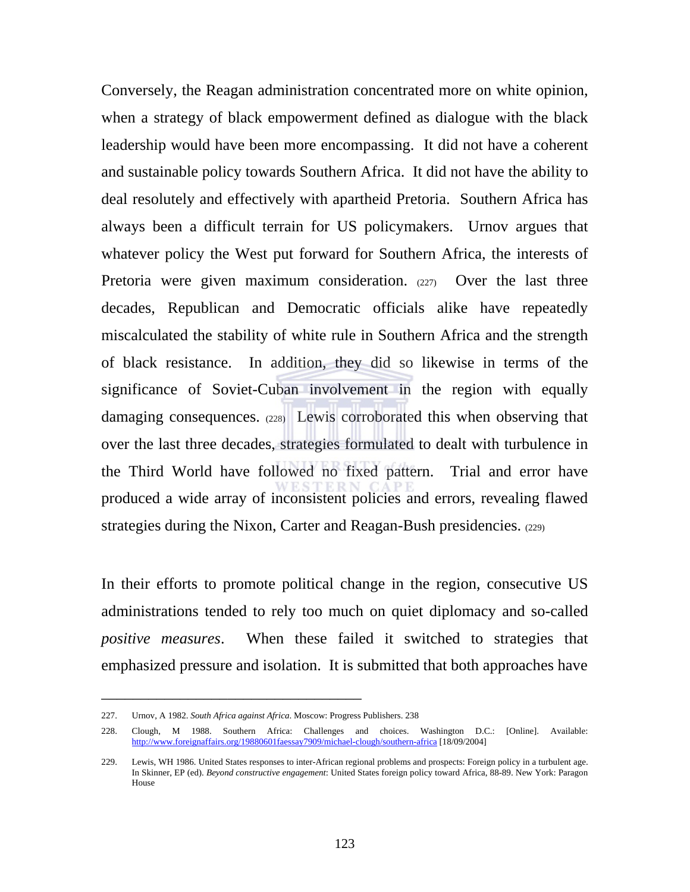Conversely, the Reagan administration concentrated more on white opinion, when a strategy of black empowerment defined as dialogue with the black leadership would have been more encompassing. It did not have a coherent and sustainable policy towards Southern Africa. It did not have the ability to deal resolutely and effectively with apartheid Pretoria. Southern Africa has always been a difficult terrain for US policymakers. Urnov argues that whatever policy the West put forward for Southern Africa, the interests of Pretoria were given maximum consideration. (227) Over the last three decades, Republican and Democratic officials alike have repeatedly miscalculated the stability of white rule in Southern Africa and the strength of black resistance. In addition, they did so likewise in terms of the significance of Soviet-Cuban involvement in the region with equally damaging consequences. (228) Lewis corroborated this when observing that over the last three decades, strategies formulated to dealt with turbulence in the Third World have followed no fixed pattern. Trial and error have produced a wide array of inconsistent policies and errors, revealing flawed strategies during the Nixon, Carter and Reagan-Bush presidencies. (229)

In their efforts to promote political change in the region, consecutive US administrations tended to rely too much on quiet diplomacy and so-called *positive measures*. When these failed it switched to strategies that emphasized pressure and isolation. It is submitted that both approaches have

<sup>227.</sup> Urnov, A 1982. *South Africa against Africa*. Moscow: Progress Publishers. 238

<sup>228.</sup> Clough, M 1988. Southern Africa: Challenges and choices. Washington D.C.: [Online]. Available: http://www.foreignaffairs.org/19880601faessay7909/michael-clough/southern-africa [18/09/2004]

<sup>229.</sup> Lewis, WH 1986. United States responses to inter-African regional problems and prospects: Foreign policy in a turbulent age. In Skinner, EP (ed). *Beyond constructive engagement*: United States foreign policy toward Africa, 88-89. New York: Paragon House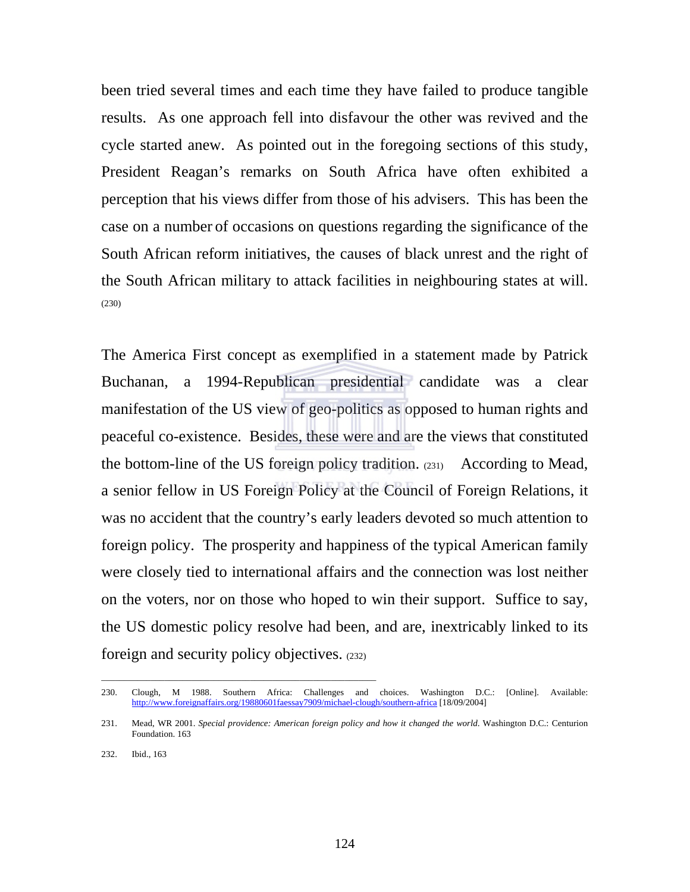been tried several times and each time they have failed to produce tangible results. As one approach fell into disfavour the other was revived and the cycle started anew. As pointed out in the foregoing sections of this study, President Reagan's remarks on South Africa have often exhibited a perception that his views differ from those of his advisers. This has been the case on a number of occasions on questions regarding the significance of the South African reform initiatives, the causes of black unrest and the right of the South African military to attack facilities in neighbouring states at will. (230)

The America First concept as exemplified in a statement made by Patrick Buchanan, a 1994-Republican presidential candidate was a clear manifestation of the US view of geo-politics as opposed to human rights and peaceful co-existence. Besides, these were and are the views that constituted the bottom-line of the US foreign policy tradition. (231) According to Mead, a senior fellow in US Foreign Policy at the Council of Foreign Relations, it was no accident that the country's early leaders devoted so much attention to foreign policy. The prosperity and happiness of the typical American family were closely tied to international affairs and the connection was lost neither on the voters, nor on those who hoped to win their support. Suffice to say, the US domestic policy resolve had been, and are, inextricably linked to its foreign and security policy objectives. (232)

\_\_\_\_\_\_\_\_\_\_\_\_\_\_\_\_\_\_\_\_\_\_\_\_\_\_\_\_\_\_\_\_\_\_\_\_\_\_\_\_\_\_\_\_\_\_\_\_\_\_\_\_\_\_\_\_\_\_\_\_\_

<sup>230.</sup> Clough, M 1988. Southern Africa: Challenges and choices. Washington D.C.: [Online]. Available: http://www.foreignaffairs.org/19880601faessay7909/michael-clough/southern-africa [18/09/2004]

<sup>231.</sup> Mead, WR 2001. Special providence: American foreign policy and how it changed the world. Washington D.C.: Centurion Foundation. 163

<sup>232.</sup> Ibid., 163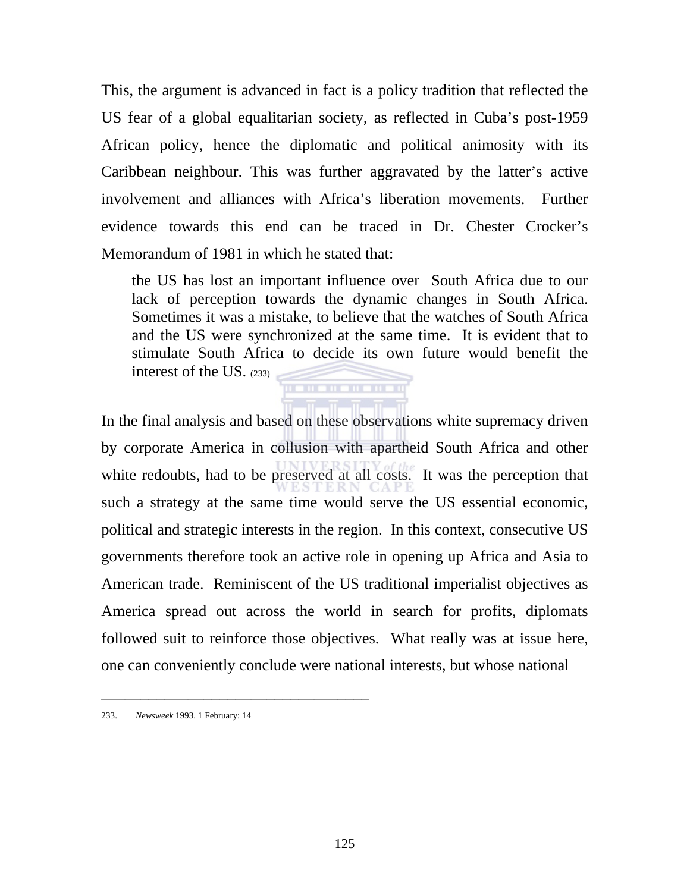This, the argument is advanced in fact is a policy tradition that reflected the US fear of a global equalitarian society, as reflected in Cuba's post-1959 African policy, hence the diplomatic and political animosity with its Caribbean neighbour. This was further aggravated by the latter's active involvement and alliances with Africa's liberation movements. Further evidence towards this end can be traced in Dr. Chester Crocker's Memorandum of 1981 in which he stated that:

the US has lost an important influence over South Africa due to our lack of perception towards the dynamic changes in South Africa. Sometimes it was a mistake, to believe that the watches of South Africa and the US were synchronized at the same time. It is evident that to stimulate South Africa to decide its own future would benefit the interest of the US. (233) . . . . . . . . . . . .

In the final analysis and based on these observations white supremacy driven by corporate America in collusion with apartheid South Africa and other white redoubts, had to be preserved at all costs. It was the perception that such a strategy at the same time would serve the US essential economic, political and strategic interests in the region. In this context, consecutive US governments therefore took an active role in opening up Africa and Asia to American trade. Reminiscent of the US traditional imperialist objectives as America spread out across the world in search for profits, diplomats followed suit to reinforce those objectives. What really was at issue here, one can conveniently conclude were national interests, but whose national

<sup>233.</sup> *Newsweek* 1993. 1 February: 14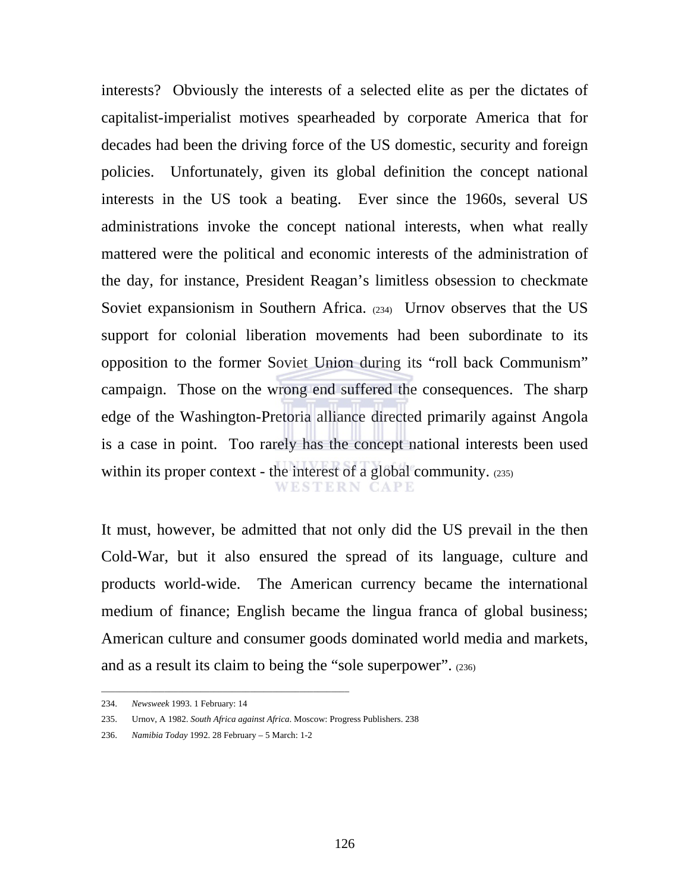interests? Obviously the interests of a selected elite as per the dictates of capitalist-imperialist motives spearheaded by corporate America that for decades had been the driving force of the US domestic, security and foreign policies. Unfortunately, given its global definition the concept national interests in the US took a beating. Ever since the 1960s, several US administrations invoke the concept national interests, when what really mattered were the political and economic interests of the administration of the day, for instance, President Reagan's limitless obsession to checkmate Soviet expansionism in Southern Africa. (234) Urnov observes that the US support for colonial liberation movements had been subordinate to its opposition to the former Soviet Union during its "roll back Communism" campaign. Those on the wrong end suffered the consequences. The sharp edge of the Washington-Pretoria alliance directed primarily against Angola is a case in point. Too rarely has the concept national interests been used within its proper context - the interest of a global community. (235) **WESTERN CAPE** 

It must, however, be admitted that not only did the US prevail in the then Cold-War, but it also ensured the spread of its language, culture and products world-wide. The American currency became the international medium of finance; English became the lingua franca of global business; American culture and consumer goods dominated world media and markets, and as a result its claim to being the "sole superpower". (236)

\_\_\_\_\_\_\_\_\_\_\_\_\_\_\_\_\_\_\_\_\_\_\_\_\_\_\_\_\_\_\_\_\_\_\_\_\_\_\_\_\_\_\_\_\_\_\_\_\_\_\_\_\_\_\_

<sup>234.</sup> *Newsweek* 1993. 1 February: 14

<sup>235.</sup> Urnov, A 1982. *South Africa against Africa*. Moscow: Progress Publishers. 238

<sup>236.</sup> *Namibia Today* 1992. 28 February – 5 March: 1-2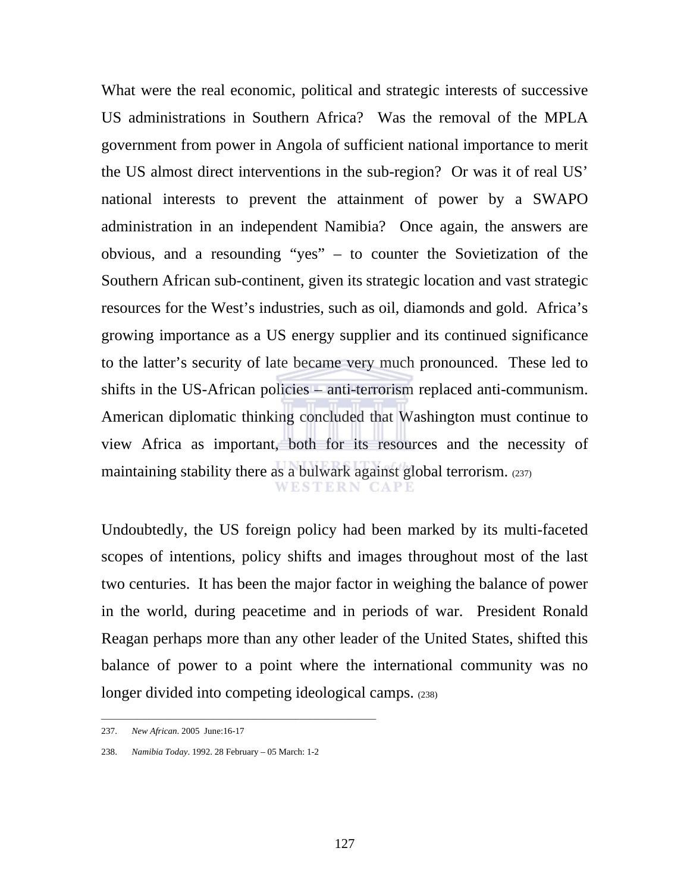What were the real economic, political and strategic interests of successive US administrations in Southern Africa? Was the removal of the MPLA government from power in Angola of sufficient national importance to merit the US almost direct interventions in the sub-region? Or was it of real US' national interests to prevent the attainment of power by a SWAPO administration in an independent Namibia? Once again, the answers are obvious, and a resounding "yes" – to counter the Sovietization of the Southern African sub-continent, given its strategic location and vast strategic resources for the West's industries, such as oil, diamonds and gold. Africa's growing importance as a US energy supplier and its continued significance to the latter's security of late became very much pronounced. These led to shifts in the US-African policies – anti-terrorism replaced anti-communism. American diplomatic thinking concluded that Washington must continue to view Africa as important, both for its resources and the necessity of maintaining stability there as a bulwark against global terrorism. (237) WESTERN CAPE

Undoubtedly, the US foreign policy had been marked by its multi-faceted scopes of intentions, policy shifts and images throughout most of the last two centuries. It has been the major factor in weighing the balance of power in the world, during peacetime and in periods of war. President Ronald Reagan perhaps more than any other leader of the United States, shifted this balance of power to a point where the international community was no longer divided into competing ideological camps. (238)

\_\_\_\_\_\_\_\_\_\_\_\_\_\_\_\_\_\_\_\_\_\_\_\_\_\_\_\_\_\_\_\_\_\_\_\_\_\_\_\_\_\_\_\_\_\_\_\_\_\_\_\_\_\_\_\_\_\_\_\_\_

<sup>237.</sup> *New African*. 2005 June:16-17

<sup>238.</sup> *Namibia Today*. 1992. 28 February – 05 March: 1-2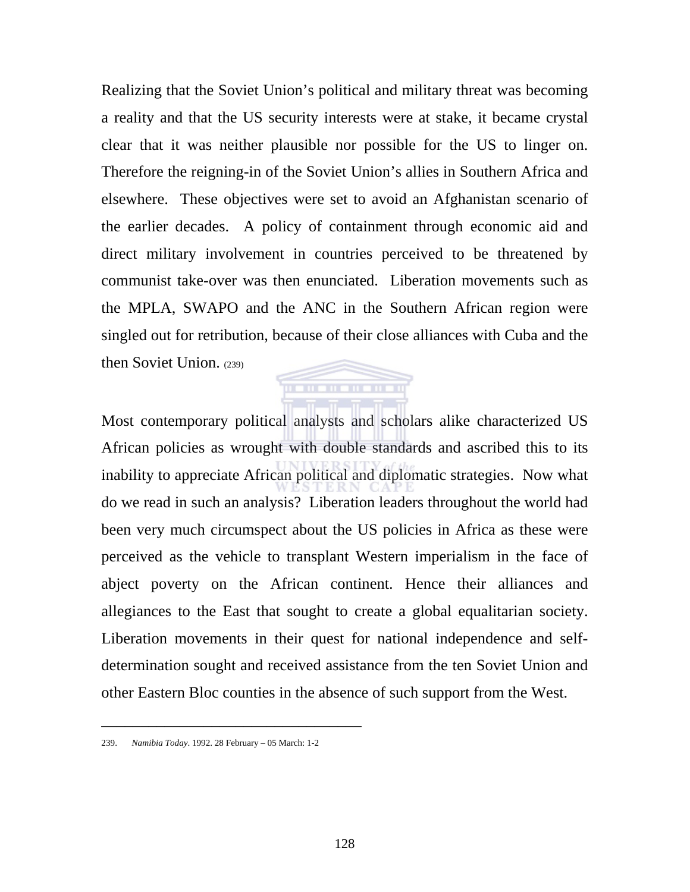Realizing that the Soviet Union's political and military threat was becoming a reality and that the US security interests were at stake, it became crystal clear that it was neither plausible nor possible for the US to linger on. Therefore the reigning-in of the Soviet Union's allies in Southern Africa and elsewhere. These objectives were set to avoid an Afghanistan scenario of the earlier decades. A policy of containment through economic aid and direct military involvement in countries perceived to be threatened by communist take-over was then enunciated. Liberation movements such as the MPLA, SWAPO and the ANC in the Southern African region were singled out for retribution, because of their close alliances with Cuba and the then Soviet Union.  $(239)$ 

. . . . . . . . . . .

Most contemporary political analysts and scholars alike characterized US African policies as wrought with double standards and ascribed this to its inability to appreciate African political and diplomatic strategies. Now what do we read in such an analysis? Liberation leaders throughout the world had been very much circumspect about the US policies in Africa as these were perceived as the vehicle to transplant Western imperialism in the face of abject poverty on the African continent. Hence their alliances and allegiances to the East that sought to create a global equalitarian society. Liberation movements in their quest for national independence and selfdetermination sought and received assistance from the ten Soviet Union and other Eastern Bloc counties in the absence of such support from the West.

<sup>239.</sup> *Namibia Today*. 1992. 28 February – 05 March: 1-2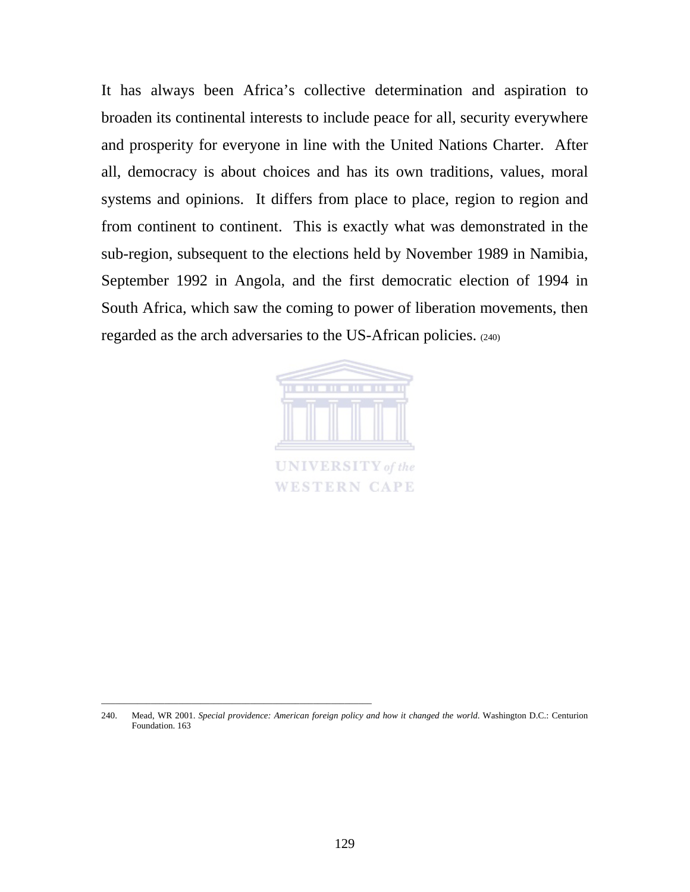It has always been Africa's collective determination and aspiration to broaden its continental interests to include peace for all, security everywhere and prosperity for everyone in line with the United Nations Charter. After all, democracy is about choices and has its own traditions, values, moral systems and opinions. It differs from place to place, region to region and from continent to continent. This is exactly what was demonstrated in the sub-region, subsequent to the elections held by November 1989 in Namibia, September 1992 in Angola, and the first democratic election of 1994 in South Africa, which saw the coming to power of liberation movements, then regarded as the arch adversaries to the US-African policies. (240)



\_\_\_\_\_\_\_\_\_\_\_\_\_\_\_\_\_\_\_\_\_\_\_\_\_\_\_\_\_\_\_\_\_\_\_\_\_\_\_\_\_\_\_\_\_\_\_\_\_\_\_\_\_\_\_\_\_\_\_\_

<sup>240.</sup> Mead, WR 2001. Special providence: American foreign policy and how it changed the world. Washington D.C.: Centurion Foundation. 163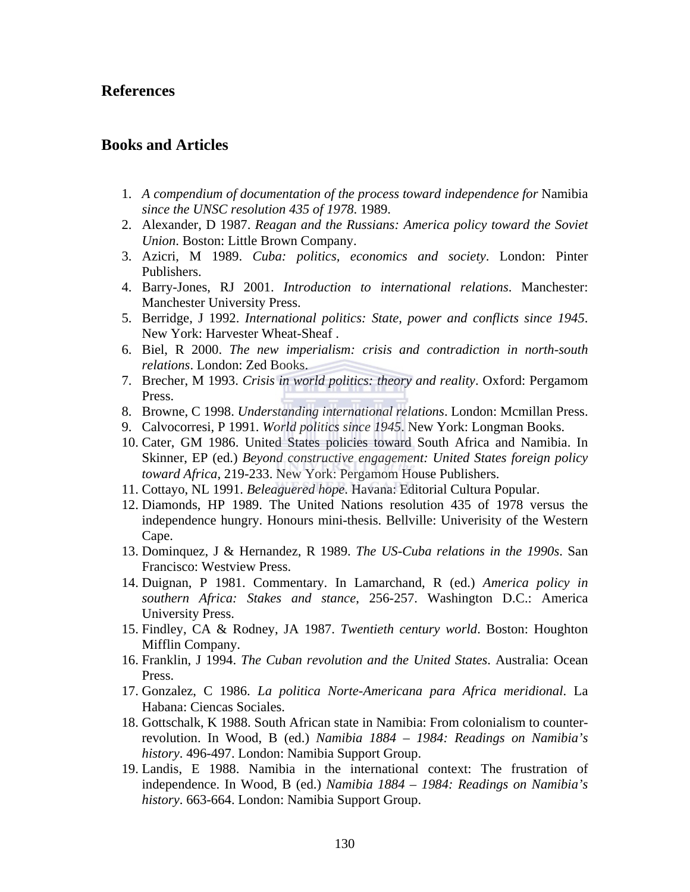## **References**

## **Books and Articles**

- 1. *A compendium of documentation of the process toward independence for* Namibia *since the UNSC resolution 435 of 1978*. 1989.
- 2. Alexander, D 1987. *Reagan and the Russians: America policy toward the Soviet Union*. Boston: Little Brown Company.
- 3. Azicri, M 1989. *Cuba: politics, economics and society*. London: Pinter Publishers.
- 4. Barry-Jones, RJ 2001. *Introduction to international relations*. Manchester: Manchester University Press.
- 5. Berridge, J 1992. *International politics: State, power and conflicts since 1945*. New York: Harvester Wheat-Sheaf .
- 6. Biel, R 2000. *The new imperialism: crisis and contradiction in north-south relations*. London: Zed Books.
- 7. Brecher, M 1993. *Crisis in world politics: theory and reality*. Oxford: Pergamom Press.
- 8. Browne, C 1998. *Understanding international relations*. London: Mcmillan Press.
- 9. Calvocorresi, P 1991. *World politics since 1945*. New York: Longman Books.
- 10. Cater, GM 1986. United States policies toward South Africa and Namibia. In Skinner, EP (ed.) *Beyond constructive engagement: United States foreign policy toward Africa*, 219-233. New York: Pergamom House Publishers.
- 11. Cottayo, NL 1991. *Beleaguered hope*. Havana: Editorial Cultura Popular.
- 12. Diamonds, HP 1989. The United Nations resolution 435 of 1978 versus the independence hungry. Honours mini-thesis. Bellville: Univerisity of the Western Cape.
- 13. Dominquez, J & Hernandez, R 1989. *The US-Cuba relations in the 1990s*. San Francisco: Westview Press.
- 14. Duignan, P 1981. Commentary. In Lamarchand, R (ed.) *America policy in southern Africa: Stakes and stance*, 256-257. Washington D.C.: America University Press.
- 15. Findley, CA & Rodney, JA 1987. *Twentieth century world*. Boston: Houghton Mifflin Company.
- 16. Franklin, J 1994. *The Cuban revolution and the United States*. Australia: Ocean Press.
- 17. Gonzalez, C 1986. *La politica Norte-Americana para Africa meridional*. La Habana: Ciencas Sociales.
- 18. Gottschalk, K 1988. South African state in Namibia: From colonialism to counterrevolution. In Wood, B (ed.) *Namibia 1884 – 1984: Readings on Namibia's history*. 496-497. London: Namibia Support Group.
- 19. Landis, E 1988. Namibia in the international context: The frustration of independence. In Wood, B (ed.) *Namibia 1884 – 1984: Readings on Namibia's history*. 663-664. London: Namibia Support Group.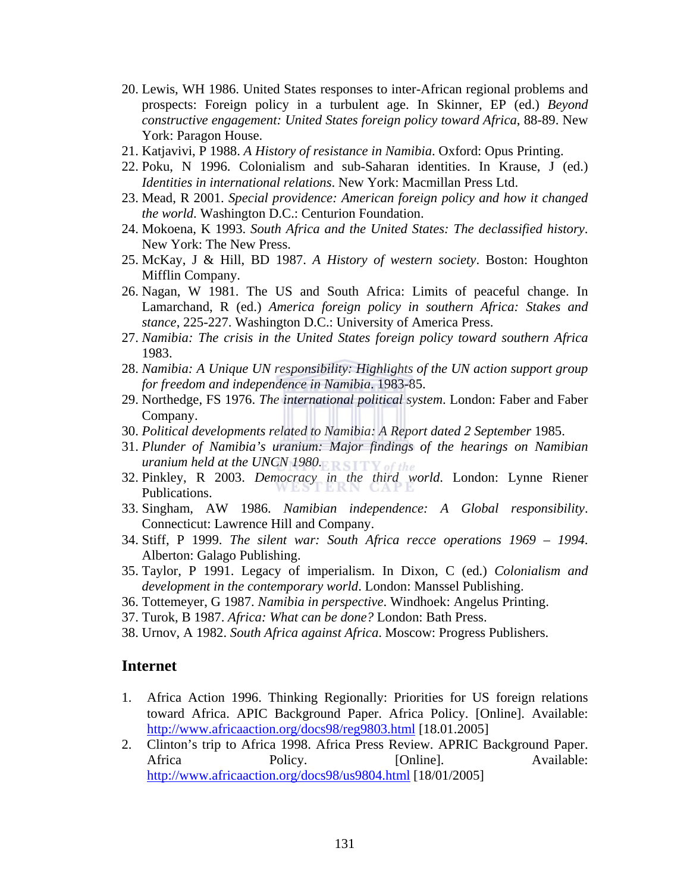- 20. Lewis, WH 1986. United States responses to inter-African regional problems and prospects: Foreign policy in a turbulent age. In Skinner, EP (ed.) *Beyond constructive engagement: United States foreign policy toward Africa*, 88-89. New York: Paragon House.
- 21. Katjavivi, P 1988. *A History of resistance in Namibia*. Oxford: Opus Printing.
- 22. Poku, N 1996. Colonialism and sub-Saharan identities. In Krause, J (ed.) *Identities in international relations*. New York: Macmillan Press Ltd.
- 23. Mead, R 2001. *Special providence: American foreign policy and how it changed the world*. Washington D.C.: Centurion Foundation.
- 24. Mokoena, K 1993. *South Africa and the United States: The declassified history*. New York: The New Press.
- 25. McKay, J & Hill, BD 1987. *A History of western society*. Boston: Houghton Mifflin Company.
- 26. Nagan, W 1981. The US and South Africa: Limits of peaceful change. In Lamarchand, R (ed.) *America foreign policy in southern Africa: Stakes and stance*, 225-227. Washington D.C.: University of America Press.
- 27. *Namibia: The crisis in the United States foreign policy toward southern Africa* 1983.
- 28. *Namibia: A Unique UN responsibility: Highlights of the UN action support group for freedom and independence in Namibia*. 1983-85.
- 29. Northedge, FS 1976. *The international political system*. London: Faber and Faber Company.
- 30. Political developments related to Namibia: A Report dated 2 September 1985.
- 31. *Plunder of Namibia's uranium: Major findings of the hearings on Namibian uranium held at the UNCN 1980.*
- 32. Pinkley, R 2003. *Democracy in the third world*. London: Lynne Riener Publications.
- 33. Singham, AW 1986. *Namibian independence: A Global responsibility*. Connecticut: Lawrence Hill and Company.
- 34. Stiff, P 1999. *The silent war: South Africa recce operations 1969 1994*. Alberton: Galago Publishing.
- 35. Taylor, P 1991. Legacy of imperialism. In Dixon, C (ed.) *Colonialism and development in the contemporary world*. London: Manssel Publishing.
- 36. Tottemeyer, G 1987. *Namibia in perspective*. Windhoek: Angelus Printing.
- 37. Turok, B 1987. *Africa: What can be done?* London: Bath Press.
- 38. Urnov, A 1982. *South Africa against Africa*. Moscow: Progress Publishers.

#### **Internet**

- 1. Africa Action 1996. Thinking Regionally: Priorities for US foreign relations toward Africa. APIC Background Paper. Africa Policy. [Online]. Available: http://www.africaaction.org/docs98/reg9803.html [18.01.2005]
- 2. Clinton's trip to Africa 1998. Africa Press Review. APRIC Background Paper. Africa Policy. [Online]. Available: http://www.africaaction.org/docs98/us9804.html [18/01/2005]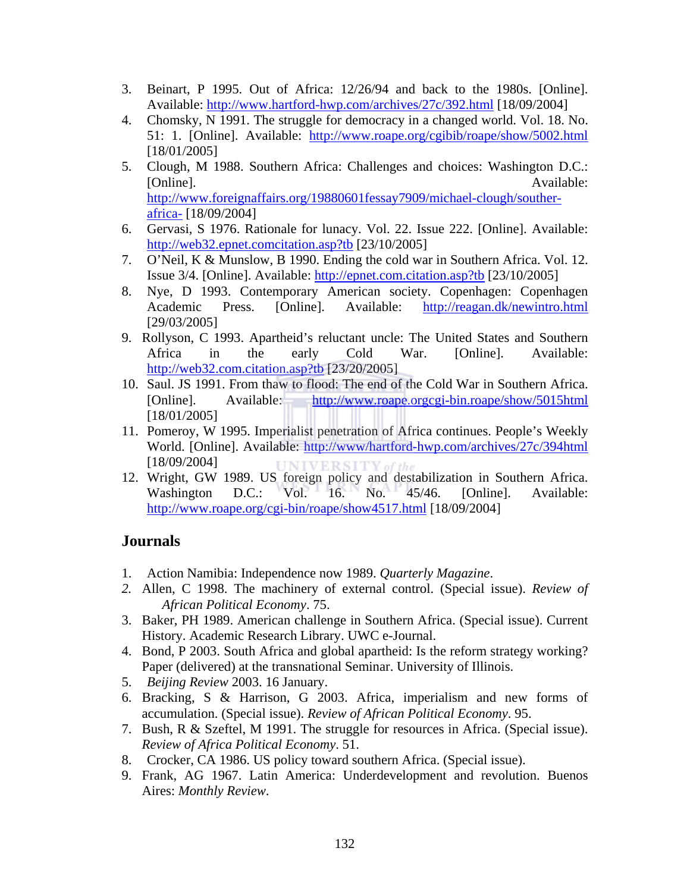- 3. Beinart, P 1995. Out of Africa: 12/26/94 and back to the 1980s. [Online]. Available: http://www.hartford-hwp.com/archives/27c/392.html [18/09/2004]
- 4. Chomsky, N 1991. The struggle for democracy in a changed world. Vol. 18. No. 51: 1. [Online]. Available: http://www.roape.org/cgibib/roape/show/5002.html [18/01/2005]
- 5. Clough, M 1988. Southern Africa: Challenges and choices: Washington D.C.: [Online]. Available: http://www.foreignaffairs.org/19880601fessay7909/michael-clough/southerafrica- [18/09/2004]
- 6. Gervasi, S 1976. Rationale for lunacy. Vol. 22. Issue 222. [Online]. Available: http://web32.epnet.comcitation.asp?tb [23/10/2005]
- 7. O'Neil, K & Munslow, B 1990. Ending the cold war in Southern Africa. Vol. 12. Issue 3/4. [Online]. Available: http://epnet.com.citation.asp?tb [23/10/2005]
- 8. Nye, D 1993. Contemporary American society. Copenhagen: Copenhagen Academic Press. [Online]. Available: http://reagan.dk/newintro.html [29/03/2005]
- 9. Rollyson, C 1993. Apartheid's reluctant uncle: The United States and Southern Africa in the early Cold War. [Online]. Available: http://web32.com.citation.asp?tb [23/20/2005]
- 10. Saul. JS 1991. From thaw to flood: The end of the Cold War in Southern Africa. [Online]. Available: http://www.roape.orgcgi-bin.roape/show/5015html [18/01/2005]
- 11. Pomeroy, W 1995. Imperialist penetration of Africa continues. People's Weekly World. [Online]. Available: http://www/hartford-hwp.com/archives/27c/394html [18/09/2004]
- 12. Wright, GW 1989. US foreign policy and destabilization in Southern Africa. Washington D.C.: Vol. 16. No. 45/46. [Online]. Available: http://www.roape.org/cgi-bin/roape/show4517.html [18/09/2004]

# **Journals**

- 1. Action Namibia: Independence now 1989. *Quarterly Magazine*.
- *2.* Allen, C 1998. The machinery of external control. (Special issue). *Review of African Political Economy*. 75.
- 3. Baker, PH 1989. American challenge in Southern Africa. (Special issue). Current History. Academic Research Library. UWC e-Journal.
- 4. Bond, P 2003. South Africa and global apartheid: Is the reform strategy working? Paper (delivered) at the transnational Seminar. University of Illinois.
- 5. *Beijing Review* 2003. 16 January.
- 6. Bracking, S & Harrison, G 2003. Africa, imperialism and new forms of accumulation. (Special issue). *Review of African Political Economy*. 95.
- 7. Bush, R & Szeftel, M 1991. The struggle for resources in Africa. (Special issue). *Review of Africa Political Economy*. 51.
- 8. Crocker, CA 1986. US policy toward southern Africa. (Special issue).
- 9. Frank, AG 1967. Latin America: Underdevelopment and revolution. Buenos Aires: *Monthly Review*.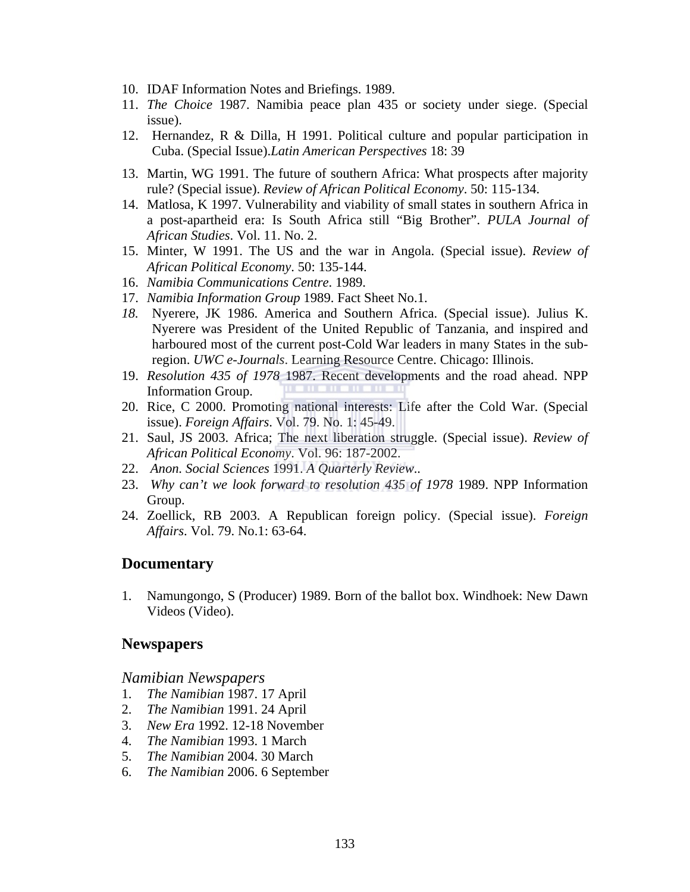- 10. IDAF Information Notes and Briefings. 1989.
- 11. *The Choice* 1987. Namibia peace plan 435 or society under siege. (Special issue).
- 12. Hernandez, R & Dilla, H 1991. Political culture and popular participation in Cuba. (Special Issue).*Latin American Perspectives* 18: 39
- 13. Martin, WG 1991. The future of southern Africa: What prospects after majority rule? (Special issue). *Review of African Political Economy*. 50: 115-134.
- 14. Matlosa, K 1997. Vulnerability and viability of small states in southern Africa in a post-apartheid era: Is South Africa still "Big Brother". *PULA Journal of African Studies*. Vol. 11. No. 2.
- 15. Minter, W 1991. The US and the war in Angola. (Special issue). *Review of African Political Economy*. 50: 135-144.
- 16. *Namibia Communications Centre*. 1989.
- 17. *Namibia Information Group* 1989. Fact Sheet No.1.
- *18.* Nyerere, JK 1986. America and Southern Africa. (Special issue). Julius K. Nyerere was President of the United Republic of Tanzania, and inspired and harboured most of the current post-Cold War leaders in many States in the subregion. *UWC e-Journals*. Learning Resource Centre. Chicago: Illinois.
- 19. *Resolution 435 of 1978* 1987. Recent developments and the road ahead. NPP Information Group.
- 20. Rice, C 2000. Promoting national interests: Life after the Cold War. (Special issue). *Foreign Affairs*. Vol. 79. No. 1: 45-49.
- 21. Saul, JS 2003. Africa; The next liberation struggle. (Special issue). *Review of African Political Economy*. Vol. 96: 187-2002.
- 22. *Anon. Social Sciences* 1991. *A Quarterly Review*..
- 23. *Why can't we look forward to resolution 435 of 1978* 1989. NPP Information Group.
- 24. Zoellick, RB 2003. A Republican foreign policy. (Special issue). *Foreign Affairs*. Vol. 79. No.1: 63-64.

## **Documentary**

1. Namungongo, S (Producer) 1989. Born of the ballot box. Windhoek: New Dawn Videos (Video).

## **Newspapers**

*Namibian Newspapers* 

- 1. *The Namibian* 1987. 17 April
- 2. *The Namibian* 1991. 24 April
- 3. *New Era* 1992. 12-18 November
- 4. *The Namibian* 1993. 1 March
- 5. *The Namibian* 2004. 30 March
- 6. *The Namibian* 2006. 6 September